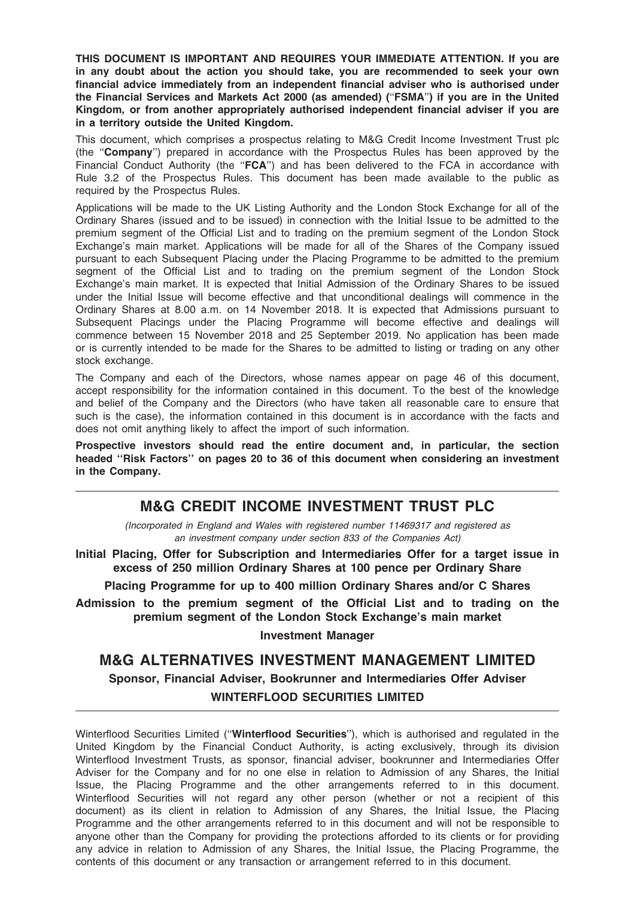THIS DOCUMENT IS IMPORTANT AND REQUIRES YOUR IMMEDIATE ATTENTION. If you are in any doubt about the action you should take, you are recommended to seek your own financial advice immediately from an independent financial adviser who is authorised under the Financial Services and Markets Act 2000 (as amended) (''FSMA'') if you are in the United Kingdom, or from another appropriately authorised independent financial adviser if you are in a territory outside the United Kingdom.

This document, which comprises a prospectus relating to M&G Credit Income Investment Trust plc (the ''Company'') prepared in accordance with the Prospectus Rules has been approved by the Financial Conduct Authority (the "FCA") and has been delivered to the FCA in accordance with Rule 3.2 of the Prospectus Rules. This document has been made available to the public as required by the Prospectus Rules.

Applications will be made to the UK Listing Authority and the London Stock Exchange for all of the Ordinary Shares (issued and to be issued) in connection with the Initial Issue to be admitted to the premium segment of the Official List and to trading on the premium segment of the London Stock Exchange's main market. Applications will be made for all of the Shares of the Company issued pursuant to each Subsequent Placing under the Placing Programme to be admitted to the premium segment of the Official List and to trading on the premium segment of the London Stock Exchange's main market. It is expected that Initial Admission of the Ordinary Shares to be issued under the Initial Issue will become effective and that unconditional dealings will commence in the Ordinary Shares at 8.00 a.m. on 14 November 2018. It is expected that Admissions pursuant to Subsequent Placings under the Placing Programme will become effective and dealings will commence between 15 November 2018 and 25 September 2019. No application has been made or is currently intended to be made for the Shares to be admitted to listing or trading on any other stock exchange.

The Company and each of the Directors, whose names appear on page 46 of this document, accept responsibility for the information contained in this document. To the best of the knowledge and belief of the Company and the Directors (who have taken all reasonable care to ensure that such is the case), the information contained in this document is in accordance with the facts and does not omit anything likely to affect the import of such information.

Prospective investors should read the entire document and, in particular, the section headed ''Risk Factors'' on pages 20 to 36 of this document when considering an investment in the Company.

# M&G CREDIT INCOME INVESTMENT TRUST PLC

(Incorporated in England and Wales with registered number 11469317 and registered as an investment company under section 833 of the Companies Act)

Initial Placing, Offer for Subscription and Intermediaries Offer for a target issue in excess of 250 million Ordinary Shares at 100 pence per Ordinary Share

Placing Programme for up to 400 million Ordinary Shares and/or C Shares

Admission to the premium segment of the Official List and to trading on the premium segment of the London Stock Exchange's main market

Investment Manager

# M&G ALTERNATIVES INVESTMENT MANAGEMENT LIMITED Sponsor, Financial Adviser, Bookrunner and Intermediaries Offer Adviser WINTERFLOOD SECURITIES LIMITED

Winterflood Securities Limited ("Winterflood Securities"), which is authorised and regulated in the United Kingdom by the Financial Conduct Authority, is acting exclusively, through its division Winterflood Investment Trusts, as sponsor, financial adviser, bookrunner and Intermediaries Offer Adviser for the Company and for no one else in relation to Admission of any Shares, the Initial Issue, the Placing Programme and the other arrangements referred to in this document. Winterflood Securities will not regard any other person (whether or not a recipient of this document) as its client in relation to Admission of any Shares, the Initial Issue, the Placing Programme and the other arrangements referred to in this document and will not be responsible to anyone other than the Company for providing the protections afforded to its clients or for providing any advice in relation to Admission of any Shares, the Initial Issue, the Placing Programme, the contents of this document or any transaction or arrangement referred to in this document.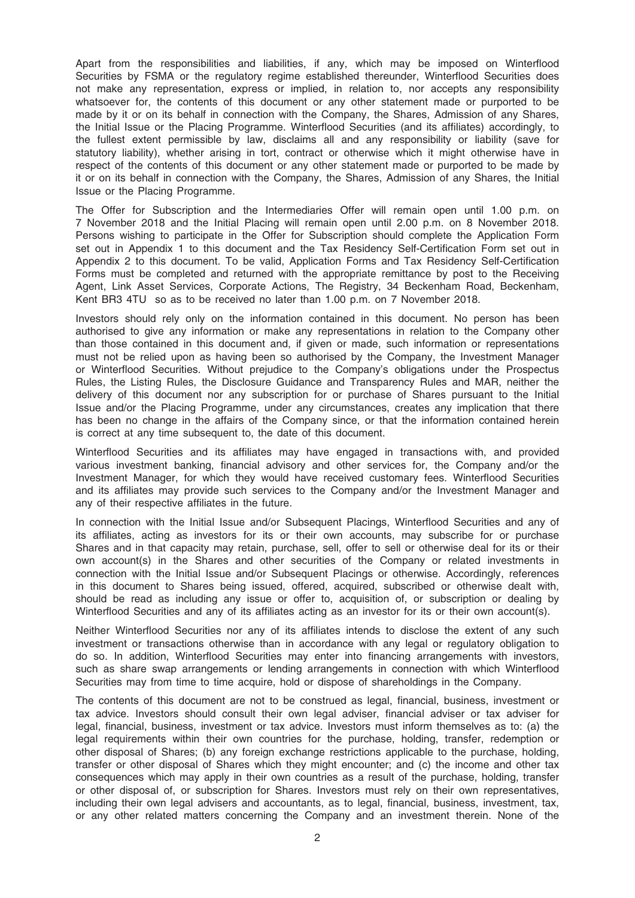Apart from the responsibilities and liabilities, if any, which may be imposed on Winterflood Securities by FSMA or the regulatory regime established thereunder, Winterflood Securities does not make any representation, express or implied, in relation to, nor accepts any responsibility whatsoever for, the contents of this document or any other statement made or purported to be made by it or on its behalf in connection with the Company, the Shares, Admission of any Shares, the Initial Issue or the Placing Programme. Winterflood Securities (and its affiliates) accordingly, to the fullest extent permissible by law, disclaims all and any responsibility or liability (save for statutory liability), whether arising in tort, contract or otherwise which it might otherwise have in respect of the contents of this document or any other statement made or purported to be made by it or on its behalf in connection with the Company, the Shares, Admission of any Shares, the Initial Issue or the Placing Programme.

The Offer for Subscription and the Intermediaries Offer will remain open until 1.00 p.m. on 7 November 2018 and the Initial Placing will remain open until 2.00 p.m. on 8 November 2018. Persons wishing to participate in the Offer for Subscription should complete the Application Form set out in Appendix 1 to this document and the Tax Residency Self-Certification Form set out in Appendix 2 to this document. To be valid, Application Forms and Tax Residency Self-Certification Forms must be completed and returned with the appropriate remittance by post to the Receiving Agent, Link Asset Services, Corporate Actions, The Registry, 34 Beckenham Road, Beckenham, Kent BR3 4TU so as to be received no later than 1.00 p.m. on 7 November 2018.

Investors should rely only on the information contained in this document. No person has been authorised to give any information or make any representations in relation to the Company other than those contained in this document and, if given or made, such information or representations must not be relied upon as having been so authorised by the Company, the Investment Manager or Winterflood Securities. Without prejudice to the Company's obligations under the Prospectus Rules, the Listing Rules, the Disclosure Guidance and Transparency Rules and MAR, neither the delivery of this document nor any subscription for or purchase of Shares pursuant to the Initial Issue and/or the Placing Programme, under any circumstances, creates any implication that there has been no change in the affairs of the Company since, or that the information contained herein is correct at any time subsequent to, the date of this document.

Winterflood Securities and its affiliates may have engaged in transactions with, and provided various investment banking, financial advisory and other services for, the Company and/or the Investment Manager, for which they would have received customary fees. Winterflood Securities and its affiliates may provide such services to the Company and/or the Investment Manager and any of their respective affiliates in the future.

In connection with the Initial Issue and/or Subsequent Placings, Winterflood Securities and any of its affiliates, acting as investors for its or their own accounts, may subscribe for or purchase Shares and in that capacity may retain, purchase, sell, offer to sell or otherwise deal for its or their own account(s) in the Shares and other securities of the Company or related investments in connection with the Initial Issue and/or Subsequent Placings or otherwise. Accordingly, references in this document to Shares being issued, offered, acquired, subscribed or otherwise dealt with, should be read as including any issue or offer to, acquisition of, or subscription or dealing by Winterflood Securities and any of its affiliates acting as an investor for its or their own account(s).

Neither Winterflood Securities nor any of its affiliates intends to disclose the extent of any such investment or transactions otherwise than in accordance with any legal or regulatory obligation to do so. In addition, Winterflood Securities may enter into financing arrangements with investors, such as share swap arrangements or lending arrangements in connection with which Winterflood Securities may from time to time acquire, hold or dispose of shareholdings in the Company.

The contents of this document are not to be construed as legal, financial, business, investment or tax advice. Investors should consult their own legal adviser, financial adviser or tax adviser for legal, financial, business, investment or tax advice. Investors must inform themselves as to: (a) the legal requirements within their own countries for the purchase, holding, transfer, redemption or other disposal of Shares; (b) any foreign exchange restrictions applicable to the purchase, holding, transfer or other disposal of Shares which they might encounter; and (c) the income and other tax consequences which may apply in their own countries as a result of the purchase, holding, transfer or other disposal of, or subscription for Shares. Investors must rely on their own representatives, including their own legal advisers and accountants, as to legal, financial, business, investment, tax, or any other related matters concerning the Company and an investment therein. None of the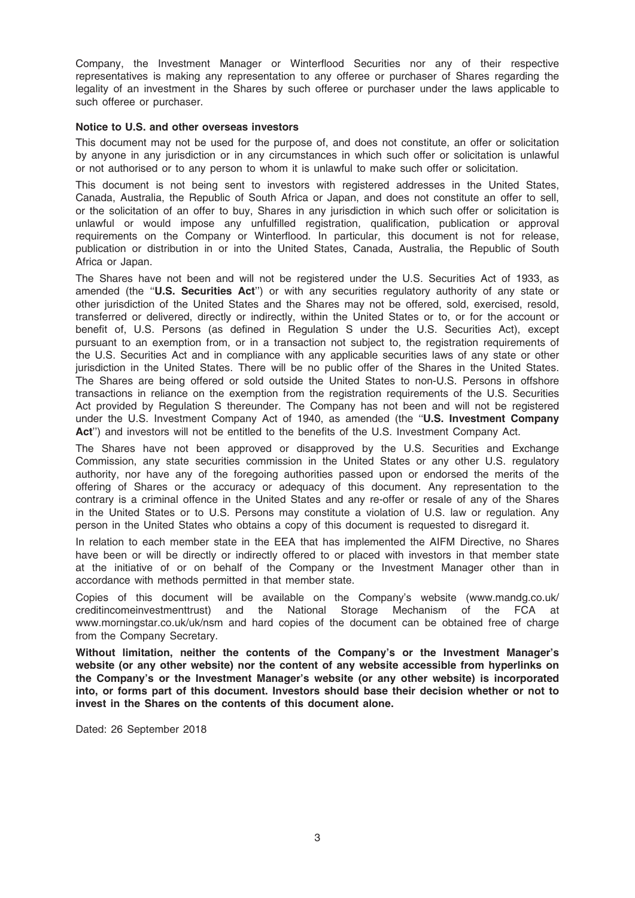Company, the Investment Manager or Winterflood Securities nor any of their respective representatives is making any representation to any offeree or purchaser of Shares regarding the legality of an investment in the Shares by such offeree or purchaser under the laws applicable to such offeree or purchaser.

#### Notice to U.S. and other overseas investors

This document may not be used for the purpose of, and does not constitute, an offer or solicitation by anyone in any jurisdiction or in any circumstances in which such offer or solicitation is unlawful or not authorised or to any person to whom it is unlawful to make such offer or solicitation.

This document is not being sent to investors with registered addresses in the United States, Canada, Australia, the Republic of South Africa or Japan, and does not constitute an offer to sell, or the solicitation of an offer to buy, Shares in any jurisdiction in which such offer or solicitation is unlawful or would impose any unfulfilled registration, qualification, publication or approval requirements on the Company or Winterflood. In particular, this document is not for release, publication or distribution in or into the United States, Canada, Australia, the Republic of South Africa or Japan.

The Shares have not been and will not be registered under the U.S. Securities Act of 1933, as amended (the "U.S. Securities Act") or with any securities regulatory authority of any state or other jurisdiction of the United States and the Shares may not be offered, sold, exercised, resold, transferred or delivered, directly or indirectly, within the United States or to, or for the account or benefit of, U.S. Persons (as defined in Regulation S under the U.S. Securities Act), except pursuant to an exemption from, or in a transaction not subject to, the registration requirements of the U.S. Securities Act and in compliance with any applicable securities laws of any state or other jurisdiction in the United States. There will be no public offer of the Shares in the United States. The Shares are being offered or sold outside the United States to non-U.S. Persons in offshore transactions in reliance on the exemption from the registration requirements of the U.S. Securities Act provided by Regulation S thereunder. The Company has not been and will not be registered under the U.S. Investment Company Act of 1940, as amended (the ''U.S. Investment Company Act") and investors will not be entitled to the benefits of the U.S. Investment Company Act.

The Shares have not been approved or disapproved by the U.S. Securities and Exchange Commission, any state securities commission in the United States or any other U.S. regulatory authority, nor have any of the foregoing authorities passed upon or endorsed the merits of the offering of Shares or the accuracy or adequacy of this document. Any representation to the contrary is a criminal offence in the United States and any re-offer or resale of any of the Shares in the United States or to U.S. Persons may constitute a violation of U.S. law or regulation. Any person in the United States who obtains a copy of this document is requested to disregard it.

In relation to each member state in the EEA that has implemented the AIFM Directive, no Shares have been or will be directly or indirectly offered to or placed with investors in that member state at the initiative of or on behalf of the Company or the Investment Manager other than in accordance with methods permitted in that member state.

Copies of this document will be available on the Company's website (www.mandg.co.uk/ creditincomeinvestmenttrust) and the National Storage Mechanism of the FCA at www.morningstar.co.uk/uk/nsm and hard copies of the document can be obtained free of charge from the Company Secretary.

Without limitation, neither the contents of the Company's or the Investment Manager's website (or any other website) nor the content of any website accessible from hyperlinks on the Company's or the Investment Manager's website (or any other website) is incorporated into, or forms part of this document. Investors should base their decision whether or not to invest in the Shares on the contents of this document alone.

Dated: 26 September 2018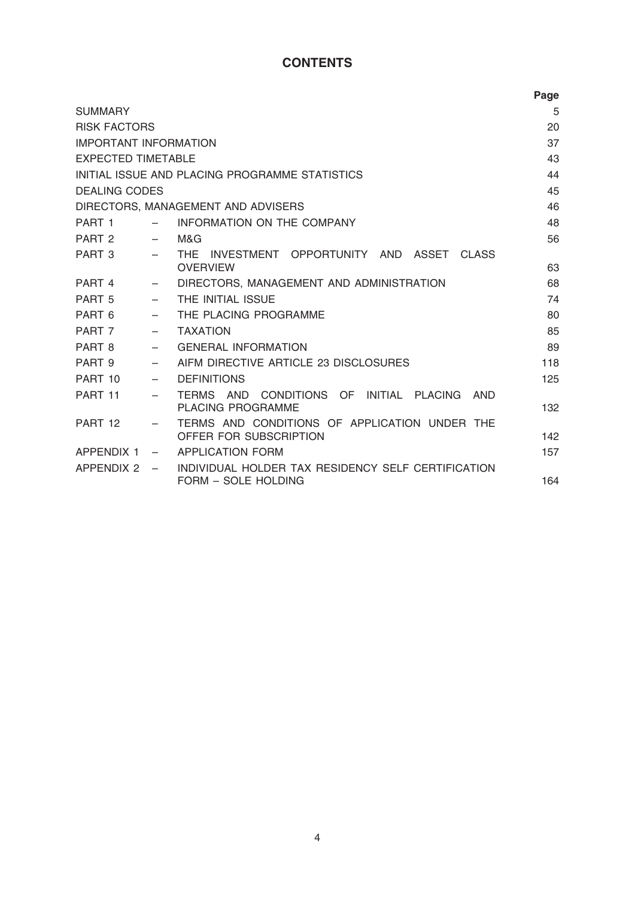# **CONTENTS**

|                              |                          |                                                                                         | Page |
|------------------------------|--------------------------|-----------------------------------------------------------------------------------------|------|
| <b>SUMMARY</b>               |                          |                                                                                         | 5    |
| <b>RISK FACTORS</b>          |                          |                                                                                         | 20   |
| <b>IMPORTANT INFORMATION</b> |                          |                                                                                         | 37   |
| <b>EXPECTED TIMETABLE</b>    |                          |                                                                                         | 43   |
|                              |                          | INITIAL ISSUE AND PLACING PROGRAMME STATISTICS                                          | 44   |
| <b>DEALING CODES</b>         |                          |                                                                                         | 45   |
|                              |                          | DIRECTORS, MANAGEMENT AND ADVISERS                                                      | 46   |
| PART 1                       |                          | INFORMATION ON THE COMPANY                                                              | 48   |
| PART <sub>2</sub>            | $\overline{\phantom{0}}$ | M&G                                                                                     | 56   |
| PART <sub>3</sub>            | $\overline{\phantom{0}}$ | INVESTMENT OPPORTUNITY AND ASSET<br>THE.<br>CLASS<br><b>OVERVIEW</b>                    | 63   |
| PART 4                       | $\qquad \qquad -$        | DIRECTORS, MANAGEMENT AND ADMINISTRATION                                                | 68   |
| PART <sub>5</sub>            | $\overline{\phantom{0}}$ | THE INITIAL ISSUE                                                                       | 74   |
| PART <sub>6</sub>            | $\overline{\phantom{0}}$ | THE PLACING PROGRAMME                                                                   | 80   |
| PART <sub>7</sub>            | $\overline{\phantom{0}}$ | <b>TAXATION</b>                                                                         | 85   |
| PART <sub>8</sub>            | $\overline{\phantom{0}}$ | <b>GENERAL INFORMATION</b>                                                              | 89   |
| PART <sub>9</sub>            | $\overline{\phantom{0}}$ | AIFM DIRECTIVE ARTICLE 23 DISCLOSURES                                                   | 118  |
| PART 10                      | $\overline{\phantom{0}}$ | <b>DEFINITIONS</b>                                                                      | 125  |
| PART <sub>11</sub>           | $\overline{\phantom{0}}$ | AND CONDITIONS OF<br>INITIAL PLACING<br><b>TERMS</b><br>AND<br><b>PLACING PROGRAMME</b> | 132  |
| PART 12                      | $\overline{\phantom{0}}$ | TERMS AND CONDITIONS OF APPLICATION UNDER THE<br>OFFER FOR SUBSCRIPTION                 | 142  |
| <b>APPENDIX 1</b>            | $\overline{\phantom{m}}$ | <b>APPLICATION FORM</b>                                                                 | 157  |
| <b>APPENDIX 2</b>            | $-$                      | INDIVIDUAL HOLDER TAX RESIDENCY SELF CERTIFICATION<br>FORM - SOLE HOLDING               | 164  |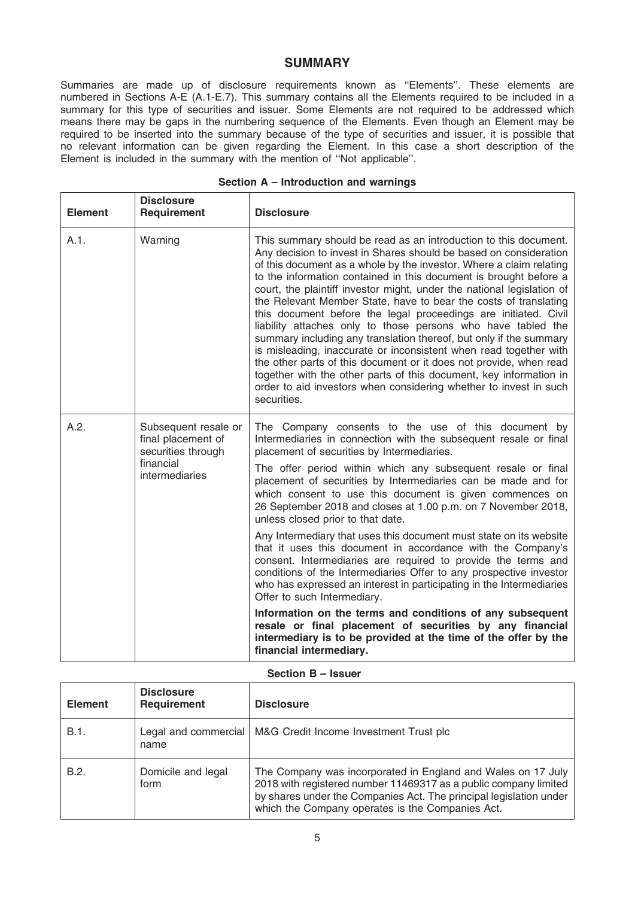# SUMMARY

Summaries are made up of disclosure requirements known as ''Elements''. These elements are numbered in Sections A-E (A.1-E.7). This summary contains all the Elements required to be included in a summary for this type of securities and issuer. Some Elements are not required to be addressed which means there may be gaps in the numbering sequence of the Elements. Even though an Element may be required to be inserted into the summary because of the type of securities and issuer, it is possible that no relevant information can be given regarding the Element. In this case a short description of the Element is included in the summary with the mention of ''Not applicable''.

| <b>Element</b> | <b>Disclosure</b><br>Requirement                                                                       | <b>Disclosure</b>                                                                                                                                                                                                                                                                                                                                                                                                                                                                                                                                                                                                                                                                                                                                                                                                                                                                                                                             |
|----------------|--------------------------------------------------------------------------------------------------------|-----------------------------------------------------------------------------------------------------------------------------------------------------------------------------------------------------------------------------------------------------------------------------------------------------------------------------------------------------------------------------------------------------------------------------------------------------------------------------------------------------------------------------------------------------------------------------------------------------------------------------------------------------------------------------------------------------------------------------------------------------------------------------------------------------------------------------------------------------------------------------------------------------------------------------------------------|
| A.1.           | Warning                                                                                                | This summary should be read as an introduction to this document.<br>Any decision to invest in Shares should be based on consideration<br>of this document as a whole by the investor. Where a claim relating<br>to the information contained in this document is brought before a<br>court, the plaintiff investor might, under the national legislation of<br>the Relevant Member State, have to bear the costs of translating<br>this document before the legal proceedings are initiated. Civil<br>liability attaches only to those persons who have tabled the<br>summary including any translation thereof, but only if the summary<br>is misleading, inaccurate or inconsistent when read together with<br>the other parts of this document or it does not provide, when read<br>together with the other parts of this document, key information in<br>order to aid investors when considering whether to invest in such<br>securities. |
| A.2.           | Subsequent resale or<br>final placement of<br>securities through<br>financial<br><i>intermediaries</i> | The Company consents to the use of this document by<br>Intermediaries in connection with the subsequent resale or final<br>placement of securities by Intermediaries.<br>The offer period within which any subsequent resale or final<br>placement of securities by Intermediaries can be made and for<br>which consent to use this document is given commences on<br>26 September 2018 and closes at 1.00 p.m. on 7 November 2018,<br>unless closed prior to that date.                                                                                                                                                                                                                                                                                                                                                                                                                                                                      |
|                |                                                                                                        | Any Intermediary that uses this document must state on its website<br>that it uses this document in accordance with the Company's<br>consent. Intermediaries are required to provide the terms and<br>conditions of the Intermediaries Offer to any prospective investor<br>who has expressed an interest in participating in the Intermediaries<br>Offer to such Intermediary.                                                                                                                                                                                                                                                                                                                                                                                                                                                                                                                                                               |
|                |                                                                                                        | Information on the terms and conditions of any subsequent<br>resale or final placement of securities by any financial<br>intermediary is to be provided at the time of the offer by the<br>financial intermediary.                                                                                                                                                                                                                                                                                                                                                                                                                                                                                                                                                                                                                                                                                                                            |

# Section A – Introduction and warnings

Section B – Issuer

| <b>Element</b> | <b>Disclosure</b><br>Requirement | <b>Disclosure</b>                                                                                                                                                                                                                                          |
|----------------|----------------------------------|------------------------------------------------------------------------------------------------------------------------------------------------------------------------------------------------------------------------------------------------------------|
| B.1.           | name                             | Legal and commercial   M&G Credit Income Investment Trust plc                                                                                                                                                                                              |
| B.2.           | Domicile and legal<br>form       | The Company was incorporated in England and Wales on 17 July<br>2018 with registered number 11469317 as a public company limited<br>by shares under the Companies Act. The principal legislation under<br>which the Company operates is the Companies Act. |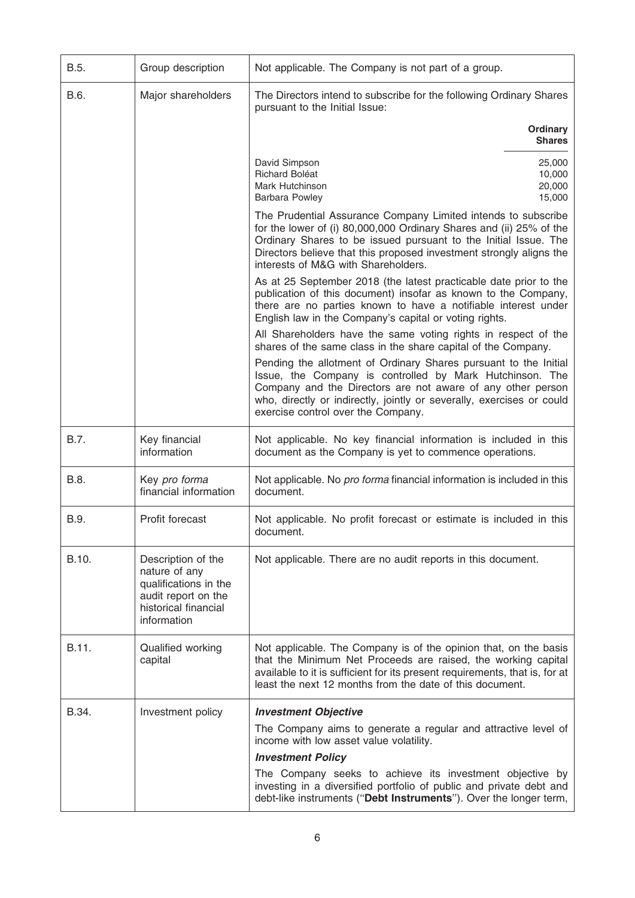| B.5.  | Group description                                                                                                          | Not applicable. The Company is not part of a group.                                                                                                                                                                                                                                                                                                                          |
|-------|----------------------------------------------------------------------------------------------------------------------------|------------------------------------------------------------------------------------------------------------------------------------------------------------------------------------------------------------------------------------------------------------------------------------------------------------------------------------------------------------------------------|
| B.6.  | Major shareholders                                                                                                         | The Directors intend to subscribe for the following Ordinary Shares<br>pursuant to the Initial Issue:                                                                                                                                                                                                                                                                        |
|       |                                                                                                                            | <b>Ordinary</b><br><b>Shares</b>                                                                                                                                                                                                                                                                                                                                             |
|       |                                                                                                                            | 25,000<br>David Simpson<br>Richard Boléat<br>10,000<br><b>Mark Hutchinson</b><br>20,000<br>15,000<br><b>Barbara Powley</b>                                                                                                                                                                                                                                                   |
|       |                                                                                                                            | The Prudential Assurance Company Limited intends to subscribe<br>for the lower of (i) 80,000,000 Ordinary Shares and (ii) 25% of the<br>Ordinary Shares to be issued pursuant to the Initial Issue. The<br>Directors believe that this proposed investment strongly aligns the<br>interests of M&G with Shareholders.                                                        |
|       |                                                                                                                            | As at 25 September 2018 (the latest practicable date prior to the<br>publication of this document) insofar as known to the Company,<br>there are no parties known to have a notifiable interest under<br>English law in the Company's capital or voting rights.                                                                                                              |
|       |                                                                                                                            | All Shareholders have the same voting rights in respect of the<br>shares of the same class in the share capital of the Company.                                                                                                                                                                                                                                              |
|       |                                                                                                                            | Pending the allotment of Ordinary Shares pursuant to the Initial<br>Issue, the Company is controlled by Mark Hutchinson. The<br>Company and the Directors are not aware of any other person<br>who, directly or indirectly, jointly or severally, exercises or could<br>exercise control over the Company.                                                                   |
| B.7.  | Key financial<br>information                                                                                               | Not applicable. No key financial information is included in this<br>document as the Company is yet to commence operations.                                                                                                                                                                                                                                                   |
| B.8.  | Key pro forma<br>financial information                                                                                     | Not applicable. No pro forma financial information is included in this<br>document.                                                                                                                                                                                                                                                                                          |
| B.9.  | Profit forecast                                                                                                            | Not applicable. No profit forecast or estimate is included in this<br>document.                                                                                                                                                                                                                                                                                              |
| B.10. | Description of the<br>nature of any<br>qualifications in the<br>audit report on the<br>historical financial<br>information | Not applicable. There are no audit reports in this document.                                                                                                                                                                                                                                                                                                                 |
| B.11. | Qualified working<br>capital                                                                                               | Not applicable. The Company is of the opinion that, on the basis<br>that the Minimum Net Proceeds are raised, the working capital<br>available to it is sufficient for its present requirements, that is, for at<br>least the next 12 months from the date of this document.                                                                                                 |
| B.34. | Investment policy                                                                                                          | <b>Investment Objective</b><br>The Company aims to generate a regular and attractive level of<br>income with low asset value volatility.<br><b>Investment Policy</b><br>The Company seeks to achieve its investment objective by<br>investing in a diversified portfolio of public and private debt and<br>debt-like instruments ("Debt Instruments"). Over the longer term, |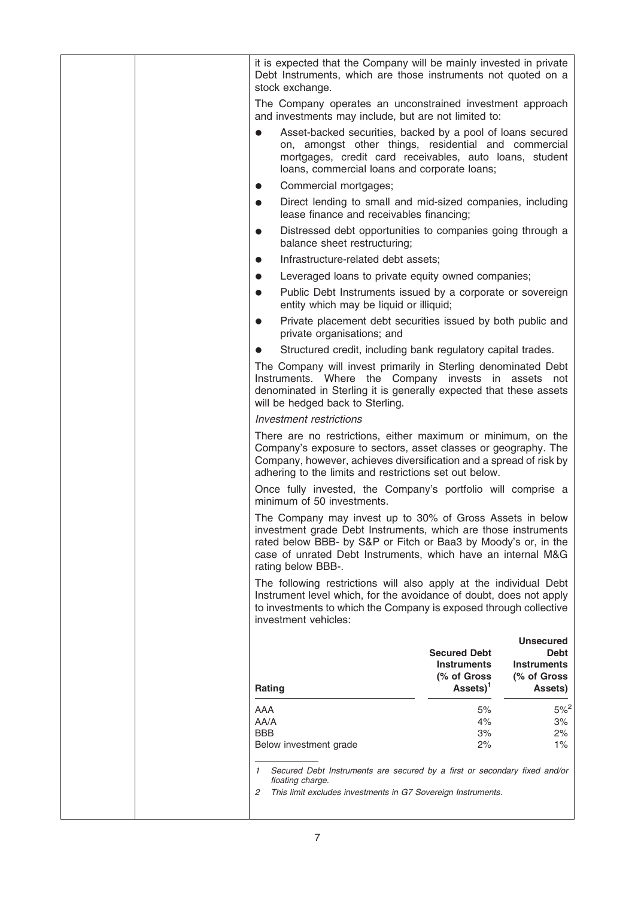|  |            | it is expected that the Company will be mainly invested in private<br>Debt Instruments, which are those instruments not quoted on a<br>stock exchange.                                                                                                                              |                                                                                    |                                                                                 |
|--|------------|-------------------------------------------------------------------------------------------------------------------------------------------------------------------------------------------------------------------------------------------------------------------------------------|------------------------------------------------------------------------------------|---------------------------------------------------------------------------------|
|  |            | The Company operates an unconstrained investment approach<br>and investments may include, but are not limited to:                                                                                                                                                                   |                                                                                    |                                                                                 |
|  |            | Asset-backed securities, backed by a pool of loans secured<br>on, amongst other things, residential and commercial<br>mortgages, credit card receivables, auto loans, student<br>loans, commercial loans and corporate loans;                                                       |                                                                                    |                                                                                 |
|  | $\bullet$  | Commercial mortgages;                                                                                                                                                                                                                                                               |                                                                                    |                                                                                 |
|  | $\bullet$  | Direct lending to small and mid-sized companies, including<br>lease finance and receivables financing;                                                                                                                                                                              |                                                                                    |                                                                                 |
|  | $\bullet$  | Distressed debt opportunities to companies going through a<br>balance sheet restructuring;                                                                                                                                                                                          |                                                                                    |                                                                                 |
|  |            | Infrastructure-related debt assets;                                                                                                                                                                                                                                                 |                                                                                    |                                                                                 |
|  | $\bullet$  | Leveraged loans to private equity owned companies;                                                                                                                                                                                                                                  |                                                                                    |                                                                                 |
|  | $\bullet$  | Public Debt Instruments issued by a corporate or sovereign<br>entity which may be liquid or illiquid;                                                                                                                                                                               |                                                                                    |                                                                                 |
|  | $\bullet$  | Private placement debt securities issued by both public and<br>private organisations; and                                                                                                                                                                                           |                                                                                    |                                                                                 |
|  |            | Structured credit, including bank regulatory capital trades.                                                                                                                                                                                                                        |                                                                                    |                                                                                 |
|  |            | The Company will invest primarily in Sterling denominated Debt<br>Instruments. Where the Company invests in assets not<br>denominated in Sterling it is generally expected that these assets<br>will be hedged back to Sterling.                                                    |                                                                                    |                                                                                 |
|  |            | Investment restrictions                                                                                                                                                                                                                                                             |                                                                                    |                                                                                 |
|  |            | There are no restrictions, either maximum or minimum, on the<br>Company's exposure to sectors, asset classes or geography. The<br>Company, however, achieves diversification and a spread of risk by<br>adhering to the limits and restrictions set out below.                      |                                                                                    |                                                                                 |
|  |            | Once fully invested, the Company's portfolio will comprise a<br>minimum of 50 investments.                                                                                                                                                                                          |                                                                                    |                                                                                 |
|  |            | The Company may invest up to 30% of Gross Assets in below<br>investment grade Debt Instruments, which are those instruments<br>rated below BBB- by S&P or Fitch or Baa3 by Moody's or, in the<br>case of unrated Debt Instruments, which have an internal M&G<br>rating below BBB-. |                                                                                    |                                                                                 |
|  |            | The following restrictions will also apply at the individual Debt<br>Instrument level which, for the avoidance of doubt, does not apply<br>to investments to which the Company is exposed through collective<br>investment vehicles:                                                |                                                                                    |                                                                                 |
|  | Rating     |                                                                                                                                                                                                                                                                                     | <b>Secured Debt</b><br><b>Instruments</b><br>(% of Gross)<br>$Assets$ <sup>1</sup> | <b>Unsecured</b><br><b>Debt</b><br><b>Instruments</b><br>(% of Gross<br>Assets) |
|  | AAA        |                                                                                                                                                                                                                                                                                     | 5%                                                                                 | $5%^{2}$                                                                        |
|  | AA/A       |                                                                                                                                                                                                                                                                                     | 4%                                                                                 | 3%                                                                              |
|  | <b>BBB</b> | Below investment grade                                                                                                                                                                                                                                                              | 3%<br>2%                                                                           | 2%<br>$1\%$                                                                     |
|  | 1          | Secured Debt Instruments are secured by a first or secondary fixed and/or                                                                                                                                                                                                           |                                                                                    |                                                                                 |
|  | 2          | floating charge.<br>This limit excludes investments in G7 Sovereign Instruments.                                                                                                                                                                                                    |                                                                                    |                                                                                 |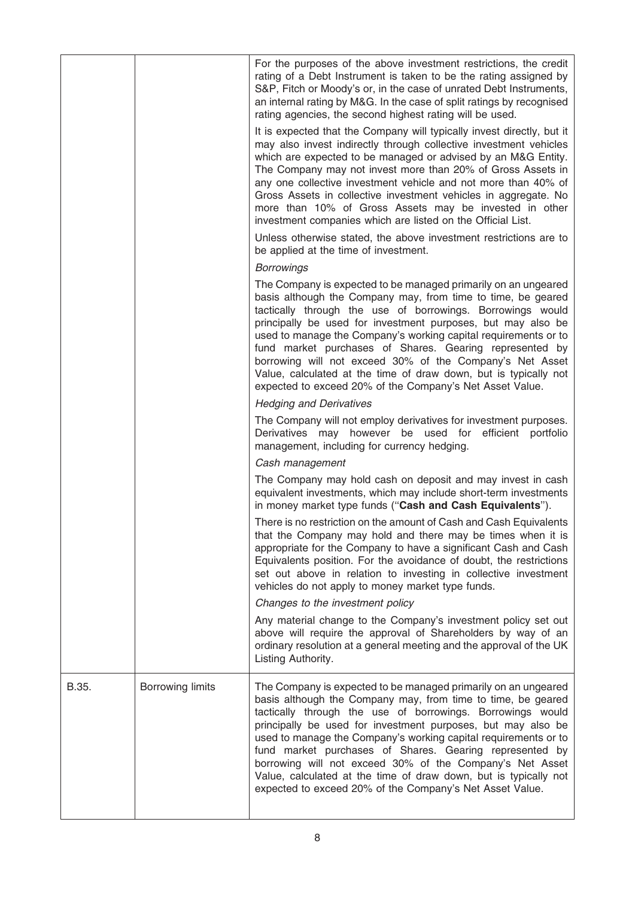|       |                         | For the purposes of the above investment restrictions, the credit<br>rating of a Debt Instrument is taken to be the rating assigned by<br>S&P, Fitch or Moody's or, in the case of unrated Debt Instruments,<br>an internal rating by M&G. In the case of split ratings by recognised<br>rating agencies, the second highest rating will be used.                                                                                                                                                                                                                                      |
|-------|-------------------------|----------------------------------------------------------------------------------------------------------------------------------------------------------------------------------------------------------------------------------------------------------------------------------------------------------------------------------------------------------------------------------------------------------------------------------------------------------------------------------------------------------------------------------------------------------------------------------------|
|       |                         | It is expected that the Company will typically invest directly, but it<br>may also invest indirectly through collective investment vehicles<br>which are expected to be managed or advised by an M&G Entity.<br>The Company may not invest more than 20% of Gross Assets in<br>any one collective investment vehicle and not more than 40% of<br>Gross Assets in collective investment vehicles in aggregate. No<br>more than 10% of Gross Assets may be invested in other<br>investment companies which are listed on the Official List.                                              |
|       |                         | Unless otherwise stated, the above investment restrictions are to<br>be applied at the time of investment.<br><b>Borrowings</b>                                                                                                                                                                                                                                                                                                                                                                                                                                                        |
|       |                         | The Company is expected to be managed primarily on an ungeared<br>basis although the Company may, from time to time, be geared<br>tactically through the use of borrowings. Borrowings would<br>principally be used for investment purposes, but may also be<br>used to manage the Company's working capital requirements or to<br>fund market purchases of Shares. Gearing represented by<br>borrowing will not exceed 30% of the Company's Net Asset<br>Value, calculated at the time of draw down, but is typically not<br>expected to exceed 20% of the Company's Net Asset Value. |
|       |                         | <b>Hedging and Derivatives</b>                                                                                                                                                                                                                                                                                                                                                                                                                                                                                                                                                         |
|       |                         | The Company will not employ derivatives for investment purposes.<br>Derivatives may however be used for efficient portfolio<br>management, including for currency hedging.                                                                                                                                                                                                                                                                                                                                                                                                             |
|       |                         | Cash management                                                                                                                                                                                                                                                                                                                                                                                                                                                                                                                                                                        |
|       |                         | The Company may hold cash on deposit and may invest in cash<br>equivalent investments, which may include short-term investments<br>in money market type funds ("Cash and Cash Equivalents").                                                                                                                                                                                                                                                                                                                                                                                           |
|       |                         | There is no restriction on the amount of Cash and Cash Equivalents<br>that the Company may hold and there may be times when it is<br>appropriate for the Company to have a significant Cash and Cash<br>Equivalents position. For the avoidance of doubt, the restrictions<br>set out above in relation to investing in collective investment<br>vehicles do not apply to money market type funds.<br>Changes to the investment policy                                                                                                                                                 |
|       |                         | Any material change to the Company's investment policy set out<br>above will require the approval of Shareholders by way of an<br>ordinary resolution at a general meeting and the approval of the UK<br>Listing Authority.                                                                                                                                                                                                                                                                                                                                                            |
| B.35. | <b>Borrowing limits</b> | The Company is expected to be managed primarily on an ungeared<br>basis although the Company may, from time to time, be geared<br>tactically through the use of borrowings. Borrowings would<br>principally be used for investment purposes, but may also be<br>used to manage the Company's working capital requirements or to<br>fund market purchases of Shares. Gearing represented by<br>borrowing will not exceed 30% of the Company's Net Asset<br>Value, calculated at the time of draw down, but is typically not<br>expected to exceed 20% of the Company's Net Asset Value. |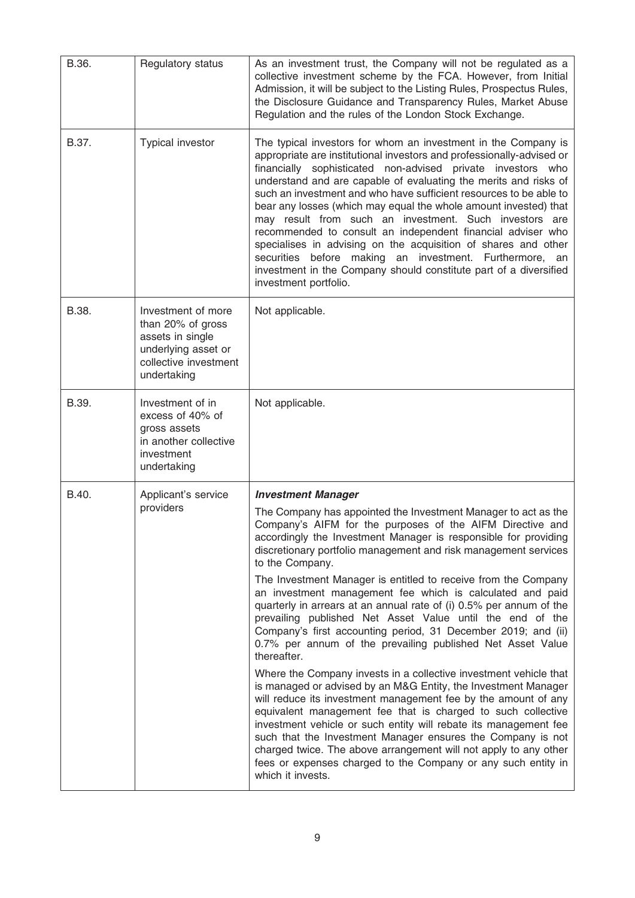| B.36. | Regulatory status                                                                                                          | As an investment trust, the Company will not be regulated as a<br>collective investment scheme by the FCA. However, from Initial<br>Admission, it will be subject to the Listing Rules, Prospectus Rules,<br>the Disclosure Guidance and Transparency Rules, Market Abuse<br>Regulation and the rules of the London Stock Exchange.                                                                                                                                                                                                                                                                                                                                                                                                                                      |
|-------|----------------------------------------------------------------------------------------------------------------------------|--------------------------------------------------------------------------------------------------------------------------------------------------------------------------------------------------------------------------------------------------------------------------------------------------------------------------------------------------------------------------------------------------------------------------------------------------------------------------------------------------------------------------------------------------------------------------------------------------------------------------------------------------------------------------------------------------------------------------------------------------------------------------|
| B.37. | Typical investor                                                                                                           | The typical investors for whom an investment in the Company is<br>appropriate are institutional investors and professionally-advised or<br>financially sophisticated non-advised private investors who<br>understand and are capable of evaluating the merits and risks of<br>such an investment and who have sufficient resources to be able to<br>bear any losses (which may equal the whole amount invested) that<br>may result from such an investment. Such investors are<br>recommended to consult an independent financial adviser who<br>specialises in advising on the acquisition of shares and other<br>securities before making an investment. Furthermore, an<br>investment in the Company should constitute part of a diversified<br>investment portfolio. |
| B.38. | Investment of more<br>than 20% of gross<br>assets in single<br>underlying asset or<br>collective investment<br>undertaking | Not applicable.                                                                                                                                                                                                                                                                                                                                                                                                                                                                                                                                                                                                                                                                                                                                                          |
| B.39. | Investment of in<br>excess of 40% of<br>gross assets<br>in another collective<br>investment<br>undertaking                 | Not applicable.                                                                                                                                                                                                                                                                                                                                                                                                                                                                                                                                                                                                                                                                                                                                                          |
| B.40. | Applicant's service                                                                                                        | <b>Investment Manager</b>                                                                                                                                                                                                                                                                                                                                                                                                                                                                                                                                                                                                                                                                                                                                                |
|       | providers                                                                                                                  | The Company has appointed the Investment Manager to act as the<br>Company's AIFM for the purposes of the AIFM Directive and<br>accordingly the Investment Manager is responsible for providing<br>discretionary portfolio management and risk management services<br>to the Company.                                                                                                                                                                                                                                                                                                                                                                                                                                                                                     |
|       |                                                                                                                            | The Investment Manager is entitled to receive from the Company<br>an investment management fee which is calculated and paid<br>quarterly in arrears at an annual rate of (i) 0.5% per annum of the<br>prevailing published Net Asset Value until the end of the<br>Company's first accounting period, 31 December 2019; and (ii)<br>0.7% per annum of the prevailing published Net Asset Value<br>thereafter.                                                                                                                                                                                                                                                                                                                                                            |
|       |                                                                                                                            | Where the Company invests in a collective investment vehicle that<br>is managed or advised by an M&G Entity, the Investment Manager<br>will reduce its investment management fee by the amount of any<br>equivalent management fee that is charged to such collective<br>investment vehicle or such entity will rebate its management fee<br>such that the Investment Manager ensures the Company is not<br>charged twice. The above arrangement will not apply to any other<br>fees or expenses charged to the Company or any such entity in<br>which it invests.                                                                                                                                                                                                       |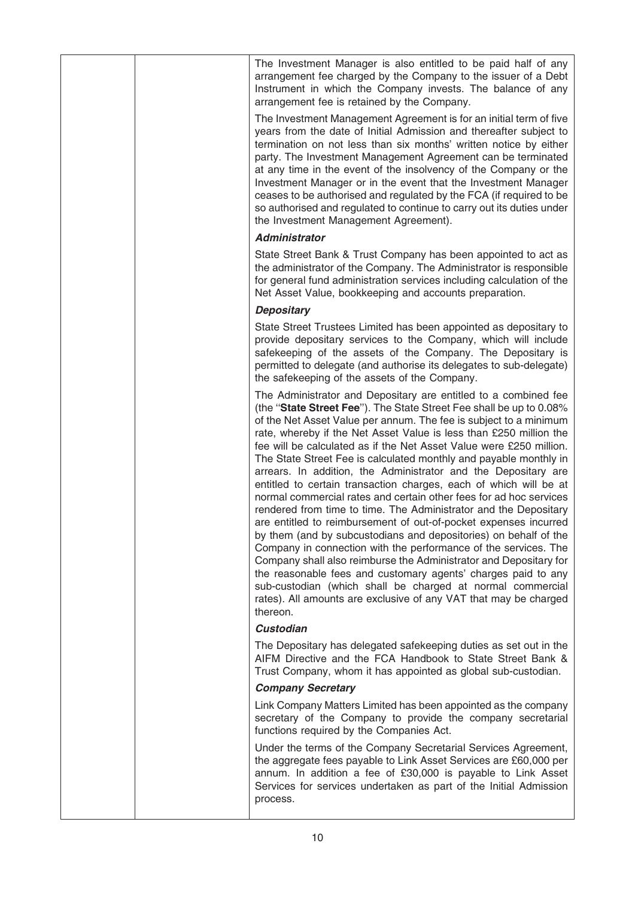| The Investment Manager is also entitled to be paid half of any<br>arrangement fee charged by the Company to the issuer of a Debt<br>Instrument in which the Company invests. The balance of any<br>arrangement fee is retained by the Company.                                                                                                                                                                                                                                                                                                                                                                                                                                                                                                                                                                                                                                                                                                                                                                                                                                                                                                                                                                |
|---------------------------------------------------------------------------------------------------------------------------------------------------------------------------------------------------------------------------------------------------------------------------------------------------------------------------------------------------------------------------------------------------------------------------------------------------------------------------------------------------------------------------------------------------------------------------------------------------------------------------------------------------------------------------------------------------------------------------------------------------------------------------------------------------------------------------------------------------------------------------------------------------------------------------------------------------------------------------------------------------------------------------------------------------------------------------------------------------------------------------------------------------------------------------------------------------------------|
| The Investment Management Agreement is for an initial term of five<br>years from the date of Initial Admission and thereafter subject to<br>termination on not less than six months' written notice by either<br>party. The Investment Management Agreement can be terminated<br>at any time in the event of the insolvency of the Company or the<br>Investment Manager or in the event that the Investment Manager<br>ceases to be authorised and regulated by the FCA (if required to be<br>so authorised and regulated to continue to carry out its duties under<br>the Investment Management Agreement).                                                                                                                                                                                                                                                                                                                                                                                                                                                                                                                                                                                                  |
| <b>Administrator</b>                                                                                                                                                                                                                                                                                                                                                                                                                                                                                                                                                                                                                                                                                                                                                                                                                                                                                                                                                                                                                                                                                                                                                                                          |
| State Street Bank & Trust Company has been appointed to act as<br>the administrator of the Company. The Administrator is responsible<br>for general fund administration services including calculation of the<br>Net Asset Value, bookkeeping and accounts preparation.                                                                                                                                                                                                                                                                                                                                                                                                                                                                                                                                                                                                                                                                                                                                                                                                                                                                                                                                       |
| <b>Depositary</b>                                                                                                                                                                                                                                                                                                                                                                                                                                                                                                                                                                                                                                                                                                                                                                                                                                                                                                                                                                                                                                                                                                                                                                                             |
| State Street Trustees Limited has been appointed as depositary to<br>provide depositary services to the Company, which will include<br>safekeeping of the assets of the Company. The Depositary is<br>permitted to delegate (and authorise its delegates to sub-delegate)<br>the safekeeping of the assets of the Company.                                                                                                                                                                                                                                                                                                                                                                                                                                                                                                                                                                                                                                                                                                                                                                                                                                                                                    |
| The Administrator and Depositary are entitled to a combined fee<br>(the "State Street Fee"). The State Street Fee shall be up to 0.08%<br>of the Net Asset Value per annum. The fee is subject to a minimum<br>rate, whereby if the Net Asset Value is less than £250 million the<br>fee will be calculated as if the Net Asset Value were £250 million.<br>The State Street Fee is calculated monthly and payable monthly in<br>arrears. In addition, the Administrator and the Depositary are<br>entitled to certain transaction charges, each of which will be at<br>normal commercial rates and certain other fees for ad hoc services<br>rendered from time to time. The Administrator and the Depositary<br>are entitled to reimbursement of out-of-pocket expenses incurred<br>by them (and by subcustodians and depositories) on behalf of the<br>Company in connection with the performance of the services. The<br>Company shall also reimburse the Administrator and Depositary for<br>the reasonable fees and customary agents' charges paid to any<br>sub-custodian (which shall be charged at normal commercial<br>rates). All amounts are exclusive of any VAT that may be charged<br>thereon. |
| <b>Custodian</b>                                                                                                                                                                                                                                                                                                                                                                                                                                                                                                                                                                                                                                                                                                                                                                                                                                                                                                                                                                                                                                                                                                                                                                                              |
| The Depositary has delegated safekeeping duties as set out in the<br>AIFM Directive and the FCA Handbook to State Street Bank &<br>Trust Company, whom it has appointed as global sub-custodian.                                                                                                                                                                                                                                                                                                                                                                                                                                                                                                                                                                                                                                                                                                                                                                                                                                                                                                                                                                                                              |
| <b>Company Secretary</b>                                                                                                                                                                                                                                                                                                                                                                                                                                                                                                                                                                                                                                                                                                                                                                                                                                                                                                                                                                                                                                                                                                                                                                                      |
| Link Company Matters Limited has been appointed as the company<br>secretary of the Company to provide the company secretarial<br>functions required by the Companies Act.                                                                                                                                                                                                                                                                                                                                                                                                                                                                                                                                                                                                                                                                                                                                                                                                                                                                                                                                                                                                                                     |
| Under the terms of the Company Secretarial Services Agreement,<br>the aggregate fees payable to Link Asset Services are £60,000 per<br>annum. In addition a fee of £30,000 is payable to Link Asset<br>Services for services undertaken as part of the Initial Admission<br>process.                                                                                                                                                                                                                                                                                                                                                                                                                                                                                                                                                                                                                                                                                                                                                                                                                                                                                                                          |
|                                                                                                                                                                                                                                                                                                                                                                                                                                                                                                                                                                                                                                                                                                                                                                                                                                                                                                                                                                                                                                                                                                                                                                                                               |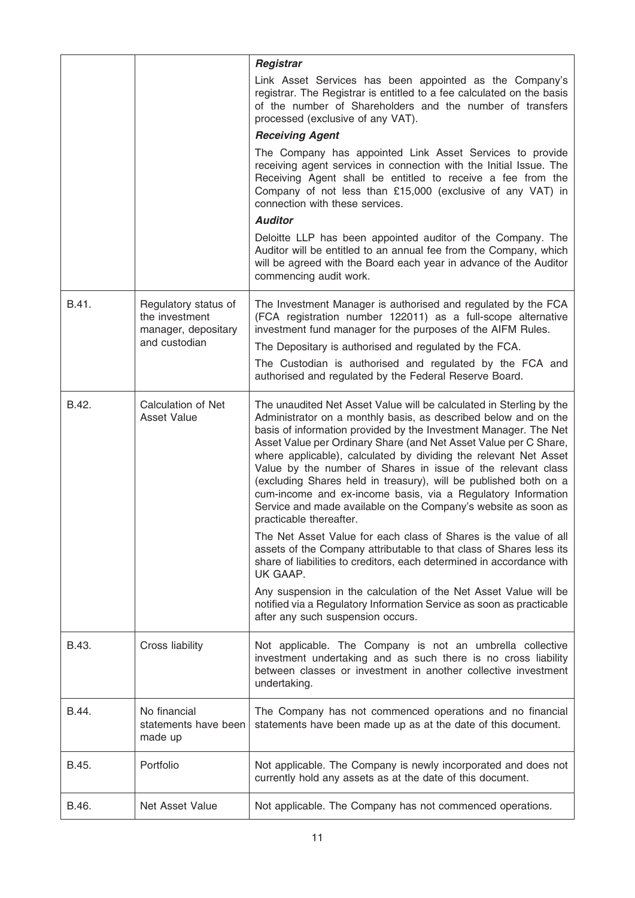|       |                                                                                | Registrar                                                                                                                                                                                                                                                                                                                                                                                                                                                                                                                                                                                                                                           |
|-------|--------------------------------------------------------------------------------|-----------------------------------------------------------------------------------------------------------------------------------------------------------------------------------------------------------------------------------------------------------------------------------------------------------------------------------------------------------------------------------------------------------------------------------------------------------------------------------------------------------------------------------------------------------------------------------------------------------------------------------------------------|
|       |                                                                                | Link Asset Services has been appointed as the Company's<br>registrar. The Registrar is entitled to a fee calculated on the basis<br>of the number of Shareholders and the number of transfers<br>processed (exclusive of any VAT).                                                                                                                                                                                                                                                                                                                                                                                                                  |
|       |                                                                                | <b>Receiving Agent</b>                                                                                                                                                                                                                                                                                                                                                                                                                                                                                                                                                                                                                              |
|       |                                                                                | The Company has appointed Link Asset Services to provide<br>receiving agent services in connection with the Initial Issue. The<br>Receiving Agent shall be entitled to receive a fee from the<br>Company of not less than £15,000 (exclusive of any VAT) in<br>connection with these services.                                                                                                                                                                                                                                                                                                                                                      |
|       |                                                                                | <b>Auditor</b>                                                                                                                                                                                                                                                                                                                                                                                                                                                                                                                                                                                                                                      |
|       |                                                                                | Deloitte LLP has been appointed auditor of the Company. The<br>Auditor will be entitled to an annual fee from the Company, which<br>will be agreed with the Board each year in advance of the Auditor<br>commencing audit work.                                                                                                                                                                                                                                                                                                                                                                                                                     |
| B.41. | Regulatory status of<br>the investment<br>manager, depositary<br>and custodian | The Investment Manager is authorised and regulated by the FCA<br>(FCA registration number 122011) as a full-scope alternative<br>investment fund manager for the purposes of the AIFM Rules.<br>The Depositary is authorised and regulated by the FCA.<br>The Custodian is authorised and regulated by the FCA and<br>authorised and regulated by the Federal Reserve Board.                                                                                                                                                                                                                                                                        |
| B.42. | Calculation of Net<br><b>Asset Value</b>                                       | The unaudited Net Asset Value will be calculated in Sterling by the<br>Administrator on a monthly basis, as described below and on the<br>basis of information provided by the Investment Manager. The Net<br>Asset Value per Ordinary Share (and Net Asset Value per C Share,<br>where applicable), calculated by dividing the relevant Net Asset<br>Value by the number of Shares in issue of the relevant class<br>(excluding Shares held in treasury), will be published both on a<br>cum-income and ex-income basis, via a Regulatory Information<br>Service and made available on the Company's website as soon as<br>practicable thereafter. |
|       |                                                                                | The Net Asset Value for each class of Shares is the value of all<br>assets of the Company attributable to that class of Shares less its<br>share of liabilities to creditors, each determined in accordance with<br>UK GAAP.                                                                                                                                                                                                                                                                                                                                                                                                                        |
|       |                                                                                | Any suspension in the calculation of the Net Asset Value will be<br>notified via a Regulatory Information Service as soon as practicable<br>after any such suspension occurs.                                                                                                                                                                                                                                                                                                                                                                                                                                                                       |
| B.43. | Cross liability                                                                | Not applicable. The Company is not an umbrella collective<br>investment undertaking and as such there is no cross liability<br>between classes or investment in another collective investment<br>undertaking.                                                                                                                                                                                                                                                                                                                                                                                                                                       |
| B.44. | No financial<br>statements have been<br>made up                                | The Company has not commenced operations and no financial<br>statements have been made up as at the date of this document.                                                                                                                                                                                                                                                                                                                                                                                                                                                                                                                          |
| B.45. | Portfolio                                                                      | Not applicable. The Company is newly incorporated and does not<br>currently hold any assets as at the date of this document.                                                                                                                                                                                                                                                                                                                                                                                                                                                                                                                        |
| B.46. | <b>Net Asset Value</b>                                                         | Not applicable. The Company has not commenced operations.                                                                                                                                                                                                                                                                                                                                                                                                                                                                                                                                                                                           |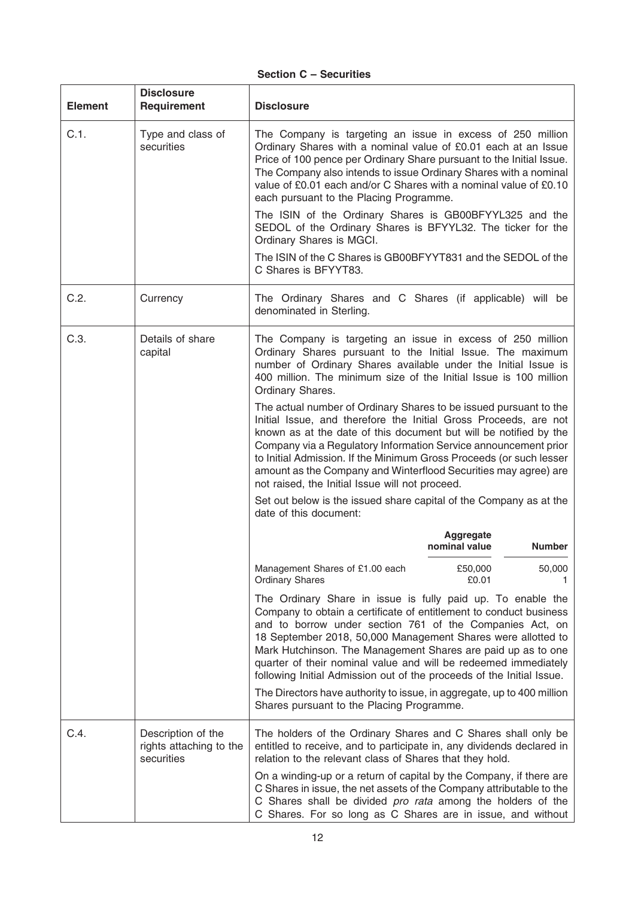# Section C – Securities

| <b>Element</b> | <b>Disclosure</b><br><b>Requirement</b>                     | <b>Disclosure</b>                                                                                                                                                                                                                                                                                                                                                                                                                                                                                                                                                                                               |
|----------------|-------------------------------------------------------------|-----------------------------------------------------------------------------------------------------------------------------------------------------------------------------------------------------------------------------------------------------------------------------------------------------------------------------------------------------------------------------------------------------------------------------------------------------------------------------------------------------------------------------------------------------------------------------------------------------------------|
| C.1.           | Type and class of<br>securities                             | The Company is targeting an issue in excess of 250 million<br>Ordinary Shares with a nominal value of £0.01 each at an Issue<br>Price of 100 pence per Ordinary Share pursuant to the Initial Issue.<br>The Company also intends to issue Ordinary Shares with a nominal<br>value of £0.01 each and/or C Shares with a nominal value of £0.10<br>each pursuant to the Placing Programme.<br>The ISIN of the Ordinary Shares is GB00BFYYL325 and the<br>SEDOL of the Ordinary Shares is BFYYL32. The ticker for the<br>Ordinary Shares is MGCI.<br>The ISIN of the C Shares is GB00BFYYT831 and the SEDOL of the |
|                |                                                             | C Shares is BFYYT83.                                                                                                                                                                                                                                                                                                                                                                                                                                                                                                                                                                                            |
| C.2.           | Currency                                                    | The Ordinary Shares and C Shares (if applicable) will be<br>denominated in Sterling.                                                                                                                                                                                                                                                                                                                                                                                                                                                                                                                            |
| C.3.           | Details of share<br>capital                                 | The Company is targeting an issue in excess of 250 million<br>Ordinary Shares pursuant to the Initial Issue. The maximum<br>number of Ordinary Shares available under the Initial Issue is<br>400 million. The minimum size of the Initial Issue is 100 million<br>Ordinary Shares.                                                                                                                                                                                                                                                                                                                             |
|                |                                                             | The actual number of Ordinary Shares to be issued pursuant to the<br>Initial Issue, and therefore the Initial Gross Proceeds, are not<br>known as at the date of this document but will be notified by the<br>Company via a Regulatory Information Service announcement prior<br>to Initial Admission. If the Minimum Gross Proceeds (or such lesser<br>amount as the Company and Winterflood Securities may agree) are<br>not raised, the Initial Issue will not proceed.                                                                                                                                      |
|                |                                                             | Set out below is the issued share capital of the Company as at the<br>date of this document:                                                                                                                                                                                                                                                                                                                                                                                                                                                                                                                    |
|                |                                                             | <b>Aggregate</b><br>nominal value<br><b>Number</b>                                                                                                                                                                                                                                                                                                                                                                                                                                                                                                                                                              |
|                |                                                             | Management Shares of £1.00 each<br>£50,000<br>50,000<br><b>Ordinary Shares</b><br>£0.01                                                                                                                                                                                                                                                                                                                                                                                                                                                                                                                         |
|                |                                                             | The Ordinary Share in issue is fully paid up. To enable the<br>Company to obtain a certificate of entitlement to conduct business<br>and to borrow under section 761 of the Companies Act, on<br>18 September 2018, 50,000 Management Shares were allotted to<br>Mark Hutchinson. The Management Shares are paid up as to one<br>quarter of their nominal value and will be redeemed immediately<br>following Initial Admission out of the proceeds of the Initial Issue.<br>The Directors have authority to issue, in aggregate, up to 400 million<br>Shares pursuant to the Placing Programme.                |
| C.4.           | Description of the<br>rights attaching to the<br>securities | The holders of the Ordinary Shares and C Shares shall only be<br>entitled to receive, and to participate in, any dividends declared in<br>relation to the relevant class of Shares that they hold.                                                                                                                                                                                                                                                                                                                                                                                                              |
|                |                                                             | On a winding-up or a return of capital by the Company, if there are<br>C Shares in issue, the net assets of the Company attributable to the<br>C Shares shall be divided pro rata among the holders of the<br>C Shares. For so long as C Shares are in issue, and without                                                                                                                                                                                                                                                                                                                                       |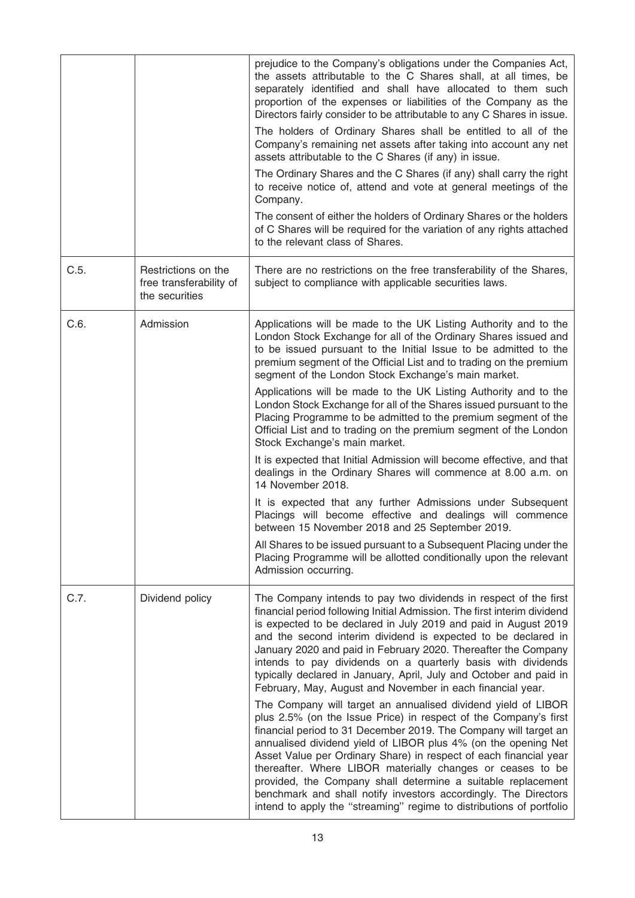|      |                                                                  | prejudice to the Company's obligations under the Companies Act,<br>the assets attributable to the C Shares shall, at all times, be<br>separately identified and shall have allocated to them such<br>proportion of the expenses or liabilities of the Company as the<br>Directors fairly consider to be attributable to any C Shares in issue.<br>The holders of Ordinary Shares shall be entitled to all of the<br>Company's remaining net assets after taking into account any net<br>assets attributable to the C Shares (if any) in issue.<br>The Ordinary Shares and the C Shares (if any) shall carry the right<br>to receive notice of, attend and vote at general meetings of the<br>Company.<br>The consent of either the holders of Ordinary Shares or the holders<br>of C Shares will be required for the variation of any rights attached<br>to the relevant class of Shares. |
|------|------------------------------------------------------------------|-------------------------------------------------------------------------------------------------------------------------------------------------------------------------------------------------------------------------------------------------------------------------------------------------------------------------------------------------------------------------------------------------------------------------------------------------------------------------------------------------------------------------------------------------------------------------------------------------------------------------------------------------------------------------------------------------------------------------------------------------------------------------------------------------------------------------------------------------------------------------------------------|
| C.5. | Restrictions on the<br>free transferability of<br>the securities | There are no restrictions on the free transferability of the Shares,<br>subject to compliance with applicable securities laws.                                                                                                                                                                                                                                                                                                                                                                                                                                                                                                                                                                                                                                                                                                                                                            |
| C.6. | Admission                                                        | Applications will be made to the UK Listing Authority and to the<br>London Stock Exchange for all of the Ordinary Shares issued and<br>to be issued pursuant to the Initial Issue to be admitted to the<br>premium segment of the Official List and to trading on the premium<br>segment of the London Stock Exchange's main market.                                                                                                                                                                                                                                                                                                                                                                                                                                                                                                                                                      |
|      |                                                                  | Applications will be made to the UK Listing Authority and to the<br>London Stock Exchange for all of the Shares issued pursuant to the<br>Placing Programme to be admitted to the premium segment of the<br>Official List and to trading on the premium segment of the London<br>Stock Exchange's main market.                                                                                                                                                                                                                                                                                                                                                                                                                                                                                                                                                                            |
|      |                                                                  | It is expected that Initial Admission will become effective, and that<br>dealings in the Ordinary Shares will commence at 8.00 a.m. on<br>14 November 2018.                                                                                                                                                                                                                                                                                                                                                                                                                                                                                                                                                                                                                                                                                                                               |
|      |                                                                  | It is expected that any further Admissions under Subsequent<br>Placings will become effective and dealings will commence<br>between 15 November 2018 and 25 September 2019.                                                                                                                                                                                                                                                                                                                                                                                                                                                                                                                                                                                                                                                                                                               |
|      |                                                                  | All Shares to be issued pursuant to a Subsequent Placing under the<br>Placing Programme will be allotted conditionally upon the relevant<br>Admission occurring.                                                                                                                                                                                                                                                                                                                                                                                                                                                                                                                                                                                                                                                                                                                          |
| C.7. | Dividend policy                                                  | The Company intends to pay two dividends in respect of the first<br>financial period following Initial Admission. The first interim dividend<br>is expected to be declared in July 2019 and paid in August 2019<br>and the second interim dividend is expected to be declared in<br>January 2020 and paid in February 2020. Thereafter the Company<br>intends to pay dividends on a quarterly basis with dividends<br>typically declared in January, April, July and October and paid in<br>February, May, August and November in each financial year.                                                                                                                                                                                                                                                                                                                                    |
|      |                                                                  | The Company will target an annualised dividend yield of LIBOR<br>plus 2.5% (on the Issue Price) in respect of the Company's first<br>financial period to 31 December 2019. The Company will target an<br>annualised dividend yield of LIBOR plus 4% (on the opening Net<br>Asset Value per Ordinary Share) in respect of each financial year<br>thereafter. Where LIBOR materially changes or ceases to be<br>provided, the Company shall determine a suitable replacement<br>benchmark and shall notify investors accordingly. The Directors<br>intend to apply the "streaming" regime to distributions of portfolio                                                                                                                                                                                                                                                                     |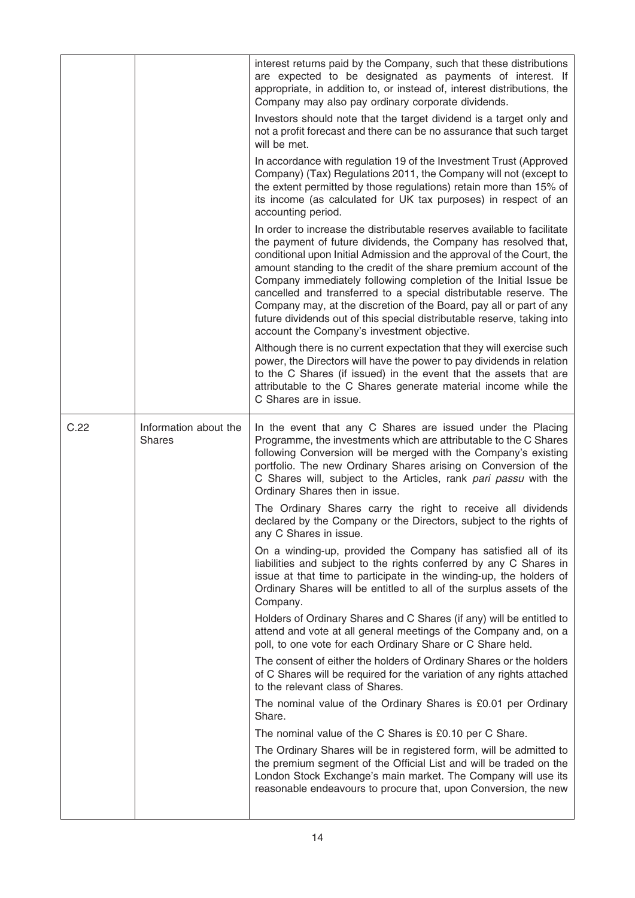|      |                                        | interest returns paid by the Company, such that these distributions<br>are expected to be designated as payments of interest. If<br>appropriate, in addition to, or instead of, interest distributions, the<br>Company may also pay ordinary corporate dividends.<br>Investors should note that the target dividend is a target only and<br>not a profit forecast and there can be no assurance that such target<br>will be met.                                                                                                                                                                                                   |
|------|----------------------------------------|------------------------------------------------------------------------------------------------------------------------------------------------------------------------------------------------------------------------------------------------------------------------------------------------------------------------------------------------------------------------------------------------------------------------------------------------------------------------------------------------------------------------------------------------------------------------------------------------------------------------------------|
|      |                                        | In accordance with regulation 19 of the Investment Trust (Approved<br>Company) (Tax) Regulations 2011, the Company will not (except to<br>the extent permitted by those regulations) retain more than 15% of<br>its income (as calculated for UK tax purposes) in respect of an<br>accounting period.                                                                                                                                                                                                                                                                                                                              |
|      |                                        | In order to increase the distributable reserves available to facilitate<br>the payment of future dividends, the Company has resolved that,<br>conditional upon Initial Admission and the approval of the Court, the<br>amount standing to the credit of the share premium account of the<br>Company immediately following completion of the Initial Issue be<br>cancelled and transferred to a special distributable reserve. The<br>Company may, at the discretion of the Board, pay all or part of any<br>future dividends out of this special distributable reserve, taking into<br>account the Company's investment objective. |
|      |                                        | Although there is no current expectation that they will exercise such<br>power, the Directors will have the power to pay dividends in relation<br>to the C Shares (if issued) in the event that the assets that are<br>attributable to the C Shares generate material income while the<br>C Shares are in issue.                                                                                                                                                                                                                                                                                                                   |
| C.22 | Information about the<br><b>Shares</b> | In the event that any C Shares are issued under the Placing<br>Programme, the investments which are attributable to the C Shares<br>following Conversion will be merged with the Company's existing<br>portfolio. The new Ordinary Shares arising on Conversion of the<br>C Shares will, subject to the Articles, rank pari passu with the<br>Ordinary Shares then in issue.                                                                                                                                                                                                                                                       |
|      |                                        | The Ordinary Shares carry the right to receive all dividends<br>declared by the Company or the Directors, subject to the rights of<br>any C Shares in issue.                                                                                                                                                                                                                                                                                                                                                                                                                                                                       |
|      |                                        | On a winding-up, provided the Company has satisfied all of its<br>liabilities and subject to the rights conferred by any C Shares in<br>issue at that time to participate in the winding-up, the holders of<br>Ordinary Shares will be entitled to all of the surplus assets of the<br>Company.                                                                                                                                                                                                                                                                                                                                    |
|      |                                        | Holders of Ordinary Shares and C Shares (if any) will be entitled to<br>attend and vote at all general meetings of the Company and, on a<br>poll, to one vote for each Ordinary Share or C Share held.                                                                                                                                                                                                                                                                                                                                                                                                                             |
|      |                                        | The consent of either the holders of Ordinary Shares or the holders<br>of C Shares will be required for the variation of any rights attached<br>to the relevant class of Shares.                                                                                                                                                                                                                                                                                                                                                                                                                                                   |
|      |                                        | The nominal value of the Ordinary Shares is £0.01 per Ordinary<br>Share.                                                                                                                                                                                                                                                                                                                                                                                                                                                                                                                                                           |
|      |                                        | The nominal value of the C Shares is £0.10 per C Share.                                                                                                                                                                                                                                                                                                                                                                                                                                                                                                                                                                            |
|      |                                        | The Ordinary Shares will be in registered form, will be admitted to<br>the premium segment of the Official List and will be traded on the<br>London Stock Exchange's main market. The Company will use its<br>reasonable endeavours to procure that, upon Conversion, the new                                                                                                                                                                                                                                                                                                                                                      |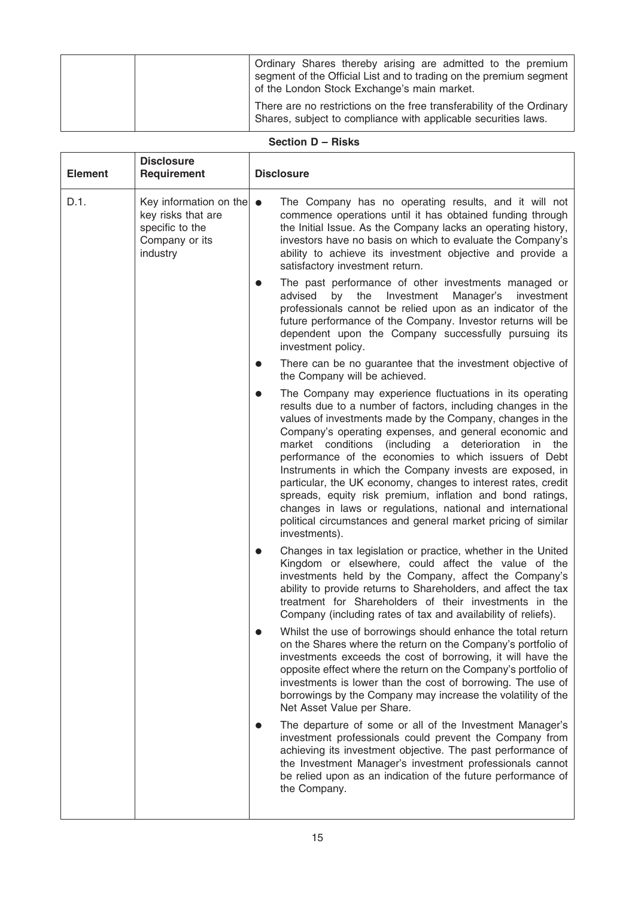| Ordinary Shares thereby arising are admitted to the premium<br>segment of the Official List and to trading on the premium segment  <br>of the London Stock Exchange's main market. |
|------------------------------------------------------------------------------------------------------------------------------------------------------------------------------------|
| There are no restrictions on the free transferability of the Ordinary<br>Shares, subject to compliance with applicable securities laws.                                            |

| <b>Element</b> | <b>Disclosure</b><br><b>Requirement</b>                                                                 | <b>Disclosure</b>                                                                                                                                                                                                                                                                                                                                                                                                                                                                                                                                                                                                                                                                                               |
|----------------|---------------------------------------------------------------------------------------------------------|-----------------------------------------------------------------------------------------------------------------------------------------------------------------------------------------------------------------------------------------------------------------------------------------------------------------------------------------------------------------------------------------------------------------------------------------------------------------------------------------------------------------------------------------------------------------------------------------------------------------------------------------------------------------------------------------------------------------|
| D.1.           | Key information on the $\bullet$<br>key risks that are<br>specific to the<br>Company or its<br>industry | The Company has no operating results, and it will not<br>commence operations until it has obtained funding through<br>the Initial Issue. As the Company lacks an operating history,<br>investors have no basis on which to evaluate the Company's<br>ability to achieve its investment objective and provide a<br>satisfactory investment return.                                                                                                                                                                                                                                                                                                                                                               |
|                |                                                                                                         | The past performance of other investments managed or<br>advised<br>Investment<br>by<br>the<br>Manager's<br>investment<br>professionals cannot be relied upon as an indicator of the<br>future performance of the Company. Investor returns will be<br>dependent upon the Company successfully pursuing its<br>investment policy.                                                                                                                                                                                                                                                                                                                                                                                |
|                |                                                                                                         | There can be no guarantee that the investment objective of<br>the Company will be achieved.                                                                                                                                                                                                                                                                                                                                                                                                                                                                                                                                                                                                                     |
|                |                                                                                                         | The Company may experience fluctuations in its operating<br>results due to a number of factors, including changes in the<br>values of investments made by the Company, changes in the<br>Company's operating expenses, and general economic and<br>market conditions<br>(including a deterioration<br>in the<br>performance of the economies to which issuers of Debt<br>Instruments in which the Company invests are exposed, in<br>particular, the UK economy, changes to interest rates, credit<br>spreads, equity risk premium, inflation and bond ratings,<br>changes in laws or regulations, national and international<br>political circumstances and general market pricing of similar<br>investments). |
|                |                                                                                                         | Changes in tax legislation or practice, whether in the United<br>Kingdom or elsewhere, could affect the value of the<br>investments held by the Company, affect the Company's<br>ability to provide returns to Shareholders, and affect the tax<br>treatment for Shareholders of their investments in the<br>Company (including rates of tax and availability of reliefs).                                                                                                                                                                                                                                                                                                                                      |
|                |                                                                                                         | Whilst the use of borrowings should enhance the total return<br>on the Shares where the return on the Company's portfolio of<br>investments exceeds the cost of borrowing, it will have the<br>opposite effect where the return on the Company's portfolio of<br>investments is lower than the cost of borrowing. The use of<br>borrowings by the Company may increase the volatility of the<br>Net Asset Value per Share.                                                                                                                                                                                                                                                                                      |
|                |                                                                                                         | The departure of some or all of the Investment Manager's<br>investment professionals could prevent the Company from<br>achieving its investment objective. The past performance of<br>the Investment Manager's investment professionals cannot<br>be relied upon as an indication of the future performance of<br>the Company.                                                                                                                                                                                                                                                                                                                                                                                  |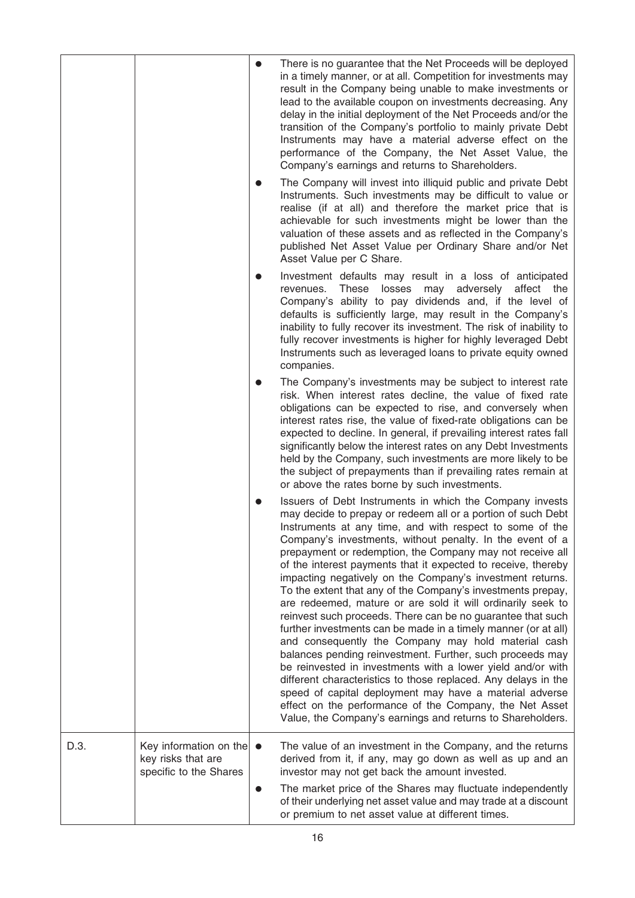|      |                                                                        | $\bullet$ | There is no guarantee that the Net Proceeds will be deployed<br>in a timely manner, or at all. Competition for investments may<br>result in the Company being unable to make investments or<br>lead to the available coupon on investments decreasing. Any<br>delay in the initial deployment of the Net Proceeds and/or the<br>transition of the Company's portfolio to mainly private Debt<br>Instruments may have a material adverse effect on the<br>performance of the Company, the Net Asset Value, the<br>Company's earnings and returns to Shareholders.                                                                                                                                                                                                                                                                                                                                                                                                                                                                                                                                                                                     |
|------|------------------------------------------------------------------------|-----------|------------------------------------------------------------------------------------------------------------------------------------------------------------------------------------------------------------------------------------------------------------------------------------------------------------------------------------------------------------------------------------------------------------------------------------------------------------------------------------------------------------------------------------------------------------------------------------------------------------------------------------------------------------------------------------------------------------------------------------------------------------------------------------------------------------------------------------------------------------------------------------------------------------------------------------------------------------------------------------------------------------------------------------------------------------------------------------------------------------------------------------------------------|
|      |                                                                        |           | The Company will invest into illiquid public and private Debt<br>Instruments. Such investments may be difficult to value or<br>realise (if at all) and therefore the market price that is<br>achievable for such investments might be lower than the<br>valuation of these assets and as reflected in the Company's<br>published Net Asset Value per Ordinary Share and/or Net<br>Asset Value per C Share.                                                                                                                                                                                                                                                                                                                                                                                                                                                                                                                                                                                                                                                                                                                                           |
|      |                                                                        |           | Investment defaults may result in a loss of anticipated<br>revenues. These losses may adversely affect the<br>Company's ability to pay dividends and, if the level of<br>defaults is sufficiently large, may result in the Company's<br>inability to fully recover its investment. The risk of inability to<br>fully recover investments is higher for highly leveraged Debt<br>Instruments such as leveraged loans to private equity owned<br>companies.                                                                                                                                                                                                                                                                                                                                                                                                                                                                                                                                                                                                                                                                                            |
|      |                                                                        |           | The Company's investments may be subject to interest rate<br>risk. When interest rates decline, the value of fixed rate<br>obligations can be expected to rise, and conversely when<br>interest rates rise, the value of fixed-rate obligations can be<br>expected to decline. In general, if prevailing interest rates fall<br>significantly below the interest rates on any Debt Investments<br>held by the Company, such investments are more likely to be<br>the subject of prepayments than if prevailing rates remain at<br>or above the rates borne by such investments.                                                                                                                                                                                                                                                                                                                                                                                                                                                                                                                                                                      |
|      |                                                                        |           | Issuers of Debt Instruments in which the Company invests<br>may decide to prepay or redeem all or a portion of such Debt<br>Instruments at any time, and with respect to some of the<br>Company's investments, without penalty. In the event of a<br>prepayment or redemption, the Company may not receive all<br>of the interest payments that it expected to receive, thereby<br>impacting negatively on the Company's investment returns.<br>To the extent that any of the Company's investments prepay,<br>are redeemed, mature or are sold it will ordinarily seek to<br>reinvest such proceeds. There can be no guarantee that such<br>further investments can be made in a timely manner (or at all)<br>and consequently the Company may hold material cash<br>balances pending reinvestment. Further, such proceeds may<br>be reinvested in investments with a lower yield and/or with<br>different characteristics to those replaced. Any delays in the<br>speed of capital deployment may have a material adverse<br>effect on the performance of the Company, the Net Asset<br>Value, the Company's earnings and returns to Shareholders. |
| D.3. | Key information on the<br>key risks that are<br>specific to the Shares | $\bullet$ | The value of an investment in the Company, and the returns<br>derived from it, if any, may go down as well as up and an<br>investor may not get back the amount invested.<br>The market price of the Shares may fluctuate independently                                                                                                                                                                                                                                                                                                                                                                                                                                                                                                                                                                                                                                                                                                                                                                                                                                                                                                              |
|      |                                                                        |           | of their underlying net asset value and may trade at a discount<br>or premium to net asset value at different times.                                                                                                                                                                                                                                                                                                                                                                                                                                                                                                                                                                                                                                                                                                                                                                                                                                                                                                                                                                                                                                 |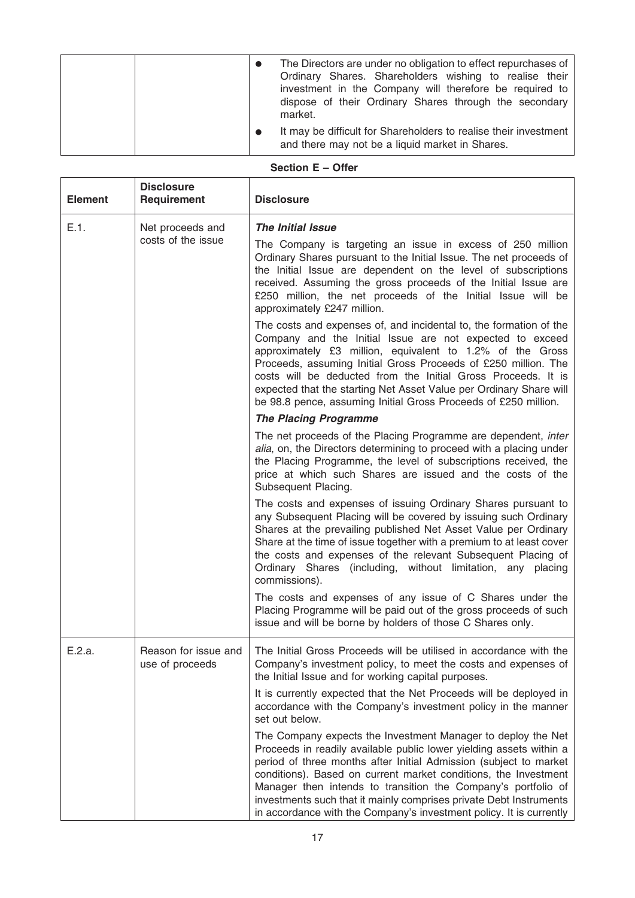| The Directors are under no obligation to effect repurchases of<br>Ordinary Shares. Shareholders wishing to realise their<br>investment in the Company will therefore be required to<br>dispose of their Ordinary Shares through the secondary<br>market. |
|----------------------------------------------------------------------------------------------------------------------------------------------------------------------------------------------------------------------------------------------------------|
| It may be difficult for Shareholders to realise their investment<br>and there may not be a liquid market in Shares.                                                                                                                                      |

| Section E - Offer |  |  |
|-------------------|--|--|
|-------------------|--|--|

| <b>Element</b>                                    | <b>Disclosure</b><br>Requirement                                                                                                                                                                                                                                                                                                                                  | <b>Disclosure</b>                                                                                                                                                                                                                                                                                                                                                                                                                                                                         |
|---------------------------------------------------|-------------------------------------------------------------------------------------------------------------------------------------------------------------------------------------------------------------------------------------------------------------------------------------------------------------------------------------------------------------------|-------------------------------------------------------------------------------------------------------------------------------------------------------------------------------------------------------------------------------------------------------------------------------------------------------------------------------------------------------------------------------------------------------------------------------------------------------------------------------------------|
| E.1.                                              | Net proceeds and                                                                                                                                                                                                                                                                                                                                                  | <b>The Initial Issue</b>                                                                                                                                                                                                                                                                                                                                                                                                                                                                  |
| costs of the issue                                | The Company is targeting an issue in excess of 250 million<br>Ordinary Shares pursuant to the Initial Issue. The net proceeds of<br>the Initial Issue are dependent on the level of subscriptions<br>received. Assuming the gross proceeds of the Initial Issue are<br>£250 million, the net proceeds of the Initial Issue will be<br>approximately £247 million. |                                                                                                                                                                                                                                                                                                                                                                                                                                                                                           |
|                                                   |                                                                                                                                                                                                                                                                                                                                                                   | The costs and expenses of, and incidental to, the formation of the<br>Company and the Initial Issue are not expected to exceed<br>approximately £3 million, equivalent to 1.2% of the Gross<br>Proceeds, assuming Initial Gross Proceeds of £250 million. The<br>costs will be deducted from the Initial Gross Proceeds. It is<br>expected that the starting Net Asset Value per Ordinary Share will<br>be 98.8 pence, assuming Initial Gross Proceeds of £250 million.                   |
|                                                   |                                                                                                                                                                                                                                                                                                                                                                   | <b>The Placing Programme</b>                                                                                                                                                                                                                                                                                                                                                                                                                                                              |
|                                                   |                                                                                                                                                                                                                                                                                                                                                                   | The net proceeds of the Placing Programme are dependent, inter<br>alia, on, the Directors determining to proceed with a placing under<br>the Placing Programme, the level of subscriptions received, the<br>price at which such Shares are issued and the costs of the<br>Subsequent Placing.                                                                                                                                                                                             |
|                                                   |                                                                                                                                                                                                                                                                                                                                                                   | The costs and expenses of issuing Ordinary Shares pursuant to<br>any Subsequent Placing will be covered by issuing such Ordinary<br>Shares at the prevailing published Net Asset Value per Ordinary<br>Share at the time of issue together with a premium to at least cover<br>the costs and expenses of the relevant Subsequent Placing of<br>Ordinary Shares (including, without limitation, any placing<br>commissions).                                                               |
|                                                   |                                                                                                                                                                                                                                                                                                                                                                   | The costs and expenses of any issue of C Shares under the<br>Placing Programme will be paid out of the gross proceeds of such<br>issue and will be borne by holders of those C Shares only.                                                                                                                                                                                                                                                                                               |
| E.2.a.<br>Reason for issue and<br>use of proceeds | The Initial Gross Proceeds will be utilised in accordance with the<br>Company's investment policy, to meet the costs and expenses of<br>the Initial Issue and for working capital purposes.                                                                                                                                                                       |                                                                                                                                                                                                                                                                                                                                                                                                                                                                                           |
|                                                   | It is currently expected that the Net Proceeds will be deployed in<br>accordance with the Company's investment policy in the manner<br>set out below.                                                                                                                                                                                                             |                                                                                                                                                                                                                                                                                                                                                                                                                                                                                           |
|                                                   |                                                                                                                                                                                                                                                                                                                                                                   | The Company expects the Investment Manager to deploy the Net<br>Proceeds in readily available public lower yielding assets within a<br>period of three months after Initial Admission (subject to market<br>conditions). Based on current market conditions, the Investment<br>Manager then intends to transition the Company's portfolio of<br>investments such that it mainly comprises private Debt Instruments<br>in accordance with the Company's investment policy. It is currently |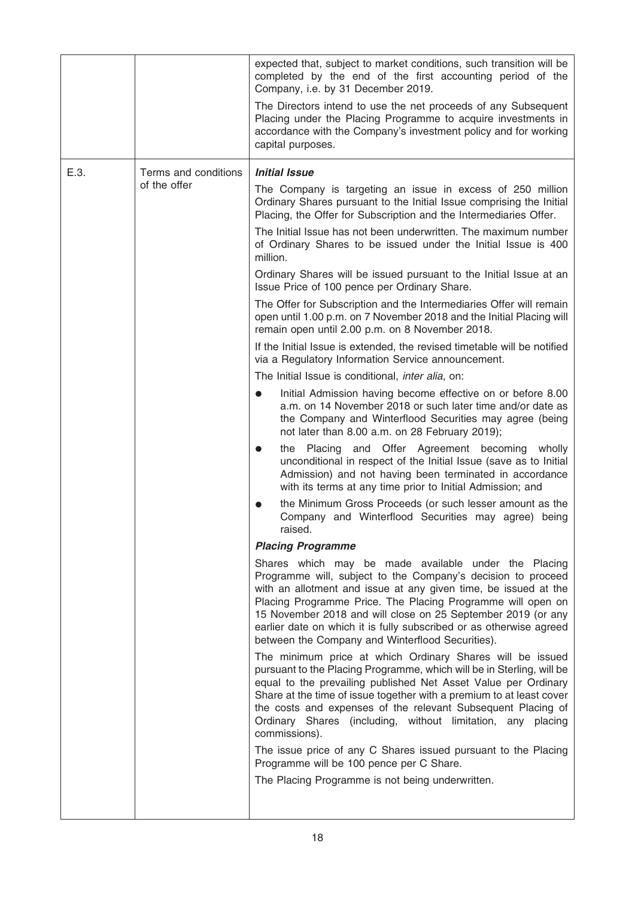|      |                                                                                                                                                                                                | expected that, subject to market conditions, such transition will be<br>completed by the end of the first accounting period of the<br>Company, i.e. by 31 December 2019.<br>The Directors intend to use the net proceeds of any Subsequent<br>Placing under the Placing Programme to acquire investments in<br>accordance with the Company's investment policy and for working<br>capital purposes.                                               |
|------|------------------------------------------------------------------------------------------------------------------------------------------------------------------------------------------------|---------------------------------------------------------------------------------------------------------------------------------------------------------------------------------------------------------------------------------------------------------------------------------------------------------------------------------------------------------------------------------------------------------------------------------------------------|
| E.3. | Terms and conditions                                                                                                                                                                           | <b>Initial Issue</b>                                                                                                                                                                                                                                                                                                                                                                                                                              |
|      | of the offer                                                                                                                                                                                   | The Company is targeting an issue in excess of 250 million<br>Ordinary Shares pursuant to the Initial Issue comprising the Initial<br>Placing, the Offer for Subscription and the Intermediaries Offer.                                                                                                                                                                                                                                           |
|      |                                                                                                                                                                                                | The Initial Issue has not been underwritten. The maximum number<br>of Ordinary Shares to be issued under the Initial Issue is 400<br>million.                                                                                                                                                                                                                                                                                                     |
|      |                                                                                                                                                                                                | Ordinary Shares will be issued pursuant to the Initial Issue at an<br>Issue Price of 100 pence per Ordinary Share.                                                                                                                                                                                                                                                                                                                                |
|      | The Offer for Subscription and the Intermediaries Offer will remain<br>open until 1.00 p.m. on 7 November 2018 and the Initial Placing will<br>remain open until 2.00 p.m. on 8 November 2018. |                                                                                                                                                                                                                                                                                                                                                                                                                                                   |
|      |                                                                                                                                                                                                | If the Initial Issue is extended, the revised timetable will be notified<br>via a Regulatory Information Service announcement.                                                                                                                                                                                                                                                                                                                    |
|      |                                                                                                                                                                                                | The Initial Issue is conditional, <i>inter alia</i> , on:                                                                                                                                                                                                                                                                                                                                                                                         |
|      |                                                                                                                                                                                                | Initial Admission having become effective on or before 8.00<br>a.m. on 14 November 2018 or such later time and/or date as<br>the Company and Winterflood Securities may agree (being<br>not later than 8.00 a.m. on 28 February 2019);                                                                                                                                                                                                            |
|      |                                                                                                                                                                                                | the Placing and Offer Agreement becoming wholly<br>unconditional in respect of the Initial Issue (save as to Initial<br>Admission) and not having been terminated in accordance<br>with its terms at any time prior to Initial Admission; and                                                                                                                                                                                                     |
|      |                                                                                                                                                                                                | the Minimum Gross Proceeds (or such lesser amount as the<br>Company and Winterflood Securities may agree) being<br>raised.                                                                                                                                                                                                                                                                                                                        |
|      |                                                                                                                                                                                                | <b>Placing Programme</b>                                                                                                                                                                                                                                                                                                                                                                                                                          |
|      |                                                                                                                                                                                                | Shares which may be made available under the Placing<br>Programme will, subject to the Company's decision to proceed<br>with an allotment and issue at any given time, be issued at the<br>Placing Programme Price. The Placing Programme will open on<br>15 November 2018 and will close on 25 September 2019 (or any<br>earlier date on which it is fully subscribed or as otherwise agreed<br>between the Company and Winterflood Securities). |
|      |                                                                                                                                                                                                | The minimum price at which Ordinary Shares will be issued<br>pursuant to the Placing Programme, which will be in Sterling, will be<br>equal to the prevailing published Net Asset Value per Ordinary<br>Share at the time of issue together with a premium to at least cover<br>the costs and expenses of the relevant Subsequent Placing of<br>Ordinary Shares (including, without limitation, any placing<br>commissions).                      |
|      |                                                                                                                                                                                                | The issue price of any C Shares issued pursuant to the Placing<br>Programme will be 100 pence per C Share.                                                                                                                                                                                                                                                                                                                                        |
|      |                                                                                                                                                                                                | The Placing Programme is not being underwritten.                                                                                                                                                                                                                                                                                                                                                                                                  |
|      |                                                                                                                                                                                                |                                                                                                                                                                                                                                                                                                                                                                                                                                                   |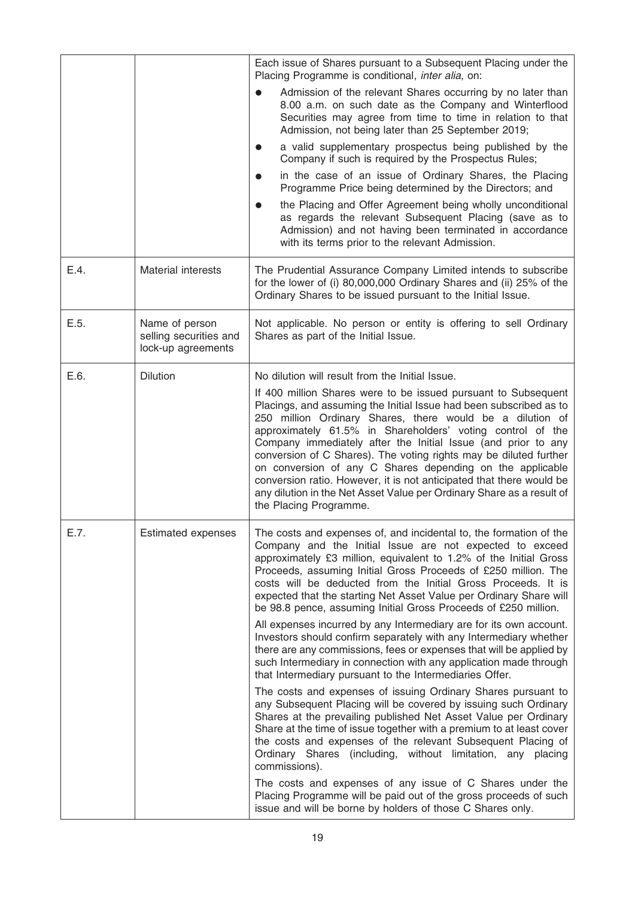|      |                                                                | Each issue of Shares pursuant to a Subsequent Placing under the<br>Placing Programme is conditional, inter alia, on:<br>Admission of the relevant Shares occurring by no later than<br>8.00 a.m. on such date as the Company and Winterflood<br>Securities may agree from time to time in relation to that<br>Admission, not being later than 25 September 2019;<br>a valid supplementary prospectus being published by the<br>Company if such is required by the Prospectus Rules;<br>in the case of an issue of Ordinary Shares, the Placing<br>Programme Price being determined by the Directors; and<br>the Placing and Offer Agreement being wholly unconditional<br>as regards the relevant Subsequent Placing (save as to<br>Admission) and not having been terminated in accordance<br>with its terms prior to the relevant Admission.                                                                                                                                                                                                                                                                                                                                                                                                                                                                                                                                                                                                                  |
|------|----------------------------------------------------------------|-----------------------------------------------------------------------------------------------------------------------------------------------------------------------------------------------------------------------------------------------------------------------------------------------------------------------------------------------------------------------------------------------------------------------------------------------------------------------------------------------------------------------------------------------------------------------------------------------------------------------------------------------------------------------------------------------------------------------------------------------------------------------------------------------------------------------------------------------------------------------------------------------------------------------------------------------------------------------------------------------------------------------------------------------------------------------------------------------------------------------------------------------------------------------------------------------------------------------------------------------------------------------------------------------------------------------------------------------------------------------------------------------------------------------------------------------------------------|
| E.4. | Material interests                                             | The Prudential Assurance Company Limited intends to subscribe<br>for the lower of (i) 80,000,000 Ordinary Shares and (ii) 25% of the<br>Ordinary Shares to be issued pursuant to the Initial Issue.                                                                                                                                                                                                                                                                                                                                                                                                                                                                                                                                                                                                                                                                                                                                                                                                                                                                                                                                                                                                                                                                                                                                                                                                                                                             |
| E.5. | Name of person<br>selling securities and<br>lock-up agreements | Not applicable. No person or entity is offering to sell Ordinary<br>Shares as part of the Initial Issue.                                                                                                                                                                                                                                                                                                                                                                                                                                                                                                                                                                                                                                                                                                                                                                                                                                                                                                                                                                                                                                                                                                                                                                                                                                                                                                                                                        |
| E.6. | <b>Dilution</b>                                                | No dilution will result from the Initial Issue.<br>If 400 million Shares were to be issued pursuant to Subsequent<br>Placings, and assuming the Initial Issue had been subscribed as to<br>250 million Ordinary Shares, there would be a dilution of<br>approximately 61.5% in Shareholders' voting control of the<br>Company immediately after the Initial Issue (and prior to any<br>conversion of C Shares). The voting rights may be diluted further<br>on conversion of any C Shares depending on the applicable<br>conversion ratio. However, it is not anticipated that there would be<br>any dilution in the Net Asset Value per Ordinary Share as a result of<br>the Placing Programme.                                                                                                                                                                                                                                                                                                                                                                                                                                                                                                                                                                                                                                                                                                                                                                |
| E./. | <b>Estimated expenses</b>                                      | The costs and expenses of, and incidental to, the formation of the<br>Company and the Initial Issue are not expected to exceed<br>approximately £3 million, equivalent to 1.2% of the Initial Gross<br>Proceeds, assuming Initial Gross Proceeds of £250 million. The<br>costs will be deducted from the Initial Gross Proceeds. It is<br>expected that the starting Net Asset Value per Ordinary Share will<br>be 98.8 pence, assuming Initial Gross Proceeds of £250 million.<br>All expenses incurred by any Intermediary are for its own account.<br>Investors should confirm separately with any Intermediary whether<br>there are any commissions, fees or expenses that will be applied by<br>such Intermediary in connection with any application made through<br>that Intermediary pursuant to the Intermediaries Offer.<br>The costs and expenses of issuing Ordinary Shares pursuant to<br>any Subsequent Placing will be covered by issuing such Ordinary<br>Shares at the prevailing published Net Asset Value per Ordinary<br>Share at the time of issue together with a premium to at least cover<br>the costs and expenses of the relevant Subsequent Placing of<br>Ordinary Shares (including, without limitation, any placing<br>commissions).<br>The costs and expenses of any issue of C Shares under the<br>Placing Programme will be paid out of the gross proceeds of such<br>issue and will be borne by holders of those C Shares only. |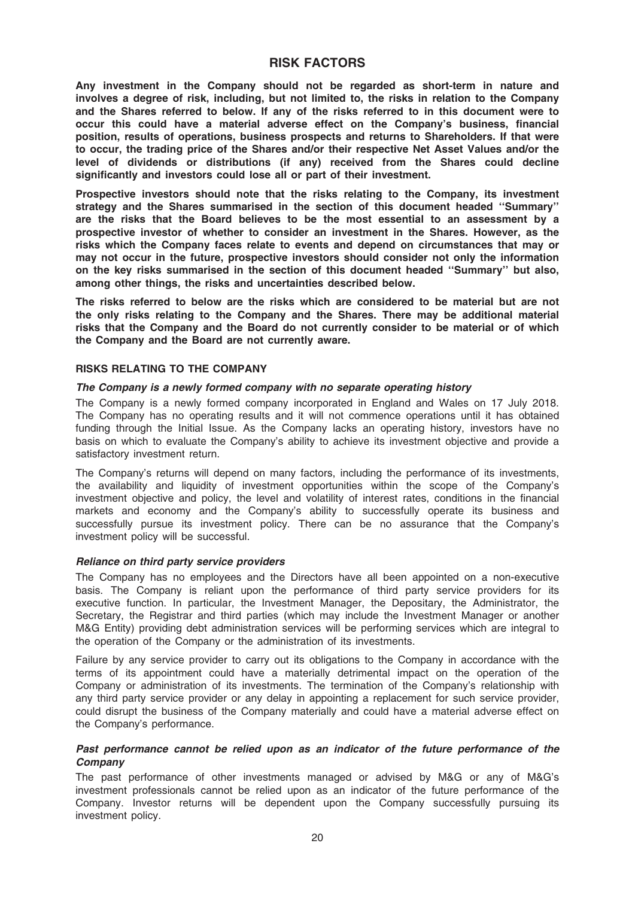# RISK FACTORS

Any investment in the Company should not be regarded as short-term in nature and involves a degree of risk, including, but not limited to, the risks in relation to the Company and the Shares referred to below. If any of the risks referred to in this document were to occur this could have a material adverse effect on the Company's business, financial position, results of operations, business prospects and returns to Shareholders. If that were to occur, the trading price of the Shares and/or their respective Net Asset Values and/or the level of dividends or distributions (if any) received from the Shares could decline significantly and investors could lose all or part of their investment.

Prospective investors should note that the risks relating to the Company, its investment strategy and the Shares summarised in the section of this document headed ''Summary'' are the risks that the Board believes to be the most essential to an assessment by a prospective investor of whether to consider an investment in the Shares. However, as the risks which the Company faces relate to events and depend on circumstances that may or may not occur in the future, prospective investors should consider not only the information on the key risks summarised in the section of this document headed ''Summary'' but also, among other things, the risks and uncertainties described below.

The risks referred to below are the risks which are considered to be material but are not the only risks relating to the Company and the Shares. There may be additional material risks that the Company and the Board do not currently consider to be material or of which the Company and the Board are not currently aware.

# RISKS RELATING TO THE COMPANY

# The Company is a newly formed company with no separate operating history

The Company is a newly formed company incorporated in England and Wales on 17 July 2018. The Company has no operating results and it will not commence operations until it has obtained funding through the Initial Issue. As the Company lacks an operating history, investors have no basis on which to evaluate the Company's ability to achieve its investment objective and provide a satisfactory investment return.

The Company's returns will depend on many factors, including the performance of its investments, the availability and liquidity of investment opportunities within the scope of the Company's investment objective and policy, the level and volatility of interest rates, conditions in the financial markets and economy and the Company's ability to successfully operate its business and successfully pursue its investment policy. There can be no assurance that the Company's investment policy will be successful.

## Reliance on third party service providers

The Company has no employees and the Directors have all been appointed on a non-executive basis. The Company is reliant upon the performance of third party service providers for its executive function. In particular, the Investment Manager, the Depositary, the Administrator, the Secretary, the Registrar and third parties (which may include the Investment Manager or another M&G Entity) providing debt administration services will be performing services which are integral to the operation of the Company or the administration of its investments.

Failure by any service provider to carry out its obligations to the Company in accordance with the terms of its appointment could have a materially detrimental impact on the operation of the Company or administration of its investments. The termination of the Company's relationship with any third party service provider or any delay in appointing a replacement for such service provider, could disrupt the business of the Company materially and could have a material adverse effect on the Company's performance.

# Past performance cannot be relied upon as an indicator of the future performance of the **Company**

The past performance of other investments managed or advised by M&G or any of M&G's investment professionals cannot be relied upon as an indicator of the future performance of the Company. Investor returns will be dependent upon the Company successfully pursuing its investment policy.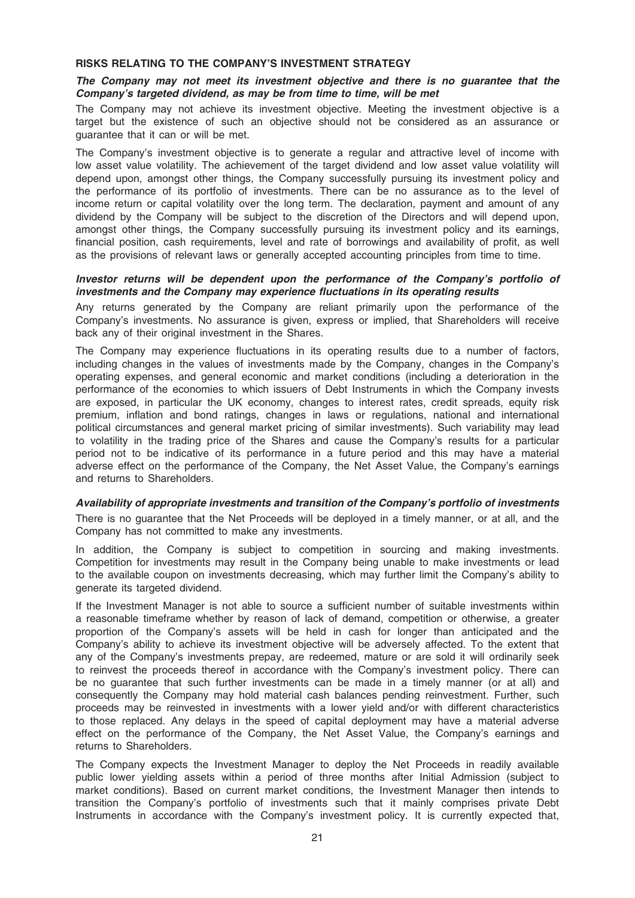## RISKS RELATING TO THE COMPANY'S INVESTMENT STRATEGY

# The Company may not meet its investment objective and there is no guarantee that the Company's targeted dividend, as may be from time to time, will be met

The Company may not achieve its investment objective. Meeting the investment objective is a target but the existence of such an objective should not be considered as an assurance or guarantee that it can or will be met.

The Company's investment objective is to generate a regular and attractive level of income with low asset value volatility. The achievement of the target dividend and low asset value volatility will depend upon, amongst other things, the Company successfully pursuing its investment policy and the performance of its portfolio of investments. There can be no assurance as to the level of income return or capital volatility over the long term. The declaration, payment and amount of any dividend by the Company will be subject to the discretion of the Directors and will depend upon, amongst other things, the Company successfully pursuing its investment policy and its earnings, financial position, cash requirements, level and rate of borrowings and availability of profit, as well as the provisions of relevant laws or generally accepted accounting principles from time to time.

#### Investor returns will be dependent upon the performance of the Company's portfolio of investments and the Company may experience fluctuations in its operating results

Any returns generated by the Company are reliant primarily upon the performance of the Company's investments. No assurance is given, express or implied, that Shareholders will receive back any of their original investment in the Shares.

The Company may experience fluctuations in its operating results due to a number of factors, including changes in the values of investments made by the Company, changes in the Company's operating expenses, and general economic and market conditions (including a deterioration in the performance of the economies to which issuers of Debt Instruments in which the Company invests are exposed, in particular the UK economy, changes to interest rates, credit spreads, equity risk premium, inflation and bond ratings, changes in laws or regulations, national and international political circumstances and general market pricing of similar investments). Such variability may lead to volatility in the trading price of the Shares and cause the Company's results for a particular period not to be indicative of its performance in a future period and this may have a material adverse effect on the performance of the Company, the Net Asset Value, the Company's earnings and returns to Shareholders.

## Availability of appropriate investments and transition of the Company's portfolio of investments

There is no guarantee that the Net Proceeds will be deployed in a timely manner, or at all, and the Company has not committed to make any investments.

In addition, the Company is subject to competition in sourcing and making investments. Competition for investments may result in the Company being unable to make investments or lead to the available coupon on investments decreasing, which may further limit the Company's ability to generate its targeted dividend.

If the Investment Manager is not able to source a sufficient number of suitable investments within a reasonable timeframe whether by reason of lack of demand, competition or otherwise, a greater proportion of the Company's assets will be held in cash for longer than anticipated and the Company's ability to achieve its investment objective will be adversely affected. To the extent that any of the Company's investments prepay, are redeemed, mature or are sold it will ordinarily seek to reinvest the proceeds thereof in accordance with the Company's investment policy. There can be no guarantee that such further investments can be made in a timely manner (or at all) and consequently the Company may hold material cash balances pending reinvestment. Further, such proceeds may be reinvested in investments with a lower yield and/or with different characteristics to those replaced. Any delays in the speed of capital deployment may have a material adverse effect on the performance of the Company, the Net Asset Value, the Company's earnings and returns to Shareholders.

The Company expects the Investment Manager to deploy the Net Proceeds in readily available public lower yielding assets within a period of three months after Initial Admission (subject to market conditions). Based on current market conditions, the Investment Manager then intends to transition the Company's portfolio of investments such that it mainly comprises private Debt Instruments in accordance with the Company's investment policy. It is currently expected that,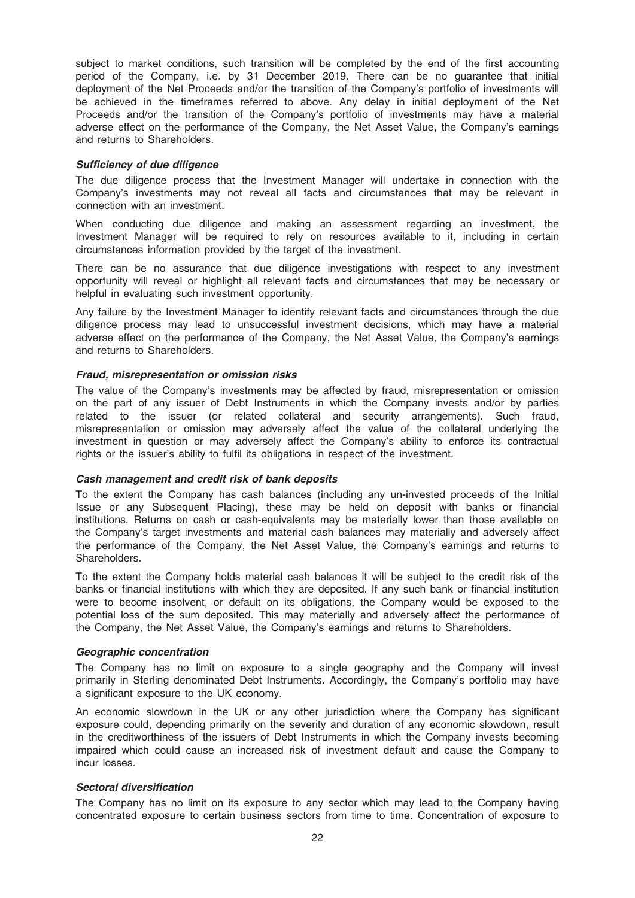subject to market conditions, such transition will be completed by the end of the first accounting period of the Company, i.e. by 31 December 2019. There can be no guarantee that initial deployment of the Net Proceeds and/or the transition of the Company's portfolio of investments will be achieved in the timeframes referred to above. Any delay in initial deployment of the Net Proceeds and/or the transition of the Company's portfolio of investments may have a material adverse effect on the performance of the Company, the Net Asset Value, the Company's earnings and returns to Shareholders.

# Sufficiency of due diligence

The due diligence process that the Investment Manager will undertake in connection with the Company's investments may not reveal all facts and circumstances that may be relevant in connection with an investment.

When conducting due diligence and making an assessment regarding an investment, the Investment Manager will be required to rely on resources available to it, including in certain circumstances information provided by the target of the investment.

There can be no assurance that due diligence investigations with respect to any investment opportunity will reveal or highlight all relevant facts and circumstances that may be necessary or helpful in evaluating such investment opportunity.

Any failure by the Investment Manager to identify relevant facts and circumstances through the due diligence process may lead to unsuccessful investment decisions, which may have a material adverse effect on the performance of the Company, the Net Asset Value, the Company's earnings and returns to Shareholders.

# Fraud, misrepresentation or omission risks

The value of the Company's investments may be affected by fraud, misrepresentation or omission on the part of any issuer of Debt Instruments in which the Company invests and/or by parties related to the issuer (or related collateral and security arrangements). Such fraud, misrepresentation or omission may adversely affect the value of the collateral underlying the investment in question or may adversely affect the Company's ability to enforce its contractual rights or the issuer's ability to fulfil its obligations in respect of the investment.

## Cash management and credit risk of bank deposits

To the extent the Company has cash balances (including any un-invested proceeds of the Initial Issue or any Subsequent Placing), these may be held on deposit with banks or financial institutions. Returns on cash or cash-equivalents may be materially lower than those available on the Company's target investments and material cash balances may materially and adversely affect the performance of the Company, the Net Asset Value, the Company's earnings and returns to Shareholders.

To the extent the Company holds material cash balances it will be subject to the credit risk of the banks or financial institutions with which they are deposited. If any such bank or financial institution were to become insolvent, or default on its obligations, the Company would be exposed to the potential loss of the sum deposited. This may materially and adversely affect the performance of the Company, the Net Asset Value, the Company's earnings and returns to Shareholders.

## Geographic concentration

The Company has no limit on exposure to a single geography and the Company will invest primarily in Sterling denominated Debt Instruments. Accordingly, the Company's portfolio may have a significant exposure to the UK economy.

An economic slowdown in the UK or any other jurisdiction where the Company has significant exposure could, depending primarily on the severity and duration of any economic slowdown, result in the creditworthiness of the issuers of Debt Instruments in which the Company invests becoming impaired which could cause an increased risk of investment default and cause the Company to incur losses.

## Sectoral diversification

The Company has no limit on its exposure to any sector which may lead to the Company having concentrated exposure to certain business sectors from time to time. Concentration of exposure to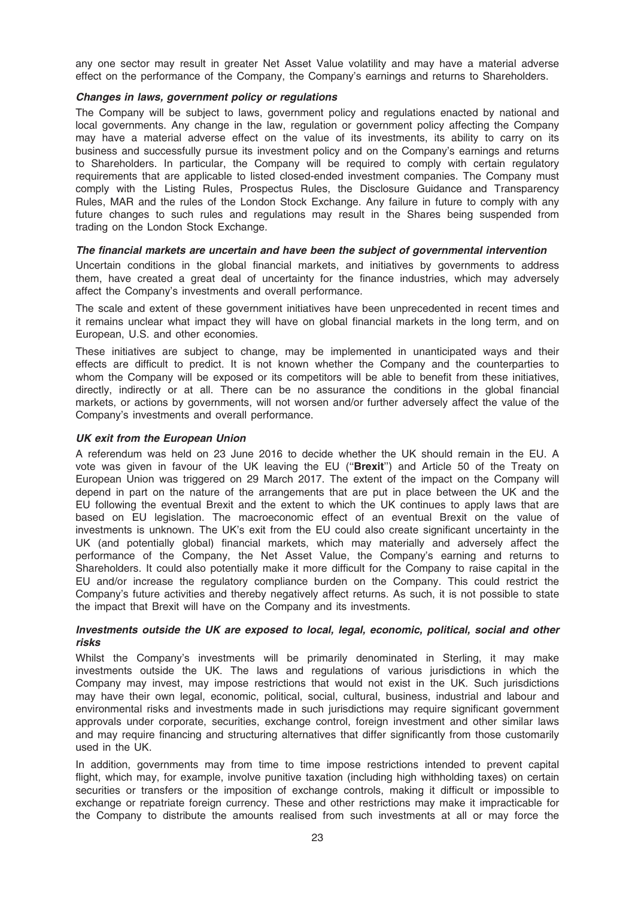any one sector may result in greater Net Asset Value volatility and may have a material adverse effect on the performance of the Company, the Company's earnings and returns to Shareholders.

# Changes in laws, government policy or regulations

The Company will be subject to laws, government policy and regulations enacted by national and local governments. Any change in the law, regulation or government policy affecting the Company may have a material adverse effect on the value of its investments, its ability to carry on its business and successfully pursue its investment policy and on the Company's earnings and returns to Shareholders. In particular, the Company will be required to comply with certain regulatory requirements that are applicable to listed closed-ended investment companies. The Company must comply with the Listing Rules, Prospectus Rules, the Disclosure Guidance and Transparency Rules, MAR and the rules of the London Stock Exchange. Any failure in future to comply with any future changes to such rules and regulations may result in the Shares being suspended from trading on the London Stock Exchange.

# The financial markets are uncertain and have been the subject of governmental intervention

Uncertain conditions in the global financial markets, and initiatives by governments to address them, have created a great deal of uncertainty for the finance industries, which may adversely affect the Company's investments and overall performance.

The scale and extent of these government initiatives have been unprecedented in recent times and it remains unclear what impact they will have on global financial markets in the long term, and on European, U.S. and other economies.

These initiatives are subject to change, may be implemented in unanticipated ways and their effects are difficult to predict. It is not known whether the Company and the counterparties to whom the Company will be exposed or its competitors will be able to benefit from these initiatives, directly, indirectly or at all. There can be no assurance the conditions in the global financial markets, or actions by governments, will not worsen and/or further adversely affect the value of the Company's investments and overall performance.

# UK exit from the European Union

A referendum was held on 23 June 2016 to decide whether the UK should remain in the EU. A vote was given in favour of the UK leaving the EU ("Brexit") and Article 50 of the Treaty on European Union was triggered on 29 March 2017. The extent of the impact on the Company will depend in part on the nature of the arrangements that are put in place between the UK and the EU following the eventual Brexit and the extent to which the UK continues to apply laws that are based on EU legislation. The macroeconomic effect of an eventual Brexit on the value of investments is unknown. The UK's exit from the EU could also create significant uncertainty in the UK (and potentially global) financial markets, which may materially and adversely affect the performance of the Company, the Net Asset Value, the Company's earning and returns to Shareholders. It could also potentially make it more difficult for the Company to raise capital in the EU and/or increase the regulatory compliance burden on the Company. This could restrict the Company's future activities and thereby negatively affect returns. As such, it is not possible to state the impact that Brexit will have on the Company and its investments.

# Investments outside the UK are exposed to local, legal, economic, political, social and other risks

Whilst the Company's investments will be primarily denominated in Sterling, it may make investments outside the UK. The laws and regulations of various jurisdictions in which the Company may invest, may impose restrictions that would not exist in the UK. Such jurisdictions may have their own legal, economic, political, social, cultural, business, industrial and labour and environmental risks and investments made in such jurisdictions may require significant government approvals under corporate, securities, exchange control, foreign investment and other similar laws and may require financing and structuring alternatives that differ significantly from those customarily used in the UK.

In addition, governments may from time to time impose restrictions intended to prevent capital flight, which may, for example, involve punitive taxation (including high withholding taxes) on certain securities or transfers or the imposition of exchange controls, making it difficult or impossible to exchange or repatriate foreign currency. These and other restrictions may make it impracticable for the Company to distribute the amounts realised from such investments at all or may force the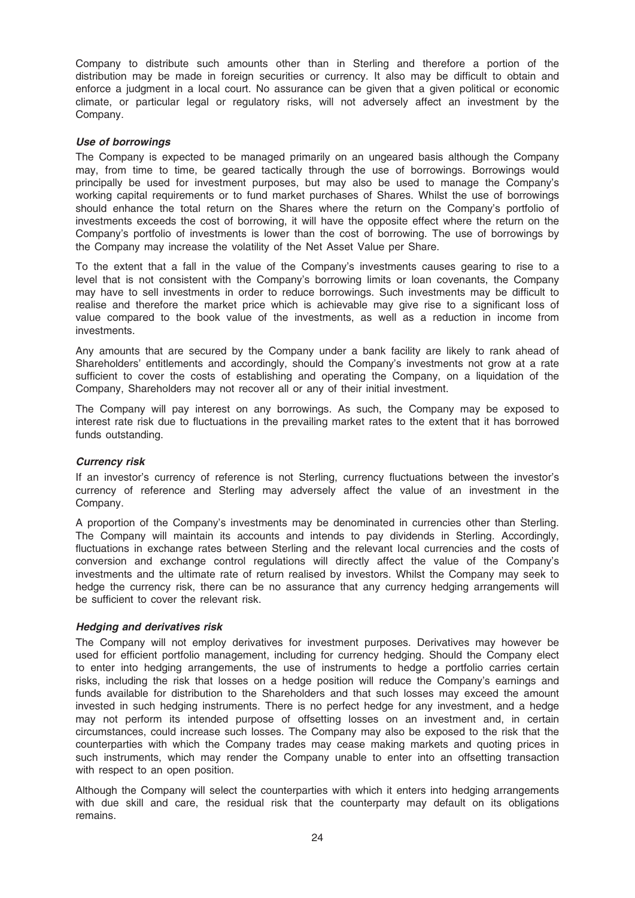Company to distribute such amounts other than in Sterling and therefore a portion of the distribution may be made in foreign securities or currency. It also may be difficult to obtain and enforce a judgment in a local court. No assurance can be given that a given political or economic climate, or particular legal or regulatory risks, will not adversely affect an investment by the Company.

# Use of borrowings

The Company is expected to be managed primarily on an ungeared basis although the Company may, from time to time, be geared tactically through the use of borrowings. Borrowings would principally be used for investment purposes, but may also be used to manage the Company's working capital requirements or to fund market purchases of Shares. Whilst the use of borrowings should enhance the total return on the Shares where the return on the Company's portfolio of investments exceeds the cost of borrowing, it will have the opposite effect where the return on the Company's portfolio of investments is lower than the cost of borrowing. The use of borrowings by the Company may increase the volatility of the Net Asset Value per Share.

To the extent that a fall in the value of the Company's investments causes gearing to rise to a level that is not consistent with the Company's borrowing limits or loan covenants, the Company may have to sell investments in order to reduce borrowings. Such investments may be difficult to realise and therefore the market price which is achievable may give rise to a significant loss of value compared to the book value of the investments, as well as a reduction in income from investments.

Any amounts that are secured by the Company under a bank facility are likely to rank ahead of Shareholders' entitlements and accordingly, should the Company's investments not grow at a rate sufficient to cover the costs of establishing and operating the Company, on a liquidation of the Company, Shareholders may not recover all or any of their initial investment.

The Company will pay interest on any borrowings. As such, the Company may be exposed to interest rate risk due to fluctuations in the prevailing market rates to the extent that it has borrowed funds outstanding.

# Currency risk

If an investor's currency of reference is not Sterling, currency fluctuations between the investor's currency of reference and Sterling may adversely affect the value of an investment in the Company.

A proportion of the Company's investments may be denominated in currencies other than Sterling. The Company will maintain its accounts and intends to pay dividends in Sterling. Accordingly, fluctuations in exchange rates between Sterling and the relevant local currencies and the costs of conversion and exchange control regulations will directly affect the value of the Company's investments and the ultimate rate of return realised by investors. Whilst the Company may seek to hedge the currency risk, there can be no assurance that any currency hedging arrangements will be sufficient to cover the relevant risk.

## Hedging and derivatives risk

The Company will not employ derivatives for investment purposes. Derivatives may however be used for efficient portfolio management, including for currency hedging. Should the Company elect to enter into hedging arrangements, the use of instruments to hedge a portfolio carries certain risks, including the risk that losses on a hedge position will reduce the Company's earnings and funds available for distribution to the Shareholders and that such losses may exceed the amount invested in such hedging instruments. There is no perfect hedge for any investment, and a hedge may not perform its intended purpose of offsetting losses on an investment and, in certain circumstances, could increase such losses. The Company may also be exposed to the risk that the counterparties with which the Company trades may cease making markets and quoting prices in such instruments, which may render the Company unable to enter into an offsetting transaction with respect to an open position.

Although the Company will select the counterparties with which it enters into hedging arrangements with due skill and care, the residual risk that the counterparty may default on its obligations remains.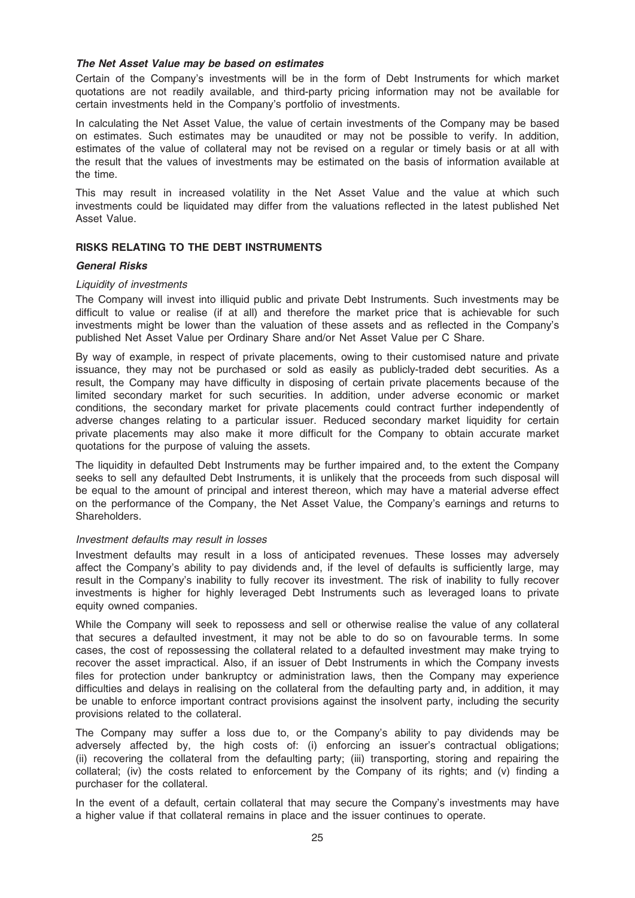#### The Net Asset Value may be based on estimates

Certain of the Company's investments will be in the form of Debt Instruments for which market quotations are not readily available, and third-party pricing information may not be available for certain investments held in the Company's portfolio of investments.

In calculating the Net Asset Value, the value of certain investments of the Company may be based on estimates. Such estimates may be unaudited or may not be possible to verify. In addition, estimates of the value of collateral may not be revised on a regular or timely basis or at all with the result that the values of investments may be estimated on the basis of information available at the time.

This may result in increased volatility in the Net Asset Value and the value at which such investments could be liquidated may differ from the valuations reflected in the latest published Net Asset Value.

# RISKS RELATING TO THE DEBT INSTRUMENTS

## General Risks

## Liquidity of investments

The Company will invest into illiquid public and private Debt Instruments. Such investments may be difficult to value or realise (if at all) and therefore the market price that is achievable for such investments might be lower than the valuation of these assets and as reflected in the Company's published Net Asset Value per Ordinary Share and/or Net Asset Value per C Share.

By way of example, in respect of private placements, owing to their customised nature and private issuance, they may not be purchased or sold as easily as publicly-traded debt securities. As a result, the Company may have difficulty in disposing of certain private placements because of the limited secondary market for such securities. In addition, under adverse economic or market conditions, the secondary market for private placements could contract further independently of adverse changes relating to a particular issuer. Reduced secondary market liquidity for certain private placements may also make it more difficult for the Company to obtain accurate market quotations for the purpose of valuing the assets.

The liquidity in defaulted Debt Instruments may be further impaired and, to the extent the Company seeks to sell any defaulted Debt Instruments, it is unlikely that the proceeds from such disposal will be equal to the amount of principal and interest thereon, which may have a material adverse effect on the performance of the Company, the Net Asset Value, the Company's earnings and returns to Shareholders.

#### Investment defaults may result in losses

Investment defaults may result in a loss of anticipated revenues. These losses may adversely affect the Company's ability to pay dividends and, if the level of defaults is sufficiently large, may result in the Company's inability to fully recover its investment. The risk of inability to fully recover investments is higher for highly leveraged Debt Instruments such as leveraged loans to private equity owned companies.

While the Company will seek to repossess and sell or otherwise realise the value of any collateral that secures a defaulted investment, it may not be able to do so on favourable terms. In some cases, the cost of repossessing the collateral related to a defaulted investment may make trying to recover the asset impractical. Also, if an issuer of Debt Instruments in which the Company invests files for protection under bankruptcy or administration laws, then the Company may experience difficulties and delays in realising on the collateral from the defaulting party and, in addition, it may be unable to enforce important contract provisions against the insolvent party, including the security provisions related to the collateral.

The Company may suffer a loss due to, or the Company's ability to pay dividends may be adversely affected by, the high costs of: (i) enforcing an issuer's contractual obligations; (ii) recovering the collateral from the defaulting party; (iii) transporting, storing and repairing the collateral; (iv) the costs related to enforcement by the Company of its rights; and (v) finding a purchaser for the collateral.

In the event of a default, certain collateral that may secure the Company's investments may have a higher value if that collateral remains in place and the issuer continues to operate.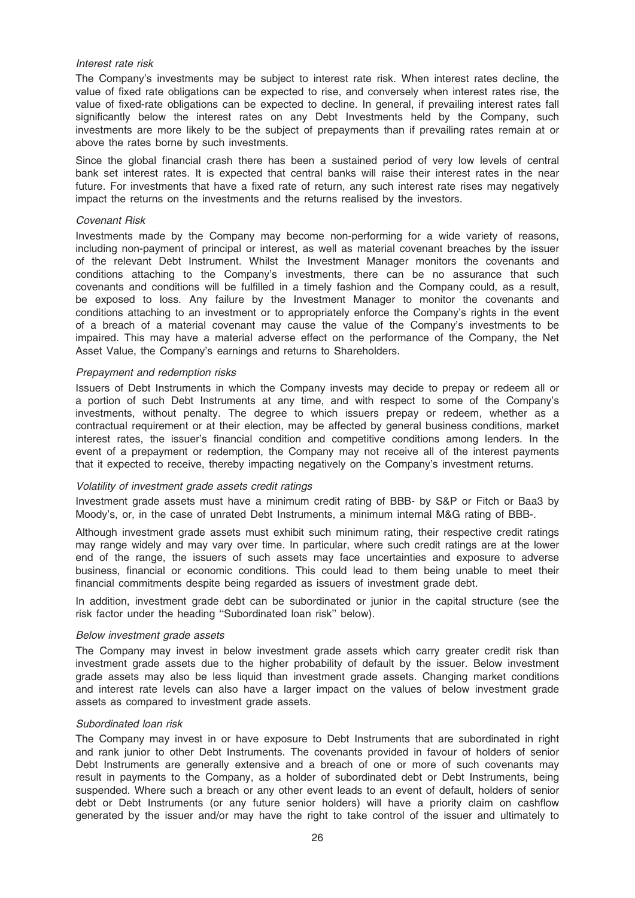#### Interest rate risk

The Company's investments may be subject to interest rate risk. When interest rates decline, the value of fixed rate obligations can be expected to rise, and conversely when interest rates rise, the value of fixed-rate obligations can be expected to decline. In general, if prevailing interest rates fall significantly below the interest rates on any Debt Investments held by the Company, such investments are more likely to be the subject of prepayments than if prevailing rates remain at or above the rates borne by such investments.

Since the global financial crash there has been a sustained period of very low levels of central bank set interest rates. It is expected that central banks will raise their interest rates in the near future. For investments that have a fixed rate of return, any such interest rate rises may negatively impact the returns on the investments and the returns realised by the investors.

#### Covenant Risk

Investments made by the Company may become non-performing for a wide variety of reasons, including non-payment of principal or interest, as well as material covenant breaches by the issuer of the relevant Debt Instrument. Whilst the Investment Manager monitors the covenants and conditions attaching to the Company's investments, there can be no assurance that such covenants and conditions will be fulfilled in a timely fashion and the Company could, as a result, be exposed to loss. Any failure by the Investment Manager to monitor the covenants and conditions attaching to an investment or to appropriately enforce the Company's rights in the event of a breach of a material covenant may cause the value of the Company's investments to be impaired. This may have a material adverse effect on the performance of the Company, the Net Asset Value, the Company's earnings and returns to Shareholders.

#### Prepayment and redemption risks

Issuers of Debt Instruments in which the Company invests may decide to prepay or redeem all or a portion of such Debt Instruments at any time, and with respect to some of the Company's investments, without penalty. The degree to which issuers prepay or redeem, whether as a contractual requirement or at their election, may be affected by general business conditions, market interest rates, the issuer's financial condition and competitive conditions among lenders. In the event of a prepayment or redemption, the Company may not receive all of the interest payments that it expected to receive, thereby impacting negatively on the Company's investment returns.

## Volatility of investment grade assets credit ratings

Investment grade assets must have a minimum credit rating of BBB- by S&P or Fitch or Baa3 by Moody's, or, in the case of unrated Debt Instruments, a minimum internal M&G rating of BBB-.

Although investment grade assets must exhibit such minimum rating, their respective credit ratings may range widely and may vary over time. In particular, where such credit ratings are at the lower end of the range, the issuers of such assets may face uncertainties and exposure to adverse business, financial or economic conditions. This could lead to them being unable to meet their financial commitments despite being regarded as issuers of investment grade debt.

In addition, investment grade debt can be subordinated or junior in the capital structure (see the risk factor under the heading ''Subordinated loan risk'' below).

#### Below investment grade assets

The Company may invest in below investment grade assets which carry greater credit risk than investment grade assets due to the higher probability of default by the issuer. Below investment grade assets may also be less liquid than investment grade assets. Changing market conditions and interest rate levels can also have a larger impact on the values of below investment grade assets as compared to investment grade assets.

#### Subordinated loan risk

The Company may invest in or have exposure to Debt Instruments that are subordinated in right and rank junior to other Debt Instruments. The covenants provided in favour of holders of senior Debt Instruments are generally extensive and a breach of one or more of such covenants may result in payments to the Company, as a holder of subordinated debt or Debt Instruments, being suspended. Where such a breach or any other event leads to an event of default, holders of senior debt or Debt Instruments (or any future senior holders) will have a priority claim on cashflow generated by the issuer and/or may have the right to take control of the issuer and ultimately to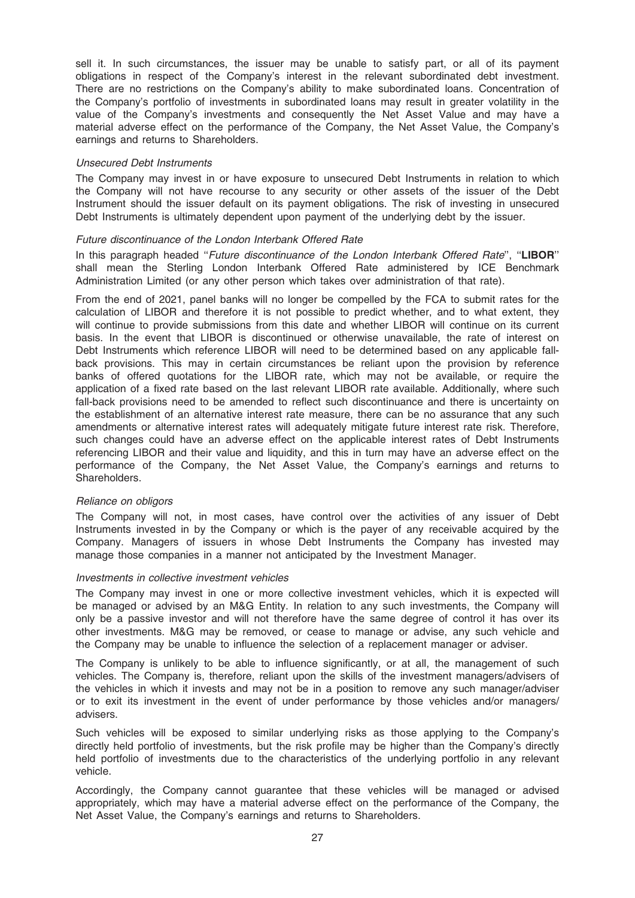sell it. In such circumstances, the issuer may be unable to satisfy part, or all of its payment obligations in respect of the Company's interest in the relevant subordinated debt investment. There are no restrictions on the Company's ability to make subordinated loans. Concentration of the Company's portfolio of investments in subordinated loans may result in greater volatility in the value of the Company's investments and consequently the Net Asset Value and may have a material adverse effect on the performance of the Company, the Net Asset Value, the Company's earnings and returns to Shareholders.

# Unsecured Debt Instruments

The Company may invest in or have exposure to unsecured Debt Instruments in relation to which the Company will not have recourse to any security or other assets of the issuer of the Debt Instrument should the issuer default on its payment obligations. The risk of investing in unsecured Debt Instruments is ultimately dependent upon payment of the underlying debt by the issuer.

# Future discontinuance of the London Interbank Offered Rate

In this paragraph headed "Future discontinuance of the London Interbank Offered Rate", "LIBOR" shall mean the Sterling London Interbank Offered Rate administered by ICE Benchmark Administration Limited (or any other person which takes over administration of that rate).

From the end of 2021, panel banks will no longer be compelled by the FCA to submit rates for the calculation of LIBOR and therefore it is not possible to predict whether, and to what extent, they will continue to provide submissions from this date and whether LIBOR will continue on its current basis. In the event that LIBOR is discontinued or otherwise unavailable, the rate of interest on Debt Instruments which reference LIBOR will need to be determined based on any applicable fallback provisions. This may in certain circumstances be reliant upon the provision by reference banks of offered quotations for the LIBOR rate, which may not be available, or require the application of a fixed rate based on the last relevant LIBOR rate available. Additionally, where such fall-back provisions need to be amended to reflect such discontinuance and there is uncertainty on the establishment of an alternative interest rate measure, there can be no assurance that any such amendments or alternative interest rates will adequately mitigate future interest rate risk. Therefore, such changes could have an adverse effect on the applicable interest rates of Debt Instruments referencing LIBOR and their value and liquidity, and this in turn may have an adverse effect on the performance of the Company, the Net Asset Value, the Company's earnings and returns to Shareholders.

# Reliance on obligors

The Company will not, in most cases, have control over the activities of any issuer of Debt Instruments invested in by the Company or which is the payer of any receivable acquired by the Company. Managers of issuers in whose Debt Instruments the Company has invested may manage those companies in a manner not anticipated by the Investment Manager.

## Investments in collective investment vehicles

The Company may invest in one or more collective investment vehicles, which it is expected will be managed or advised by an M&G Entity. In relation to any such investments, the Company will only be a passive investor and will not therefore have the same degree of control it has over its other investments. M&G may be removed, or cease to manage or advise, any such vehicle and the Company may be unable to influence the selection of a replacement manager or adviser.

The Company is unlikely to be able to influence significantly, or at all, the management of such vehicles. The Company is, therefore, reliant upon the skills of the investment managers/advisers of the vehicles in which it invests and may not be in a position to remove any such manager/adviser or to exit its investment in the event of under performance by those vehicles and/or managers/ advisers.

Such vehicles will be exposed to similar underlying risks as those applying to the Company's directly held portfolio of investments, but the risk profile may be higher than the Company's directly held portfolio of investments due to the characteristics of the underlying portfolio in any relevant vehicle.

Accordingly, the Company cannot guarantee that these vehicles will be managed or advised appropriately, which may have a material adverse effect on the performance of the Company, the Net Asset Value, the Company's earnings and returns to Shareholders.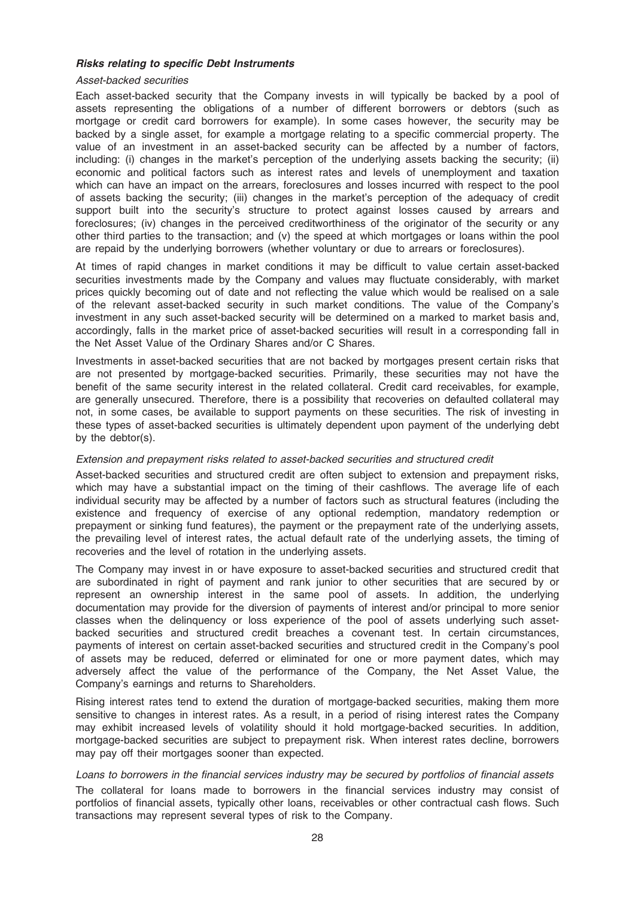# Risks relating to specific Debt Instruments

#### Asset-backed securities

Each asset-backed security that the Company invests in will typically be backed by a pool of assets representing the obligations of a number of different borrowers or debtors (such as mortgage or credit card borrowers for example). In some cases however, the security may be backed by a single asset, for example a mortgage relating to a specific commercial property. The value of an investment in an asset-backed security can be affected by a number of factors, including: (i) changes in the market's perception of the underlying assets backing the security; (ii) economic and political factors such as interest rates and levels of unemployment and taxation which can have an impact on the arrears, foreclosures and losses incurred with respect to the pool of assets backing the security; (iii) changes in the market's perception of the adequacy of credit support built into the security's structure to protect against losses caused by arrears and foreclosures; (iv) changes in the perceived creditworthiness of the originator of the security or any other third parties to the transaction; and (v) the speed at which mortgages or loans within the pool are repaid by the underlying borrowers (whether voluntary or due to arrears or foreclosures).

At times of rapid changes in market conditions it may be difficult to value certain asset-backed securities investments made by the Company and values may fluctuate considerably, with market prices quickly becoming out of date and not reflecting the value which would be realised on a sale of the relevant asset-backed security in such market conditions. The value of the Company's investment in any such asset-backed security will be determined on a marked to market basis and, accordingly, falls in the market price of asset-backed securities will result in a corresponding fall in the Net Asset Value of the Ordinary Shares and/or C Shares.

Investments in asset-backed securities that are not backed by mortgages present certain risks that are not presented by mortgage-backed securities. Primarily, these securities may not have the benefit of the same security interest in the related collateral. Credit card receivables, for example, are generally unsecured. Therefore, there is a possibility that recoveries on defaulted collateral may not, in some cases, be available to support payments on these securities. The risk of investing in these types of asset-backed securities is ultimately dependent upon payment of the underlying debt by the debtor(s).

# Extension and prepayment risks related to asset-backed securities and structured credit

Asset-backed securities and structured credit are often subject to extension and prepayment risks, which may have a substantial impact on the timing of their cashflows. The average life of each individual security may be affected by a number of factors such as structural features (including the existence and frequency of exercise of any optional redemption, mandatory redemption or prepayment or sinking fund features), the payment or the prepayment rate of the underlying assets, the prevailing level of interest rates, the actual default rate of the underlying assets, the timing of recoveries and the level of rotation in the underlying assets.

The Company may invest in or have exposure to asset-backed securities and structured credit that are subordinated in right of payment and rank junior to other securities that are secured by or represent an ownership interest in the same pool of assets. In addition, the underlying documentation may provide for the diversion of payments of interest and/or principal to more senior classes when the delinquency or loss experience of the pool of assets underlying such assetbacked securities and structured credit breaches a covenant test. In certain circumstances, payments of interest on certain asset-backed securities and structured credit in the Company's pool of assets may be reduced, deferred or eliminated for one or more payment dates, which may adversely affect the value of the performance of the Company, the Net Asset Value, the Company's earnings and returns to Shareholders.

Rising interest rates tend to extend the duration of mortgage-backed securities, making them more sensitive to changes in interest rates. As a result, in a period of rising interest rates the Company may exhibit increased levels of volatility should it hold mortgage-backed securities. In addition, mortgage-backed securities are subject to prepayment risk. When interest rates decline, borrowers may pay off their mortgages sooner than expected.

#### Loans to borrowers in the financial services industry may be secured by portfolios of financial assets

The collateral for loans made to borrowers in the financial services industry may consist of portfolios of financial assets, typically other loans, receivables or other contractual cash flows. Such transactions may represent several types of risk to the Company.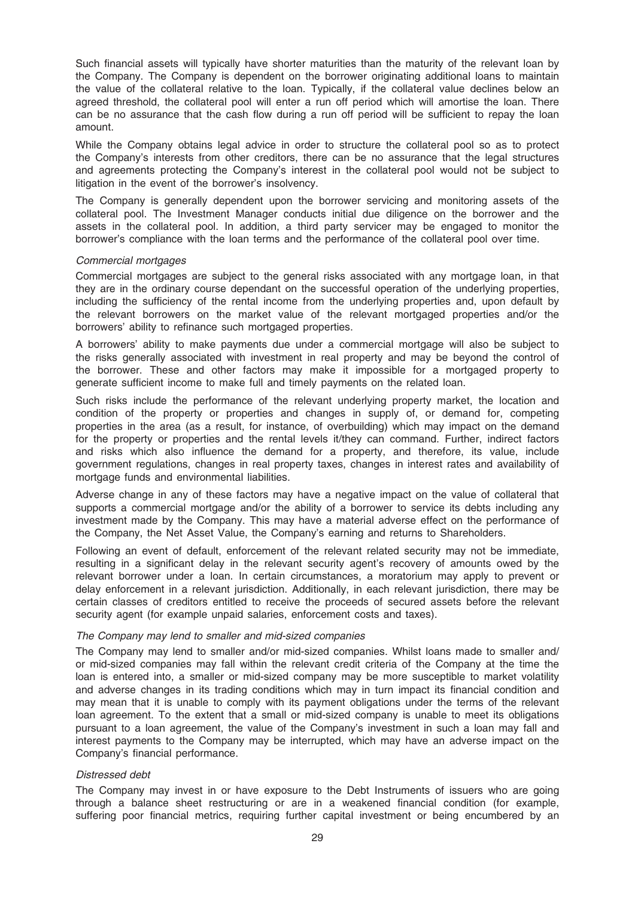Such financial assets will typically have shorter maturities than the maturity of the relevant loan by the Company. The Company is dependent on the borrower originating additional loans to maintain the value of the collateral relative to the loan. Typically, if the collateral value declines below an agreed threshold, the collateral pool will enter a run off period which will amortise the loan. There can be no assurance that the cash flow during a run off period will be sufficient to repay the loan amount.

While the Company obtains legal advice in order to structure the collateral pool so as to protect the Company's interests from other creditors, there can be no assurance that the legal structures and agreements protecting the Company's interest in the collateral pool would not be subject to litigation in the event of the borrower's insolvency.

The Company is generally dependent upon the borrower servicing and monitoring assets of the collateral pool. The Investment Manager conducts initial due diligence on the borrower and the assets in the collateral pool. In addition, a third party servicer may be engaged to monitor the borrower's compliance with the loan terms and the performance of the collateral pool over time.

## Commercial mortgages

Commercial mortgages are subject to the general risks associated with any mortgage loan, in that they are in the ordinary course dependant on the successful operation of the underlying properties, including the sufficiency of the rental income from the underlying properties and, upon default by the relevant borrowers on the market value of the relevant mortgaged properties and/or the borrowers' ability to refinance such mortgaged properties.

A borrowers' ability to make payments due under a commercial mortgage will also be subject to the risks generally associated with investment in real property and may be beyond the control of the borrower. These and other factors may make it impossible for a mortgaged property to generate sufficient income to make full and timely payments on the related loan.

Such risks include the performance of the relevant underlying property market, the location and condition of the property or properties and changes in supply of, or demand for, competing properties in the area (as a result, for instance, of overbuilding) which may impact on the demand for the property or properties and the rental levels it/they can command. Further, indirect factors and risks which also influence the demand for a property, and therefore, its value, include government regulations, changes in real property taxes, changes in interest rates and availability of mortgage funds and environmental liabilities.

Adverse change in any of these factors may have a negative impact on the value of collateral that supports a commercial mortgage and/or the ability of a borrower to service its debts including any investment made by the Company. This may have a material adverse effect on the performance of the Company, the Net Asset Value, the Company's earning and returns to Shareholders.

Following an event of default, enforcement of the relevant related security may not be immediate, resulting in a significant delay in the relevant security agent's recovery of amounts owed by the relevant borrower under a loan. In certain circumstances, a moratorium may apply to prevent or delay enforcement in a relevant jurisdiction. Additionally, in each relevant jurisdiction, there may be certain classes of creditors entitled to receive the proceeds of secured assets before the relevant security agent (for example unpaid salaries, enforcement costs and taxes).

## The Company may lend to smaller and mid-sized companies

The Company may lend to smaller and/or mid-sized companies. Whilst loans made to smaller and/ or mid-sized companies may fall within the relevant credit criteria of the Company at the time the loan is entered into, a smaller or mid-sized company may be more susceptible to market volatility and adverse changes in its trading conditions which may in turn impact its financial condition and may mean that it is unable to comply with its payment obligations under the terms of the relevant loan agreement. To the extent that a small or mid-sized company is unable to meet its obligations pursuant to a loan agreement, the value of the Company's investment in such a loan may fall and interest payments to the Company may be interrupted, which may have an adverse impact on the Company's financial performance.

## Distressed debt

The Company may invest in or have exposure to the Debt Instruments of issuers who are going through a balance sheet restructuring or are in a weakened financial condition (for example, suffering poor financial metrics, requiring further capital investment or being encumbered by an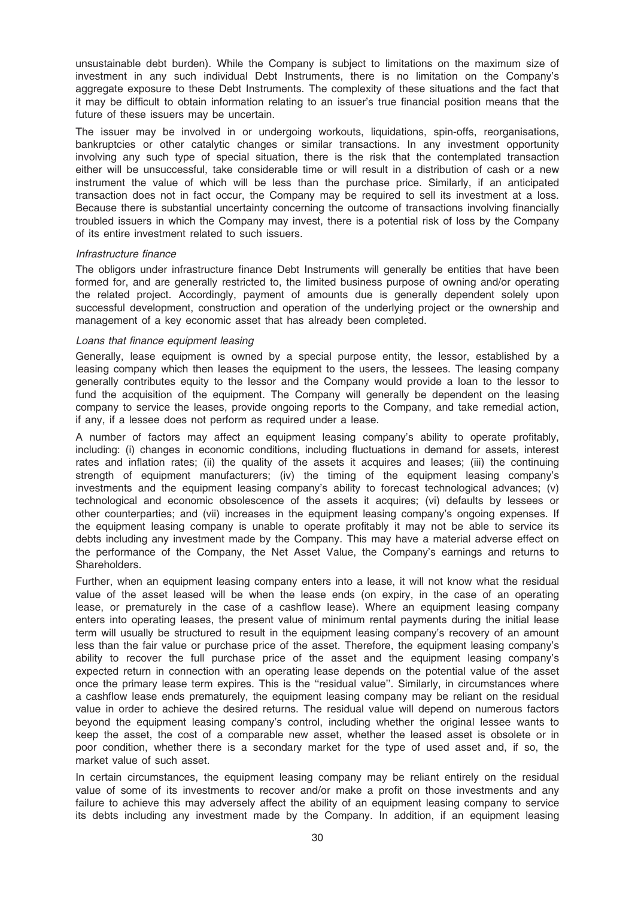unsustainable debt burden). While the Company is subject to limitations on the maximum size of investment in any such individual Debt Instruments, there is no limitation on the Company's aggregate exposure to these Debt Instruments. The complexity of these situations and the fact that it may be difficult to obtain information relating to an issuer's true financial position means that the future of these issuers may be uncertain.

The issuer may be involved in or undergoing workouts, liquidations, spin-offs, reorganisations, bankruptcies or other catalytic changes or similar transactions. In any investment opportunity involving any such type of special situation, there is the risk that the contemplated transaction either will be unsuccessful, take considerable time or will result in a distribution of cash or a new instrument the value of which will be less than the purchase price. Similarly, if an anticipated transaction does not in fact occur, the Company may be required to sell its investment at a loss. Because there is substantial uncertainty concerning the outcome of transactions involving financially troubled issuers in which the Company may invest, there is a potential risk of loss by the Company of its entire investment related to such issuers.

## Infrastructure finance

The obligors under infrastructure finance Debt Instruments will generally be entities that have been formed for, and are generally restricted to, the limited business purpose of owning and/or operating the related project. Accordingly, payment of amounts due is generally dependent solely upon successful development, construction and operation of the underlying project or the ownership and management of a key economic asset that has already been completed.

#### Loans that finance equipment leasing

Generally, lease equipment is owned by a special purpose entity, the lessor, established by a leasing company which then leases the equipment to the users, the lessees. The leasing company generally contributes equity to the lessor and the Company would provide a loan to the lessor to fund the acquisition of the equipment. The Company will generally be dependent on the leasing company to service the leases, provide ongoing reports to the Company, and take remedial action, if any, if a lessee does not perform as required under a lease.

A number of factors may affect an equipment leasing company's ability to operate profitably, including: (i) changes in economic conditions, including fluctuations in demand for assets, interest rates and inflation rates; (ii) the quality of the assets it acquires and leases; (iii) the continuing strength of equipment manufacturers; (iv) the timing of the equipment leasing company's investments and the equipment leasing company's ability to forecast technological advances; (v) technological and economic obsolescence of the assets it acquires; (vi) defaults by lessees or other counterparties; and (vii) increases in the equipment leasing company's ongoing expenses. If the equipment leasing company is unable to operate profitably it may not be able to service its debts including any investment made by the Company. This may have a material adverse effect on the performance of the Company, the Net Asset Value, the Company's earnings and returns to Shareholders.

Further, when an equipment leasing company enters into a lease, it will not know what the residual value of the asset leased will be when the lease ends (on expiry, in the case of an operating lease, or prematurely in the case of a cashflow lease). Where an equipment leasing company enters into operating leases, the present value of minimum rental payments during the initial lease term will usually be structured to result in the equipment leasing company's recovery of an amount less than the fair value or purchase price of the asset. Therefore, the equipment leasing company's ability to recover the full purchase price of the asset and the equipment leasing company's expected return in connection with an operating lease depends on the potential value of the asset once the primary lease term expires. This is the ''residual value''. Similarly, in circumstances where a cashflow lease ends prematurely, the equipment leasing company may be reliant on the residual value in order to achieve the desired returns. The residual value will depend on numerous factors beyond the equipment leasing company's control, including whether the original lessee wants to keep the asset, the cost of a comparable new asset, whether the leased asset is obsolete or in poor condition, whether there is a secondary market for the type of used asset and, if so, the market value of such asset.

In certain circumstances, the equipment leasing company may be reliant entirely on the residual value of some of its investments to recover and/or make a profit on those investments and any failure to achieve this may adversely affect the ability of an equipment leasing company to service its debts including any investment made by the Company. In addition, if an equipment leasing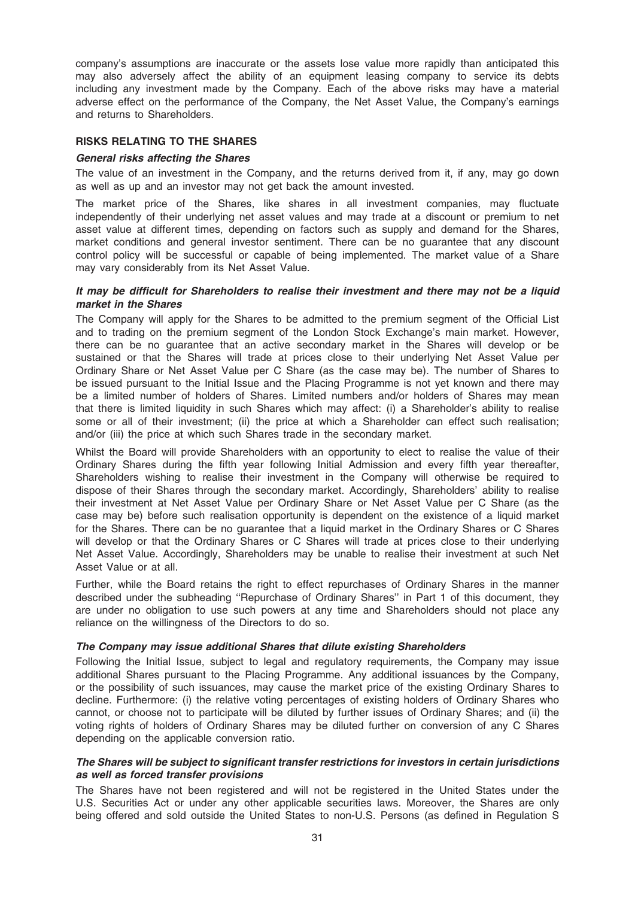company's assumptions are inaccurate or the assets lose value more rapidly than anticipated this may also adversely affect the ability of an equipment leasing company to service its debts including any investment made by the Company. Each of the above risks may have a material adverse effect on the performance of the Company, the Net Asset Value, the Company's earnings and returns to Shareholders.

# RISKS RELATING TO THE SHARES

#### General risks affecting the Shares

The value of an investment in the Company, and the returns derived from it, if any, may go down as well as up and an investor may not get back the amount invested.

The market price of the Shares, like shares in all investment companies, may fluctuate independently of their underlying net asset values and may trade at a discount or premium to net asset value at different times, depending on factors such as supply and demand for the Shares, market conditions and general investor sentiment. There can be no guarantee that any discount control policy will be successful or capable of being implemented. The market value of a Share may vary considerably from its Net Asset Value.

## It may be difficult for Shareholders to realise their investment and there may not be a liquid market in the Shares

The Company will apply for the Shares to be admitted to the premium segment of the Official List and to trading on the premium segment of the London Stock Exchange's main market. However, there can be no guarantee that an active secondary market in the Shares will develop or be sustained or that the Shares will trade at prices close to their underlying Net Asset Value per Ordinary Share or Net Asset Value per C Share (as the case may be). The number of Shares to be issued pursuant to the Initial Issue and the Placing Programme is not yet known and there may be a limited number of holders of Shares. Limited numbers and/or holders of Shares may mean that there is limited liquidity in such Shares which may affect: (i) a Shareholder's ability to realise some or all of their investment; (ii) the price at which a Shareholder can effect such realisation; and/or (iii) the price at which such Shares trade in the secondary market.

Whilst the Board will provide Shareholders with an opportunity to elect to realise the value of their Ordinary Shares during the fifth year following Initial Admission and every fifth year thereafter, Shareholders wishing to realise their investment in the Company will otherwise be required to dispose of their Shares through the secondary market. Accordingly, Shareholders' ability to realise their investment at Net Asset Value per Ordinary Share or Net Asset Value per C Share (as the case may be) before such realisation opportunity is dependent on the existence of a liquid market for the Shares. There can be no guarantee that a liquid market in the Ordinary Shares or C Shares will develop or that the Ordinary Shares or C Shares will trade at prices close to their underlying Net Asset Value. Accordingly, Shareholders may be unable to realise their investment at such Net Asset Value or at all.

Further, while the Board retains the right to effect repurchases of Ordinary Shares in the manner described under the subheading ''Repurchase of Ordinary Shares'' in Part 1 of this document, they are under no obligation to use such powers at any time and Shareholders should not place any reliance on the willingness of the Directors to do so.

## The Company may issue additional Shares that dilute existing Shareholders

Following the Initial Issue, subject to legal and regulatory requirements, the Company may issue additional Shares pursuant to the Placing Programme. Any additional issuances by the Company, or the possibility of such issuances, may cause the market price of the existing Ordinary Shares to decline. Furthermore: (i) the relative voting percentages of existing holders of Ordinary Shares who cannot, or choose not to participate will be diluted by further issues of Ordinary Shares; and (ii) the voting rights of holders of Ordinary Shares may be diluted further on conversion of any C Shares depending on the applicable conversion ratio.

## The Shares will be subject to significant transfer restrictions for investors in certain jurisdictions as well as forced transfer provisions

The Shares have not been registered and will not be registered in the United States under the U.S. Securities Act or under any other applicable securities laws. Moreover, the Shares are only being offered and sold outside the United States to non-U.S. Persons (as defined in Regulation S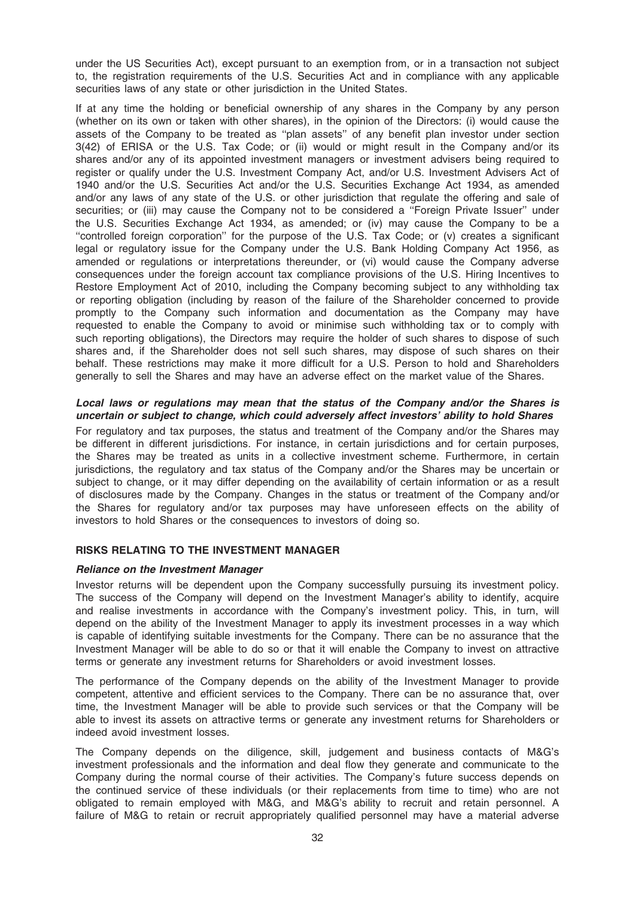under the US Securities Act), except pursuant to an exemption from, or in a transaction not subject to, the registration requirements of the U.S. Securities Act and in compliance with any applicable securities laws of any state or other jurisdiction in the United States.

If at any time the holding or beneficial ownership of any shares in the Company by any person (whether on its own or taken with other shares), in the opinion of the Directors: (i) would cause the assets of the Company to be treated as ''plan assets'' of any benefit plan investor under section 3(42) of ERISA or the U.S. Tax Code; or (ii) would or might result in the Company and/or its shares and/or any of its appointed investment managers or investment advisers being required to register or qualify under the U.S. Investment Company Act, and/or U.S. Investment Advisers Act of 1940 and/or the U.S. Securities Act and/or the U.S. Securities Exchange Act 1934, as amended and/or any laws of any state of the U.S. or other jurisdiction that regulate the offering and sale of securities; or (iii) may cause the Company not to be considered a "Foreign Private Issuer" under the U.S. Securities Exchange Act 1934, as amended; or (iv) may cause the Company to be a ''controlled foreign corporation'' for the purpose of the U.S. Tax Code; or (v) creates a significant legal or regulatory issue for the Company under the U.S. Bank Holding Company Act 1956, as amended or regulations or interpretations thereunder, or (vi) would cause the Company adverse consequences under the foreign account tax compliance provisions of the U.S. Hiring Incentives to Restore Employment Act of 2010, including the Company becoming subject to any withholding tax or reporting obligation (including by reason of the failure of the Shareholder concerned to provide promptly to the Company such information and documentation as the Company may have requested to enable the Company to avoid or minimise such withholding tax or to comply with such reporting obligations), the Directors may require the holder of such shares to dispose of such shares and, if the Shareholder does not sell such shares, may dispose of such shares on their behalf. These restrictions may make it more difficult for a U.S. Person to hold and Shareholders generally to sell the Shares and may have an adverse effect on the market value of the Shares.

## Local laws or regulations may mean that the status of the Company and/or the Shares is uncertain or subject to change, which could adversely affect investors' ability to hold Shares

For regulatory and tax purposes, the status and treatment of the Company and/or the Shares may be different in different jurisdictions. For instance, in certain jurisdictions and for certain purposes, the Shares may be treated as units in a collective investment scheme. Furthermore, in certain jurisdictions, the regulatory and tax status of the Company and/or the Shares may be uncertain or subject to change, or it may differ depending on the availability of certain information or as a result of disclosures made by the Company. Changes in the status or treatment of the Company and/or the Shares for regulatory and/or tax purposes may have unforeseen effects on the ability of investors to hold Shares or the consequences to investors of doing so.

# RISKS RELATING TO THE INVESTMENT MANAGER

## Reliance on the Investment Manager

Investor returns will be dependent upon the Company successfully pursuing its investment policy. The success of the Company will depend on the Investment Manager's ability to identify, acquire and realise investments in accordance with the Company's investment policy. This, in turn, will depend on the ability of the Investment Manager to apply its investment processes in a way which is capable of identifying suitable investments for the Company. There can be no assurance that the Investment Manager will be able to do so or that it will enable the Company to invest on attractive terms or generate any investment returns for Shareholders or avoid investment losses.

The performance of the Company depends on the ability of the Investment Manager to provide competent, attentive and efficient services to the Company. There can be no assurance that, over time, the Investment Manager will be able to provide such services or that the Company will be able to invest its assets on attractive terms or generate any investment returns for Shareholders or indeed avoid investment losses.

The Company depends on the diligence, skill, judgement and business contacts of M&G's investment professionals and the information and deal flow they generate and communicate to the Company during the normal course of their activities. The Company's future success depends on the continued service of these individuals (or their replacements from time to time) who are not obligated to remain employed with M&G, and M&G's ability to recruit and retain personnel. A failure of M&G to retain or recruit appropriately qualified personnel may have a material adverse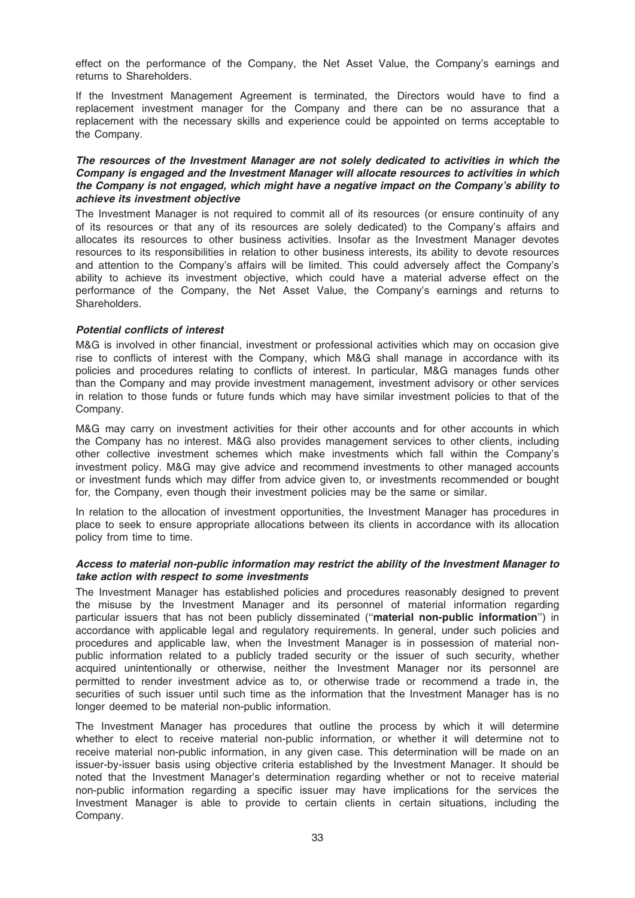effect on the performance of the Company, the Net Asset Value, the Company's earnings and returns to Shareholders.

If the Investment Management Agreement is terminated, the Directors would have to find a replacement investment manager for the Company and there can be no assurance that a replacement with the necessary skills and experience could be appointed on terms acceptable to the Company.

# The resources of the Investment Manager are not solely dedicated to activities in which the Company is engaged and the Investment Manager will allocate resources to activities in which the Company is not engaged, which might have a negative impact on the Company's ability to achieve its investment objective

The Investment Manager is not required to commit all of its resources (or ensure continuity of any of its resources or that any of its resources are solely dedicated) to the Company's affairs and allocates its resources to other business activities. Insofar as the Investment Manager devotes resources to its responsibilities in relation to other business interests, its ability to devote resources and attention to the Company's affairs will be limited. This could adversely affect the Company's ability to achieve its investment objective, which could have a material adverse effect on the performance of the Company, the Net Asset Value, the Company's earnings and returns to **Shareholders** 

# Potential conflicts of interest

M&G is involved in other financial, investment or professional activities which may on occasion give rise to conflicts of interest with the Company, which M&G shall manage in accordance with its policies and procedures relating to conflicts of interest. In particular, M&G manages funds other than the Company and may provide investment management, investment advisory or other services in relation to those funds or future funds which may have similar investment policies to that of the Company.

M&G may carry on investment activities for their other accounts and for other accounts in which the Company has no interest. M&G also provides management services to other clients, including other collective investment schemes which make investments which fall within the Company's investment policy. M&G may give advice and recommend investments to other managed accounts or investment funds which may differ from advice given to, or investments recommended or bought for, the Company, even though their investment policies may be the same or similar.

In relation to the allocation of investment opportunities, the Investment Manager has procedures in place to seek to ensure appropriate allocations between its clients in accordance with its allocation policy from time to time.

# Access to material non-public information may restrict the ability of the Investment Manager to take action with respect to some investments

The Investment Manager has established policies and procedures reasonably designed to prevent the misuse by the Investment Manager and its personnel of material information regarding particular issuers that has not been publicly disseminated ("material non-public information") in accordance with applicable legal and regulatory requirements. In general, under such policies and procedures and applicable law, when the Investment Manager is in possession of material nonpublic information related to a publicly traded security or the issuer of such security, whether acquired unintentionally or otherwise, neither the Investment Manager nor its personnel are permitted to render investment advice as to, or otherwise trade or recommend a trade in, the securities of such issuer until such time as the information that the Investment Manager has is no longer deemed to be material non-public information.

The Investment Manager has procedures that outline the process by which it will determine whether to elect to receive material non-public information, or whether it will determine not to receive material non-public information, in any given case. This determination will be made on an issuer-by-issuer basis using objective criteria established by the Investment Manager. It should be noted that the Investment Manager's determination regarding whether or not to receive material non-public information regarding a specific issuer may have implications for the services the Investment Manager is able to provide to certain clients in certain situations, including the Company.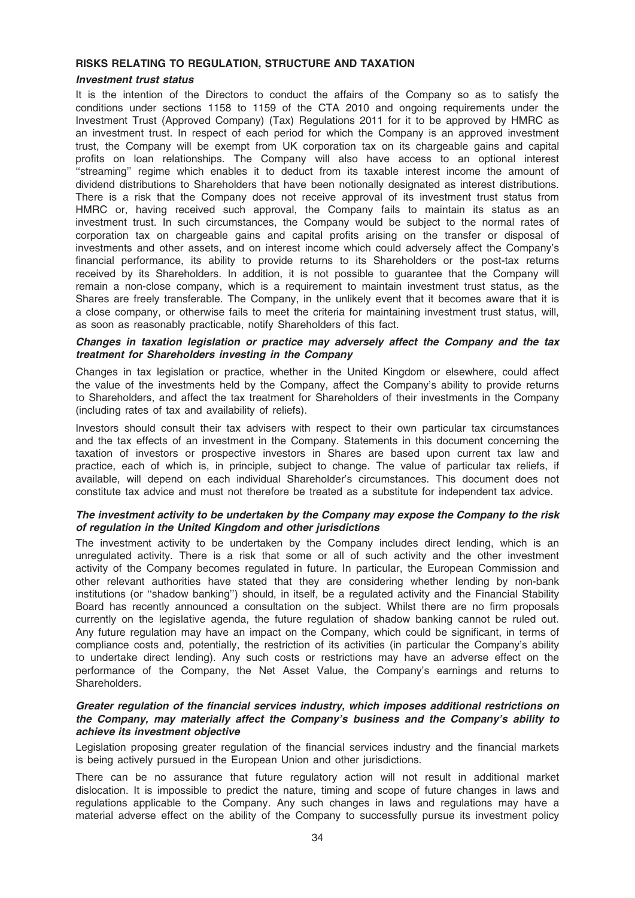# RISKS RELATING TO REGULATION, STRUCTURE AND TAXATION

## Investment trust status

It is the intention of the Directors to conduct the affairs of the Company so as to satisfy the conditions under sections 1158 to 1159 of the CTA 2010 and ongoing requirements under the Investment Trust (Approved Company) (Tax) Regulations 2011 for it to be approved by HMRC as an investment trust. In respect of each period for which the Company is an approved investment trust, the Company will be exempt from UK corporation tax on its chargeable gains and capital profits on loan relationships. The Company will also have access to an optional interest ''streaming'' regime which enables it to deduct from its taxable interest income the amount of dividend distributions to Shareholders that have been notionally designated as interest distributions. There is a risk that the Company does not receive approval of its investment trust status from HMRC or, having received such approval, the Company fails to maintain its status as an investment trust. In such circumstances, the Company would be subject to the normal rates of corporation tax on chargeable gains and capital profits arising on the transfer or disposal of investments and other assets, and on interest income which could adversely affect the Company's financial performance, its ability to provide returns to its Shareholders or the post-tax returns received by its Shareholders. In addition, it is not possible to guarantee that the Company will remain a non-close company, which is a requirement to maintain investment trust status, as the Shares are freely transferable. The Company, in the unlikely event that it becomes aware that it is a close company, or otherwise fails to meet the criteria for maintaining investment trust status, will, as soon as reasonably practicable, notify Shareholders of this fact.

# Changes in taxation legislation or practice may adversely affect the Company and the tax treatment for Shareholders investing in the Company

Changes in tax legislation or practice, whether in the United Kingdom or elsewhere, could affect the value of the investments held by the Company, affect the Company's ability to provide returns to Shareholders, and affect the tax treatment for Shareholders of their investments in the Company (including rates of tax and availability of reliefs).

Investors should consult their tax advisers with respect to their own particular tax circumstances and the tax effects of an investment in the Company. Statements in this document concerning the taxation of investors or prospective investors in Shares are based upon current tax law and practice, each of which is, in principle, subject to change. The value of particular tax reliefs, if available, will depend on each individual Shareholder's circumstances. This document does not constitute tax advice and must not therefore be treated as a substitute for independent tax advice.

# The investment activity to be undertaken by the Company may expose the Company to the risk of regulation in the United Kingdom and other jurisdictions

The investment activity to be undertaken by the Company includes direct lending, which is an unregulated activity. There is a risk that some or all of such activity and the other investment activity of the Company becomes regulated in future. In particular, the European Commission and other relevant authorities have stated that they are considering whether lending by non-bank institutions (or ''shadow banking'') should, in itself, be a regulated activity and the Financial Stability Board has recently announced a consultation on the subject. Whilst there are no firm proposals currently on the legislative agenda, the future regulation of shadow banking cannot be ruled out. Any future regulation may have an impact on the Company, which could be significant, in terms of compliance costs and, potentially, the restriction of its activities (in particular the Company's ability to undertake direct lending). Any such costs or restrictions may have an adverse effect on the performance of the Company, the Net Asset Value, the Company's earnings and returns to Shareholders.

# Greater regulation of the financial services industry, which imposes additional restrictions on the Company, may materially affect the Company's business and the Company's ability to achieve its investment objective

Legislation proposing greater regulation of the financial services industry and the financial markets is being actively pursued in the European Union and other jurisdictions.

There can be no assurance that future regulatory action will not result in additional market dislocation. It is impossible to predict the nature, timing and scope of future changes in laws and regulations applicable to the Company. Any such changes in laws and regulations may have a material adverse effect on the ability of the Company to successfully pursue its investment policy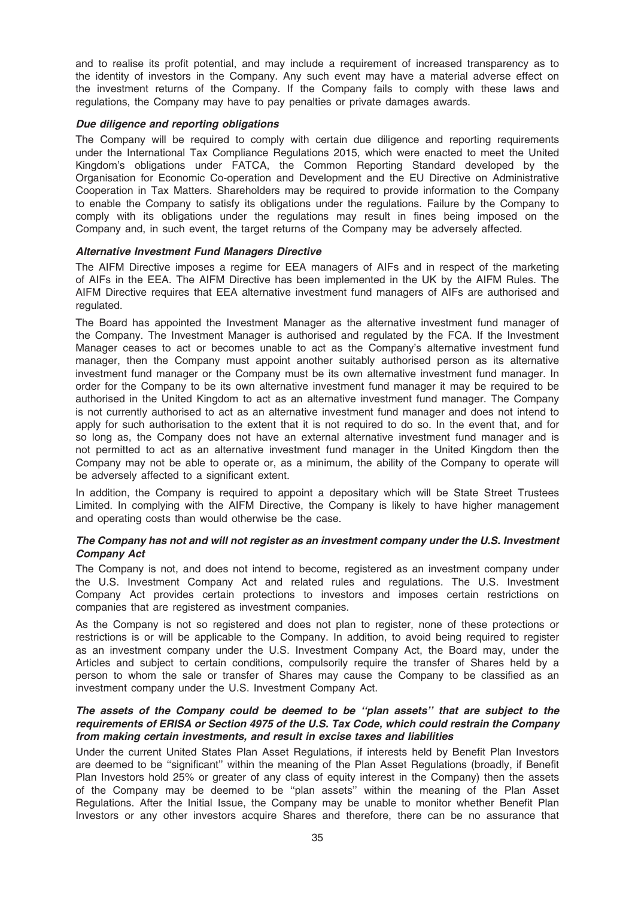and to realise its profit potential, and may include a requirement of increased transparency as to the identity of investors in the Company. Any such event may have a material adverse effect on the investment returns of the Company. If the Company fails to comply with these laws and regulations, the Company may have to pay penalties or private damages awards.

# Due diligence and reporting obligations

The Company will be required to comply with certain due diligence and reporting requirements under the International Tax Compliance Regulations 2015, which were enacted to meet the United Kingdom's obligations under FATCA, the Common Reporting Standard developed by the Organisation for Economic Co-operation and Development and the EU Directive on Administrative Cooperation in Tax Matters. Shareholders may be required to provide information to the Company to enable the Company to satisfy its obligations under the regulations. Failure by the Company to comply with its obligations under the regulations may result in fines being imposed on the Company and, in such event, the target returns of the Company may be adversely affected.

# Alternative Investment Fund Managers Directive

The AIFM Directive imposes a regime for EEA managers of AIFs and in respect of the marketing of AIFs in the EEA. The AIFM Directive has been implemented in the UK by the AIFM Rules. The AIFM Directive requires that EEA alternative investment fund managers of AIFs are authorised and regulated.

The Board has appointed the Investment Manager as the alternative investment fund manager of the Company. The Investment Manager is authorised and regulated by the FCA. If the Investment Manager ceases to act or becomes unable to act as the Company's alternative investment fund manager, then the Company must appoint another suitably authorised person as its alternative investment fund manager or the Company must be its own alternative investment fund manager. In order for the Company to be its own alternative investment fund manager it may be required to be authorised in the United Kingdom to act as an alternative investment fund manager. The Company is not currently authorised to act as an alternative investment fund manager and does not intend to apply for such authorisation to the extent that it is not required to do so. In the event that, and for so long as, the Company does not have an external alternative investment fund manager and is not permitted to act as an alternative investment fund manager in the United Kingdom then the Company may not be able to operate or, as a minimum, the ability of the Company to operate will be adversely affected to a significant extent.

In addition, the Company is required to appoint a depositary which will be State Street Trustees Limited. In complying with the AIFM Directive, the Company is likely to have higher management and operating costs than would otherwise be the case.

# The Company has not and will not register as an investment company under the U.S. Investment Company Act

The Company is not, and does not intend to become, registered as an investment company under the U.S. Investment Company Act and related rules and regulations. The U.S. Investment Company Act provides certain protections to investors and imposes certain restrictions on companies that are registered as investment companies.

As the Company is not so registered and does not plan to register, none of these protections or restrictions is or will be applicable to the Company. In addition, to avoid being required to register as an investment company under the U.S. Investment Company Act, the Board may, under the Articles and subject to certain conditions, compulsorily require the transfer of Shares held by a person to whom the sale or transfer of Shares may cause the Company to be classified as an investment company under the U.S. Investment Company Act.

# The assets of the Company could be deemed to be ''plan assets'' that are subject to the requirements of ERISA or Section 4975 of the U.S. Tax Code, which could restrain the Company from making certain investments, and result in excise taxes and liabilities

Under the current United States Plan Asset Regulations, if interests held by Benefit Plan Investors are deemed to be ''significant'' within the meaning of the Plan Asset Regulations (broadly, if Benefit Plan Investors hold 25% or greater of any class of equity interest in the Company) then the assets of the Company may be deemed to be ''plan assets'' within the meaning of the Plan Asset Regulations. After the Initial Issue, the Company may be unable to monitor whether Benefit Plan Investors or any other investors acquire Shares and therefore, there can be no assurance that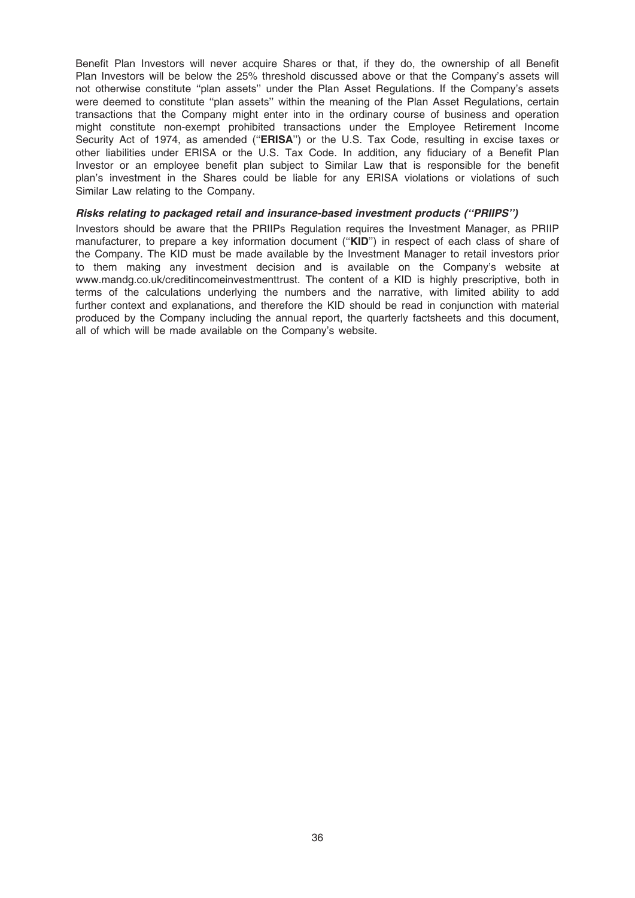Benefit Plan Investors will never acquire Shares or that, if they do, the ownership of all Benefit Plan Investors will be below the 25% threshold discussed above or that the Company's assets will not otherwise constitute ''plan assets'' under the Plan Asset Regulations. If the Company's assets were deemed to constitute "plan assets" within the meaning of the Plan Asset Regulations, certain transactions that the Company might enter into in the ordinary course of business and operation might constitute non-exempt prohibited transactions under the Employee Retirement Income Security Act of 1974, as amended ("ERISA") or the U.S. Tax Code, resulting in excise taxes or other liabilities under ERISA or the U.S. Tax Code. In addition, any fiduciary of a Benefit Plan Investor or an employee benefit plan subject to Similar Law that is responsible for the benefit plan's investment in the Shares could be liable for any ERISA violations or violations of such Similar Law relating to the Company.

#### Risks relating to packaged retail and insurance-based investment products (''PRIIPS'')

Investors should be aware that the PRIIPs Regulation requires the Investment Manager, as PRIIP manufacturer, to prepare a key information document ("KID") in respect of each class of share of the Company. The KID must be made available by the Investment Manager to retail investors prior to them making any investment decision and is available on the Company's website at www.mandg.co.uk/creditincomeinvestmenttrust. The content of a KID is highly prescriptive, both in terms of the calculations underlying the numbers and the narrative, with limited ability to add further context and explanations, and therefore the KID should be read in conjunction with material produced by the Company including the annual report, the quarterly factsheets and this document, all of which will be made available on the Company's website.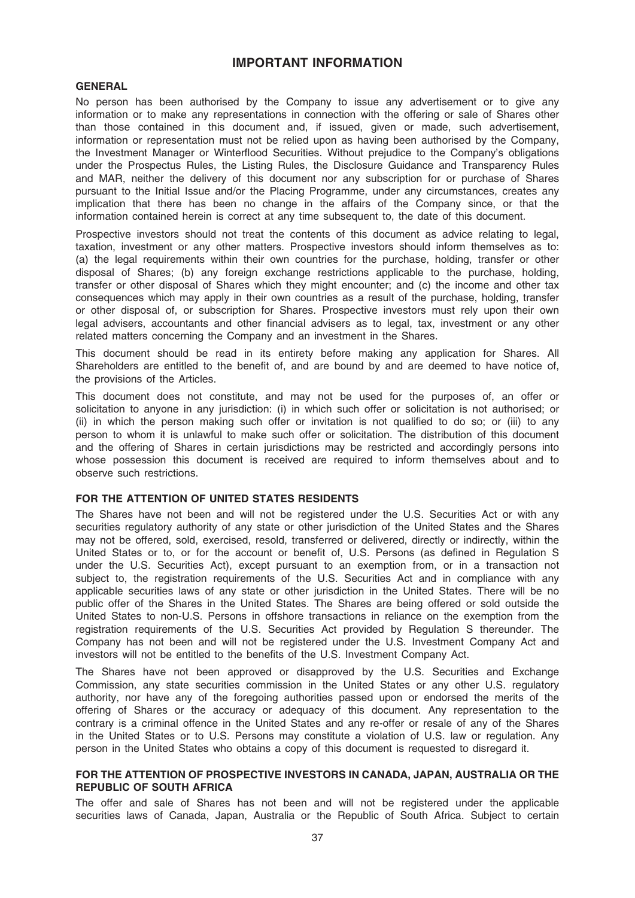# IMPORTANT INFORMATION

#### **GENERAL**

No person has been authorised by the Company to issue any advertisement or to give any information or to make any representations in connection with the offering or sale of Shares other than those contained in this document and, if issued, given or made, such advertisement, information or representation must not be relied upon as having been authorised by the Company, the Investment Manager or Winterflood Securities. Without prejudice to the Company's obligations under the Prospectus Rules, the Listing Rules, the Disclosure Guidance and Transparency Rules and MAR, neither the delivery of this document nor any subscription for or purchase of Shares pursuant to the Initial Issue and/or the Placing Programme, under any circumstances, creates any implication that there has been no change in the affairs of the Company since, or that the information contained herein is correct at any time subsequent to, the date of this document.

Prospective investors should not treat the contents of this document as advice relating to legal, taxation, investment or any other matters. Prospective investors should inform themselves as to: (a) the legal requirements within their own countries for the purchase, holding, transfer or other disposal of Shares; (b) any foreign exchange restrictions applicable to the purchase, holding, transfer or other disposal of Shares which they might encounter; and (c) the income and other tax consequences which may apply in their own countries as a result of the purchase, holding, transfer or other disposal of, or subscription for Shares. Prospective investors must rely upon their own legal advisers, accountants and other financial advisers as to legal, tax, investment or any other related matters concerning the Company and an investment in the Shares.

This document should be read in its entirety before making any application for Shares. All Shareholders are entitled to the benefit of, and are bound by and are deemed to have notice of, the provisions of the Articles.

This document does not constitute, and may not be used for the purposes of, an offer or solicitation to anyone in any jurisdiction: (i) in which such offer or solicitation is not authorised; or (ii) in which the person making such offer or invitation is not qualified to do so; or (iii) to any person to whom it is unlawful to make such offer or solicitation. The distribution of this document and the offering of Shares in certain jurisdictions may be restricted and accordingly persons into whose possession this document is received are required to inform themselves about and to observe such restrictions.

#### FOR THE ATTENTION OF UNITED STATES RESIDENTS

The Shares have not been and will not be registered under the U.S. Securities Act or with any securities regulatory authority of any state or other jurisdiction of the United States and the Shares may not be offered, sold, exercised, resold, transferred or delivered, directly or indirectly, within the United States or to, or for the account or benefit of, U.S. Persons (as defined in Regulation S under the U.S. Securities Act), except pursuant to an exemption from, or in a transaction not subject to, the registration requirements of the U.S. Securities Act and in compliance with any applicable securities laws of any state or other jurisdiction in the United States. There will be no public offer of the Shares in the United States. The Shares are being offered or sold outside the United States to non-U.S. Persons in offshore transactions in reliance on the exemption from the registration requirements of the U.S. Securities Act provided by Regulation S thereunder. The Company has not been and will not be registered under the U.S. Investment Company Act and investors will not be entitled to the benefits of the U.S. Investment Company Act.

The Shares have not been approved or disapproved by the U.S. Securities and Exchange Commission, any state securities commission in the United States or any other U.S. regulatory authority, nor have any of the foregoing authorities passed upon or endorsed the merits of the offering of Shares or the accuracy or adequacy of this document. Any representation to the contrary is a criminal offence in the United States and any re-offer or resale of any of the Shares in the United States or to U.S. Persons may constitute a violation of U.S. law or regulation. Any person in the United States who obtains a copy of this document is requested to disregard it.

## FOR THE ATTENTION OF PROSPECTIVE INVESTORS IN CANADA, JAPAN, AUSTRALIA OR THE REPUBLIC OF SOUTH AFRICA

The offer and sale of Shares has not been and will not be registered under the applicable securities laws of Canada, Japan, Australia or the Republic of South Africa. Subject to certain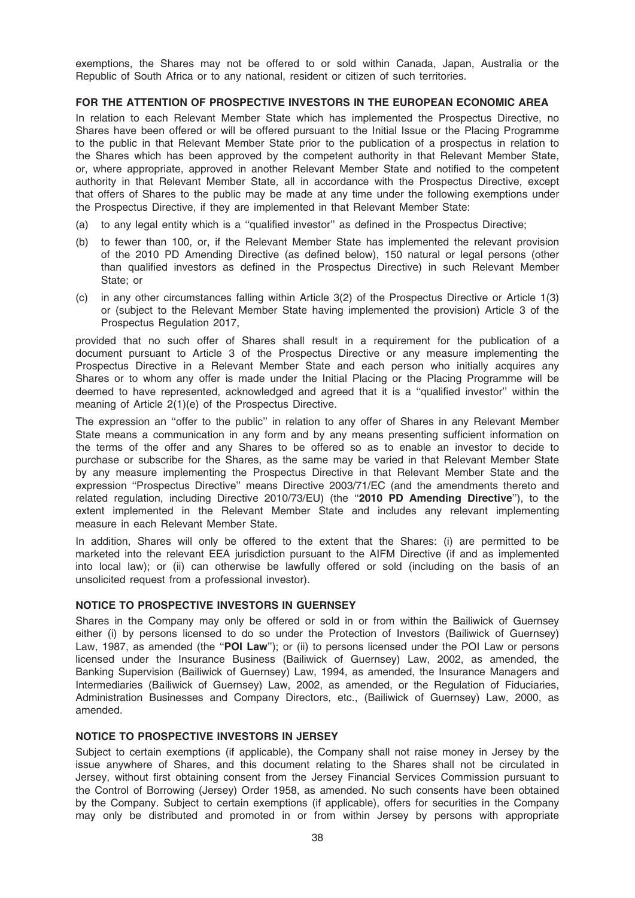exemptions, the Shares may not be offered to or sold within Canada, Japan, Australia or the Republic of South Africa or to any national, resident or citizen of such territories.

# FOR THE ATTENTION OF PROSPECTIVE INVESTORS IN THE EUROPEAN ECONOMIC AREA

In relation to each Relevant Member State which has implemented the Prospectus Directive, no Shares have been offered or will be offered pursuant to the Initial Issue or the Placing Programme to the public in that Relevant Member State prior to the publication of a prospectus in relation to the Shares which has been approved by the competent authority in that Relevant Member State, or, where appropriate, approved in another Relevant Member State and notified to the competent authority in that Relevant Member State, all in accordance with the Prospectus Directive, except that offers of Shares to the public may be made at any time under the following exemptions under the Prospectus Directive, if they are implemented in that Relevant Member State:

- (a) to any legal entity which is a ''qualified investor'' as defined in the Prospectus Directive;
- (b) to fewer than 100, or, if the Relevant Member State has implemented the relevant provision of the 2010 PD Amending Directive (as defined below), 150 natural or legal persons (other than qualified investors as defined in the Prospectus Directive) in such Relevant Member State; or
- (c) in any other circumstances falling within Article 3(2) of the Prospectus Directive or Article 1(3) or (subject to the Relevant Member State having implemented the provision) Article 3 of the Prospectus Regulation 2017,

provided that no such offer of Shares shall result in a requirement for the publication of a document pursuant to Article 3 of the Prospectus Directive or any measure implementing the Prospectus Directive in a Relevant Member State and each person who initially acquires any Shares or to whom any offer is made under the Initial Placing or the Placing Programme will be deemed to have represented, acknowledged and agreed that it is a ''qualified investor'' within the meaning of Article 2(1)(e) of the Prospectus Directive.

The expression an ''offer to the public'' in relation to any offer of Shares in any Relevant Member State means a communication in any form and by any means presenting sufficient information on the terms of the offer and any Shares to be offered so as to enable an investor to decide to purchase or subscribe for the Shares, as the same may be varied in that Relevant Member State by any measure implementing the Prospectus Directive in that Relevant Member State and the expression ''Prospectus Directive'' means Directive 2003/71/EC (and the amendments thereto and related regulation, including Directive 2010/73/EU) (the ''2010 PD Amending Directive''), to the extent implemented in the Relevant Member State and includes any relevant implementing measure in each Relevant Member State.

In addition, Shares will only be offered to the extent that the Shares: (i) are permitted to be marketed into the relevant EEA jurisdiction pursuant to the AIFM Directive (if and as implemented into local law); or (ii) can otherwise be lawfully offered or sold (including on the basis of an unsolicited request from a professional investor).

# NOTICE TO PROSPECTIVE INVESTORS IN GUERNSEY

Shares in the Company may only be offered or sold in or from within the Bailiwick of Guernsey either (i) by persons licensed to do so under the Protection of Investors (Bailiwick of Guernsey) Law, 1987, as amended (the "POI Law"); or (ii) to persons licensed under the POI Law or persons licensed under the Insurance Business (Bailiwick of Guernsey) Law, 2002, as amended, the Banking Supervision (Bailiwick of Guernsey) Law, 1994, as amended, the Insurance Managers and Intermediaries (Bailiwick of Guernsey) Law, 2002, as amended, or the Regulation of Fiduciaries, Administration Businesses and Company Directors, etc., (Bailiwick of Guernsey) Law, 2000, as amended.

#### NOTICE TO PROSPECTIVE INVESTORS IN JERSEY

Subject to certain exemptions (if applicable), the Company shall not raise money in Jersey by the issue anywhere of Shares, and this document relating to the Shares shall not be circulated in Jersey, without first obtaining consent from the Jersey Financial Services Commission pursuant to the Control of Borrowing (Jersey) Order 1958, as amended. No such consents have been obtained by the Company. Subject to certain exemptions (if applicable), offers for securities in the Company may only be distributed and promoted in or from within Jersey by persons with appropriate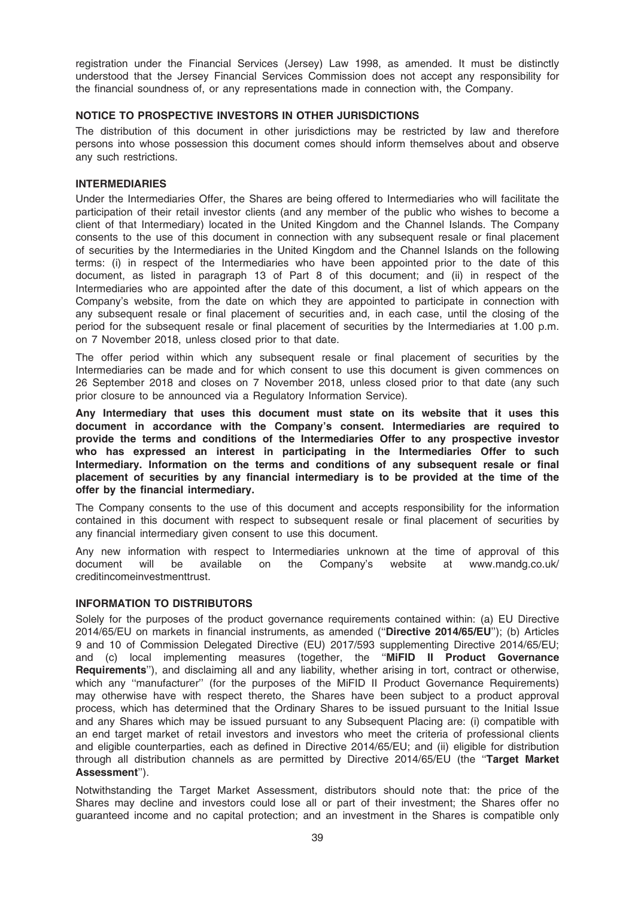registration under the Financial Services (Jersey) Law 1998, as amended. It must be distinctly understood that the Jersey Financial Services Commission does not accept any responsibility for the financial soundness of, or any representations made in connection with, the Company.

# NOTICE TO PROSPECTIVE INVESTORS IN OTHER JURISDICTIONS

The distribution of this document in other jurisdictions may be restricted by law and therefore persons into whose possession this document comes should inform themselves about and observe any such restrictions.

# INTERMEDIARIES

Under the Intermediaries Offer, the Shares are being offered to Intermediaries who will facilitate the participation of their retail investor clients (and any member of the public who wishes to become a client of that Intermediary) located in the United Kingdom and the Channel Islands. The Company consents to the use of this document in connection with any subsequent resale or final placement of securities by the Intermediaries in the United Kingdom and the Channel Islands on the following terms: (i) in respect of the Intermediaries who have been appointed prior to the date of this document, as listed in paragraph 13 of Part 8 of this document; and (ii) in respect of the Intermediaries who are appointed after the date of this document, a list of which appears on the Company's website, from the date on which they are appointed to participate in connection with any subsequent resale or final placement of securities and, in each case, until the closing of the period for the subsequent resale or final placement of securities by the Intermediaries at 1.00 p.m. on 7 November 2018, unless closed prior to that date.

The offer period within which any subsequent resale or final placement of securities by the Intermediaries can be made and for which consent to use this document is given commences on 26 September 2018 and closes on 7 November 2018, unless closed prior to that date (any such prior closure to be announced via a Regulatory Information Service).

Any Intermediary that uses this document must state on its website that it uses this document in accordance with the Company's consent. Intermediaries are required to provide the terms and conditions of the Intermediaries Offer to any prospective investor who has expressed an interest in participating in the Intermediaries Offer to such Intermediary. Information on the terms and conditions of any subsequent resale or final placement of securities by any financial intermediary is to be provided at the time of the offer by the financial intermediary.

The Company consents to the use of this document and accepts responsibility for the information contained in this document with respect to subsequent resale or final placement of securities by any financial intermediary given consent to use this document.

Any new information with respect to Intermediaries unknown at the time of approval of this document will be available on the Company's website at www.mandg.co.uk/ creditincomeinvestmenttrust.

# INFORMATION TO DISTRIBUTORS

Solely for the purposes of the product governance requirements contained within: (a) EU Directive 2014/65/EU on markets in financial instruments, as amended (''Directive 2014/65/EU''); (b) Articles 9 and 10 of Commission Delegated Directive (EU) 2017/593 supplementing Directive 2014/65/EU; and (c) local implementing measures (together, the ''MiFID II Product Governance Requirements''), and disclaiming all and any liability, whether arising in tort, contract or otherwise, which any "manufacturer" (for the purposes of the MiFID II Product Governance Requirements) may otherwise have with respect thereto, the Shares have been subject to a product approval process, which has determined that the Ordinary Shares to be issued pursuant to the Initial Issue and any Shares which may be issued pursuant to any Subsequent Placing are: (i) compatible with an end target market of retail investors and investors who meet the criteria of professional clients and eligible counterparties, each as defined in Directive 2014/65/EU; and (ii) eligible for distribution through all distribution channels as are permitted by Directive 2014/65/EU (the ''Target Market Assessment'').

Notwithstanding the Target Market Assessment, distributors should note that: the price of the Shares may decline and investors could lose all or part of their investment; the Shares offer no guaranteed income and no capital protection; and an investment in the Shares is compatible only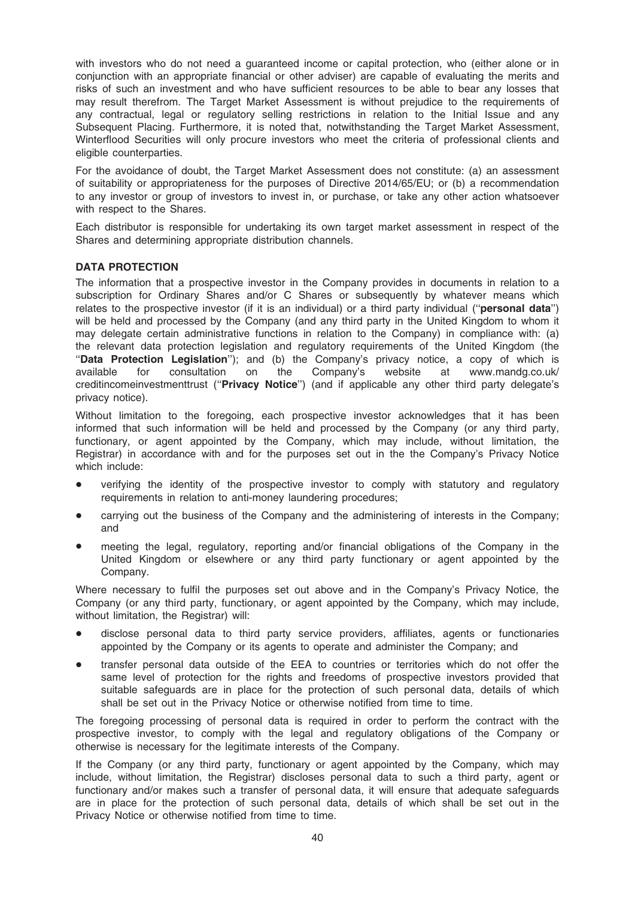with investors who do not need a guaranteed income or capital protection, who (either alone or in conjunction with an appropriate financial or other adviser) are capable of evaluating the merits and risks of such an investment and who have sufficient resources to be able to bear any losses that may result therefrom. The Target Market Assessment is without prejudice to the requirements of any contractual, legal or regulatory selling restrictions in relation to the Initial Issue and any Subsequent Placing. Furthermore, it is noted that, notwithstanding the Target Market Assessment, Winterflood Securities will only procure investors who meet the criteria of professional clients and eligible counterparties.

For the avoidance of doubt, the Target Market Assessment does not constitute: (a) an assessment of suitability or appropriateness for the purposes of Directive 2014/65/EU; or (b) a recommendation to any investor or group of investors to invest in, or purchase, or take any other action whatsoever with respect to the Shares.

Each distributor is responsible for undertaking its own target market assessment in respect of the Shares and determining appropriate distribution channels.

# DATA PROTECTION

The information that a prospective investor in the Company provides in documents in relation to a subscription for Ordinary Shares and/or C Shares or subsequently by whatever means which relates to the prospective investor (if it is an individual) or a third party individual ("personal data") will be held and processed by the Company (and any third party in the United Kingdom to whom it may delegate certain administrative functions in relation to the Company) in compliance with: (a) the relevant data protection legislation and regulatory requirements of the United Kingdom (the "Data Protection Legislation"); and (b) the Company's privacy notice, a copy of which is available for consultation on the Company's website at www.mando.co.uk/ for consultation on the Company's website at www.mandg.co.uk/ creditincomeinvestmenttrust ("Privacy Notice") (and if applicable any other third party delegate's privacy notice).

Without limitation to the foregoing, each prospective investor acknowledges that it has been informed that such information will be held and processed by the Company (or any third party, functionary, or agent appointed by the Company, which may include, without limitation, the Registrar) in accordance with and for the purposes set out in the the Company's Privacy Notice which include:

- verifying the identity of the prospective investor to comply with statutory and regulatory requirements in relation to anti-money laundering procedures;
- carrying out the business of the Company and the administering of interests in the Company; and
- meeting the legal, regulatory, reporting and/or financial obligations of the Company in the United Kingdom or elsewhere or any third party functionary or agent appointed by the Company.

Where necessary to fulfil the purposes set out above and in the Company's Privacy Notice, the Company (or any third party, functionary, or agent appointed by the Company, which may include, without limitation, the Registrar) will:

- disclose personal data to third party service providers, affiliates, agents or functionaries appointed by the Company or its agents to operate and administer the Company; and
- transfer personal data outside of the EEA to countries or territories which do not offer the same level of protection for the rights and freedoms of prospective investors provided that suitable safeguards are in place for the protection of such personal data, details of which shall be set out in the Privacy Notice or otherwise notified from time to time.

The foregoing processing of personal data is required in order to perform the contract with the prospective investor, to comply with the legal and regulatory obligations of the Company or otherwise is necessary for the legitimate interests of the Company.

If the Company (or any third party, functionary or agent appointed by the Company, which may include, without limitation, the Registrar) discloses personal data to such a third party, agent or functionary and/or makes such a transfer of personal data, it will ensure that adequate safeguards are in place for the protection of such personal data, details of which shall be set out in the Privacy Notice or otherwise notified from time to time.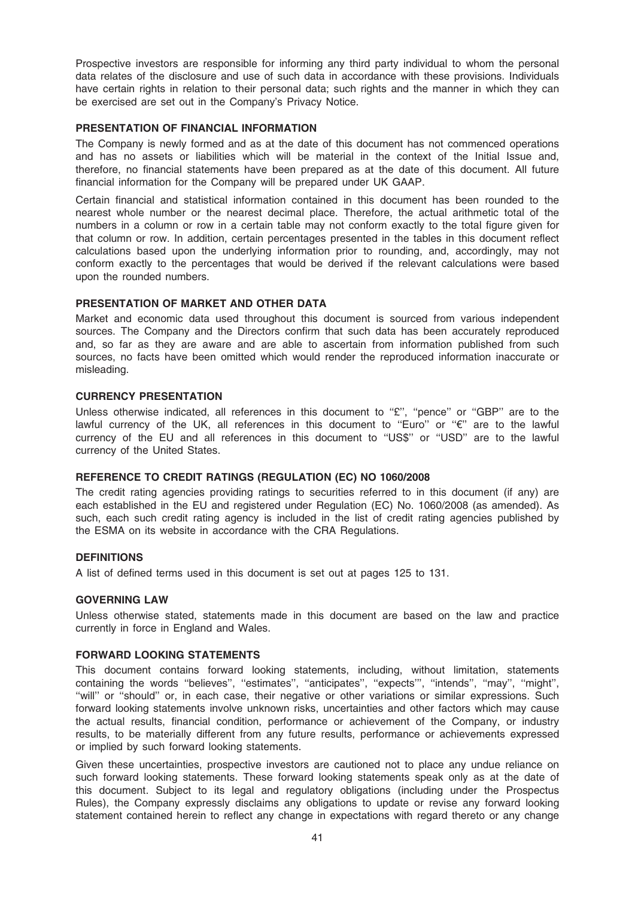Prospective investors are responsible for informing any third party individual to whom the personal data relates of the disclosure and use of such data in accordance with these provisions. Individuals have certain rights in relation to their personal data; such rights and the manner in which they can be exercised are set out in the Company's Privacy Notice.

#### PRESENTATION OF FINANCIAL INFORMATION

The Company is newly formed and as at the date of this document has not commenced operations and has no assets or liabilities which will be material in the context of the Initial Issue and, therefore, no financial statements have been prepared as at the date of this document. All future financial information for the Company will be prepared under UK GAAP.

Certain financial and statistical information contained in this document has been rounded to the nearest whole number or the nearest decimal place. Therefore, the actual arithmetic total of the numbers in a column or row in a certain table may not conform exactly to the total figure given for that column or row. In addition, certain percentages presented in the tables in this document reflect calculations based upon the underlying information prior to rounding, and, accordingly, may not conform exactly to the percentages that would be derived if the relevant calculations were based upon the rounded numbers.

# PRESENTATION OF MARKET AND OTHER DATA

Market and economic data used throughout this document is sourced from various independent sources. The Company and the Directors confirm that such data has been accurately reproduced and, so far as they are aware and are able to ascertain from information published from such sources, no facts have been omitted which would render the reproduced information inaccurate or misleading.

# CURRENCY PRESENTATION

Unless otherwise indicated, all references in this document to "£", "pence" or "GBP" are to the lawful currency of the UK, all references in this document to "Euro" or " $\epsilon$ " are to the lawful currency of the EU and all references in this document to "US\$" or "USD" are to the lawful currency of the United States.

#### REFERENCE TO CREDIT RATINGS (REGULATION (EC) NO 1060/2008

The credit rating agencies providing ratings to securities referred to in this document (if any) are each established in the EU and registered under Regulation (EC) No. 1060/2008 (as amended). As such, each such credit rating agency is included in the list of credit rating agencies published by the ESMA on its website in accordance with the CRA Regulations.

#### **DEFINITIONS**

A list of defined terms used in this document is set out at pages 125 to 131.

#### GOVERNING LAW

Unless otherwise stated, statements made in this document are based on the law and practice currently in force in England and Wales.

#### FORWARD LOOKING STATEMENTS

This document contains forward looking statements, including, without limitation, statements containing the words ''believes'', ''estimates'', ''anticipates'', ''expects''', ''intends'', ''may'', ''might'', "will" or "should" or, in each case, their negative or other variations or similar expressions. Such forward looking statements involve unknown risks, uncertainties and other factors which may cause the actual results, financial condition, performance or achievement of the Company, or industry results, to be materially different from any future results, performance or achievements expressed or implied by such forward looking statements.

Given these uncertainties, prospective investors are cautioned not to place any undue reliance on such forward looking statements. These forward looking statements speak only as at the date of this document. Subject to its legal and regulatory obligations (including under the Prospectus Rules), the Company expressly disclaims any obligations to update or revise any forward looking statement contained herein to reflect any change in expectations with regard thereto or any change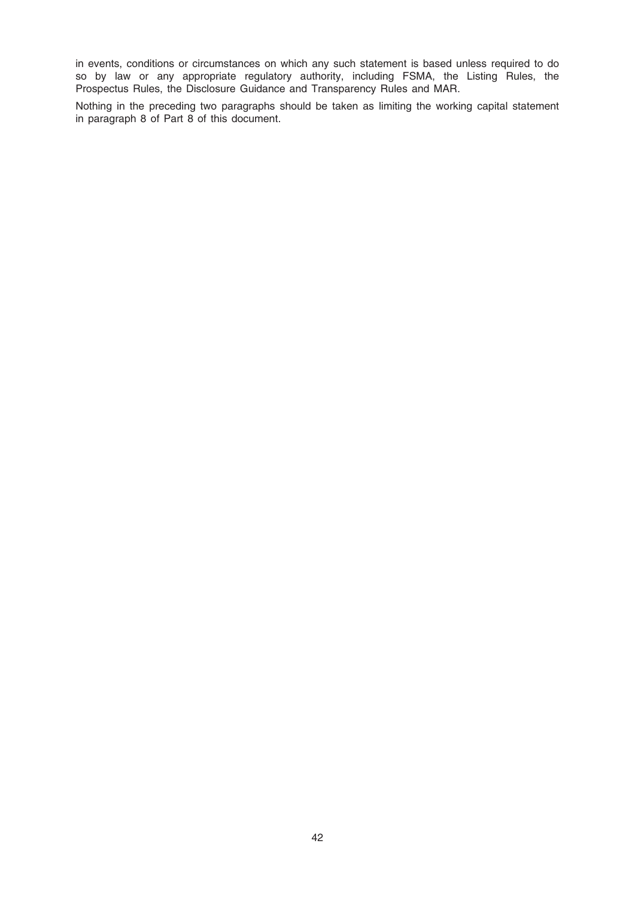in events, conditions or circumstances on which any such statement is based unless required to do so by law or any appropriate regulatory authority, including FSMA, the Listing Rules, the Prospectus Rules, the Disclosure Guidance and Transparency Rules and MAR.

Nothing in the preceding two paragraphs should be taken as limiting the working capital statement in paragraph 8 of Part 8 of this document.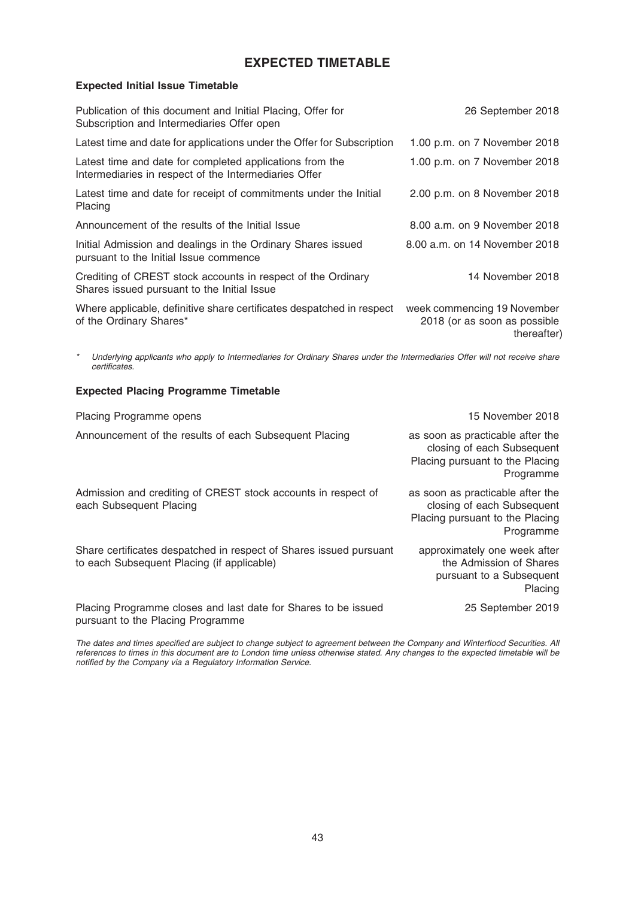# EXPECTED TIMETABLE

# Expected Initial Issue Timetable

| Publication of this document and Initial Placing, Offer for<br>Subscription and Intermediaries Offer open         | 26 September 2018                                                          |
|-------------------------------------------------------------------------------------------------------------------|----------------------------------------------------------------------------|
| Latest time and date for applications under the Offer for Subscription                                            | 1.00 p.m. on 7 November 2018                                               |
| Latest time and date for completed applications from the<br>Intermediaries in respect of the Intermediaries Offer | 1.00 p.m. on 7 November 2018                                               |
| Latest time and date for receipt of commitments under the Initial<br>Placing                                      | 2.00 p.m. on 8 November 2018                                               |
| Announcement of the results of the Initial Issue                                                                  | 8.00 a.m. on 9 November 2018                                               |
| Initial Admission and dealings in the Ordinary Shares issued<br>pursuant to the Initial Issue commence            | 8.00 a.m. on 14 November 2018                                              |
| Crediting of CREST stock accounts in respect of the Ordinary<br>Shares issued pursuant to the Initial Issue       | 14 November 2018                                                           |
| Where applicable, definitive share certificates despatched in respect<br>of the Ordinary Shares*                  | week commencing 19 November<br>2018 (or as soon as possible<br>thereafter) |

\* Underlying applicants who apply to Intermediaries for Ordinary Shares under the Intermediaries Offer will not receive share certificates.

# Expected Placing Programme Timetable

| Placing Programme opens                                                                                          | 15 November 2018                                                                                               |
|------------------------------------------------------------------------------------------------------------------|----------------------------------------------------------------------------------------------------------------|
| Announcement of the results of each Subsequent Placing                                                           | as soon as practicable after the<br>closing of each Subsequent<br>Placing pursuant to the Placing<br>Programme |
| Admission and crediting of CREST stock accounts in respect of<br>each Subsequent Placing                         | as soon as practicable after the<br>closing of each Subsequent<br>Placing pursuant to the Placing<br>Programme |
| Share certificates despatched in respect of Shares issued pursuant<br>to each Subsequent Placing (if applicable) | approximately one week after<br>the Admission of Shares<br>pursuant to a Subsequent<br>Placing                 |
| Placing Programme closes and last date for Shares to be issued<br>pursuant to the Placing Programme              | 25 September 2019                                                                                              |

The dates and times specified are subject to change subject to agreement between the Company and Winterflood Securities. All references to times in this document are to London time unless otherwise stated. Any changes to the expected timetable will be notified by the Company via a Regulatory Information Service.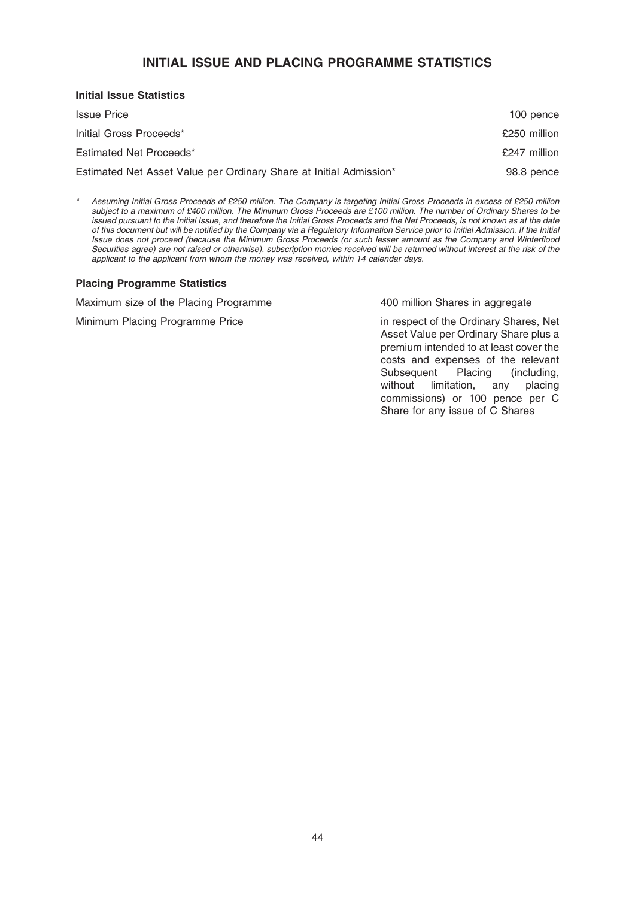# INITIAL ISSUE AND PLACING PROGRAMME STATISTICS

#### Initial Issue Statistics

| <b>Issue Price</b>                                                 | 100 pence    |
|--------------------------------------------------------------------|--------------|
| Initial Gross Proceeds*                                            | £250 million |
| Estimated Net Proceeds*                                            | £247 million |
| Estimated Net Asset Value per Ordinary Share at Initial Admission* | 98.8 pence   |

Assuming Initial Gross Proceeds of £250 million. The Company is targeting Initial Gross Proceeds in excess of £250 million subject to a maximum of £400 million. The Minimum Gross Proceeds are £100 million. The number of Ordinary Shares to be issued pursuant to the Initial Issue, and therefore the Initial Gross Proceeds and the Net Proceeds, is not known as at the date of this document but will be notified by the Company via a Regulatory Information Service prior to Initial Admission. If the Initial Issue does not proceed (because the Minimum Gross Proceeds (or such lesser amount as the Company and Winterflood Securities agree) are not raised or otherwise), subscription monies received will be returned without interest at the risk of the applicant to the applicant from whom the money was received, within 14 calendar days.

#### Placing Programme Statistics

Maximum size of the Placing Programme 400 million Shares in aggregate Minimum Placing Programme Price in respect of the Ordinary Shares, Net Asset Value per Ordinary Share plus a premium intended to at least cover the costs and expenses of the relevant Subsequent Placing (including, without limitation, any placing

> commissions) or 100 pence per C Share for any issue of C Shares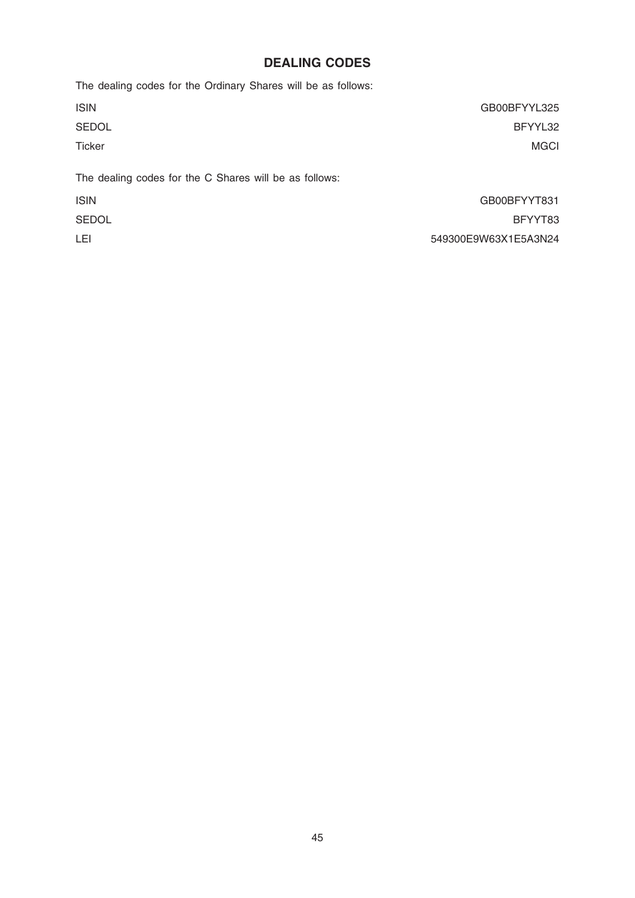# DEALING CODES

The dealing codes for the Ordinary Shares will be as follows:

| <b>ISIN</b>                                            | GB00BFYYL325 |
|--------------------------------------------------------|--------------|
| <b>SEDOL</b>                                           | BFYYL32      |
| <b>Ticker</b>                                          | <b>MGCI</b>  |
| The dealing codes for the C Shares will be as follows: |              |

ISIN GB00BFYYT831

SEDOL BFYYT83 LEI 549300E9W63X1E5A3N24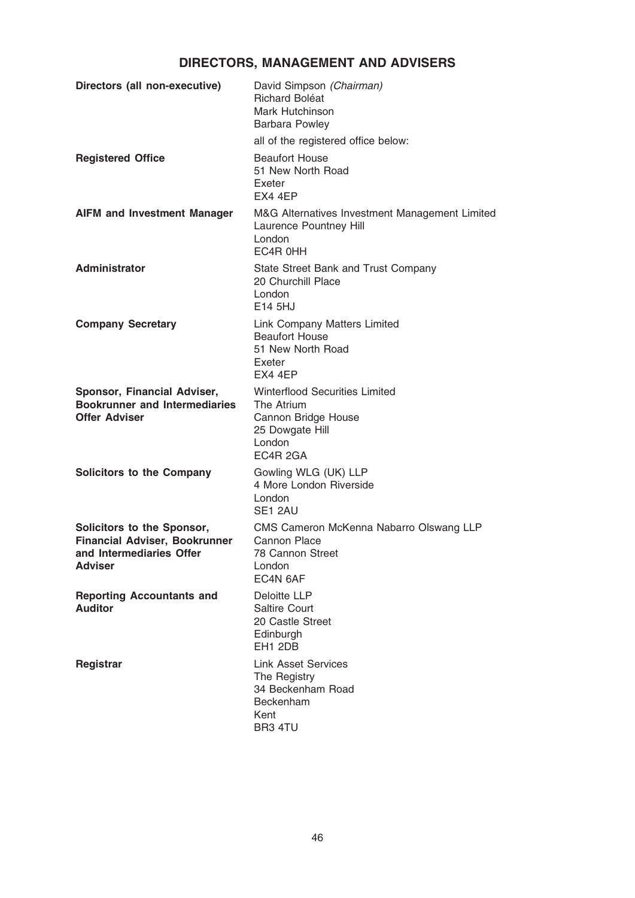# DIRECTORS, MANAGEMENT AND ADVISERS

| Directors (all non-executive)                                                                                    | David Simpson (Chairman)<br><b>Richard Boléat</b><br>Mark Hutchinson<br><b>Barbara Powley</b>                                  |
|------------------------------------------------------------------------------------------------------------------|--------------------------------------------------------------------------------------------------------------------------------|
|                                                                                                                  | all of the registered office below:                                                                                            |
| <b>Registered Office</b>                                                                                         | <b>Beaufort House</b><br>51 New North Road<br>Exeter<br>EX4 4EP                                                                |
| <b>AIFM and Investment Manager</b>                                                                               | M&G Alternatives Investment Management Limited<br>Laurence Pountney Hill<br>London<br>EC4R 0HH                                 |
| <b>Administrator</b>                                                                                             | State Street Bank and Trust Company<br>20 Churchill Place<br>London<br>E14 5HJ                                                 |
| <b>Company Secretary</b>                                                                                         | <b>Link Company Matters Limited</b><br><b>Beaufort House</b><br>51 New North Road<br>Exeter<br>EX4 4EP                         |
| Sponsor, Financial Adviser,<br><b>Bookrunner and Intermediaries</b><br><b>Offer Adviser</b>                      | <b>Winterflood Securities Limited</b><br>The Atrium<br>Cannon Bridge House<br>25 Dowgate Hill<br>London<br>EC4R <sub>2GA</sub> |
| <b>Solicitors to the Company</b>                                                                                 | Gowling WLG (UK) LLP<br>4 More London Riverside<br>London<br>SE1 2AU                                                           |
| Solicitors to the Sponsor,<br><b>Financial Adviser, Bookrunner</b><br>and Intermediaries Offer<br><b>Adviser</b> | CMS Cameron McKenna Nabarro Olswang LLP<br><b>Cannon Place</b><br>78 Cannon Street<br>London<br>EC4N 6AF                       |
| <b>Reporting Accountants and</b><br><b>Auditor</b>                                                               | Deloitte LLP<br><b>Saltire Court</b><br>20 Castle Street<br>Edinburgh<br>EH1 2DB                                               |
| Registrar                                                                                                        | <b>Link Asset Services</b><br>The Registry<br>34 Beckenham Road<br>Beckenham<br>Kent<br>BR3 4TU                                |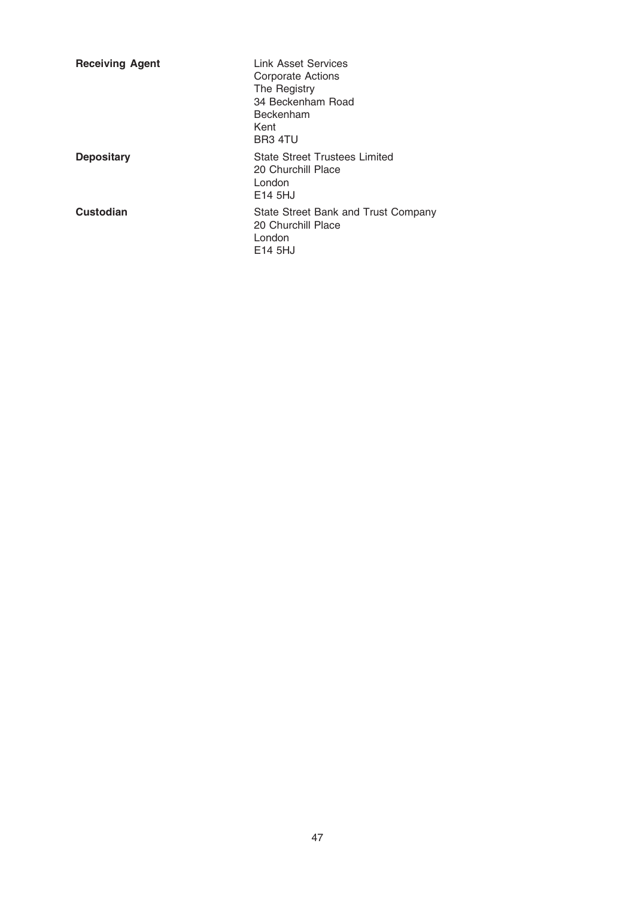| <b>Receiving Agent</b> | Link Asset Services                                                             |
|------------------------|---------------------------------------------------------------------------------|
|                        | Corporate Actions                                                               |
|                        | The Registry                                                                    |
|                        | 34 Beckenham Road                                                               |
|                        | Beckenham                                                                       |
|                        | Kent                                                                            |
|                        | BR <sub>3</sub> 4TU                                                             |
| <b>Depositary</b>      | <b>State Street Trustees Limited</b><br>20 Churchill Place<br>London<br>E14 5HJ |
| Custodian              | State Street Bank and Trust Company<br>20 Churchill Place<br>London<br>E14 5HJ  |
|                        |                                                                                 |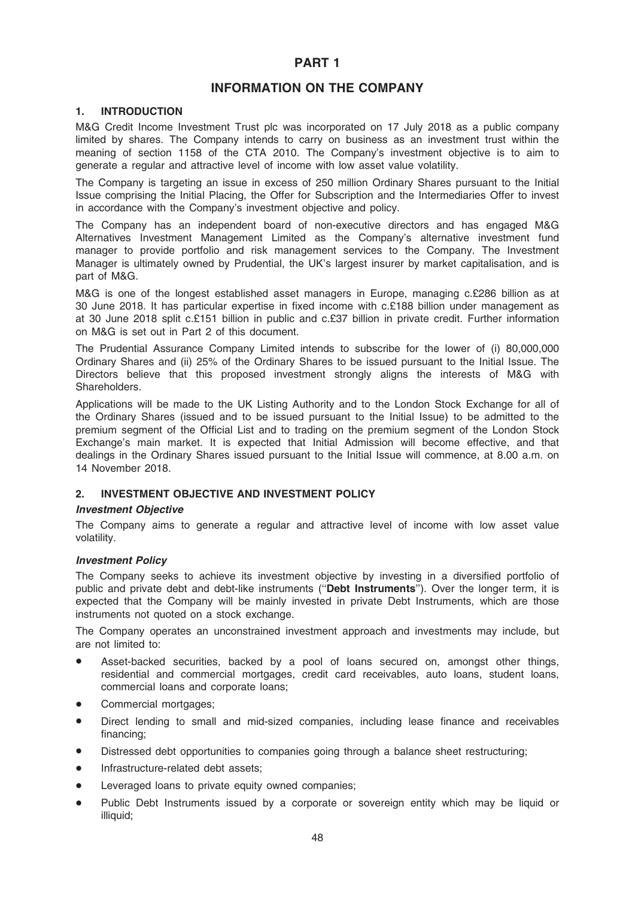# PART 1

# INFORMATION ON THE COMPANY

# 1. INTRODUCTION

M&G Credit Income Investment Trust plc was incorporated on 17 July 2018 as a public company limited by shares. The Company intends to carry on business as an investment trust within the meaning of section 1158 of the CTA 2010. The Company's investment objective is to aim to generate a regular and attractive level of income with low asset value volatility.

The Company is targeting an issue in excess of 250 million Ordinary Shares pursuant to the Initial Issue comprising the Initial Placing, the Offer for Subscription and the Intermediaries Offer to invest in accordance with the Company's investment objective and policy.

The Company has an independent board of non-executive directors and has engaged M&G Alternatives Investment Management Limited as the Company's alternative investment fund manager to provide portfolio and risk management services to the Company. The Investment Manager is ultimately owned by Prudential, the UK's largest insurer by market capitalisation, and is part of M&G.

M&G is one of the longest established asset managers in Europe, managing c.£286 billion as at 30 June 2018. It has particular expertise in fixed income with c.£188 billion under management as at 30 June 2018 split c.£151 billion in public and c.£37 billion in private credit. Further information on M&G is set out in Part 2 of this document.

The Prudential Assurance Company Limited intends to subscribe for the lower of (i) 80,000,000 Ordinary Shares and (ii) 25% of the Ordinary Shares to be issued pursuant to the Initial Issue. The Directors believe that this proposed investment strongly aligns the interests of M&G with Shareholders.

Applications will be made to the UK Listing Authority and to the London Stock Exchange for all of the Ordinary Shares (issued and to be issued pursuant to the Initial Issue) to be admitted to the premium segment of the Official List and to trading on the premium segment of the London Stock Exchange's main market. It is expected that Initial Admission will become effective, and that dealings in the Ordinary Shares issued pursuant to the Initial Issue will commence, at 8.00 a.m. on 14 November 2018.

# 2. INVESTMENT OBJECTIVE AND INVESTMENT POLICY

# Investment Objective

The Company aims to generate a regular and attractive level of income with low asset value volatility.

# Investment Policy

The Company seeks to achieve its investment objective by investing in a diversified portfolio of public and private debt and debt-like instruments ("Debt Instruments"). Over the longer term, it is expected that the Company will be mainly invested in private Debt Instruments, which are those instruments not quoted on a stock exchange.

The Company operates an unconstrained investment approach and investments may include, but are not limited to:

- Asset-backed securities, backed by a pool of loans secured on, amongst other things, residential and commercial mortgages, credit card receivables, auto loans, student loans, commercial loans and corporate loans;
- Commercial mortgages;
- Direct lending to small and mid-sized companies, including lease finance and receivables financing;
- Distressed debt opportunities to companies going through a balance sheet restructuring;
- Infrastructure-related debt assets;
- Leveraged loans to private equity owned companies;
- Public Debt Instruments issued by a corporate or sovereign entity which may be liquid or illiquid;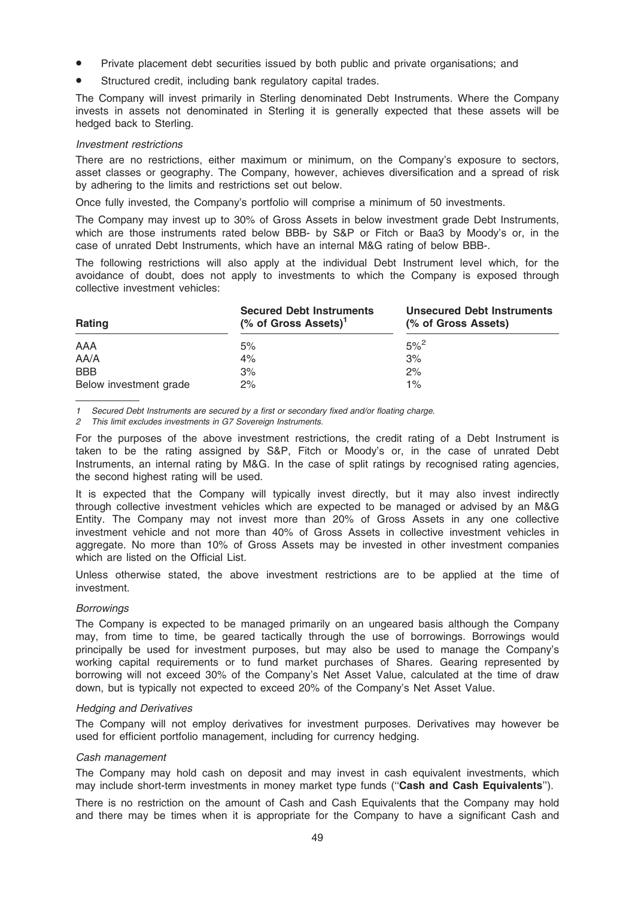- Private placement debt securities issued by both public and private organisations; and
- Structured credit, including bank regulatory capital trades.

The Company will invest primarily in Sterling denominated Debt Instruments. Where the Company invests in assets not denominated in Sterling it is generally expected that these assets will be hedged back to Sterling.

#### Investment restrictions

There are no restrictions, either maximum or minimum, on the Company's exposure to sectors, asset classes or geography. The Company, however, achieves diversification and a spread of risk by adhering to the limits and restrictions set out below.

Once fully invested, the Company's portfolio will comprise a minimum of 50 investments.

The Company may invest up to 30% of Gross Assets in below investment grade Debt Instruments, which are those instruments rated below BBB- by S&P or Fitch or Baa3 by Moody's or, in the case of unrated Debt Instruments, which have an internal M&G rating of below BBB-.

The following restrictions will also apply at the individual Debt Instrument level which, for the avoidance of doubt, does not apply to investments to which the Company is exposed through collective investment vehicles:

| <b>Rating</b>          | <b>Secured Debt Instruments</b><br>(% of Gross Assets) <sup>1</sup> | <b>Unsecured Debt Instruments</b><br>(% of Gross Assets) |
|------------------------|---------------------------------------------------------------------|----------------------------------------------------------|
| AAA                    | 5%                                                                  | $5\%^2$                                                  |
| AA/A                   | 4%                                                                  | 3%                                                       |
| <b>BBB</b>             | 3%                                                                  | 2%                                                       |
| Below investment grade | 2%                                                                  | $1\%$                                                    |

1 Secured Debt Instruments are secured by a first or secondary fixed and/or floating charge.

2 This limit excludes investments in G7 Sovereign Instruments.

For the purposes of the above investment restrictions, the credit rating of a Debt Instrument is taken to be the rating assigned by S&P, Fitch or Moody's or, in the case of unrated Debt Instruments, an internal rating by M&G. In the case of split ratings by recognised rating agencies, the second highest rating will be used.

It is expected that the Company will typically invest directly, but it may also invest indirectly through collective investment vehicles which are expected to be managed or advised by an M&G Entity. The Company may not invest more than 20% of Gross Assets in any one collective investment vehicle and not more than 40% of Gross Assets in collective investment vehicles in aggregate. No more than 10% of Gross Assets may be invested in other investment companies which are listed on the Official List.

Unless otherwise stated, the above investment restrictions are to be applied at the time of investment.

#### Borrowings

The Company is expected to be managed primarily on an ungeared basis although the Company may, from time to time, be geared tactically through the use of borrowings. Borrowings would principally be used for investment purposes, but may also be used to manage the Company's working capital requirements or to fund market purchases of Shares. Gearing represented by borrowing will not exceed 30% of the Company's Net Asset Value, calculated at the time of draw down, but is typically not expected to exceed 20% of the Company's Net Asset Value.

#### Hedging and Derivatives

The Company will not employ derivatives for investment purposes. Derivatives may however be used for efficient portfolio management, including for currency hedging.

#### Cash management

The Company may hold cash on deposit and may invest in cash equivalent investments, which may include short-term investments in money market type funds ("Cash and Cash Equivalents").

There is no restriction on the amount of Cash and Cash Equivalents that the Company may hold and there may be times when it is appropriate for the Company to have a significant Cash and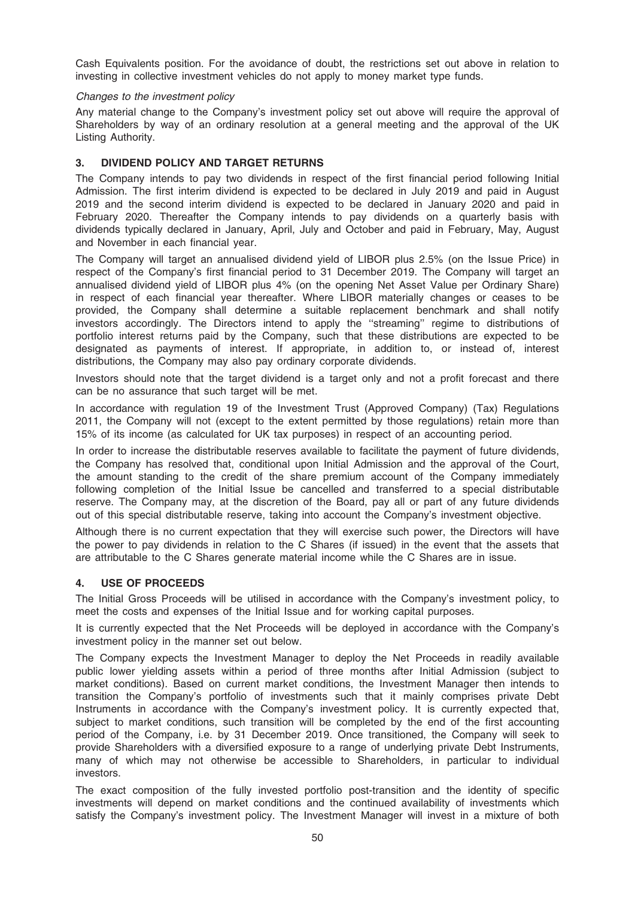Cash Equivalents position. For the avoidance of doubt, the restrictions set out above in relation to investing in collective investment vehicles do not apply to money market type funds.

# Changes to the investment policy

Any material change to the Company's investment policy set out above will require the approval of Shareholders by way of an ordinary resolution at a general meeting and the approval of the UK Listing Authority.

# 3. DIVIDEND POLICY AND TARGET RETURNS

The Company intends to pay two dividends in respect of the first financial period following Initial Admission. The first interim dividend is expected to be declared in July 2019 and paid in August 2019 and the second interim dividend is expected to be declared in January 2020 and paid in February 2020. Thereafter the Company intends to pay dividends on a quarterly basis with dividends typically declared in January, April, July and October and paid in February, May, August and November in each financial year.

The Company will target an annualised dividend yield of LIBOR plus 2.5% (on the Issue Price) in respect of the Company's first financial period to 31 December 2019. The Company will target an annualised dividend yield of LIBOR plus 4% (on the opening Net Asset Value per Ordinary Share) in respect of each financial year thereafter. Where LIBOR materially changes or ceases to be provided, the Company shall determine a suitable replacement benchmark and shall notify investors accordingly. The Directors intend to apply the ''streaming'' regime to distributions of portfolio interest returns paid by the Company, such that these distributions are expected to be designated as payments of interest. If appropriate, in addition to, or instead of, interest distributions, the Company may also pay ordinary corporate dividends.

Investors should note that the target dividend is a target only and not a profit forecast and there can be no assurance that such target will be met.

In accordance with regulation 19 of the Investment Trust (Approved Company) (Tax) Regulations 2011, the Company will not (except to the extent permitted by those regulations) retain more than 15% of its income (as calculated for UK tax purposes) in respect of an accounting period.

In order to increase the distributable reserves available to facilitate the payment of future dividends, the Company has resolved that, conditional upon Initial Admission and the approval of the Court, the amount standing to the credit of the share premium account of the Company immediately following completion of the Initial Issue be cancelled and transferred to a special distributable reserve. The Company may, at the discretion of the Board, pay all or part of any future dividends out of this special distributable reserve, taking into account the Company's investment objective.

Although there is no current expectation that they will exercise such power, the Directors will have the power to pay dividends in relation to the C Shares (if issued) in the event that the assets that are attributable to the C Shares generate material income while the C Shares are in issue.

# 4. USE OF PROCEEDS

The Initial Gross Proceeds will be utilised in accordance with the Company's investment policy, to meet the costs and expenses of the Initial Issue and for working capital purposes.

It is currently expected that the Net Proceeds will be deployed in accordance with the Company's investment policy in the manner set out below.

The Company expects the Investment Manager to deploy the Net Proceeds in readily available public lower yielding assets within a period of three months after Initial Admission (subject to market conditions). Based on current market conditions, the Investment Manager then intends to transition the Company's portfolio of investments such that it mainly comprises private Debt Instruments in accordance with the Company's investment policy. It is currently expected that, subject to market conditions, such transition will be completed by the end of the first accounting period of the Company, i.e. by 31 December 2019. Once transitioned, the Company will seek to provide Shareholders with a diversified exposure to a range of underlying private Debt Instruments, many of which may not otherwise be accessible to Shareholders, in particular to individual investors.

The exact composition of the fully invested portfolio post-transition and the identity of specific investments will depend on market conditions and the continued availability of investments which satisfy the Company's investment policy. The Investment Manager will invest in a mixture of both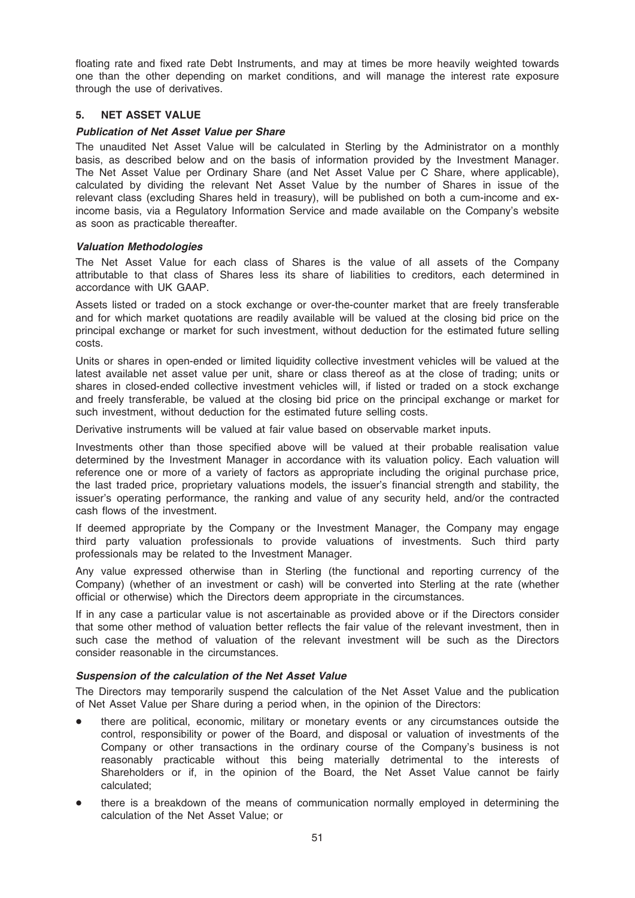floating rate and fixed rate Debt Instruments, and may at times be more heavily weighted towards one than the other depending on market conditions, and will manage the interest rate exposure through the use of derivatives.

# 5. NET ASSET VALUE

#### Publication of Net Asset Value per Share

The unaudited Net Asset Value will be calculated in Sterling by the Administrator on a monthly basis, as described below and on the basis of information provided by the Investment Manager. The Net Asset Value per Ordinary Share (and Net Asset Value per C Share, where applicable), calculated by dividing the relevant Net Asset Value by the number of Shares in issue of the relevant class (excluding Shares held in treasury), will be published on both a cum-income and exincome basis, via a Regulatory Information Service and made available on the Company's website as soon as practicable thereafter.

## Valuation Methodologies

The Net Asset Value for each class of Shares is the value of all assets of the Company attributable to that class of Shares less its share of liabilities to creditors, each determined in accordance with UK GAAP.

Assets listed or traded on a stock exchange or over-the-counter market that are freely transferable and for which market quotations are readily available will be valued at the closing bid price on the principal exchange or market for such investment, without deduction for the estimated future selling costs.

Units or shares in open-ended or limited liquidity collective investment vehicles will be valued at the latest available net asset value per unit, share or class thereof as at the close of trading; units or shares in closed-ended collective investment vehicles will, if listed or traded on a stock exchange and freely transferable, be valued at the closing bid price on the principal exchange or market for such investment, without deduction for the estimated future selling costs.

Derivative instruments will be valued at fair value based on observable market inputs.

Investments other than those specified above will be valued at their probable realisation value determined by the Investment Manager in accordance with its valuation policy. Each valuation will reference one or more of a variety of factors as appropriate including the original purchase price, the last traded price, proprietary valuations models, the issuer's financial strength and stability, the issuer's operating performance, the ranking and value of any security held, and/or the contracted cash flows of the investment.

If deemed appropriate by the Company or the Investment Manager, the Company may engage third party valuation professionals to provide valuations of investments. Such third party professionals may be related to the Investment Manager.

Any value expressed otherwise than in Sterling (the functional and reporting currency of the Company) (whether of an investment or cash) will be converted into Sterling at the rate (whether official or otherwise) which the Directors deem appropriate in the circumstances.

If in any case a particular value is not ascertainable as provided above or if the Directors consider that some other method of valuation better reflects the fair value of the relevant investment, then in such case the method of valuation of the relevant investment will be such as the Directors consider reasonable in the circumstances.

# Suspension of the calculation of the Net Asset Value

The Directors may temporarily suspend the calculation of the Net Asset Value and the publication of Net Asset Value per Share during a period when, in the opinion of the Directors:

- there are political, economic, military or monetary events or any circumstances outside the control, responsibility or power of the Board, and disposal or valuation of investments of the Company or other transactions in the ordinary course of the Company's business is not reasonably practicable without this being materially detrimental to the interests of Shareholders or if, in the opinion of the Board, the Net Asset Value cannot be fairly calculated;
- there is a breakdown of the means of communication normally employed in determining the calculation of the Net Asset Value; or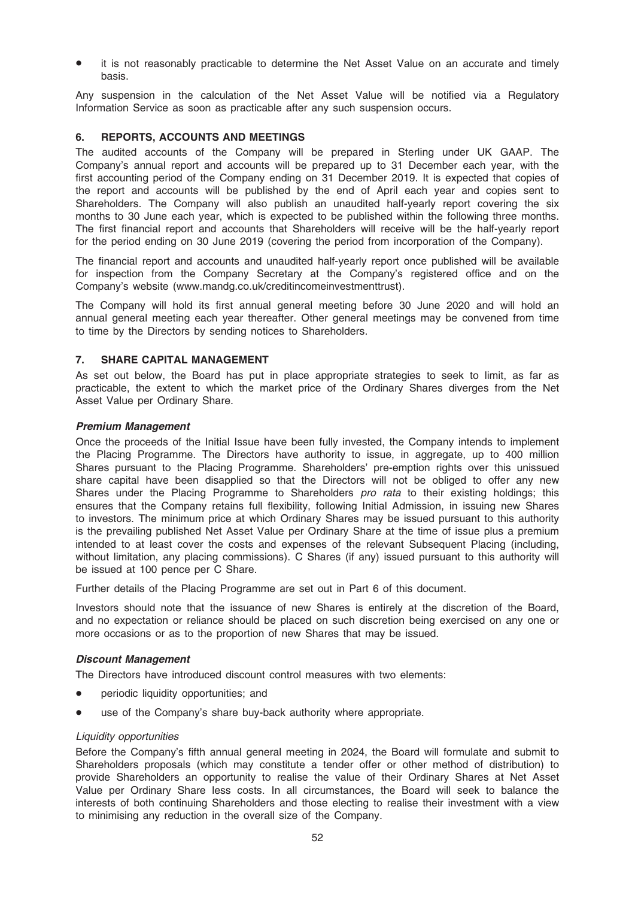it is not reasonably practicable to determine the Net Asset Value on an accurate and timely basis.

Any suspension in the calculation of the Net Asset Value will be notified via a Regulatory Information Service as soon as practicable after any such suspension occurs.

## 6. REPORTS, ACCOUNTS AND MEETINGS

The audited accounts of the Company will be prepared in Sterling under UK GAAP. The Company's annual report and accounts will be prepared up to 31 December each year, with the first accounting period of the Company ending on 31 December 2019. It is expected that copies of the report and accounts will be published by the end of April each year and copies sent to Shareholders. The Company will also publish an unaudited half-yearly report covering the six months to 30 June each year, which is expected to be published within the following three months. The first financial report and accounts that Shareholders will receive will be the half-yearly report for the period ending on 30 June 2019 (covering the period from incorporation of the Company).

The financial report and accounts and unaudited half-yearly report once published will be available for inspection from the Company Secretary at the Company's registered office and on the Company's website (www.mandg.co.uk/creditincomeinvestmenttrust).

The Company will hold its first annual general meeting before 30 June 2020 and will hold an annual general meeting each year thereafter. Other general meetings may be convened from time to time by the Directors by sending notices to Shareholders.

# 7. SHARE CAPITAL MANAGEMENT

As set out below, the Board has put in place appropriate strategies to seek to limit, as far as practicable, the extent to which the market price of the Ordinary Shares diverges from the Net Asset Value per Ordinary Share.

## Premium Management

Once the proceeds of the Initial Issue have been fully invested, the Company intends to implement the Placing Programme. The Directors have authority to issue, in aggregate, up to 400 million Shares pursuant to the Placing Programme. Shareholders' pre-emption rights over this unissued share capital have been disapplied so that the Directors will not be obliged to offer any new Shares under the Placing Programme to Shareholders pro rata to their existing holdings; this ensures that the Company retains full flexibility, following Initial Admission, in issuing new Shares to investors. The minimum price at which Ordinary Shares may be issued pursuant to this authority is the prevailing published Net Asset Value per Ordinary Share at the time of issue plus a premium intended to at least cover the costs and expenses of the relevant Subsequent Placing (including, without limitation, any placing commissions). C Shares (if any) issued pursuant to this authority will be issued at 100 pence per C Share.

Further details of the Placing Programme are set out in Part 6 of this document.

Investors should note that the issuance of new Shares is entirely at the discretion of the Board, and no expectation or reliance should be placed on such discretion being exercised on any one or more occasions or as to the proportion of new Shares that may be issued.

# Discount Management

The Directors have introduced discount control measures with two elements:

- periodic liquidity opportunities; and
- use of the Company's share buy-back authority where appropriate.

#### Liquidity opportunities

Before the Company's fifth annual general meeting in 2024, the Board will formulate and submit to Shareholders proposals (which may constitute a tender offer or other method of distribution) to provide Shareholders an opportunity to realise the value of their Ordinary Shares at Net Asset Value per Ordinary Share less costs. In all circumstances, the Board will seek to balance the interests of both continuing Shareholders and those electing to realise their investment with a view to minimising any reduction in the overall size of the Company.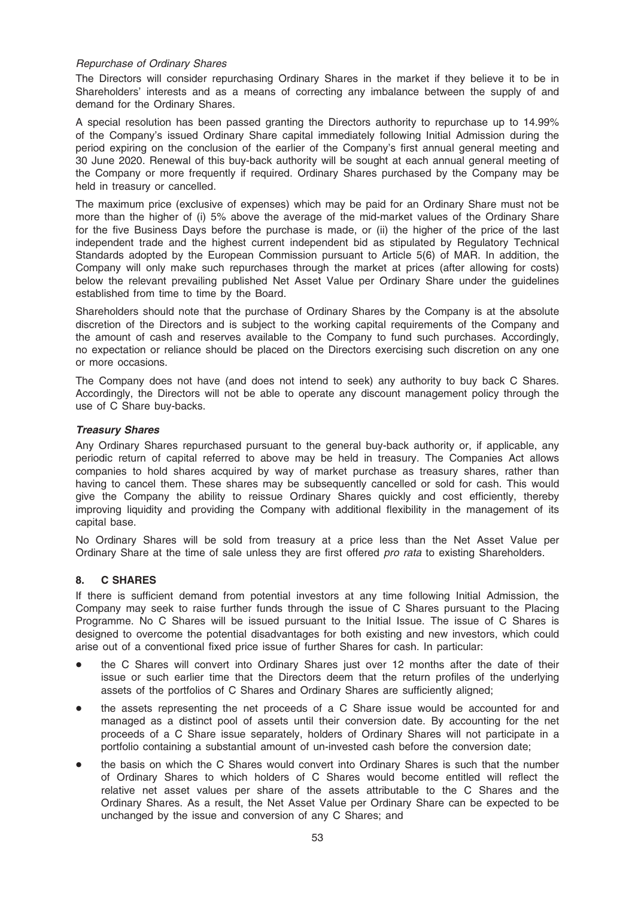# Repurchase of Ordinary Shares

The Directors will consider repurchasing Ordinary Shares in the market if they believe it to be in Shareholders' interests and as a means of correcting any imbalance between the supply of and demand for the Ordinary Shares.

A special resolution has been passed granting the Directors authority to repurchase up to 14.99% of the Company's issued Ordinary Share capital immediately following Initial Admission during the period expiring on the conclusion of the earlier of the Company's first annual general meeting and 30 June 2020. Renewal of this buy-back authority will be sought at each annual general meeting of the Company or more frequently if required. Ordinary Shares purchased by the Company may be held in treasury or cancelled.

The maximum price (exclusive of expenses) which may be paid for an Ordinary Share must not be more than the higher of (i) 5% above the average of the mid-market values of the Ordinary Share for the five Business Days before the purchase is made, or (ii) the higher of the price of the last independent trade and the highest current independent bid as stipulated by Regulatory Technical Standards adopted by the European Commission pursuant to Article 5(6) of MAR. In addition, the Company will only make such repurchases through the market at prices (after allowing for costs) below the relevant prevailing published Net Asset Value per Ordinary Share under the guidelines established from time to time by the Board.

Shareholders should note that the purchase of Ordinary Shares by the Company is at the absolute discretion of the Directors and is subject to the working capital requirements of the Company and the amount of cash and reserves available to the Company to fund such purchases. Accordingly, no expectation or reliance should be placed on the Directors exercising such discretion on any one or more occasions.

The Company does not have (and does not intend to seek) any authority to buy back C Shares. Accordingly, the Directors will not be able to operate any discount management policy through the use of C Share buy-backs.

#### Treasury Shares

Any Ordinary Shares repurchased pursuant to the general buy-back authority or, if applicable, any periodic return of capital referred to above may be held in treasury. The Companies Act allows companies to hold shares acquired by way of market purchase as treasury shares, rather than having to cancel them. These shares may be subsequently cancelled or sold for cash. This would give the Company the ability to reissue Ordinary Shares quickly and cost efficiently, thereby improving liquidity and providing the Company with additional flexibility in the management of its capital base.

No Ordinary Shares will be sold from treasury at a price less than the Net Asset Value per Ordinary Share at the time of sale unless they are first offered pro rata to existing Shareholders.

# 8. C SHARES

If there is sufficient demand from potential investors at any time following Initial Admission, the Company may seek to raise further funds through the issue of C Shares pursuant to the Placing Programme. No C Shares will be issued pursuant to the Initial Issue. The issue of C Shares is designed to overcome the potential disadvantages for both existing and new investors, which could arise out of a conventional fixed price issue of further Shares for cash. In particular:

- the C Shares will convert into Ordinary Shares just over 12 months after the date of their issue or such earlier time that the Directors deem that the return profiles of the underlying assets of the portfolios of C Shares and Ordinary Shares are sufficiently aligned;
- the assets representing the net proceeds of a C Share issue would be accounted for and managed as a distinct pool of assets until their conversion date. By accounting for the net proceeds of a C Share issue separately, holders of Ordinary Shares will not participate in a portfolio containing a substantial amount of un-invested cash before the conversion date;
- the basis on which the C Shares would convert into Ordinary Shares is such that the number of Ordinary Shares to which holders of C Shares would become entitled will reflect the relative net asset values per share of the assets attributable to the C Shares and the Ordinary Shares. As a result, the Net Asset Value per Ordinary Share can be expected to be unchanged by the issue and conversion of any C Shares; and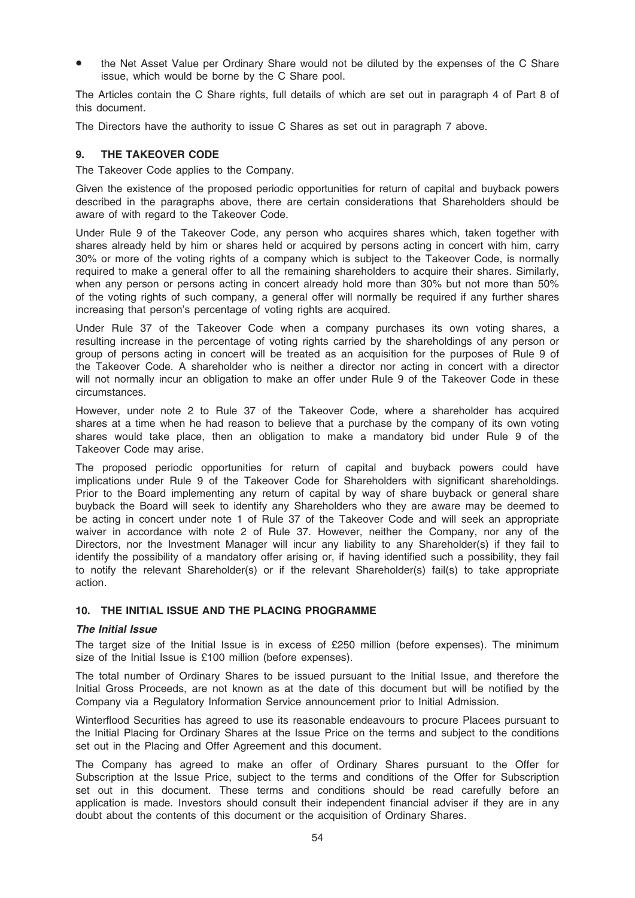the Net Asset Value per Ordinary Share would not be diluted by the expenses of the C Share issue, which would be borne by the C Share pool.

The Articles contain the C Share rights, full details of which are set out in paragraph 4 of Part 8 of this document.

The Directors have the authority to issue C Shares as set out in paragraph 7 above.

# 9. THE TAKEOVER CODE

The Takeover Code applies to the Company.

Given the existence of the proposed periodic opportunities for return of capital and buyback powers described in the paragraphs above, there are certain considerations that Shareholders should be aware of with regard to the Takeover Code.

Under Rule 9 of the Takeover Code, any person who acquires shares which, taken together with shares already held by him or shares held or acquired by persons acting in concert with him, carry 30% or more of the voting rights of a company which is subject to the Takeover Code, is normally required to make a general offer to all the remaining shareholders to acquire their shares. Similarly, when any person or persons acting in concert already hold more than 30% but not more than 50% of the voting rights of such company, a general offer will normally be required if any further shares increasing that person's percentage of voting rights are acquired.

Under Rule 37 of the Takeover Code when a company purchases its own voting shares, a resulting increase in the percentage of voting rights carried by the shareholdings of any person or group of persons acting in concert will be treated as an acquisition for the purposes of Rule 9 of the Takeover Code. A shareholder who is neither a director nor acting in concert with a director will not normally incur an obligation to make an offer under Rule 9 of the Takeover Code in these circumstances.

However, under note 2 to Rule 37 of the Takeover Code, where a shareholder has acquired shares at a time when he had reason to believe that a purchase by the company of its own voting shares would take place, then an obligation to make a mandatory bid under Rule 9 of the Takeover Code may arise.

The proposed periodic opportunities for return of capital and buyback powers could have implications under Rule 9 of the Takeover Code for Shareholders with significant shareholdings. Prior to the Board implementing any return of capital by way of share buyback or general share buyback the Board will seek to identify any Shareholders who they are aware may be deemed to be acting in concert under note 1 of Rule 37 of the Takeover Code and will seek an appropriate waiver in accordance with note 2 of Rule 37. However, neither the Company, nor any of the Directors, nor the Investment Manager will incur any liability to any Shareholder(s) if they fail to identify the possibility of a mandatory offer arising or, if having identified such a possibility, they fail to notify the relevant Shareholder(s) or if the relevant Shareholder(s) fail(s) to take appropriate action.

# 10. THE INITIAL ISSUE AND THE PLACING PROGRAMME

#### The Initial Issue

The target size of the Initial Issue is in excess of £250 million (before expenses). The minimum size of the Initial Issue is £100 million (before expenses).

The total number of Ordinary Shares to be issued pursuant to the Initial Issue, and therefore the Initial Gross Proceeds, are not known as at the date of this document but will be notified by the Company via a Regulatory Information Service announcement prior to Initial Admission.

Winterflood Securities has agreed to use its reasonable endeavours to procure Placees pursuant to the Initial Placing for Ordinary Shares at the Issue Price on the terms and subject to the conditions set out in the Placing and Offer Agreement and this document.

The Company has agreed to make an offer of Ordinary Shares pursuant to the Offer for Subscription at the Issue Price, subject to the terms and conditions of the Offer for Subscription set out in this document. These terms and conditions should be read carefully before an application is made. Investors should consult their independent financial adviser if they are in any doubt about the contents of this document or the acquisition of Ordinary Shares.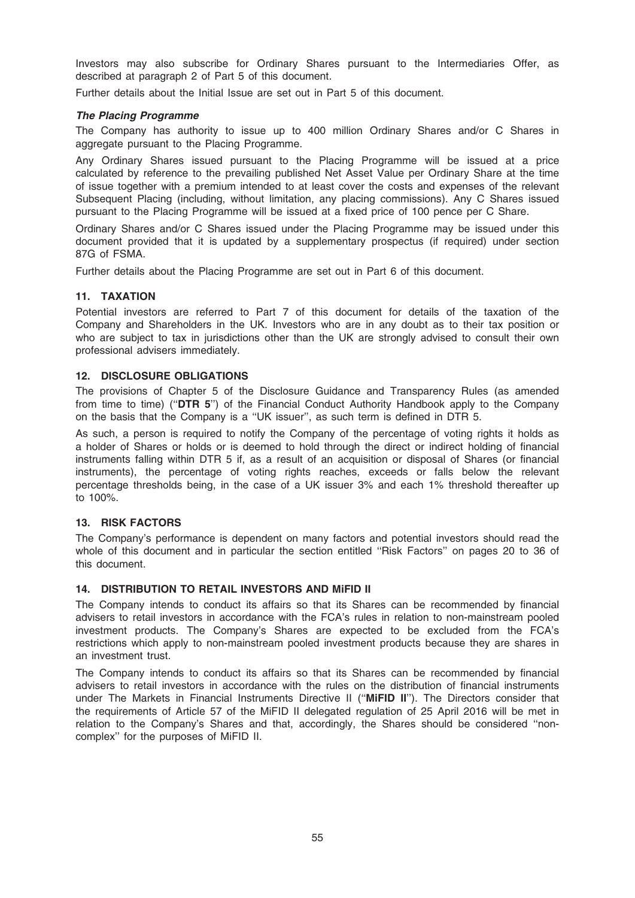Investors may also subscribe for Ordinary Shares pursuant to the Intermediaries Offer, as described at paragraph 2 of Part 5 of this document.

Further details about the Initial Issue are set out in Part 5 of this document.

#### The Placing Programme

The Company has authority to issue up to 400 million Ordinary Shares and/or C Shares in aggregate pursuant to the Placing Programme.

Any Ordinary Shares issued pursuant to the Placing Programme will be issued at a price calculated by reference to the prevailing published Net Asset Value per Ordinary Share at the time of issue together with a premium intended to at least cover the costs and expenses of the relevant Subsequent Placing (including, without limitation, any placing commissions). Any C Shares issued pursuant to the Placing Programme will be issued at a fixed price of 100 pence per C Share.

Ordinary Shares and/or C Shares issued under the Placing Programme may be issued under this document provided that it is updated by a supplementary prospectus (if required) under section 87G of FSMA.

Further details about the Placing Programme are set out in Part 6 of this document.

## 11. TAXATION

Potential investors are referred to Part 7 of this document for details of the taxation of the Company and Shareholders in the UK. Investors who are in any doubt as to their tax position or who are subject to tax in jurisdictions other than the UK are strongly advised to consult their own professional advisers immediately.

## 12. DISCLOSURE OBLIGATIONS

The provisions of Chapter 5 of the Disclosure Guidance and Transparency Rules (as amended from time to time) (''DTR 5'') of the Financial Conduct Authority Handbook apply to the Company on the basis that the Company is a ''UK issuer'', as such term is defined in DTR 5.

As such, a person is required to notify the Company of the percentage of voting rights it holds as a holder of Shares or holds or is deemed to hold through the direct or indirect holding of financial instruments falling within DTR 5 if, as a result of an acquisition or disposal of Shares (or financial instruments), the percentage of voting rights reaches, exceeds or falls below the relevant percentage thresholds being, in the case of a UK issuer 3% and each 1% threshold thereafter up to 100%.

# 13. RISK FACTORS

The Company's performance is dependent on many factors and potential investors should read the whole of this document and in particular the section entitled "Risk Factors" on pages 20 to 36 of this document.

# 14. DISTRIBUTION TO RETAIL INVESTORS AND MiFID II

The Company intends to conduct its affairs so that its Shares can be recommended by financial advisers to retail investors in accordance with the FCA's rules in relation to non-mainstream pooled investment products. The Company's Shares are expected to be excluded from the FCA's restrictions which apply to non-mainstream pooled investment products because they are shares in an investment trust.

The Company intends to conduct its affairs so that its Shares can be recommended by financial advisers to retail investors in accordance with the rules on the distribution of financial instruments under The Markets in Financial Instruments Directive II ("MiFID II"). The Directors consider that the requirements of Article 57 of the MiFID II delegated regulation of 25 April 2016 will be met in relation to the Company's Shares and that, accordingly, the Shares should be considered ''noncomplex'' for the purposes of MiFID II.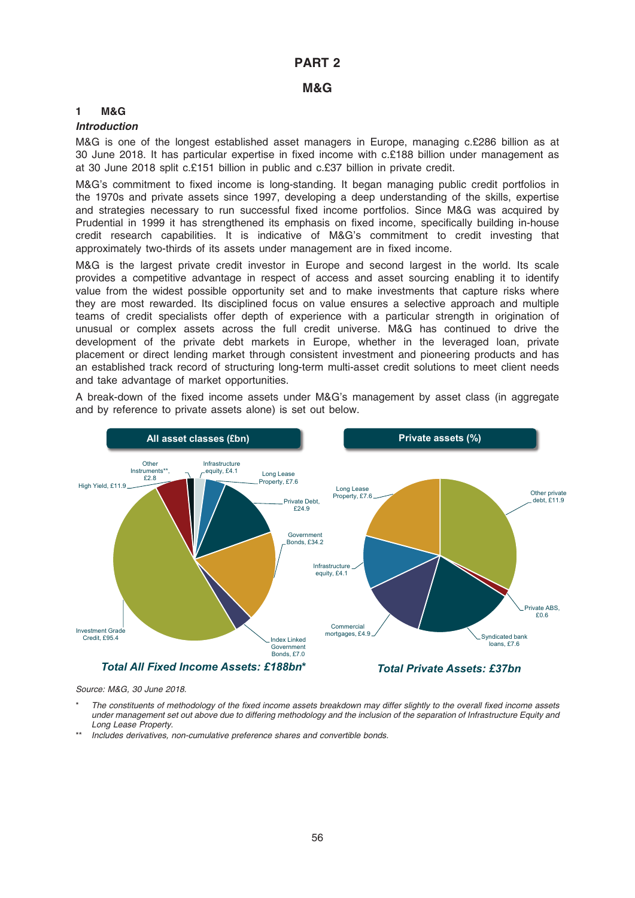# M&G

# 1 M&G

#### Introduction

M&G is one of the longest established asset managers in Europe, managing c.£286 billion as at 30 June 2018. It has particular expertise in fixed income with c.£188 billion under management as at 30 June 2018 split c.£151 billion in public and c.£37 billion in private credit.

M&G's commitment to fixed income is long-standing. It began managing public credit portfolios in the 1970s and private assets since 1997, developing a deep understanding of the skills, expertise and strategies necessary to run successful fixed income portfolios. Since M&G was acquired by Prudential in 1999 it has strengthened its emphasis on fixed income, specifically building in-house credit research capabilities. It is indicative of M&G's commitment to credit investing that approximately two-thirds of its assets under management are in fixed income.

M&G is the largest private credit investor in Europe and second largest in the world. Its scale provides a competitive advantage in respect of access and asset sourcing enabling it to identify value from the widest possible opportunity set and to make investments that capture risks where they are most rewarded. Its disciplined focus on value ensures a selective approach and multiple teams of credit specialists offer depth of experience with a particular strength in origination of unusual or complex assets across the full credit universe. M&G has continued to drive the development of the private debt markets in Europe, whether in the leveraged loan, private placement or direct lending market through consistent investment and pioneering products and has an established track record of structuring long-term multi-asset credit solutions to meet client needs and take advantage of market opportunities.

A break-down of the fixed income assets under M&G's management by asset class (in aggregate and by reference to private assets alone) is set out below.



Source: M&G, 30 June 2018.

- The constituents of methodology of the fixed income assets breakdown may differ slightly to the overall fixed income assets under management set out above due to differing methodology and the inclusion of the separation of Infrastructure Equity and Long Lease Property.
- Includes derivatives, non-cumulative preference shares and convertible bonds.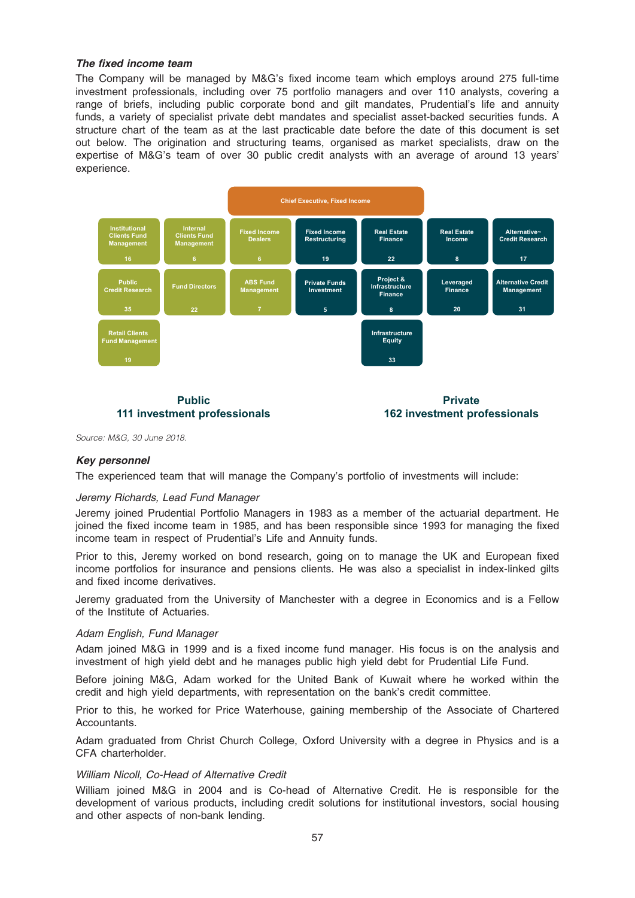# The fixed income team

The Company will be managed by M&G's fixed income team which employs around 275 full-time investment professionals, including over 75 portfolio managers and over 110 analysts, covering a range of briefs, including public corporate bond and gilt mandates, Prudential's life and annuity funds, a variety of specialist private debt mandates and specialist asset-backed securities funds. A structure chart of the team as at the last practicable date before the date of this document is set out below. The origination and structuring teams, organised as market specialists, draw on the expertise of M&G's team of over 30 public credit analysts with an average of around 13 years' experience.



#### **Public 111 investment professionals**

**Private 162 investment professionals**

Source: M&G, 30 June 2018.

#### Key personnel

The experienced team that will manage the Company's portfolio of investments will include:

#### Jeremy Richards, Lead Fund Manager

Jeremy joined Prudential Portfolio Managers in 1983 as a member of the actuarial department. He joined the fixed income team in 1985, and has been responsible since 1993 for managing the fixed income team in respect of Prudential's Life and Annuity funds.

Prior to this, Jeremy worked on bond research, going on to manage the UK and European fixed income portfolios for insurance and pensions clients. He was also a specialist in index-linked gilts and fixed income derivatives.

Jeremy graduated from the University of Manchester with a degree in Economics and is a Fellow of the Institute of Actuaries.

#### Adam English, Fund Manager

Adam joined M&G in 1999 and is a fixed income fund manager. His focus is on the analysis and investment of high yield debt and he manages public high yield debt for Prudential Life Fund.

Before joining M&G, Adam worked for the United Bank of Kuwait where he worked within the credit and high yield departments, with representation on the bank's credit committee.

Prior to this, he worked for Price Waterhouse, gaining membership of the Associate of Chartered Accountants.

Adam graduated from Christ Church College, Oxford University with a degree in Physics and is a CFA charterholder.

#### William Nicoll, Co-Head of Alternative Credit

William joined M&G in 2004 and is Co-head of Alternative Credit. He is responsible for the development of various products, including credit solutions for institutional investors, social housing and other aspects of non-bank lending.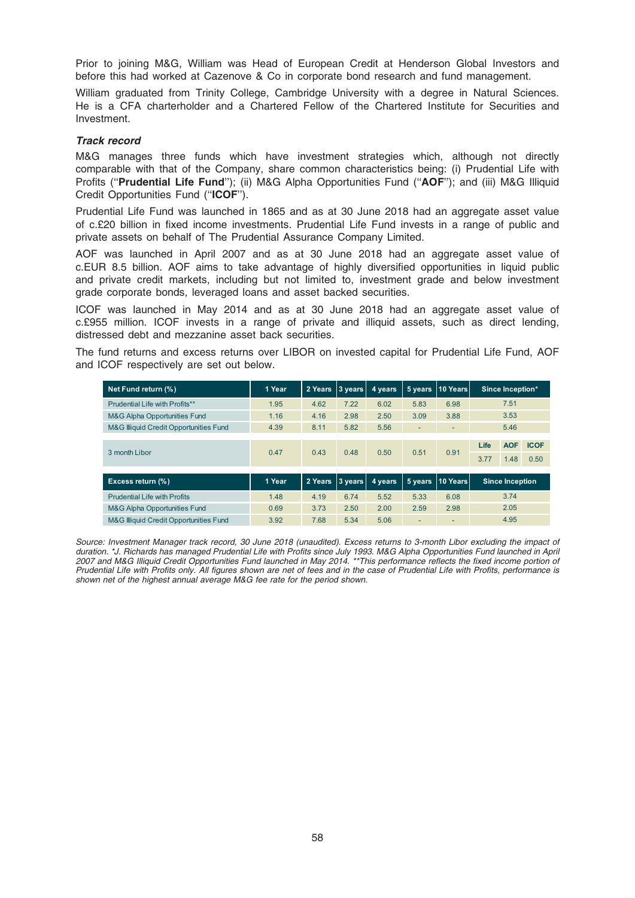Prior to joining M&G, William was Head of European Credit at Henderson Global Investors and before this had worked at Cazenove & Co in corporate bond research and fund management.

William graduated from Trinity College, Cambridge University with a degree in Natural Sciences. He is a CFA charterholder and a Chartered Fellow of the Chartered Institute for Securities and Investment.

#### Track record

M&G manages three funds which have investment strategies which, although not directly comparable with that of the Company, share common characteristics being: (i) Prudential Life with Profits ("Prudential Life Fund"); (ii) M&G Alpha Opportunities Fund ("AOF"); and (iii) M&G Illiquid Credit Opportunities Fund (''ICOF'').

Prudential Life Fund was launched in 1865 and as at 30 June 2018 had an aggregate asset value of c.£20 billion in fixed income investments. Prudential Life Fund invests in a range of public and private assets on behalf of The Prudential Assurance Company Limited.

AOF was launched in April 2007 and as at 30 June 2018 had an aggregate asset value of c.EUR 8.5 billion. AOF aims to take advantage of highly diversified opportunities in liquid public and private credit markets, including but not limited to, investment grade and below investment grade corporate bonds, leveraged loans and asset backed securities.

ICOF was launched in May 2014 and as at 30 June 2018 had an aggregate asset value of c.£955 million. ICOF invests in a range of private and illiquid assets, such as direct lending, distressed debt and mezzanine asset back securities.

The fund returns and excess returns over LIBOR on invested capital for Prudential Life Fund, AOF and ICOF respectively are set out below.

| Net Fund return (%)                    | 1 Year | 2 Years | 3 years | 4 years | 5 years | <b>10 Years</b> |      | Since Inception*       |             |  |
|----------------------------------------|--------|---------|---------|---------|---------|-----------------|------|------------------------|-------------|--|
| Prudential Life with Profits**         | 1.95   | 4.62    | 7.22    | 6.02    | 5.83    | 6.98            |      | 7.51                   |             |  |
| M&G Alpha Opportunities Fund           | 1.16   | 4.16    | 2.98    | 2.50    | 3.09    | 3.88            | 3.53 |                        |             |  |
| M&G Illiquid Credit Opportunities Fund | 4.39   | 8.11    | 5.82    | 5.56    |         | ٠               |      | 5.46                   |             |  |
|                                        |        |         |         |         |         |                 |      |                        |             |  |
| 3 month Libor                          | 0.47   | 0.43    | 0.48    | 0.50    | 0.51    | 0.91            | Life | <b>AOF</b>             | <b>ICOF</b> |  |
|                                        |        |         |         |         |         |                 | 3.77 | 1.48                   | 0.50        |  |
|                                        |        |         |         |         |         |                 |      |                        |             |  |
| Excess return (%)                      | 1 Year | 2 Years | 3 years | 4 years | 5 years | 10 Years        |      | <b>Since Inception</b> |             |  |
| <b>Prudential Life with Profits</b>    | 1.48   | 4.19    | 6.74    | 5.52    | 5.33    | 6.08            |      | 3.74                   |             |  |
| M&G Alpha Opportunities Fund           | 0.69   | 3.73    | 2.50    | 2.00    | 2.59    | 2.98            |      | 2.05                   |             |  |
| M&G Illiquid Credit Opportunities Fund | 3.92   | 7.68    | 5.34    | 5.06    | -       | ٠               |      | 4.95                   |             |  |

Source: Investment Manager track record, 30 June 2018 (unaudited). Excess returns to 3-month Libor excluding the impact of duration. \*J. Richards has managed Prudential Life with Profits since July 1993. M&G Alpha Opportunities Fund launched in April 2007 and M&G Illiquid Credit Opportunities Fund launched in May 2014. \*\*This performance reflects the fixed income portion of Prudential Life with Profits only. All figures shown are net of fees and in the case of Prudential Life with Profits, performance is shown net of the highest annual average M&G fee rate for the period shown.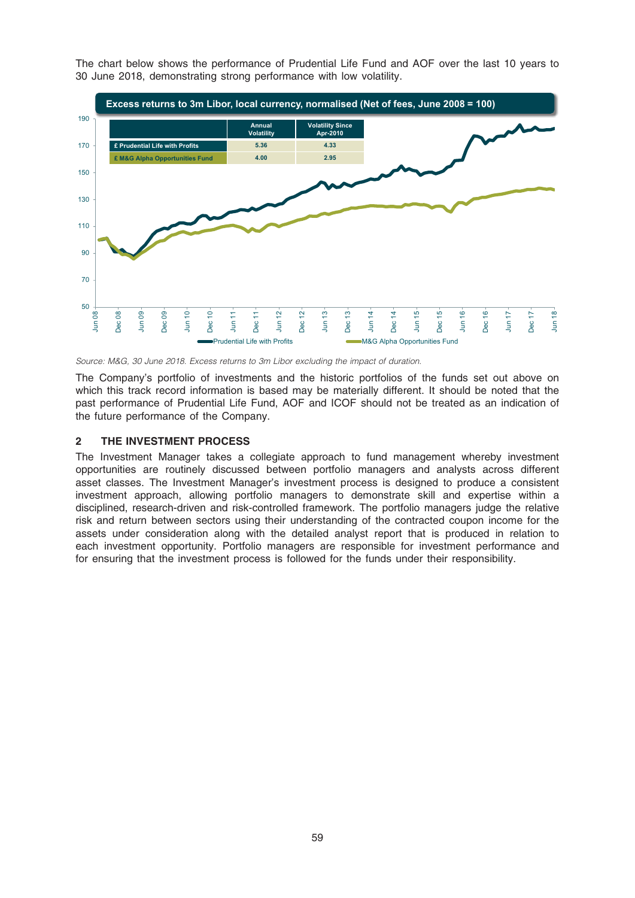

The chart below shows the performance of Prudential Life Fund and AOF over the last 10 years to 30 June 2018, demonstrating strong performance with low volatility.

Source: M&G, 30 June 2018. Excess returns to 3m Libor excluding the impact of duration.

The Company's portfolio of investments and the historic portfolios of the funds set out above on which this track record information is based may be materially different. It should be noted that the past performance of Prudential Life Fund, AOF and ICOF should not be treated as an indication of the future performance of the Company.

#### 2 THE INVESTMENT PROCESS

The Investment Manager takes a collegiate approach to fund management whereby investment opportunities are routinely discussed between portfolio managers and analysts across different asset classes. The Investment Manager's investment process is designed to produce a consistent investment approach, allowing portfolio managers to demonstrate skill and expertise within a disciplined, research-driven and risk-controlled framework. The portfolio managers judge the relative risk and return between sectors using their understanding of the contracted coupon income for the assets under consideration along with the detailed analyst report that is produced in relation to each investment opportunity. Portfolio managers are responsible for investment performance and for ensuring that the investment process is followed for the funds under their responsibility.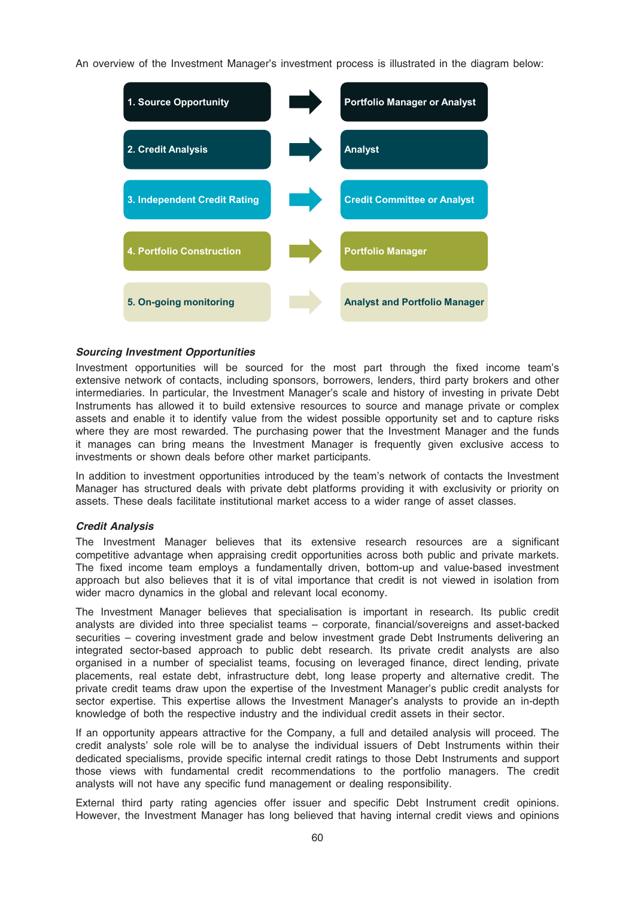An overview of the Investment Manager's investment process is illustrated in the diagram below:



## Sourcing Investment Opportunities

Investment opportunities will be sourced for the most part through the fixed income team's extensive network of contacts, including sponsors, borrowers, lenders, third party brokers and other intermediaries. In particular, the Investment Manager's scale and history of investing in private Debt Instruments has allowed it to build extensive resources to source and manage private or complex assets and enable it to identify value from the widest possible opportunity set and to capture risks where they are most rewarded. The purchasing power that the Investment Manager and the funds it manages can bring means the Investment Manager is frequently given exclusive access to investments or shown deals before other market participants.

In addition to investment opportunities introduced by the team's network of contacts the Investment Manager has structured deals with private debt platforms providing it with exclusivity or priority on assets. These deals facilitate institutional market access to a wider range of asset classes.

#### Credit Analysis

The Investment Manager believes that its extensive research resources are a significant competitive advantage when appraising credit opportunities across both public and private markets. The fixed income team employs a fundamentally driven, bottom-up and value-based investment approach but also believes that it is of vital importance that credit is not viewed in isolation from wider macro dynamics in the global and relevant local economy.

The Investment Manager believes that specialisation is important in research. Its public credit analysts are divided into three specialist teams – corporate, financial/sovereigns and asset-backed securities – covering investment grade and below investment grade Debt Instruments delivering an integrated sector-based approach to public debt research. Its private credit analysts are also organised in a number of specialist teams, focusing on leveraged finance, direct lending, private placements, real estate debt, infrastructure debt, long lease property and alternative credit. The private credit teams draw upon the expertise of the Investment Manager's public credit analysts for sector expertise. This expertise allows the Investment Manager's analysts to provide an in-depth knowledge of both the respective industry and the individual credit assets in their sector.

If an opportunity appears attractive for the Company, a full and detailed analysis will proceed. The credit analysts' sole role will be to analyse the individual issuers of Debt Instruments within their dedicated specialisms, provide specific internal credit ratings to those Debt Instruments and support those views with fundamental credit recommendations to the portfolio managers. The credit analysts will not have any specific fund management or dealing responsibility.

External third party rating agencies offer issuer and specific Debt Instrument credit opinions. However, the Investment Manager has long believed that having internal credit views and opinions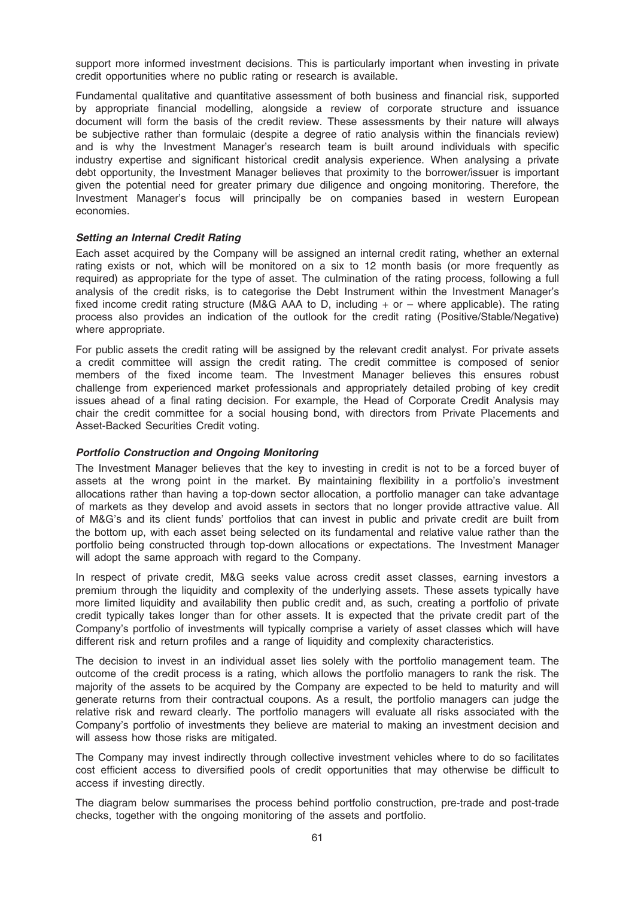support more informed investment decisions. This is particularly important when investing in private credit opportunities where no public rating or research is available.

Fundamental qualitative and quantitative assessment of both business and financial risk, supported by appropriate financial modelling, alongside a review of corporate structure and issuance document will form the basis of the credit review. These assessments by their nature will always be subjective rather than formulaic (despite a degree of ratio analysis within the financials review) and is why the Investment Manager's research team is built around individuals with specific industry expertise and significant historical credit analysis experience. When analysing a private debt opportunity, the Investment Manager believes that proximity to the borrower/issuer is important given the potential need for greater primary due diligence and ongoing monitoring. Therefore, the Investment Manager's focus will principally be on companies based in western European economies.

## Setting an Internal Credit Rating

Each asset acquired by the Company will be assigned an internal credit rating, whether an external rating exists or not, which will be monitored on a six to 12 month basis (or more frequently as required) as appropriate for the type of asset. The culmination of the rating process, following a full analysis of the credit risks, is to categorise the Debt Instrument within the Investment Manager's fixed income credit rating structure (M&G AAA to D, including + or – where applicable). The rating process also provides an indication of the outlook for the credit rating (Positive/Stable/Negative) where appropriate.

For public assets the credit rating will be assigned by the relevant credit analyst. For private assets a credit committee will assign the credit rating. The credit committee is composed of senior members of the fixed income team. The Investment Manager believes this ensures robust challenge from experienced market professionals and appropriately detailed probing of key credit issues ahead of a final rating decision. For example, the Head of Corporate Credit Analysis may chair the credit committee for a social housing bond, with directors from Private Placements and Asset-Backed Securities Credit voting.

#### Portfolio Construction and Ongoing Monitoring

The Investment Manager believes that the key to investing in credit is not to be a forced buyer of assets at the wrong point in the market. By maintaining flexibility in a portfolio's investment allocations rather than having a top-down sector allocation, a portfolio manager can take advantage of markets as they develop and avoid assets in sectors that no longer provide attractive value. All of M&G's and its client funds' portfolios that can invest in public and private credit are built from the bottom up, with each asset being selected on its fundamental and relative value rather than the portfolio being constructed through top-down allocations or expectations. The Investment Manager will adopt the same approach with regard to the Company.

In respect of private credit, M&G seeks value across credit asset classes, earning investors a premium through the liquidity and complexity of the underlying assets. These assets typically have more limited liquidity and availability then public credit and, as such, creating a portfolio of private credit typically takes longer than for other assets. It is expected that the private credit part of the Company's portfolio of investments will typically comprise a variety of asset classes which will have different risk and return profiles and a range of liquidity and complexity characteristics.

The decision to invest in an individual asset lies solely with the portfolio management team. The outcome of the credit process is a rating, which allows the portfolio managers to rank the risk. The majority of the assets to be acquired by the Company are expected to be held to maturity and will generate returns from their contractual coupons. As a result, the portfolio managers can judge the relative risk and reward clearly. The portfolio managers will evaluate all risks associated with the Company's portfolio of investments they believe are material to making an investment decision and will assess how those risks are mitigated.

The Company may invest indirectly through collective investment vehicles where to do so facilitates cost efficient access to diversified pools of credit opportunities that may otherwise be difficult to access if investing directly.

The diagram below summarises the process behind portfolio construction, pre-trade and post-trade checks, together with the ongoing monitoring of the assets and portfolio.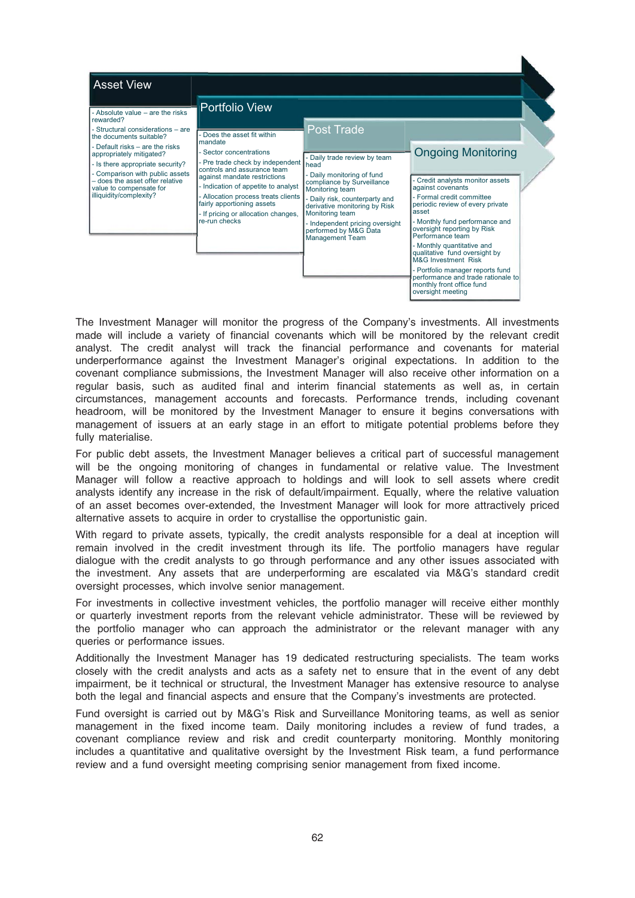| <b>Asset View</b>                                                                                                                                                                                                                                                                                                                            |                                                                                                                                                                                                                                                                                                                                                                   |                                                                                                                                                                                                                                                                                                                      |                                                                                                                                                                                                                                                                                                                                                                             |
|----------------------------------------------------------------------------------------------------------------------------------------------------------------------------------------------------------------------------------------------------------------------------------------------------------------------------------------------|-------------------------------------------------------------------------------------------------------------------------------------------------------------------------------------------------------------------------------------------------------------------------------------------------------------------------------------------------------------------|----------------------------------------------------------------------------------------------------------------------------------------------------------------------------------------------------------------------------------------------------------------------------------------------------------------------|-----------------------------------------------------------------------------------------------------------------------------------------------------------------------------------------------------------------------------------------------------------------------------------------------------------------------------------------------------------------------------|
| - Absolute value - are the risks<br>rewarded?<br>- Structural considerations - are<br>the documents suitable?<br>- Default risks - are the risks<br>appropriately mitigated?<br>- Is there appropriate security?<br>- Comparison with public assets<br>- does the asset offer relative<br>value to compensate for<br>illiquidity/complexity? | <b>Portfolio View</b><br>- Does the asset fit within<br>mandate<br>- Sector concentrations<br>- Pre trade check by independent<br>controls and assurance team<br>against mandate restrictions<br>- Indication of appetite to analyst<br>- Allocation process treats clients<br>fairly apportioning assets<br>- If pricing or allocation changes,<br>re-run checks | <b>Post Trade</b><br>- Daily trade review by team<br>head<br>- Daily monitoring of fund<br>compliance by Surveillance<br>Monitoring team<br>- Daily risk, counterparty and<br>derivative monitoring by Risk<br>Monitoring team<br>- Independent pricing oversight<br>performed by M&G Data<br><b>Management Team</b> | <b>Ongoing Monitoring</b><br>- Credit analysts monitor assets<br>against covenants<br>- Formal credit committee<br>periodic review of every private<br>asset<br>- Monthly fund performance and<br>oversight reporting by Risk<br>Performance team<br>- Monthly quantitative and<br>qualitative fund oversight by<br>M&G Investment Risk<br>- Portfolio manager reports fund |
|                                                                                                                                                                                                                                                                                                                                              |                                                                                                                                                                                                                                                                                                                                                                   |                                                                                                                                                                                                                                                                                                                      | performance and trade rationale to<br>monthly front office fund<br>oversight meeting                                                                                                                                                                                                                                                                                        |

The Investment Manager will monitor the progress of the Company's investments. All investments made will include a variety of financial covenants which will be monitored by the relevant credit analyst. The credit analyst will track the financial performance and covenants for material underperformance against the Investment Manager's original expectations. In addition to the covenant compliance submissions, the Investment Manager will also receive other information on a regular basis, such as audited final and interim financial statements as well as, in certain circumstances, management accounts and forecasts. Performance trends, including covenant headroom, will be monitored by the Investment Manager to ensure it begins conversations with management of issuers at an early stage in an effort to mitigate potential problems before they fully materialise.

For public debt assets, the Investment Manager believes a critical part of successful management will be the ongoing monitoring of changes in fundamental or relative value. The Investment Manager will follow a reactive approach to holdings and will look to sell assets where credit analysts identify any increase in the risk of default/impairment. Equally, where the relative valuation of an asset becomes over-extended, the Investment Manager will look for more attractively priced alternative assets to acquire in order to crystallise the opportunistic gain.

With regard to private assets, typically, the credit analysts responsible for a deal at inception will remain involved in the credit investment through its life. The portfolio managers have regular dialogue with the credit analysts to go through performance and any other issues associated with the investment. Any assets that are underperforming are escalated via M&G's standard credit oversight processes, which involve senior management.

For investments in collective investment vehicles, the portfolio manager will receive either monthly or quarterly investment reports from the relevant vehicle administrator. These will be reviewed by the portfolio manager who can approach the administrator or the relevant manager with any queries or performance issues.

Additionally the Investment Manager has 19 dedicated restructuring specialists. The team works closely with the credit analysts and acts as a safety net to ensure that in the event of any debt impairment, be it technical or structural, the Investment Manager has extensive resource to analyse both the legal and financial aspects and ensure that the Company's investments are protected.

Fund oversight is carried out by M&G's Risk and Surveillance Monitoring teams, as well as senior management in the fixed income team. Daily monitoring includes a review of fund trades, a covenant compliance review and risk and credit counterparty monitoring. Monthly monitoring includes a quantitative and qualitative oversight by the Investment Risk team, a fund performance review and a fund oversight meeting comprising senior management from fixed income.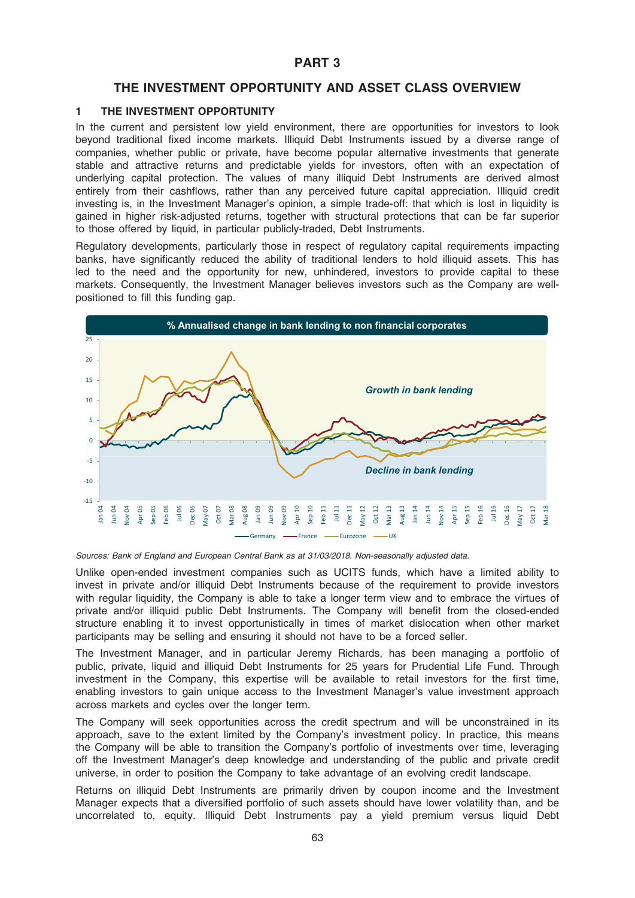# PART 3

# THE INVESTMENT OPPORTUNITY AND ASSET CLASS OVERVIEW

# 1 THE INVESTMENT OPPORTUNITY

In the current and persistent low yield environment, there are opportunities for investors to look beyond traditional fixed income markets. Illiquid Debt Instruments issued by a diverse range of companies, whether public or private, have become popular alternative investments that generate stable and attractive returns and predictable yields for investors, often with an expectation of underlying capital protection. The values of many illiquid Debt Instruments are derived almost entirely from their cashflows, rather than any perceived future capital appreciation. Illiquid credit investing is, in the Investment Manager's opinion, a simple trade-off: that which is lost in liquidity is gained in higher risk-adjusted returns, together with structural protections that can be far superior to those offered by liquid, in particular publicly-traded, Debt Instruments.

Regulatory developments, particularly those in respect of regulatory capital requirements impacting banks, have significantly reduced the ability of traditional lenders to hold illiquid assets. This has led to the need and the opportunity for new, unhindered, investors to provide capital to these markets. Consequently, the Investment Manager believes investors such as the Company are wellpositioned to fill this funding gap.



Sources: Bank of England and European Central Bank as at 31/03/2018. Non-seasonally adjusted data.

Unlike open-ended investment companies such as UCITS funds, which have a limited ability to invest in private and/or illiquid Debt Instruments because of the requirement to provide investors with regular liquidity, the Company is able to take a longer term view and to embrace the virtues of private and/or illiquid public Debt Instruments. The Company will benefit from the closed-ended structure enabling it to invest opportunistically in times of market dislocation when other market participants may be selling and ensuring it should not have to be a forced seller.

The Investment Manager, and in particular Jeremy Richards, has been managing a portfolio of public, private, liquid and illiquid Debt Instruments for 25 years for Prudential Life Fund. Through investment in the Company, this expertise will be available to retail investors for the first time, enabling investors to gain unique access to the Investment Manager's value investment approach across markets and cycles over the longer term.

The Company will seek opportunities across the credit spectrum and will be unconstrained in its approach, save to the extent limited by the Company's investment policy. In practice, this means the Company will be able to transition the Company's portfolio of investments over time, leveraging off the Investment Manager's deep knowledge and understanding of the public and private credit universe, in order to position the Company to take advantage of an evolving credit landscape.

Returns on illiquid Debt Instruments are primarily driven by coupon income and the Investment Manager expects that a diversified portfolio of such assets should have lower volatility than, and be uncorrelated to, equity. Illiquid Debt Instruments pay a yield premium versus liquid Debt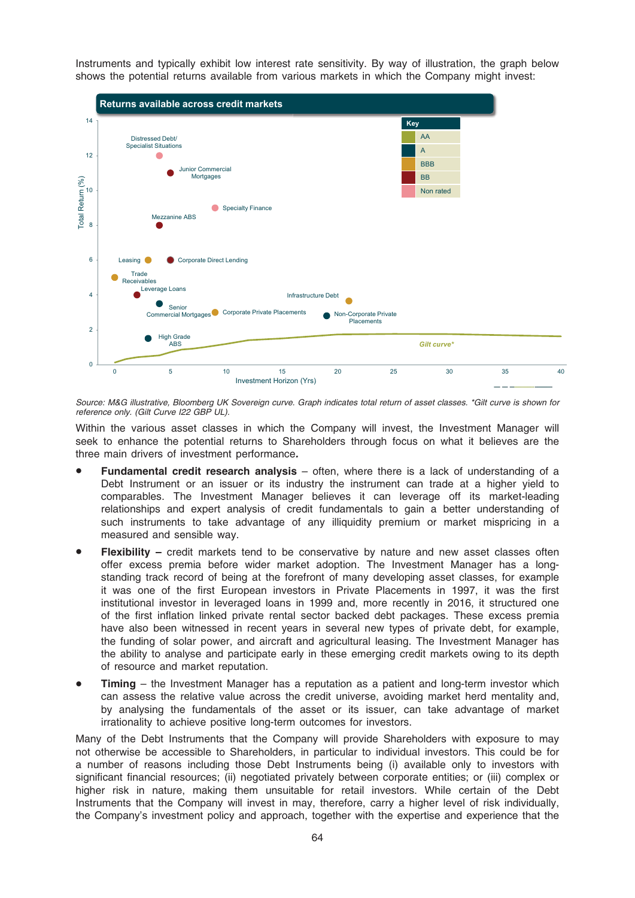Instruments and typically exhibit low interest rate sensitivity. By way of illustration, the graph below shows the potential returns available from various markets in which the Company might invest:



Source: M&G illustrative, Bloomberg UK Sovereign curve. Graph indicates total return of asset classes. \*Gilt curve is shown for reference only. (Gilt Curve I22 GBP UL).

Within the various asset classes in which the Company will invest, the Investment Manager will seek to enhance the potential returns to Shareholders through focus on what it believes are the three main drivers of investment performance.

- Fundamental credit research analysis  $-$  often, where there is a lack of understanding of a Debt Instrument or an issuer or its industry the instrument can trade at a higher yield to comparables. The Investment Manager believes it can leverage off its market-leading relationships and expert analysis of credit fundamentals to gain a better understanding of such instruments to take advantage of any illiquidity premium or market mispricing in a measured and sensible way.
- Flexibility credit markets tend to be conservative by nature and new asset classes often offer excess premia before wider market adoption. The Investment Manager has a longstanding track record of being at the forefront of many developing asset classes, for example it was one of the first European investors in Private Placements in 1997, it was the first institutional investor in leveraged loans in 1999 and, more recently in 2016, it structured one of the first inflation linked private rental sector backed debt packages. These excess premia have also been witnessed in recent years in several new types of private debt, for example, the funding of solar power, and aircraft and agricultural leasing. The Investment Manager has the ability to analyse and participate early in these emerging credit markets owing to its depth of resource and market reputation.
- Timing the Investment Manager has a reputation as a patient and long-term investor which can assess the relative value across the credit universe, avoiding market herd mentality and, by analysing the fundamentals of the asset or its issuer, can take advantage of market irrationality to achieve positive long-term outcomes for investors.

Many of the Debt Instruments that the Company will provide Shareholders with exposure to may not otherwise be accessible to Shareholders, in particular to individual investors. This could be for a number of reasons including those Debt Instruments being (i) available only to investors with significant financial resources; (ii) negotiated privately between corporate entities; or (iii) complex or higher risk in nature, making them unsuitable for retail investors. While certain of the Debt Instruments that the Company will invest in may, therefore, carry a higher level of risk individually, the Company's investment policy and approach, together with the expertise and experience that the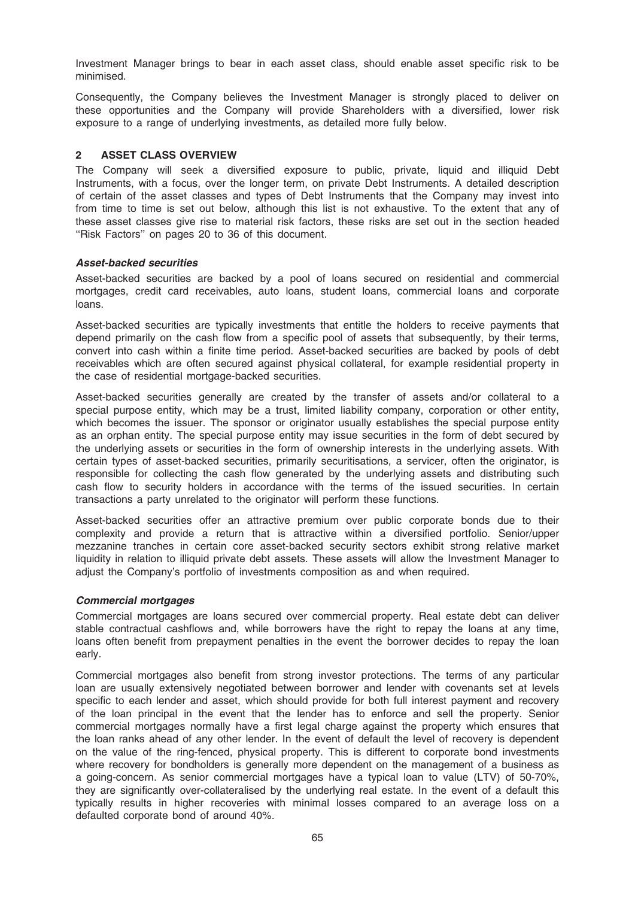Investment Manager brings to bear in each asset class, should enable asset specific risk to be minimised.

Consequently, the Company believes the Investment Manager is strongly placed to deliver on these opportunities and the Company will provide Shareholders with a diversified, lower risk exposure to a range of underlying investments, as detailed more fully below.

# 2 ASSET CLASS OVERVIEW

The Company will seek a diversified exposure to public, private, liquid and illiquid Debt Instruments, with a focus, over the longer term, on private Debt Instruments. A detailed description of certain of the asset classes and types of Debt Instruments that the Company may invest into from time to time is set out below, although this list is not exhaustive. To the extent that any of these asset classes give rise to material risk factors, these risks are set out in the section headed ''Risk Factors'' on pages 20 to 36 of this document.

#### Asset-backed securities

Asset-backed securities are backed by a pool of loans secured on residential and commercial mortgages, credit card receivables, auto loans, student loans, commercial loans and corporate loans.

Asset-backed securities are typically investments that entitle the holders to receive payments that depend primarily on the cash flow from a specific pool of assets that subsequently, by their terms, convert into cash within a finite time period. Asset-backed securities are backed by pools of debt receivables which are often secured against physical collateral, for example residential property in the case of residential mortgage-backed securities.

Asset-backed securities generally are created by the transfer of assets and/or collateral to a special purpose entity, which may be a trust, limited liability company, corporation or other entity, which becomes the issuer. The sponsor or originator usually establishes the special purpose entity as an orphan entity. The special purpose entity may issue securities in the form of debt secured by the underlying assets or securities in the form of ownership interests in the underlying assets. With certain types of asset-backed securities, primarily securitisations, a servicer, often the originator, is responsible for collecting the cash flow generated by the underlying assets and distributing such cash flow to security holders in accordance with the terms of the issued securities. In certain transactions a party unrelated to the originator will perform these functions.

Asset-backed securities offer an attractive premium over public corporate bonds due to their complexity and provide a return that is attractive within a diversified portfolio. Senior/upper mezzanine tranches in certain core asset-backed security sectors exhibit strong relative market liquidity in relation to illiquid private debt assets. These assets will allow the Investment Manager to adjust the Company's portfolio of investments composition as and when required.

#### Commercial mortgages

Commercial mortgages are loans secured over commercial property. Real estate debt can deliver stable contractual cashflows and, while borrowers have the right to repay the loans at any time, loans often benefit from prepayment penalties in the event the borrower decides to repay the loan early.

Commercial mortgages also benefit from strong investor protections. The terms of any particular loan are usually extensively negotiated between borrower and lender with covenants set at levels specific to each lender and asset, which should provide for both full interest payment and recovery of the loan principal in the event that the lender has to enforce and sell the property. Senior commercial mortgages normally have a first legal charge against the property which ensures that the loan ranks ahead of any other lender. In the event of default the level of recovery is dependent on the value of the ring-fenced, physical property. This is different to corporate bond investments where recovery for bondholders is generally more dependent on the management of a business as a going-concern. As senior commercial mortgages have a typical loan to value (LTV) of 50-70%, they are significantly over-collateralised by the underlying real estate. In the event of a default this typically results in higher recoveries with minimal losses compared to an average loss on a defaulted corporate bond of around 40%.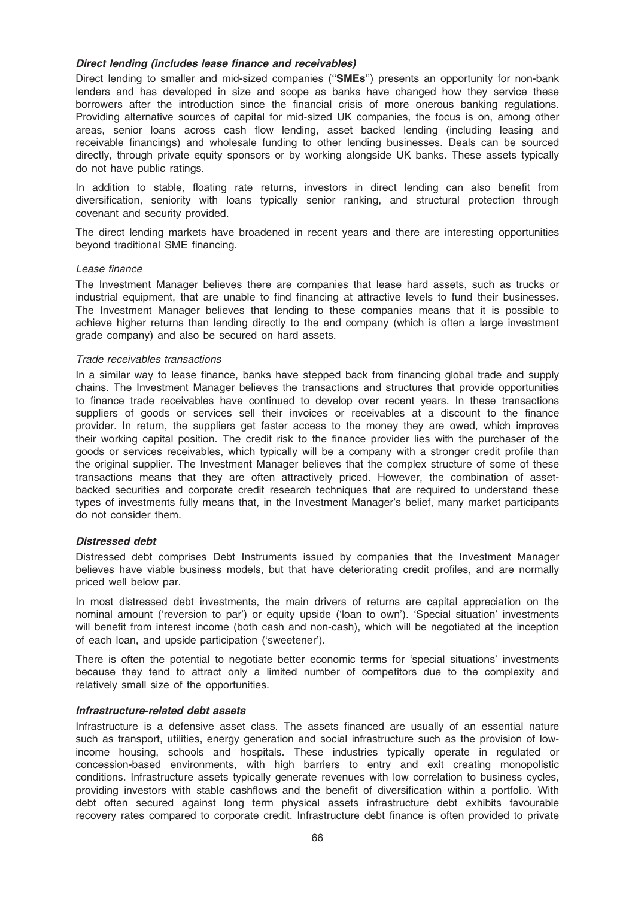# Direct lending (includes lease finance and receivables)

Direct lending to smaller and mid-sized companies ("SMEs") presents an opportunity for non-bank lenders and has developed in size and scope as banks have changed how they service these borrowers after the introduction since the financial crisis of more onerous banking regulations. Providing alternative sources of capital for mid-sized UK companies, the focus is on, among other areas, senior loans across cash flow lending, asset backed lending (including leasing and receivable financings) and wholesale funding to other lending businesses. Deals can be sourced directly, through private equity sponsors or by working alongside UK banks. These assets typically do not have public ratings.

In addition to stable, floating rate returns, investors in direct lending can also benefit from diversification, seniority with loans typically senior ranking, and structural protection through covenant and security provided.

The direct lending markets have broadened in recent years and there are interesting opportunities beyond traditional SME financing.

#### Lease finance

The Investment Manager believes there are companies that lease hard assets, such as trucks or industrial equipment, that are unable to find financing at attractive levels to fund their businesses. The Investment Manager believes that lending to these companies means that it is possible to achieve higher returns than lending directly to the end company (which is often a large investment grade company) and also be secured on hard assets.

#### Trade receivables transactions

In a similar way to lease finance, banks have stepped back from financing global trade and supply chains. The Investment Manager believes the transactions and structures that provide opportunities to finance trade receivables have continued to develop over recent years. In these transactions suppliers of goods or services sell their invoices or receivables at a discount to the finance provider. In return, the suppliers get faster access to the money they are owed, which improves their working capital position. The credit risk to the finance provider lies with the purchaser of the goods or services receivables, which typically will be a company with a stronger credit profile than the original supplier. The Investment Manager believes that the complex structure of some of these transactions means that they are often attractively priced. However, the combination of assetbacked securities and corporate credit research techniques that are required to understand these types of investments fully means that, in the Investment Manager's belief, many market participants do not consider them.

#### Distressed debt

Distressed debt comprises Debt Instruments issued by companies that the Investment Manager believes have viable business models, but that have deteriorating credit profiles, and are normally priced well below par.

In most distressed debt investments, the main drivers of returns are capital appreciation on the nominal amount ('reversion to par') or equity upside ('loan to own'). 'Special situation' investments will benefit from interest income (both cash and non-cash), which will be negotiated at the inception of each loan, and upside participation ('sweetener').

There is often the potential to negotiate better economic terms for 'special situations' investments because they tend to attract only a limited number of competitors due to the complexity and relatively small size of the opportunities.

#### Infrastructure-related debt assets

Infrastructure is a defensive asset class. The assets financed are usually of an essential nature such as transport, utilities, energy generation and social infrastructure such as the provision of lowincome housing, schools and hospitals. These industries typically operate in regulated or concession-based environments, with high barriers to entry and exit creating monopolistic conditions. Infrastructure assets typically generate revenues with low correlation to business cycles, providing investors with stable cashflows and the benefit of diversification within a portfolio. With debt often secured against long term physical assets infrastructure debt exhibits favourable recovery rates compared to corporate credit. Infrastructure debt finance is often provided to private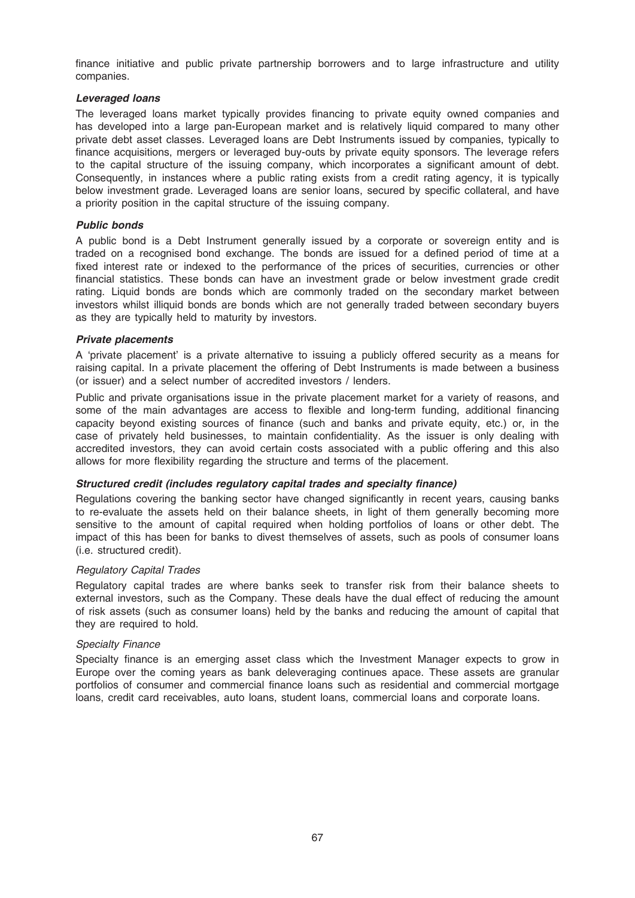finance initiative and public private partnership borrowers and to large infrastructure and utility companies.

## Leveraged loans

The leveraged loans market typically provides financing to private equity owned companies and has developed into a large pan-European market and is relatively liquid compared to many other private debt asset classes. Leveraged loans are Debt Instruments issued by companies, typically to finance acquisitions, mergers or leveraged buy-outs by private equity sponsors. The leverage refers to the capital structure of the issuing company, which incorporates a significant amount of debt. Consequently, in instances where a public rating exists from a credit rating agency, it is typically below investment grade. Leveraged loans are senior loans, secured by specific collateral, and have a priority position in the capital structure of the issuing company.

#### Public bonds

A public bond is a Debt Instrument generally issued by a corporate or sovereign entity and is traded on a recognised bond exchange. The bonds are issued for a defined period of time at a fixed interest rate or indexed to the performance of the prices of securities, currencies or other financial statistics. These bonds can have an investment grade or below investment grade credit rating. Liquid bonds are bonds which are commonly traded on the secondary market between investors whilst illiquid bonds are bonds which are not generally traded between secondary buyers as they are typically held to maturity by investors.

#### Private placements

A 'private placement' is a private alternative to issuing a publicly offered security as a means for raising capital. In a private placement the offering of Debt Instruments is made between a business (or issuer) and a select number of accredited investors / lenders.

Public and private organisations issue in the private placement market for a variety of reasons, and some of the main advantages are access to flexible and long-term funding, additional financing capacity beyond existing sources of finance (such and banks and private equity, etc.) or, in the case of privately held businesses, to maintain confidentiality. As the issuer is only dealing with accredited investors, they can avoid certain costs associated with a public offering and this also allows for more flexibility regarding the structure and terms of the placement.

#### Structured credit (includes regulatory capital trades and specialty finance)

Regulations covering the banking sector have changed significantly in recent years, causing banks to re-evaluate the assets held on their balance sheets, in light of them generally becoming more sensitive to the amount of capital required when holding portfolios of loans or other debt. The impact of this has been for banks to divest themselves of assets, such as pools of consumer loans (i.e. structured credit).

#### Regulatory Capital Trades

Regulatory capital trades are where banks seek to transfer risk from their balance sheets to external investors, such as the Company. These deals have the dual effect of reducing the amount of risk assets (such as consumer loans) held by the banks and reducing the amount of capital that they are required to hold.

#### Specialty Finance

Specialty finance is an emerging asset class which the Investment Manager expects to grow in Europe over the coming years as bank deleveraging continues apace. These assets are granular portfolios of consumer and commercial finance loans such as residential and commercial mortgage loans, credit card receivables, auto loans, student loans, commercial loans and corporate loans.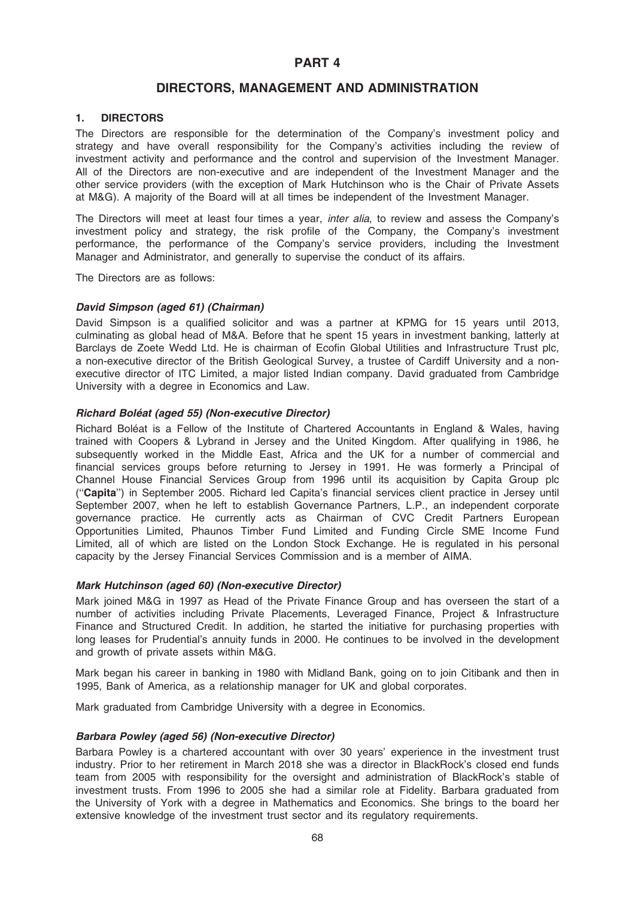# PART 4

# DIRECTORS, MANAGEMENT AND ADMINISTRATION

#### 1. DIRECTORS

The Directors are responsible for the determination of the Company's investment policy and strategy and have overall responsibility for the Company's activities including the review of investment activity and performance and the control and supervision of the Investment Manager. All of the Directors are non-executive and are independent of the Investment Manager and the other service providers (with the exception of Mark Hutchinson who is the Chair of Private Assets at M&G). A majority of the Board will at all times be independent of the Investment Manager.

The Directors will meet at least four times a vear, *inter alia*, to review and assess the Company's investment policy and strategy, the risk profile of the Company, the Company's investment performance, the performance of the Company's service providers, including the Investment Manager and Administrator, and generally to supervise the conduct of its affairs.

The Directors are as follows:

## David Simpson (aged 61) (Chairman)

David Simpson is a qualified solicitor and was a partner at KPMG for 15 years until 2013, culminating as global head of M&A. Before that he spent 15 years in investment banking, latterly at Barclays de Zoete Wedd Ltd. He is chairman of Ecofin Global Utilities and Infrastructure Trust plc, a non-executive director of the British Geological Survey, a trustee of Cardiff University and a nonexecutive director of ITC Limited, a major listed Indian company. David graduated from Cambridge University with a degree in Economics and Law.

## Richard Boléat (aged 55) (Non-executive Director)

Richard Boléat is a Fellow of the Institute of Chartered Accountants in England & Wales, having trained with Coopers & Lybrand in Jersey and the United Kingdom. After qualifying in 1986, he subsequently worked in the Middle East, Africa and the UK for a number of commercial and financial services groups before returning to Jersey in 1991. He was formerly a Principal of Channel House Financial Services Group from 1996 until its acquisition by Capita Group plc (''Capita'') in September 2005. Richard led Capita's financial services client practice in Jersey until September 2007, when he left to establish Governance Partners, L.P., an independent corporate governance practice. He currently acts as Chairman of CVC Credit Partners European Opportunities Limited, Phaunos Timber Fund Limited and Funding Circle SME Income Fund Limited, all of which are listed on the London Stock Exchange. He is regulated in his personal capacity by the Jersey Financial Services Commission and is a member of AIMA.

#### Mark Hutchinson (aged 60) (Non-executive Director)

Mark joined M&G in 1997 as Head of the Private Finance Group and has overseen the start of a number of activities including Private Placements, Leveraged Finance, Project & Infrastructure Finance and Structured Credit. In addition, he started the initiative for purchasing properties with long leases for Prudential's annuity funds in 2000. He continues to be involved in the development and growth of private assets within M&G.

Mark began his career in banking in 1980 with Midland Bank, going on to join Citibank and then in 1995, Bank of America, as a relationship manager for UK and global corporates.

Mark graduated from Cambridge University with a degree in Economics.

#### Barbara Powley (aged 56) (Non-executive Director)

Barbara Powley is a chartered accountant with over 30 years' experience in the investment trust industry. Prior to her retirement in March 2018 she was a director in BlackRock's closed end funds team from 2005 with responsibility for the oversight and administration of BlackRock's stable of investment trusts. From 1996 to 2005 she had a similar role at Fidelity. Barbara graduated from the University of York with a degree in Mathematics and Economics. She brings to the board her extensive knowledge of the investment trust sector and its regulatory requirements.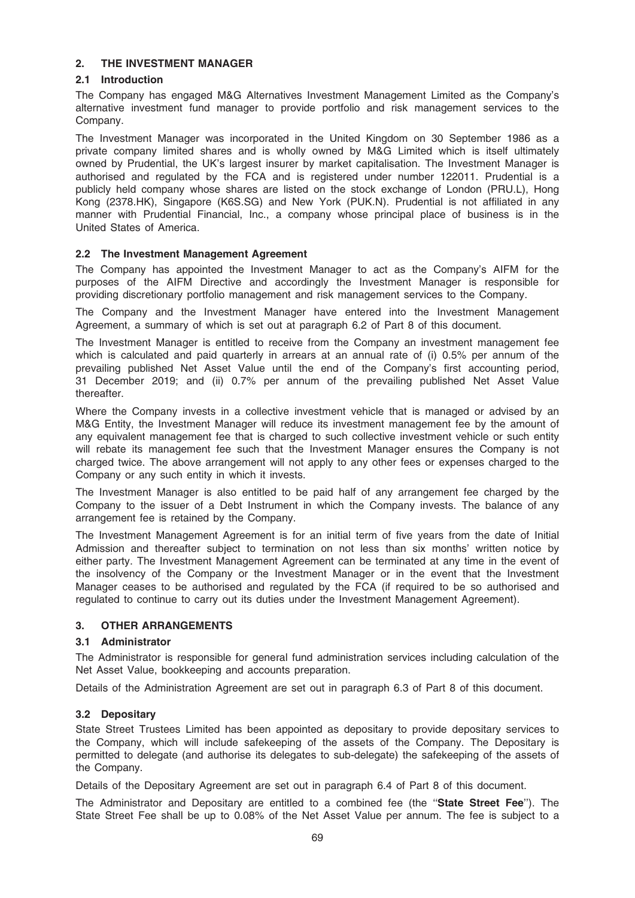# 2. THE INVESTMENT MANAGER

# 2.1 Introduction

The Company has engaged M&G Alternatives Investment Management Limited as the Company's alternative investment fund manager to provide portfolio and risk management services to the Company.

The Investment Manager was incorporated in the United Kingdom on 30 September 1986 as a private company limited shares and is wholly owned by M&G Limited which is itself ultimately owned by Prudential, the UK's largest insurer by market capitalisation. The Investment Manager is authorised and regulated by the FCA and is registered under number 122011. Prudential is a publicly held company whose shares are listed on the stock exchange of London (PRU.L), Hong Kong (2378.HK), Singapore (K6S.SG) and New York (PUK.N). Prudential is not affiliated in any manner with Prudential Financial, Inc., a company whose principal place of business is in the United States of America.

#### 2.2 The Investment Management Agreement

The Company has appointed the Investment Manager to act as the Company's AIFM for the purposes of the AIFM Directive and accordingly the Investment Manager is responsible for providing discretionary portfolio management and risk management services to the Company.

The Company and the Investment Manager have entered into the Investment Management Agreement, a summary of which is set out at paragraph 6.2 of Part 8 of this document.

The Investment Manager is entitled to receive from the Company an investment management fee which is calculated and paid quarterly in arrears at an annual rate of (i) 0.5% per annum of the prevailing published Net Asset Value until the end of the Company's first accounting period, 31 December 2019; and (ii) 0.7% per annum of the prevailing published Net Asset Value thereafter.

Where the Company invests in a collective investment vehicle that is managed or advised by an M&G Entity, the Investment Manager will reduce its investment management fee by the amount of any equivalent management fee that is charged to such collective investment vehicle or such entity will rebate its management fee such that the Investment Manager ensures the Company is not charged twice. The above arrangement will not apply to any other fees or expenses charged to the Company or any such entity in which it invests.

The Investment Manager is also entitled to be paid half of any arrangement fee charged by the Company to the issuer of a Debt Instrument in which the Company invests. The balance of any arrangement fee is retained by the Company.

The Investment Management Agreement is for an initial term of five years from the date of Initial Admission and thereafter subject to termination on not less than six months' written notice by either party. The Investment Management Agreement can be terminated at any time in the event of the insolvency of the Company or the Investment Manager or in the event that the Investment Manager ceases to be authorised and regulated by the FCA (if required to be so authorised and regulated to continue to carry out its duties under the Investment Management Agreement).

#### 3. OTHER ARRANGEMENTS

#### 3.1 Administrator

The Administrator is responsible for general fund administration services including calculation of the Net Asset Value, bookkeeping and accounts preparation.

Details of the Administration Agreement are set out in paragraph 6.3 of Part 8 of this document.

#### 3.2 Depositary

State Street Trustees Limited has been appointed as depositary to provide depositary services to the Company, which will include safekeeping of the assets of the Company. The Depositary is permitted to delegate (and authorise its delegates to sub-delegate) the safekeeping of the assets of the Company.

Details of the Depositary Agreement are set out in paragraph 6.4 of Part 8 of this document.

The Administrator and Depositary are entitled to a combined fee (the "State Street Fee"). The State Street Fee shall be up to 0.08% of the Net Asset Value per annum. The fee is subject to a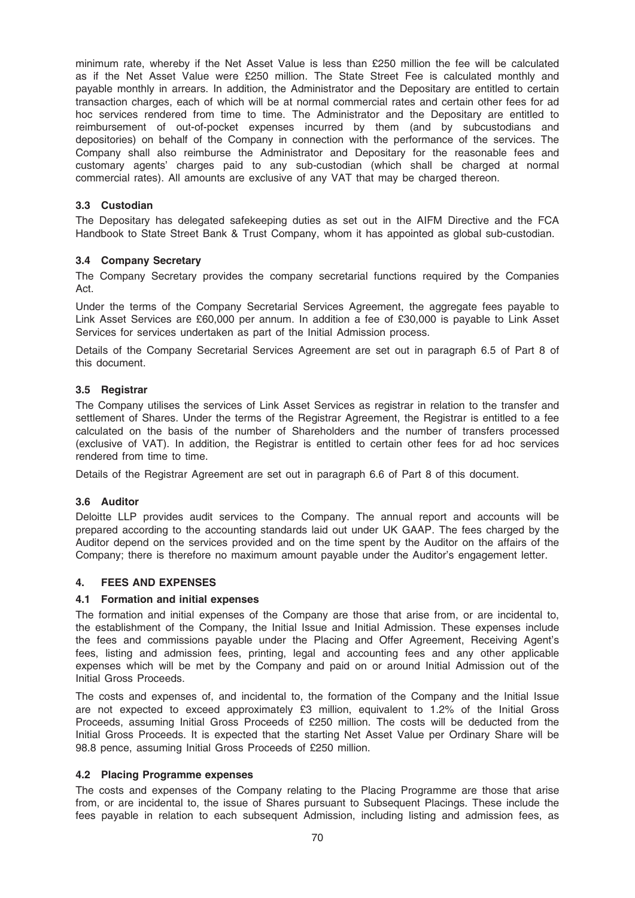minimum rate, whereby if the Net Asset Value is less than £250 million the fee will be calculated as if the Net Asset Value were £250 million. The State Street Fee is calculated monthly and payable monthly in arrears. In addition, the Administrator and the Depositary are entitled to certain transaction charges, each of which will be at normal commercial rates and certain other fees for ad hoc services rendered from time to time. The Administrator and the Depositary are entitled to reimbursement of out-of-pocket expenses incurred by them (and by subcustodians and depositories) on behalf of the Company in connection with the performance of the services. The Company shall also reimburse the Administrator and Depositary for the reasonable fees and customary agents' charges paid to any sub-custodian (which shall be charged at normal commercial rates). All amounts are exclusive of any VAT that may be charged thereon.

# 3.3 Custodian

The Depositary has delegated safekeeping duties as set out in the AIFM Directive and the FCA Handbook to State Street Bank & Trust Company, whom it has appointed as global sub-custodian.

# 3.4 Company Secretary

The Company Secretary provides the company secretarial functions required by the Companies Act.

Under the terms of the Company Secretarial Services Agreement, the aggregate fees payable to Link Asset Services are £60,000 per annum. In addition a fee of £30,000 is payable to Link Asset Services for services undertaken as part of the Initial Admission process.

Details of the Company Secretarial Services Agreement are set out in paragraph 6.5 of Part 8 of this document.

# 3.5 Registrar

The Company utilises the services of Link Asset Services as registrar in relation to the transfer and settlement of Shares. Under the terms of the Registrar Agreement, the Registrar is entitled to a fee calculated on the basis of the number of Shareholders and the number of transfers processed (exclusive of VAT). In addition, the Registrar is entitled to certain other fees for ad hoc services rendered from time to time.

Details of the Registrar Agreement are set out in paragraph 6.6 of Part 8 of this document.

# 3.6 Auditor

Deloitte LLP provides audit services to the Company. The annual report and accounts will be prepared according to the accounting standards laid out under UK GAAP. The fees charged by the Auditor depend on the services provided and on the time spent by the Auditor on the affairs of the Company; there is therefore no maximum amount payable under the Auditor's engagement letter.

# 4. FEES AND EXPENSES

# 4.1 Formation and initial expenses

The formation and initial expenses of the Company are those that arise from, or are incidental to, the establishment of the Company, the Initial Issue and Initial Admission. These expenses include the fees and commissions payable under the Placing and Offer Agreement, Receiving Agent's fees, listing and admission fees, printing, legal and accounting fees and any other applicable expenses which will be met by the Company and paid on or around Initial Admission out of the Initial Gross Proceeds.

The costs and expenses of, and incidental to, the formation of the Company and the Initial Issue are not expected to exceed approximately £3 million, equivalent to 1.2% of the Initial Gross Proceeds, assuming Initial Gross Proceeds of £250 million. The costs will be deducted from the Initial Gross Proceeds. It is expected that the starting Net Asset Value per Ordinary Share will be 98.8 pence, assuming Initial Gross Proceeds of £250 million.

# 4.2 Placing Programme expenses

The costs and expenses of the Company relating to the Placing Programme are those that arise from, or are incidental to, the issue of Shares pursuant to Subsequent Placings. These include the fees payable in relation to each subsequent Admission, including listing and admission fees, as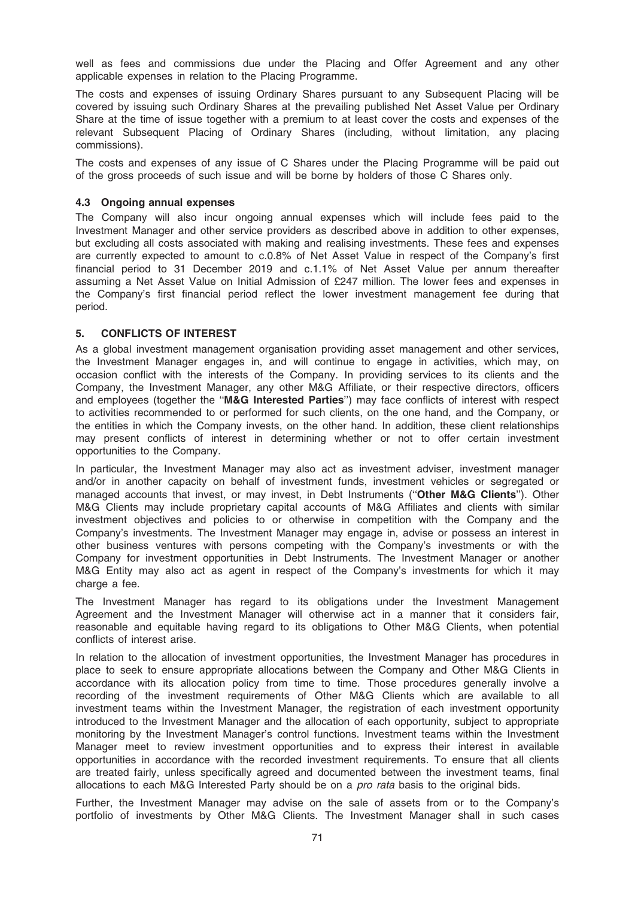well as fees and commissions due under the Placing and Offer Agreement and any other applicable expenses in relation to the Placing Programme.

The costs and expenses of issuing Ordinary Shares pursuant to any Subsequent Placing will be covered by issuing such Ordinary Shares at the prevailing published Net Asset Value per Ordinary Share at the time of issue together with a premium to at least cover the costs and expenses of the relevant Subsequent Placing of Ordinary Shares (including, without limitation, any placing commissions).

The costs and expenses of any issue of C Shares under the Placing Programme will be paid out of the gross proceeds of such issue and will be borne by holders of those C Shares only.

## 4.3 Ongoing annual expenses

The Company will also incur ongoing annual expenses which will include fees paid to the Investment Manager and other service providers as described above in addition to other expenses, but excluding all costs associated with making and realising investments. These fees and expenses are currently expected to amount to c.0.8% of Net Asset Value in respect of the Company's first financial period to 31 December 2019 and c.1.1% of Net Asset Value per annum thereafter assuming a Net Asset Value on Initial Admission of £247 million. The lower fees and expenses in the Company's first financial period reflect the lower investment management fee during that period.

## 5. CONFLICTS OF INTEREST

As a global investment management organisation providing asset management and other services, the Investment Manager engages in, and will continue to engage in activities, which may, on occasion conflict with the interests of the Company. In providing services to its clients and the Company, the Investment Manager, any other M&G Affiliate, or their respective directors, officers and employees (together the "M&G Interested Parties") may face conflicts of interest with respect to activities recommended to or performed for such clients, on the one hand, and the Company, or the entities in which the Company invests, on the other hand. In addition, these client relationships may present conflicts of interest in determining whether or not to offer certain investment opportunities to the Company.

In particular, the Investment Manager may also act as investment adviser, investment manager and/or in another capacity on behalf of investment funds, investment vehicles or segregated or managed accounts that invest, or may invest, in Debt Instruments ("Other M&G Clients"). Other M&G Clients may include proprietary capital accounts of M&G Affiliates and clients with similar investment objectives and policies to or otherwise in competition with the Company and the Company's investments. The Investment Manager may engage in, advise or possess an interest in other business ventures with persons competing with the Company's investments or with the Company for investment opportunities in Debt Instruments. The Investment Manager or another M&G Entity may also act as agent in respect of the Company's investments for which it may charge a fee.

The Investment Manager has regard to its obligations under the Investment Management Agreement and the Investment Manager will otherwise act in a manner that it considers fair, reasonable and equitable having regard to its obligations to Other M&G Clients, when potential conflicts of interest arise.

In relation to the allocation of investment opportunities, the Investment Manager has procedures in place to seek to ensure appropriate allocations between the Company and Other M&G Clients in accordance with its allocation policy from time to time. Those procedures generally involve a recording of the investment requirements of Other M&G Clients which are available to all investment teams within the Investment Manager, the registration of each investment opportunity introduced to the Investment Manager and the allocation of each opportunity, subject to appropriate monitoring by the Investment Manager's control functions. Investment teams within the Investment Manager meet to review investment opportunities and to express their interest in available opportunities in accordance with the recorded investment requirements. To ensure that all clients are treated fairly, unless specifically agreed and documented between the investment teams, final allocations to each M&G Interested Party should be on a *pro rata* basis to the original bids.

Further, the Investment Manager may advise on the sale of assets from or to the Company's portfolio of investments by Other M&G Clients. The Investment Manager shall in such cases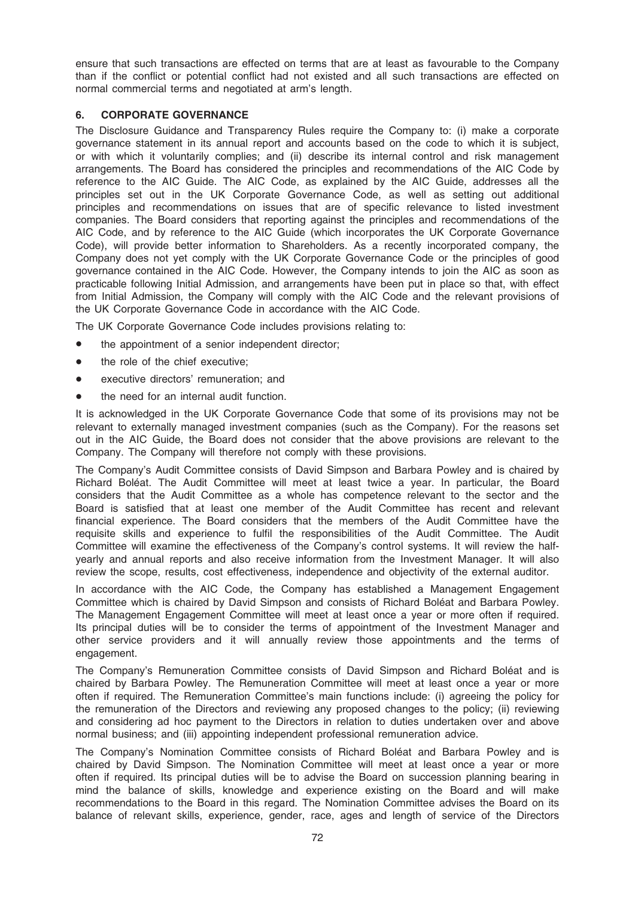ensure that such transactions are effected on terms that are at least as favourable to the Company than if the conflict or potential conflict had not existed and all such transactions are effected on normal commercial terms and negotiated at arm's length.

# 6. CORPORATE GOVERNANCE

The Disclosure Guidance and Transparency Rules require the Company to: (i) make a corporate governance statement in its annual report and accounts based on the code to which it is subject, or with which it voluntarily complies; and (ii) describe its internal control and risk management arrangements. The Board has considered the principles and recommendations of the AIC Code by reference to the AIC Guide. The AIC Code, as explained by the AIC Guide, addresses all the principles set out in the UK Corporate Governance Code, as well as setting out additional principles and recommendations on issues that are of specific relevance to listed investment companies. The Board considers that reporting against the principles and recommendations of the AIC Code, and by reference to the AIC Guide (which incorporates the UK Corporate Governance Code), will provide better information to Shareholders. As a recently incorporated company, the Company does not yet comply with the UK Corporate Governance Code or the principles of good governance contained in the AIC Code. However, the Company intends to join the AIC as soon as practicable following Initial Admission, and arrangements have been put in place so that, with effect from Initial Admission, the Company will comply with the AIC Code and the relevant provisions of the UK Corporate Governance Code in accordance with the AIC Code.

The UK Corporate Governance Code includes provisions relating to:

- the appointment of a senior independent director;
- the role of the chief executive;
- executive directors' remuneration; and
- the need for an internal audit function.

It is acknowledged in the UK Corporate Governance Code that some of its provisions may not be relevant to externally managed investment companies (such as the Company). For the reasons set out in the AIC Guide, the Board does not consider that the above provisions are relevant to the Company. The Company will therefore not comply with these provisions.

The Company's Audit Committee consists of David Simpson and Barbara Powley and is chaired by Richard Boléat. The Audit Committee will meet at least twice a year. In particular, the Board considers that the Audit Committee as a whole has competence relevant to the sector and the Board is satisfied that at least one member of the Audit Committee has recent and relevant financial experience. The Board considers that the members of the Audit Committee have the requisite skills and experience to fulfil the responsibilities of the Audit Committee. The Audit Committee will examine the effectiveness of the Company's control systems. It will review the halfyearly and annual reports and also receive information from the Investment Manager. It will also review the scope, results, cost effectiveness, independence and objectivity of the external auditor.

In accordance with the AIC Code, the Company has established a Management Engagement Committee which is chaired by David Simpson and consists of Richard Boléat and Barbara Powley. The Management Engagement Committee will meet at least once a year or more often if required. Its principal duties will be to consider the terms of appointment of the Investment Manager and other service providers and it will annually review those appointments and the terms of engagement.

The Company's Remuneration Committee consists of David Simpson and Richard Boléat and is chaired by Barbara Powley. The Remuneration Committee will meet at least once a year or more often if required. The Remuneration Committee's main functions include: (i) agreeing the policy for the remuneration of the Directors and reviewing any proposed changes to the policy; (ii) reviewing and considering ad hoc payment to the Directors in relation to duties undertaken over and above normal business; and (iii) appointing independent professional remuneration advice.

The Company's Nomination Committee consists of Richard Boléat and Barbara Powley and is chaired by David Simpson. The Nomination Committee will meet at least once a year or more often if required. Its principal duties will be to advise the Board on succession planning bearing in mind the balance of skills, knowledge and experience existing on the Board and will make recommendations to the Board in this regard. The Nomination Committee advises the Board on its balance of relevant skills, experience, gender, race, ages and length of service of the Directors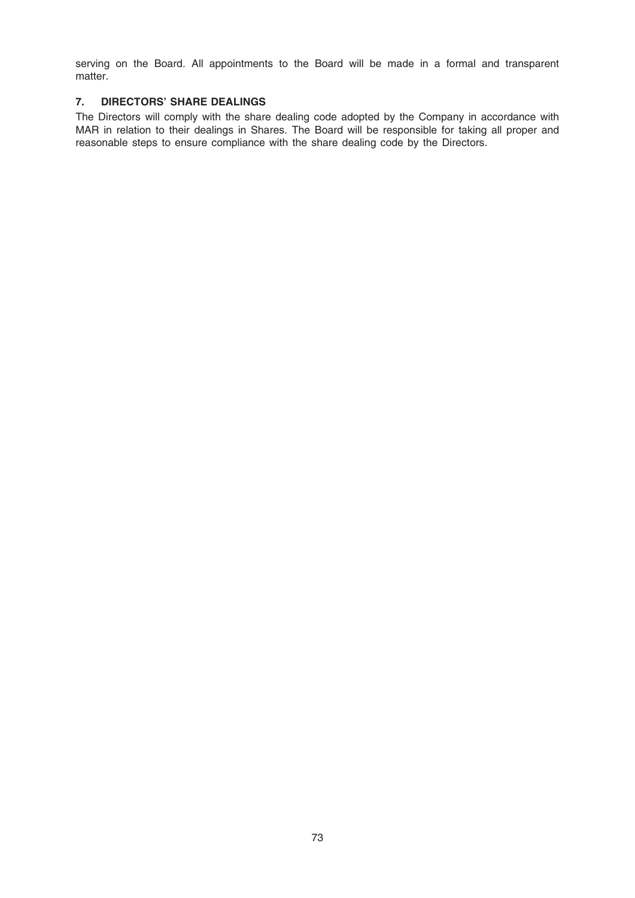serving on the Board. All appointments to the Board will be made in a formal and transparent matter.

## 7. DIRECTORS' SHARE DEALINGS

The Directors will comply with the share dealing code adopted by the Company in accordance with MAR in relation to their dealings in Shares. The Board will be responsible for taking all proper and reasonable steps to ensure compliance with the share dealing code by the Directors.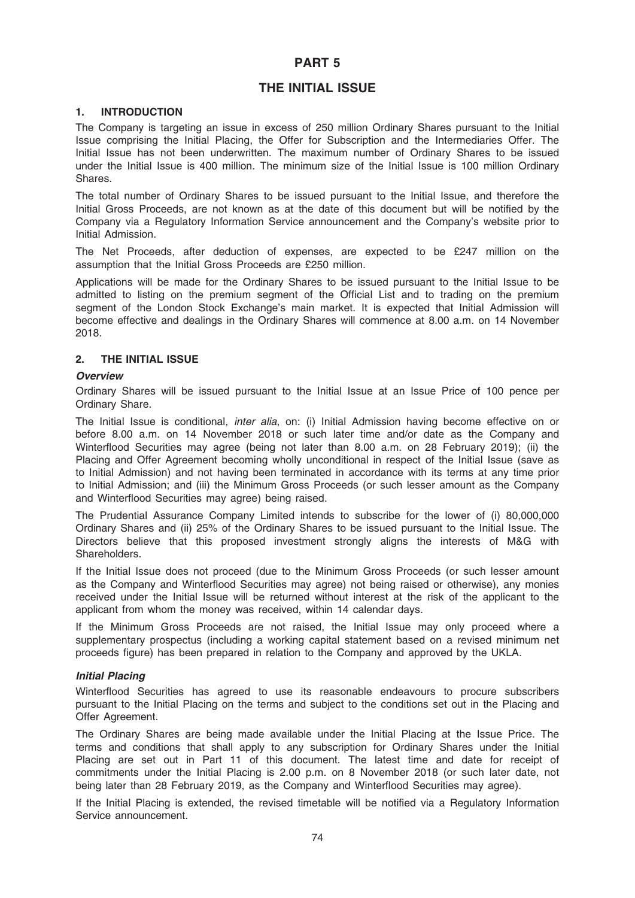## PART 5

## THE INITIAL ISSUE

## 1. INTRODUCTION

The Company is targeting an issue in excess of 250 million Ordinary Shares pursuant to the Initial Issue comprising the Initial Placing, the Offer for Subscription and the Intermediaries Offer. The Initial Issue has not been underwritten. The maximum number of Ordinary Shares to be issued under the Initial Issue is 400 million. The minimum size of the Initial Issue is 100 million Ordinary Shares.

The total number of Ordinary Shares to be issued pursuant to the Initial Issue, and therefore the Initial Gross Proceeds, are not known as at the date of this document but will be notified by the Company via a Regulatory Information Service announcement and the Company's website prior to Initial Admission.

The Net Proceeds, after deduction of expenses, are expected to be £247 million on the assumption that the Initial Gross Proceeds are £250 million.

Applications will be made for the Ordinary Shares to be issued pursuant to the Initial Issue to be admitted to listing on the premium segment of the Official List and to trading on the premium segment of the London Stock Exchange's main market. It is expected that Initial Admission will become effective and dealings in the Ordinary Shares will commence at 8.00 a.m. on 14 November 2018.

## 2. THE INITIAL ISSUE

## **Overview**

Ordinary Shares will be issued pursuant to the Initial Issue at an Issue Price of 100 pence per Ordinary Share.

The Initial Issue is conditional, *inter alia*, on: (i) Initial Admission having become effective on or before 8.00 a.m. on 14 November 2018 or such later time and/or date as the Company and Winterflood Securities may agree (being not later than 8.00 a.m. on 28 February 2019); (ii) the Placing and Offer Agreement becoming wholly unconditional in respect of the Initial Issue (save as to Initial Admission) and not having been terminated in accordance with its terms at any time prior to Initial Admission; and (iii) the Minimum Gross Proceeds (or such lesser amount as the Company and Winterflood Securities may agree) being raised.

The Prudential Assurance Company Limited intends to subscribe for the lower of (i) 80,000,000 Ordinary Shares and (ii) 25% of the Ordinary Shares to be issued pursuant to the Initial Issue. The Directors believe that this proposed investment strongly aligns the interests of M&G with Shareholders.

If the Initial Issue does not proceed (due to the Minimum Gross Proceeds (or such lesser amount as the Company and Winterflood Securities may agree) not being raised or otherwise), any monies received under the Initial Issue will be returned without interest at the risk of the applicant to the applicant from whom the money was received, within 14 calendar days.

If the Minimum Gross Proceeds are not raised, the Initial Issue may only proceed where a supplementary prospectus (including a working capital statement based on a revised minimum net proceeds figure) has been prepared in relation to the Company and approved by the UKLA.

## Initial Placing

Winterflood Securities has agreed to use its reasonable endeavours to procure subscribers pursuant to the Initial Placing on the terms and subject to the conditions set out in the Placing and Offer Agreement.

The Ordinary Shares are being made available under the Initial Placing at the Issue Price. The terms and conditions that shall apply to any subscription for Ordinary Shares under the Initial Placing are set out in Part 11 of this document. The latest time and date for receipt of commitments under the Initial Placing is 2.00 p.m. on 8 November 2018 (or such later date, not being later than 28 February 2019, as the Company and Winterflood Securities may agree).

If the Initial Placing is extended, the revised timetable will be notified via a Regulatory Information Service announcement.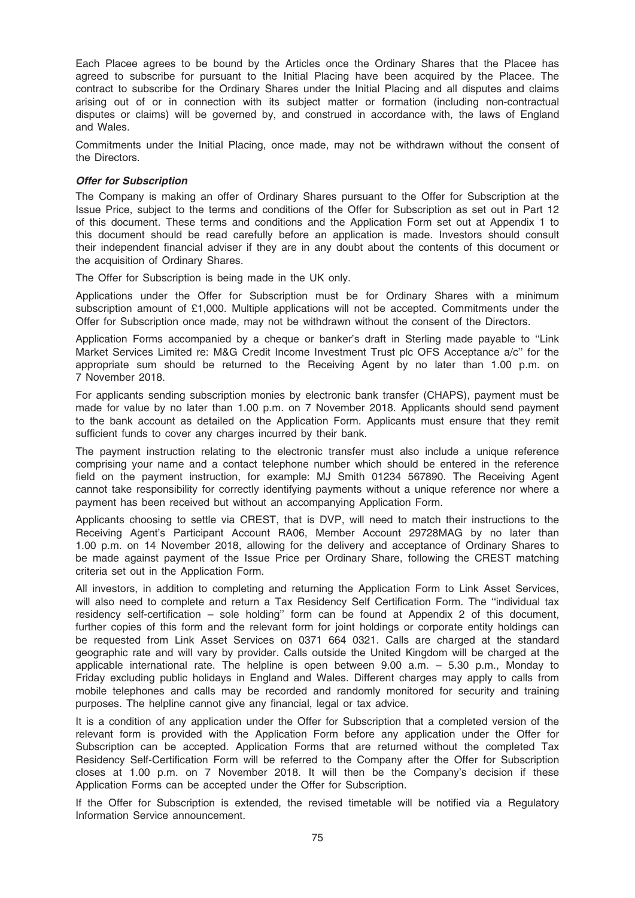Each Placee agrees to be bound by the Articles once the Ordinary Shares that the Placee has agreed to subscribe for pursuant to the Initial Placing have been acquired by the Placee. The contract to subscribe for the Ordinary Shares under the Initial Placing and all disputes and claims arising out of or in connection with its subject matter or formation (including non-contractual disputes or claims) will be governed by, and construed in accordance with, the laws of England and Wales.

Commitments under the Initial Placing, once made, may not be withdrawn without the consent of the Directors.

#### Offer for Subscription

The Company is making an offer of Ordinary Shares pursuant to the Offer for Subscription at the Issue Price, subject to the terms and conditions of the Offer for Subscription as set out in Part 12 of this document. These terms and conditions and the Application Form set out at Appendix 1 to this document should be read carefully before an application is made. Investors should consult their independent financial adviser if they are in any doubt about the contents of this document or the acquisition of Ordinary Shares.

The Offer for Subscription is being made in the UK only.

Applications under the Offer for Subscription must be for Ordinary Shares with a minimum subscription amount of £1,000. Multiple applications will not be accepted. Commitments under the Offer for Subscription once made, may not be withdrawn without the consent of the Directors.

Application Forms accompanied by a cheque or banker's draft in Sterling made payable to ''Link Market Services Limited re: M&G Credit Income Investment Trust plc OFS Acceptance a/c'' for the appropriate sum should be returned to the Receiving Agent by no later than 1.00 p.m. on 7 November 2018.

For applicants sending subscription monies by electronic bank transfer (CHAPS), payment must be made for value by no later than 1.00 p.m. on 7 November 2018. Applicants should send payment to the bank account as detailed on the Application Form. Applicants must ensure that they remit sufficient funds to cover any charges incurred by their bank.

The payment instruction relating to the electronic transfer must also include a unique reference comprising your name and a contact telephone number which should be entered in the reference field on the payment instruction, for example: MJ Smith 01234 567890. The Receiving Agent cannot take responsibility for correctly identifying payments without a unique reference nor where a payment has been received but without an accompanying Application Form.

Applicants choosing to settle via CREST, that is DVP, will need to match their instructions to the Receiving Agent's Participant Account RA06, Member Account 29728MAG by no later than 1.00 p.m. on 14 November 2018, allowing for the delivery and acceptance of Ordinary Shares to be made against payment of the Issue Price per Ordinary Share, following the CREST matching criteria set out in the Application Form.

All investors, in addition to completing and returning the Application Form to Link Asset Services, will also need to complete and return a Tax Residency Self Certification Form. The ''individual tax residency self-certification – sole holding'' form can be found at Appendix 2 of this document, further copies of this form and the relevant form for joint holdings or corporate entity holdings can be requested from Link Asset Services on 0371 664 0321. Calls are charged at the standard geographic rate and will vary by provider. Calls outside the United Kingdom will be charged at the applicable international rate. The helpline is open between 9.00 a.m. – 5.30 p.m., Monday to Friday excluding public holidays in England and Wales. Different charges may apply to calls from mobile telephones and calls may be recorded and randomly monitored for security and training purposes. The helpline cannot give any financial, legal or tax advice.

It is a condition of any application under the Offer for Subscription that a completed version of the relevant form is provided with the Application Form before any application under the Offer for Subscription can be accepted. Application Forms that are returned without the completed Tax Residency Self-Certification Form will be referred to the Company after the Offer for Subscription closes at 1.00 p.m. on 7 November 2018. It will then be the Company's decision if these Application Forms can be accepted under the Offer for Subscription.

If the Offer for Subscription is extended, the revised timetable will be notified via a Regulatory Information Service announcement.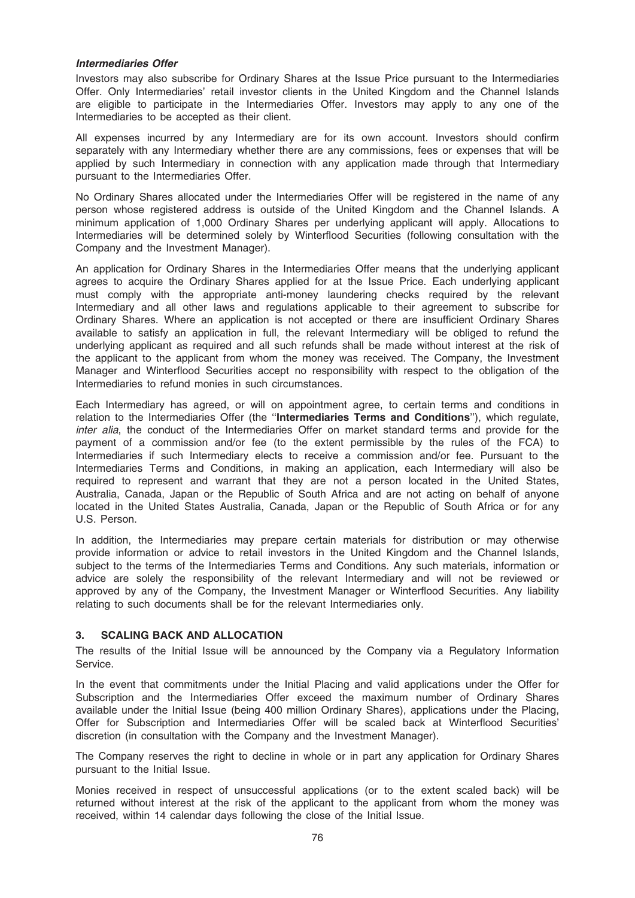#### Intermediaries Offer

Investors may also subscribe for Ordinary Shares at the Issue Price pursuant to the Intermediaries Offer. Only Intermediaries' retail investor clients in the United Kingdom and the Channel Islands are eligible to participate in the Intermediaries Offer. Investors may apply to any one of the Intermediaries to be accepted as their client.

All expenses incurred by any Intermediary are for its own account. Investors should confirm separately with any Intermediary whether there are any commissions, fees or expenses that will be applied by such Intermediary in connection with any application made through that Intermediary pursuant to the Intermediaries Offer.

No Ordinary Shares allocated under the Intermediaries Offer will be registered in the name of any person whose registered address is outside of the United Kingdom and the Channel Islands. A minimum application of 1,000 Ordinary Shares per underlying applicant will apply. Allocations to Intermediaries will be determined solely by Winterflood Securities (following consultation with the Company and the Investment Manager).

An application for Ordinary Shares in the Intermediaries Offer means that the underlying applicant agrees to acquire the Ordinary Shares applied for at the Issue Price. Each underlying applicant must comply with the appropriate anti-money laundering checks required by the relevant Intermediary and all other laws and regulations applicable to their agreement to subscribe for Ordinary Shares. Where an application is not accepted or there are insufficient Ordinary Shares available to satisfy an application in full, the relevant Intermediary will be obliged to refund the underlying applicant as required and all such refunds shall be made without interest at the risk of the applicant to the applicant from whom the money was received. The Company, the Investment Manager and Winterflood Securities accept no responsibility with respect to the obligation of the Intermediaries to refund monies in such circumstances.

Each Intermediary has agreed, or will on appointment agree, to certain terms and conditions in relation to the Intermediaries Offer (the "Intermediaries Terms and Conditions"), which regulate, inter alia, the conduct of the Intermediaries Offer on market standard terms and provide for the payment of a commission and/or fee (to the extent permissible by the rules of the FCA) to Intermediaries if such Intermediary elects to receive a commission and/or fee. Pursuant to the Intermediaries Terms and Conditions, in making an application, each Intermediary will also be required to represent and warrant that they are not a person located in the United States, Australia, Canada, Japan or the Republic of South Africa and are not acting on behalf of anyone located in the United States Australia, Canada, Japan or the Republic of South Africa or for any U.S. Person.

In addition, the Intermediaries may prepare certain materials for distribution or may otherwise provide information or advice to retail investors in the United Kingdom and the Channel Islands, subject to the terms of the Intermediaries Terms and Conditions. Any such materials, information or advice are solely the responsibility of the relevant Intermediary and will not be reviewed or approved by any of the Company, the Investment Manager or Winterflood Securities. Any liability relating to such documents shall be for the relevant Intermediaries only.

## 3. SCALING BACK AND ALLOCATION

The results of the Initial Issue will be announced by the Company via a Regulatory Information Service.

In the event that commitments under the Initial Placing and valid applications under the Offer for Subscription and the Intermediaries Offer exceed the maximum number of Ordinary Shares available under the Initial Issue (being 400 million Ordinary Shares), applications under the Placing, Offer for Subscription and Intermediaries Offer will be scaled back at Winterflood Securities' discretion (in consultation with the Company and the Investment Manager).

The Company reserves the right to decline in whole or in part any application for Ordinary Shares pursuant to the Initial Issue.

Monies received in respect of unsuccessful applications (or to the extent scaled back) will be returned without interest at the risk of the applicant to the applicant from whom the money was received, within 14 calendar days following the close of the Initial Issue.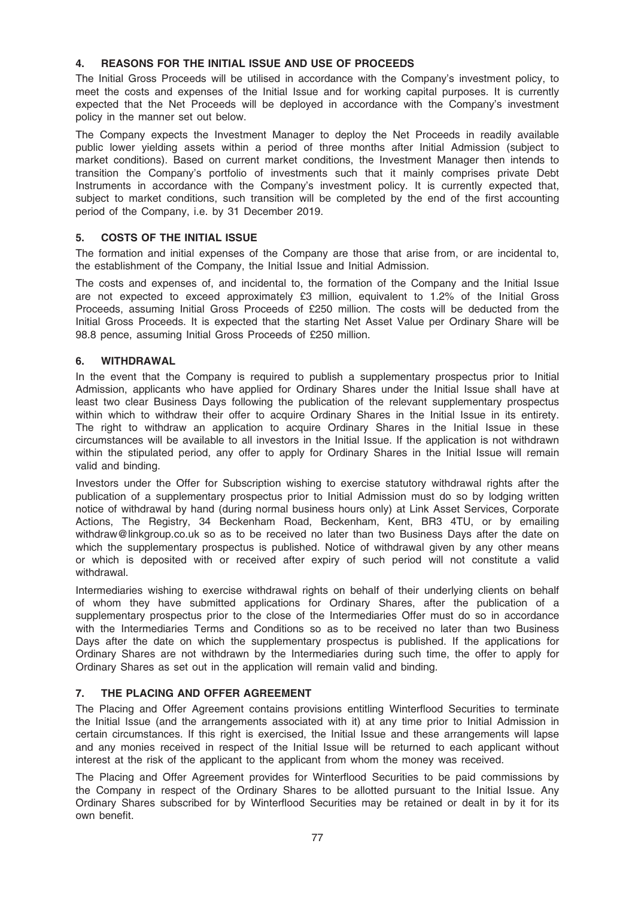## 4. REASONS FOR THE INITIAL ISSUE AND USE OF PROCEEDS

The Initial Gross Proceeds will be utilised in accordance with the Company's investment policy, to meet the costs and expenses of the Initial Issue and for working capital purposes. It is currently expected that the Net Proceeds will be deployed in accordance with the Company's investment policy in the manner set out below.

The Company expects the Investment Manager to deploy the Net Proceeds in readily available public lower yielding assets within a period of three months after Initial Admission (subject to market conditions). Based on current market conditions, the Investment Manager then intends to transition the Company's portfolio of investments such that it mainly comprises private Debt Instruments in accordance with the Company's investment policy. It is currently expected that, subject to market conditions, such transition will be completed by the end of the first accounting period of the Company, i.e. by 31 December 2019.

## 5. COSTS OF THE INITIAL ISSUE

The formation and initial expenses of the Company are those that arise from, or are incidental to, the establishment of the Company, the Initial Issue and Initial Admission.

The costs and expenses of, and incidental to, the formation of the Company and the Initial Issue are not expected to exceed approximately £3 million, equivalent to 1.2% of the Initial Gross Proceeds, assuming Initial Gross Proceeds of £250 million. The costs will be deducted from the Initial Gross Proceeds. It is expected that the starting Net Asset Value per Ordinary Share will be 98.8 pence, assuming Initial Gross Proceeds of £250 million.

## 6. WITHDRAWAL

In the event that the Company is required to publish a supplementary prospectus prior to Initial Admission, applicants who have applied for Ordinary Shares under the Initial Issue shall have at least two clear Business Days following the publication of the relevant supplementary prospectus within which to withdraw their offer to acquire Ordinary Shares in the Initial Issue in its entirety. The right to withdraw an application to acquire Ordinary Shares in the Initial Issue in these circumstances will be available to all investors in the Initial Issue. If the application is not withdrawn within the stipulated period, any offer to apply for Ordinary Shares in the Initial Issue will remain valid and binding.

Investors under the Offer for Subscription wishing to exercise statutory withdrawal rights after the publication of a supplementary prospectus prior to Initial Admission must do so by lodging written notice of withdrawal by hand (during normal business hours only) at Link Asset Services, Corporate Actions, The Registry, 34 Beckenham Road, Beckenham, Kent, BR3 4TU, or by emailing withdraw@linkgroup.co.uk so as to be received no later than two Business Days after the date on which the supplementary prospectus is published. Notice of withdrawal given by any other means or which is deposited with or received after expiry of such period will not constitute a valid withdrawal.

Intermediaries wishing to exercise withdrawal rights on behalf of their underlying clients on behalf of whom they have submitted applications for Ordinary Shares, after the publication of a supplementary prospectus prior to the close of the Intermediaries Offer must do so in accordance with the Intermediaries Terms and Conditions so as to be received no later than two Business Days after the date on which the supplementary prospectus is published. If the applications for Ordinary Shares are not withdrawn by the Intermediaries during such time, the offer to apply for Ordinary Shares as set out in the application will remain valid and binding.

## 7. THE PLACING AND OFFER AGREEMENT

The Placing and Offer Agreement contains provisions entitling Winterflood Securities to terminate the Initial Issue (and the arrangements associated with it) at any time prior to Initial Admission in certain circumstances. If this right is exercised, the Initial Issue and these arrangements will lapse and any monies received in respect of the Initial Issue will be returned to each applicant without interest at the risk of the applicant to the applicant from whom the money was received.

The Placing and Offer Agreement provides for Winterflood Securities to be paid commissions by the Company in respect of the Ordinary Shares to be allotted pursuant to the Initial Issue. Any Ordinary Shares subscribed for by Winterflood Securities may be retained or dealt in by it for its own benefit.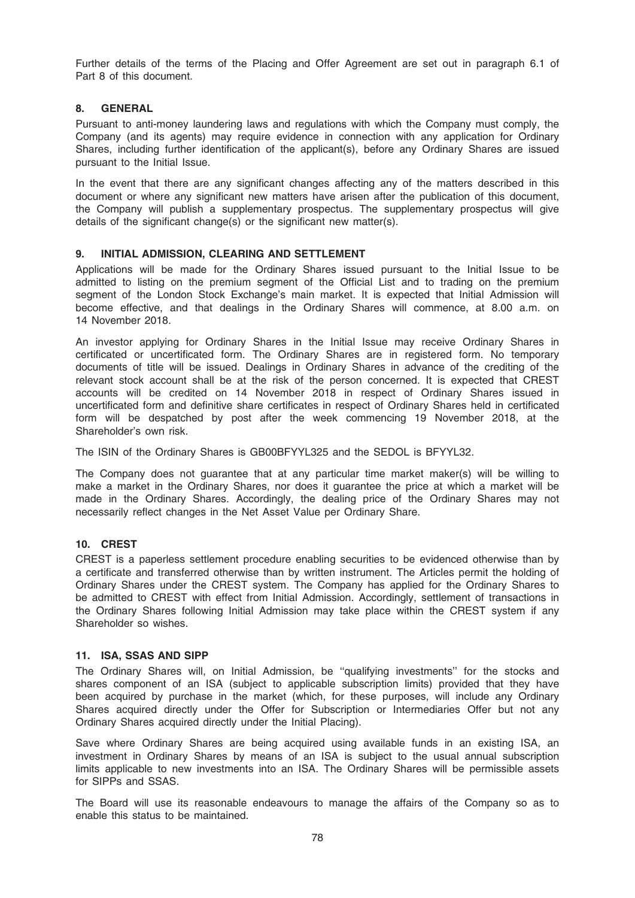Further details of the terms of the Placing and Offer Agreement are set out in paragraph 6.1 of Part 8 of this document.

## 8. GENERAL

Pursuant to anti-money laundering laws and regulations with which the Company must comply, the Company (and its agents) may require evidence in connection with any application for Ordinary Shares, including further identification of the applicant(s), before any Ordinary Shares are issued pursuant to the Initial Issue.

In the event that there are any significant changes affecting any of the matters described in this document or where any significant new matters have arisen after the publication of this document, the Company will publish a supplementary prospectus. The supplementary prospectus will give details of the significant change(s) or the significant new matter(s).

## 9. INITIAL ADMISSION, CLEARING AND SETTLEMENT

Applications will be made for the Ordinary Shares issued pursuant to the Initial Issue to be admitted to listing on the premium segment of the Official List and to trading on the premium segment of the London Stock Exchange's main market. It is expected that Initial Admission will become effective, and that dealings in the Ordinary Shares will commence, at 8.00 a.m. on 14 November 2018.

An investor applying for Ordinary Shares in the Initial Issue may receive Ordinary Shares in certificated or uncertificated form. The Ordinary Shares are in registered form. No temporary documents of title will be issued. Dealings in Ordinary Shares in advance of the crediting of the relevant stock account shall be at the risk of the person concerned. It is expected that CREST accounts will be credited on 14 November 2018 in respect of Ordinary Shares issued in uncertificated form and definitive share certificates in respect of Ordinary Shares held in certificated form will be despatched by post after the week commencing 19 November 2018, at the Shareholder's own risk.

The ISIN of the Ordinary Shares is GB00BFYYL325 and the SEDOL is BFYYL32.

The Company does not guarantee that at any particular time market maker(s) will be willing to make a market in the Ordinary Shares, nor does it guarantee the price at which a market will be made in the Ordinary Shares. Accordingly, the dealing price of the Ordinary Shares may not necessarily reflect changes in the Net Asset Value per Ordinary Share.

## 10. CREST

CREST is a paperless settlement procedure enabling securities to be evidenced otherwise than by a certificate and transferred otherwise than by written instrument. The Articles permit the holding of Ordinary Shares under the CREST system. The Company has applied for the Ordinary Shares to be admitted to CREST with effect from Initial Admission. Accordingly, settlement of transactions in the Ordinary Shares following Initial Admission may take place within the CREST system if any Shareholder so wishes.

## 11. ISA, SSAS AND SIPP

The Ordinary Shares will, on Initial Admission, be ''qualifying investments'' for the stocks and shares component of an ISA (subject to applicable subscription limits) provided that they have been acquired by purchase in the market (which, for these purposes, will include any Ordinary Shares acquired directly under the Offer for Subscription or Intermediaries Offer but not any Ordinary Shares acquired directly under the Initial Placing).

Save where Ordinary Shares are being acquired using available funds in an existing ISA, an investment in Ordinary Shares by means of an ISA is subject to the usual annual subscription limits applicable to new investments into an ISA. The Ordinary Shares will be permissible assets for SIPPs and SSAS.

The Board will use its reasonable endeavours to manage the affairs of the Company so as to enable this status to be maintained.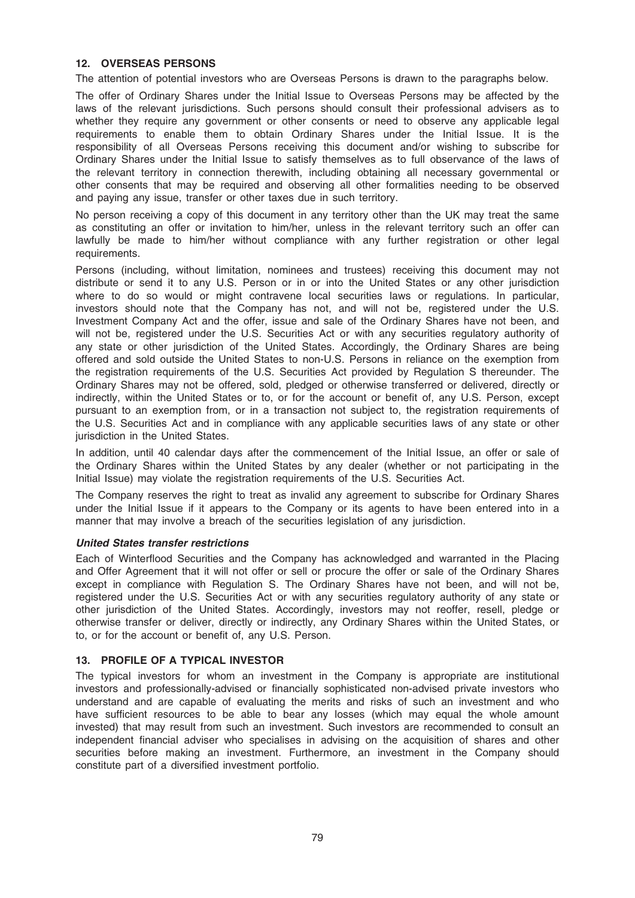#### 12. OVERSEAS PERSONS

The attention of potential investors who are Overseas Persons is drawn to the paragraphs below.

The offer of Ordinary Shares under the Initial Issue to Overseas Persons may be affected by the laws of the relevant jurisdictions. Such persons should consult their professional advisers as to whether they require any government or other consents or need to observe any applicable legal requirements to enable them to obtain Ordinary Shares under the Initial Issue. It is the responsibility of all Overseas Persons receiving this document and/or wishing to subscribe for Ordinary Shares under the Initial Issue to satisfy themselves as to full observance of the laws of the relevant territory in connection therewith, including obtaining all necessary governmental or other consents that may be required and observing all other formalities needing to be observed and paying any issue, transfer or other taxes due in such territory.

No person receiving a copy of this document in any territory other than the UK may treat the same as constituting an offer or invitation to him/her, unless in the relevant territory such an offer can lawfully be made to him/her without compliance with any further registration or other legal requirements.

Persons (including, without limitation, nominees and trustees) receiving this document may not distribute or send it to any U.S. Person or in or into the United States or any other jurisdiction where to do so would or might contravene local securities laws or regulations. In particular, investors should note that the Company has not, and will not be, registered under the U.S. Investment Company Act and the offer, issue and sale of the Ordinary Shares have not been, and will not be, registered under the U.S. Securities Act or with any securities regulatory authority of any state or other jurisdiction of the United States. Accordingly, the Ordinary Shares are being offered and sold outside the United States to non-U.S. Persons in reliance on the exemption from the registration requirements of the U.S. Securities Act provided by Regulation S thereunder. The Ordinary Shares may not be offered, sold, pledged or otherwise transferred or delivered, directly or indirectly, within the United States or to, or for the account or benefit of, any U.S. Person, except pursuant to an exemption from, or in a transaction not subject to, the registration requirements of the U.S. Securities Act and in compliance with any applicable securities laws of any state or other jurisdiction in the United States.

In addition, until 40 calendar days after the commencement of the Initial Issue, an offer or sale of the Ordinary Shares within the United States by any dealer (whether or not participating in the Initial Issue) may violate the registration requirements of the U.S. Securities Act.

The Company reserves the right to treat as invalid any agreement to subscribe for Ordinary Shares under the Initial Issue if it appears to the Company or its agents to have been entered into in a manner that may involve a breach of the securities legislation of any jurisdiction.

#### United States transfer restrictions

Each of Winterflood Securities and the Company has acknowledged and warranted in the Placing and Offer Agreement that it will not offer or sell or procure the offer or sale of the Ordinary Shares except in compliance with Regulation S. The Ordinary Shares have not been, and will not be, registered under the U.S. Securities Act or with any securities regulatory authority of any state or other jurisdiction of the United States. Accordingly, investors may not reoffer, resell, pledge or otherwise transfer or deliver, directly or indirectly, any Ordinary Shares within the United States, or to, or for the account or benefit of, any U.S. Person.

## 13. PROFILE OF A TYPICAL INVESTOR

The typical investors for whom an investment in the Company is appropriate are institutional investors and professionally-advised or financially sophisticated non-advised private investors who understand and are capable of evaluating the merits and risks of such an investment and who have sufficient resources to be able to bear any losses (which may equal the whole amount invested) that may result from such an investment. Such investors are recommended to consult an independent financial adviser who specialises in advising on the acquisition of shares and other securities before making an investment. Furthermore, an investment in the Company should constitute part of a diversified investment portfolio.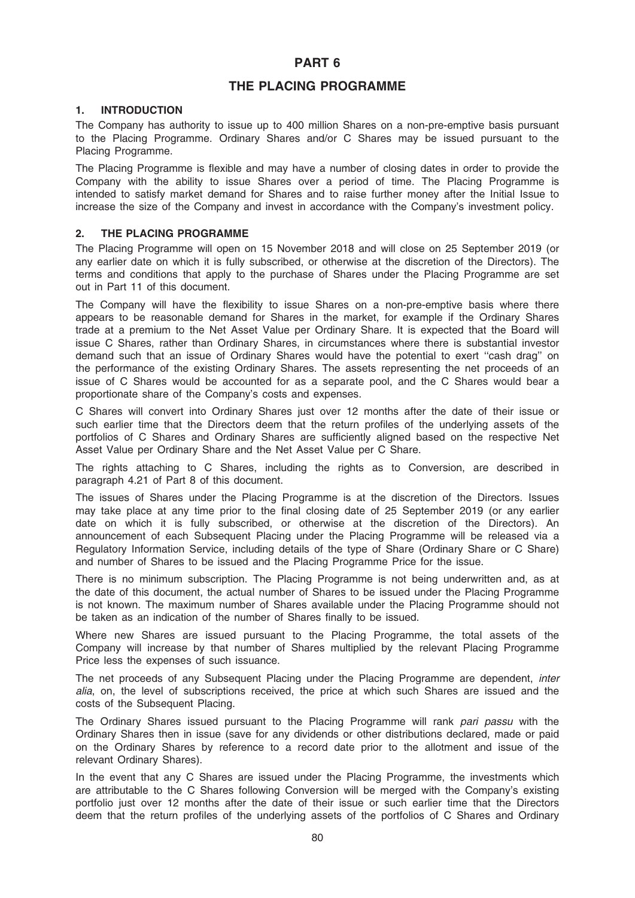## PART 6

## THE PLACING PROGRAMME

#### 1. INTRODUCTION

The Company has authority to issue up to 400 million Shares on a non-pre-emptive basis pursuant to the Placing Programme. Ordinary Shares and/or C Shares may be issued pursuant to the Placing Programme.

The Placing Programme is flexible and may have a number of closing dates in order to provide the Company with the ability to issue Shares over a period of time. The Placing Programme is intended to satisfy market demand for Shares and to raise further money after the Initial Issue to increase the size of the Company and invest in accordance with the Company's investment policy.

#### 2. THE PLACING PROGRAMME

The Placing Programme will open on 15 November 2018 and will close on 25 September 2019 (or any earlier date on which it is fully subscribed, or otherwise at the discretion of the Directors). The terms and conditions that apply to the purchase of Shares under the Placing Programme are set out in Part 11 of this document.

The Company will have the flexibility to issue Shares on a non-pre-emptive basis where there appears to be reasonable demand for Shares in the market, for example if the Ordinary Shares trade at a premium to the Net Asset Value per Ordinary Share. It is expected that the Board will issue C Shares, rather than Ordinary Shares, in circumstances where there is substantial investor demand such that an issue of Ordinary Shares would have the potential to exert ''cash drag'' on the performance of the existing Ordinary Shares. The assets representing the net proceeds of an issue of C Shares would be accounted for as a separate pool, and the C Shares would bear a proportionate share of the Company's costs and expenses.

C Shares will convert into Ordinary Shares just over 12 months after the date of their issue or such earlier time that the Directors deem that the return profiles of the underlying assets of the portfolios of C Shares and Ordinary Shares are sufficiently aligned based on the respective Net Asset Value per Ordinary Share and the Net Asset Value per C Share.

The rights attaching to C Shares, including the rights as to Conversion, are described in paragraph 4.21 of Part 8 of this document.

The issues of Shares under the Placing Programme is at the discretion of the Directors. Issues may take place at any time prior to the final closing date of 25 September 2019 (or any earlier date on which it is fully subscribed, or otherwise at the discretion of the Directors). An announcement of each Subsequent Placing under the Placing Programme will be released via a Regulatory Information Service, including details of the type of Share (Ordinary Share or C Share) and number of Shares to be issued and the Placing Programme Price for the issue.

There is no minimum subscription. The Placing Programme is not being underwritten and, as at the date of this document, the actual number of Shares to be issued under the Placing Programme is not known. The maximum number of Shares available under the Placing Programme should not be taken as an indication of the number of Shares finally to be issued.

Where new Shares are issued pursuant to the Placing Programme, the total assets of the Company will increase by that number of Shares multiplied by the relevant Placing Programme Price less the expenses of such issuance.

The net proceeds of any Subsequent Placing under the Placing Programme are dependent, inter alia, on, the level of subscriptions received, the price at which such Shares are issued and the costs of the Subsequent Placing.

The Ordinary Shares issued pursuant to the Placing Programme will rank pari passu with the Ordinary Shares then in issue (save for any dividends or other distributions declared, made or paid on the Ordinary Shares by reference to a record date prior to the allotment and issue of the relevant Ordinary Shares).

In the event that any C Shares are issued under the Placing Programme, the investments which are attributable to the C Shares following Conversion will be merged with the Company's existing portfolio just over 12 months after the date of their issue or such earlier time that the Directors deem that the return profiles of the underlying assets of the portfolios of C Shares and Ordinary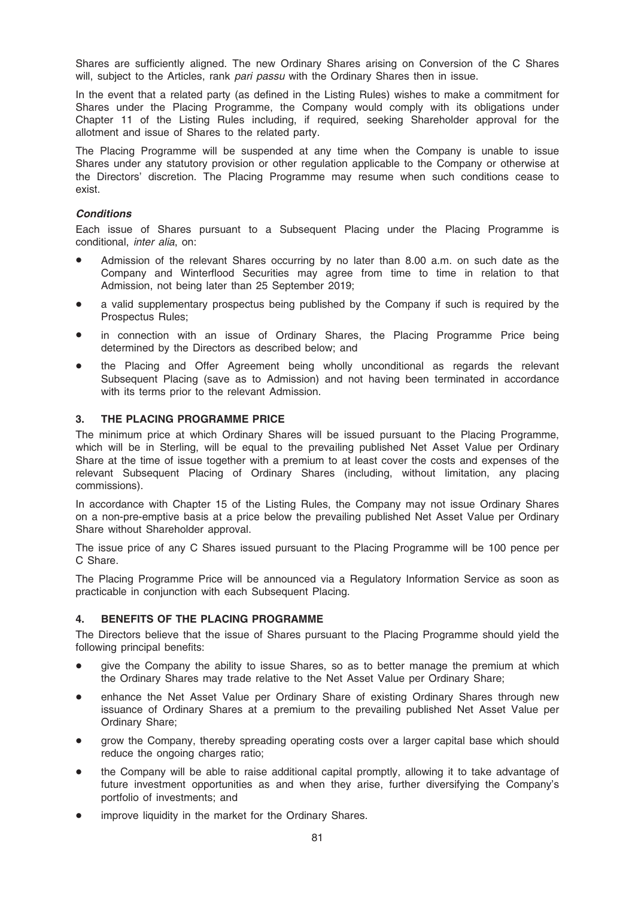Shares are sufficiently aligned. The new Ordinary Shares arising on Conversion of the C Shares will, subject to the Articles, rank pari passu with the Ordinary Shares then in issue.

In the event that a related party (as defined in the Listing Rules) wishes to make a commitment for Shares under the Placing Programme, the Company would comply with its obligations under Chapter 11 of the Listing Rules including, if required, seeking Shareholder approval for the allotment and issue of Shares to the related party.

The Placing Programme will be suspended at any time when the Company is unable to issue Shares under any statutory provision or other regulation applicable to the Company or otherwise at the Directors' discretion. The Placing Programme may resume when such conditions cease to exist.

### **Conditions**

Each issue of Shares pursuant to a Subsequent Placing under the Placing Programme is conditional, inter alia, on:

- Admission of the relevant Shares occurring by no later than 8.00 a.m. on such date as the Company and Winterflood Securities may agree from time to time in relation to that Admission, not being later than 25 September 2019;
- a valid supplementary prospectus being published by the Company if such is required by the Prospectus Rules;
- in connection with an issue of Ordinary Shares, the Placing Programme Price being determined by the Directors as described below; and
- the Placing and Offer Agreement being wholly unconditional as regards the relevant Subsequent Placing (save as to Admission) and not having been terminated in accordance with its terms prior to the relevant Admission.

#### 3. THE PLACING PROGRAMME PRICE

The minimum price at which Ordinary Shares will be issued pursuant to the Placing Programme, which will be in Sterling, will be equal to the prevailing published Net Asset Value per Ordinary Share at the time of issue together with a premium to at least cover the costs and expenses of the relevant Subsequent Placing of Ordinary Shares (including, without limitation, any placing commissions).

In accordance with Chapter 15 of the Listing Rules, the Company may not issue Ordinary Shares on a non-pre-emptive basis at a price below the prevailing published Net Asset Value per Ordinary Share without Shareholder approval.

The issue price of any C Shares issued pursuant to the Placing Programme will be 100 pence per C Share.

The Placing Programme Price will be announced via a Regulatory Information Service as soon as practicable in conjunction with each Subsequent Placing.

## 4. BENEFITS OF THE PLACING PROGRAMME

The Directors believe that the issue of Shares pursuant to the Placing Programme should yield the following principal benefits:

- give the Company the ability to issue Shares, so as to better manage the premium at which the Ordinary Shares may trade relative to the Net Asset Value per Ordinary Share;
- enhance the Net Asset Value per Ordinary Share of existing Ordinary Shares through new issuance of Ordinary Shares at a premium to the prevailing published Net Asset Value per Ordinary Share;
- grow the Company, thereby spreading operating costs over a larger capital base which should reduce the ongoing charges ratio;
- the Company will be able to raise additional capital promptly, allowing it to take advantage of future investment opportunities as and when they arise, further diversifying the Company's portfolio of investments; and
- improve liquidity in the market for the Ordinary Shares.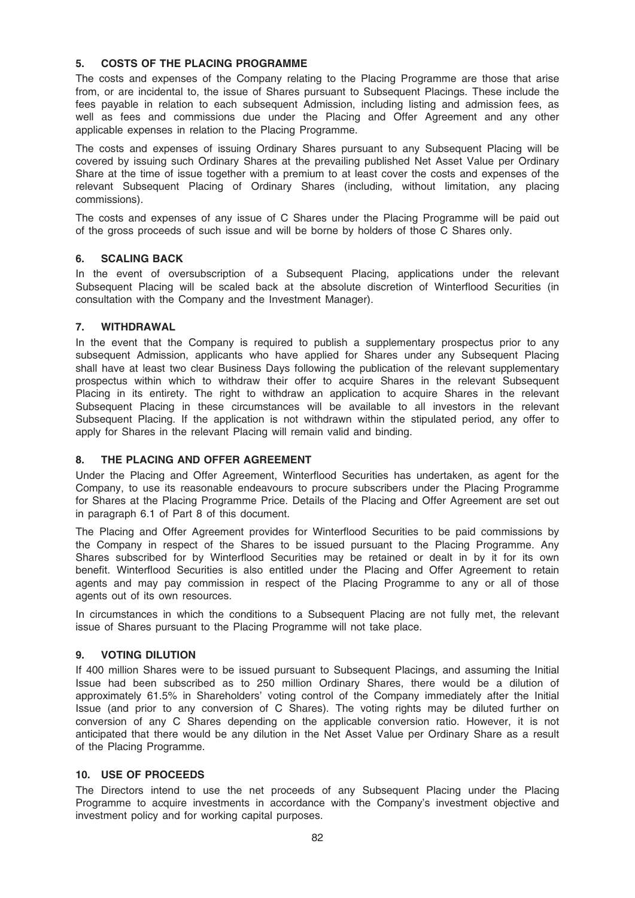## 5. COSTS OF THE PLACING PROGRAMME

The costs and expenses of the Company relating to the Placing Programme are those that arise from, or are incidental to, the issue of Shares pursuant to Subsequent Placings. These include the fees payable in relation to each subsequent Admission, including listing and admission fees, as well as fees and commissions due under the Placing and Offer Agreement and any other applicable expenses in relation to the Placing Programme.

The costs and expenses of issuing Ordinary Shares pursuant to any Subsequent Placing will be covered by issuing such Ordinary Shares at the prevailing published Net Asset Value per Ordinary Share at the time of issue together with a premium to at least cover the costs and expenses of the relevant Subsequent Placing of Ordinary Shares (including, without limitation, any placing commissions).

The costs and expenses of any issue of C Shares under the Placing Programme will be paid out of the gross proceeds of such issue and will be borne by holders of those C Shares only.

## 6. SCALING BACK

In the event of oversubscription of a Subsequent Placing, applications under the relevant Subsequent Placing will be scaled back at the absolute discretion of Winterflood Securities (in consultation with the Company and the Investment Manager).

## 7. WITHDRAWAL

In the event that the Company is required to publish a supplementary prospectus prior to any subsequent Admission, applicants who have applied for Shares under any Subsequent Placing shall have at least two clear Business Days following the publication of the relevant supplementary prospectus within which to withdraw their offer to acquire Shares in the relevant Subsequent Placing in its entirety. The right to withdraw an application to acquire Shares in the relevant Subsequent Placing in these circumstances will be available to all investors in the relevant Subsequent Placing. If the application is not withdrawn within the stipulated period, any offer to apply for Shares in the relevant Placing will remain valid and binding.

## 8. THE PLACING AND OFFER AGREEMENT

Under the Placing and Offer Agreement, Winterflood Securities has undertaken, as agent for the Company, to use its reasonable endeavours to procure subscribers under the Placing Programme for Shares at the Placing Programme Price. Details of the Placing and Offer Agreement are set out in paragraph 6.1 of Part 8 of this document.

The Placing and Offer Agreement provides for Winterflood Securities to be paid commissions by the Company in respect of the Shares to be issued pursuant to the Placing Programme. Any Shares subscribed for by Winterflood Securities may be retained or dealt in by it for its own benefit. Winterflood Securities is also entitled under the Placing and Offer Agreement to retain agents and may pay commission in respect of the Placing Programme to any or all of those agents out of its own resources.

In circumstances in which the conditions to a Subsequent Placing are not fully met, the relevant issue of Shares pursuant to the Placing Programme will not take place.

## 9. VOTING DILUTION

If 400 million Shares were to be issued pursuant to Subsequent Placings, and assuming the Initial Issue had been subscribed as to 250 million Ordinary Shares, there would be a dilution of approximately 61.5% in Shareholders' voting control of the Company immediately after the Initial Issue (and prior to any conversion of C Shares). The voting rights may be diluted further on conversion of any C Shares depending on the applicable conversion ratio. However, it is not anticipated that there would be any dilution in the Net Asset Value per Ordinary Share as a result of the Placing Programme.

## 10. USE OF PROCEEDS

The Directors intend to use the net proceeds of any Subsequent Placing under the Placing Programme to acquire investments in accordance with the Company's investment objective and investment policy and for working capital purposes.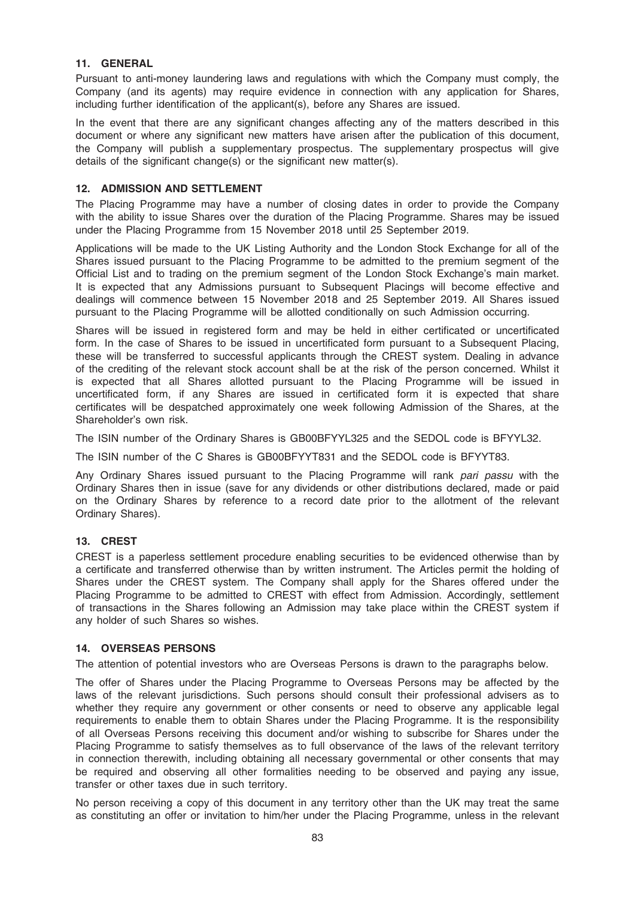### 11. GENERAL

Pursuant to anti-money laundering laws and regulations with which the Company must comply, the Company (and its agents) may require evidence in connection with any application for Shares, including further identification of the applicant(s), before any Shares are issued.

In the event that there are any significant changes affecting any of the matters described in this document or where any significant new matters have arisen after the publication of this document, the Company will publish a supplementary prospectus. The supplementary prospectus will give details of the significant change(s) or the significant new matter(s).

#### 12. ADMISSION AND SETTLEMENT

The Placing Programme may have a number of closing dates in order to provide the Company with the ability to issue Shares over the duration of the Placing Programme. Shares may be issued under the Placing Programme from 15 November 2018 until 25 September 2019.

Applications will be made to the UK Listing Authority and the London Stock Exchange for all of the Shares issued pursuant to the Placing Programme to be admitted to the premium segment of the Official List and to trading on the premium segment of the London Stock Exchange's main market. It is expected that any Admissions pursuant to Subsequent Placings will become effective and dealings will commence between 15 November 2018 and 25 September 2019. All Shares issued pursuant to the Placing Programme will be allotted conditionally on such Admission occurring.

Shares will be issued in registered form and may be held in either certificated or uncertificated form. In the case of Shares to be issued in uncertificated form pursuant to a Subsequent Placing, these will be transferred to successful applicants through the CREST system. Dealing in advance of the crediting of the relevant stock account shall be at the risk of the person concerned. Whilst it is expected that all Shares allotted pursuant to the Placing Programme will be issued in uncertificated form, if any Shares are issued in certificated form it is expected that share certificates will be despatched approximately one week following Admission of the Shares, at the Shareholder's own risk.

The ISIN number of the Ordinary Shares is GB00BFYYL325 and the SEDOL code is BFYYL32.

The ISIN number of the C Shares is GB00BFYYT831 and the SEDOL code is BFYYT83.

Any Ordinary Shares issued pursuant to the Placing Programme will rank pari passu with the Ordinary Shares then in issue (save for any dividends or other distributions declared, made or paid on the Ordinary Shares by reference to a record date prior to the allotment of the relevant Ordinary Shares).

## 13. CREST

CREST is a paperless settlement procedure enabling securities to be evidenced otherwise than by a certificate and transferred otherwise than by written instrument. The Articles permit the holding of Shares under the CREST system. The Company shall apply for the Shares offered under the Placing Programme to be admitted to CREST with effect from Admission. Accordingly, settlement of transactions in the Shares following an Admission may take place within the CREST system if any holder of such Shares so wishes.

#### 14. OVERSEAS PERSONS

The attention of potential investors who are Overseas Persons is drawn to the paragraphs below.

The offer of Shares under the Placing Programme to Overseas Persons may be affected by the laws of the relevant jurisdictions. Such persons should consult their professional advisers as to whether they require any government or other consents or need to observe any applicable legal requirements to enable them to obtain Shares under the Placing Programme. It is the responsibility of all Overseas Persons receiving this document and/or wishing to subscribe for Shares under the Placing Programme to satisfy themselves as to full observance of the laws of the relevant territory in connection therewith, including obtaining all necessary governmental or other consents that may be required and observing all other formalities needing to be observed and paying any issue, transfer or other taxes due in such territory.

No person receiving a copy of this document in any territory other than the UK may treat the same as constituting an offer or invitation to him/her under the Placing Programme, unless in the relevant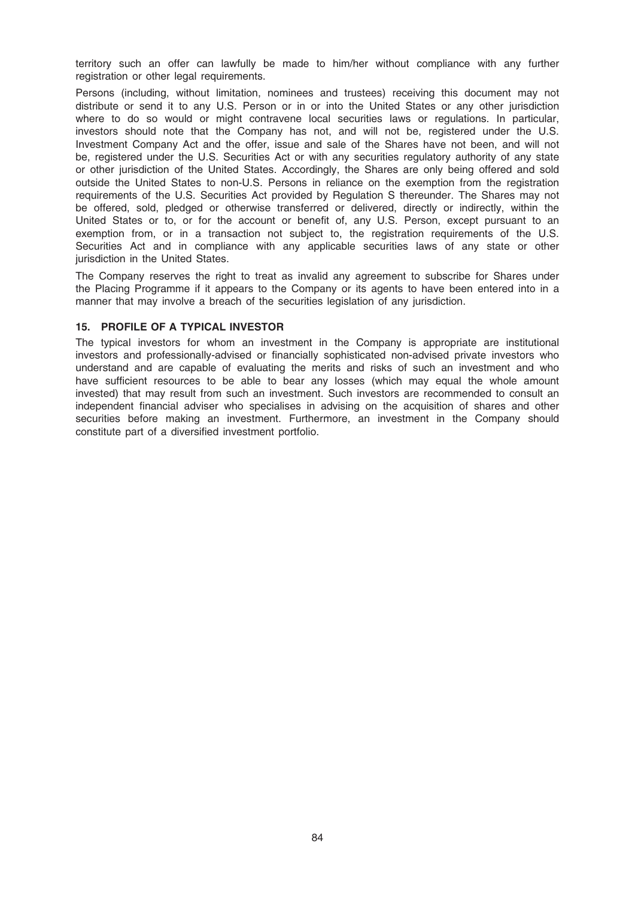territory such an offer can lawfully be made to him/her without compliance with any further registration or other legal requirements.

Persons (including, without limitation, nominees and trustees) receiving this document may not distribute or send it to any U.S. Person or in or into the United States or any other jurisdiction where to do so would or might contravene local securities laws or regulations. In particular, investors should note that the Company has not, and will not be, registered under the U.S. Investment Company Act and the offer, issue and sale of the Shares have not been, and will not be, registered under the U.S. Securities Act or with any securities regulatory authority of any state or other jurisdiction of the United States. Accordingly, the Shares are only being offered and sold outside the United States to non-U.S. Persons in reliance on the exemption from the registration requirements of the U.S. Securities Act provided by Regulation S thereunder. The Shares may not be offered, sold, pledged or otherwise transferred or delivered, directly or indirectly, within the United States or to, or for the account or benefit of, any U.S. Person, except pursuant to an exemption from, or in a transaction not subject to, the registration requirements of the U.S. Securities Act and in compliance with any applicable securities laws of any state or other jurisdiction in the United States.

The Company reserves the right to treat as invalid any agreement to subscribe for Shares under the Placing Programme if it appears to the Company or its agents to have been entered into in a manner that may involve a breach of the securities legislation of any jurisdiction.

#### 15. PROFILE OF A TYPICAL INVESTOR

The typical investors for whom an investment in the Company is appropriate are institutional investors and professionally-advised or financially sophisticated non-advised private investors who understand and are capable of evaluating the merits and risks of such an investment and who have sufficient resources to be able to bear any losses (which may equal the whole amount invested) that may result from such an investment. Such investors are recommended to consult an independent financial adviser who specialises in advising on the acquisition of shares and other securities before making an investment. Furthermore, an investment in the Company should constitute part of a diversified investment portfolio.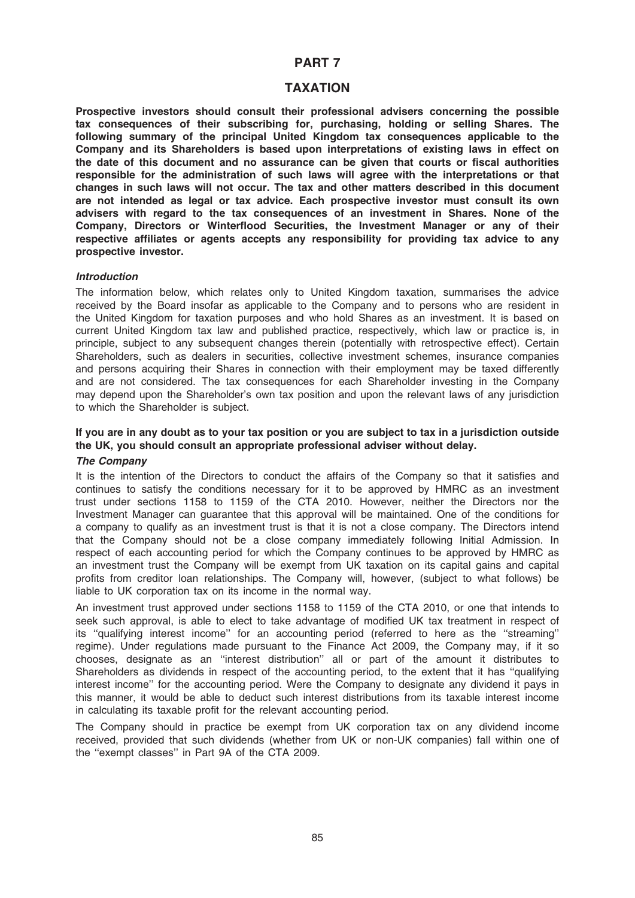## PART 7

## TAXATION

Prospective investors should consult their professional advisers concerning the possible tax consequences of their subscribing for, purchasing, holding or selling Shares. The following summary of the principal United Kingdom tax consequences applicable to the Company and its Shareholders is based upon interpretations of existing laws in effect on the date of this document and no assurance can be given that courts or fiscal authorities responsible for the administration of such laws will agree with the interpretations or that changes in such laws will not occur. The tax and other matters described in this document are not intended as legal or tax advice. Each prospective investor must consult its own advisers with regard to the tax consequences of an investment in Shares. None of the Company, Directors or Winterflood Securities, the Investment Manager or any of their respective affiliates or agents accepts any responsibility for providing tax advice to any prospective investor.

#### Introduction

The information below, which relates only to United Kingdom taxation, summarises the advice received by the Board insofar as applicable to the Company and to persons who are resident in the United Kingdom for taxation purposes and who hold Shares as an investment. It is based on current United Kingdom tax law and published practice, respectively, which law or practice is, in principle, subject to any subsequent changes therein (potentially with retrospective effect). Certain Shareholders, such as dealers in securities, collective investment schemes, insurance companies and persons acquiring their Shares in connection with their employment may be taxed differently and are not considered. The tax consequences for each Shareholder investing in the Company may depend upon the Shareholder's own tax position and upon the relevant laws of any jurisdiction to which the Shareholder is subject.

# If you are in any doubt as to your tax position or you are subject to tax in a jurisdiction outside the UK, you should consult an appropriate professional adviser without delay.

#### The Company

It is the intention of the Directors to conduct the affairs of the Company so that it satisfies and continues to satisfy the conditions necessary for it to be approved by HMRC as an investment trust under sections 1158 to 1159 of the CTA 2010. However, neither the Directors nor the Investment Manager can guarantee that this approval will be maintained. One of the conditions for a company to qualify as an investment trust is that it is not a close company. The Directors intend that the Company should not be a close company immediately following Initial Admission. In respect of each accounting period for which the Company continues to be approved by HMRC as an investment trust the Company will be exempt from UK taxation on its capital gains and capital profits from creditor loan relationships. The Company will, however, (subject to what follows) be liable to UK corporation tax on its income in the normal way.

An investment trust approved under sections 1158 to 1159 of the CTA 2010, or one that intends to seek such approval, is able to elect to take advantage of modified UK tax treatment in respect of its ''qualifying interest income'' for an accounting period (referred to here as the ''streaming'' regime). Under regulations made pursuant to the Finance Act 2009, the Company may, if it so chooses, designate as an ''interest distribution'' all or part of the amount it distributes to Shareholders as dividends in respect of the accounting period, to the extent that it has ''qualifying interest income'' for the accounting period. Were the Company to designate any dividend it pays in this manner, it would be able to deduct such interest distributions from its taxable interest income in calculating its taxable profit for the relevant accounting period.

The Company should in practice be exempt from UK corporation tax on any dividend income received, provided that such dividends (whether from UK or non-UK companies) fall within one of the ''exempt classes'' in Part 9A of the CTA 2009.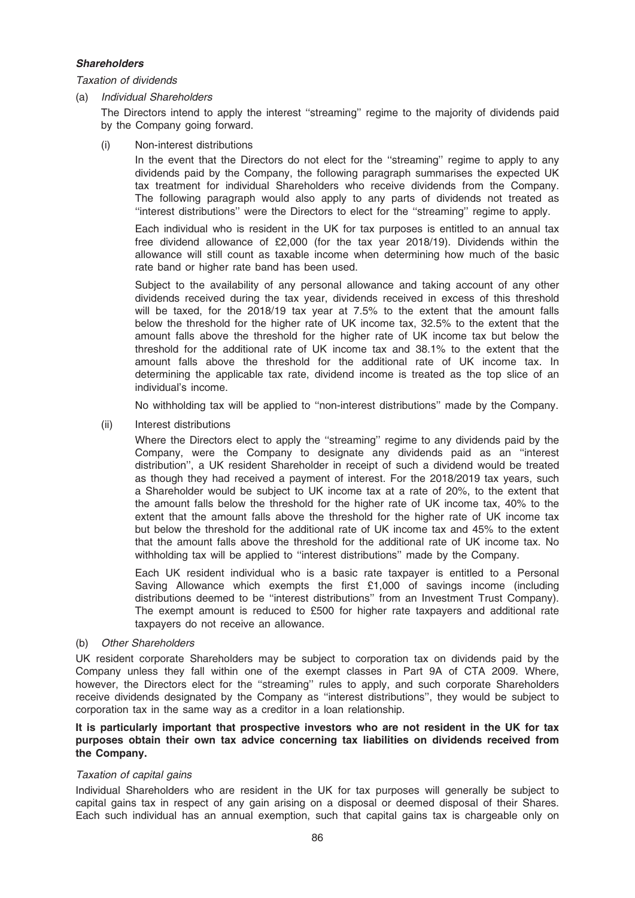## **Shareholders**

#### Taxation of dividends

#### (a) Individual Shareholders

The Directors intend to apply the interest ''streaming'' regime to the majority of dividends paid by the Company going forward.

(i) Non-interest distributions

In the event that the Directors do not elect for the ''streaming'' regime to apply to any dividends paid by the Company, the following paragraph summarises the expected UK tax treatment for individual Shareholders who receive dividends from the Company. The following paragraph would also apply to any parts of dividends not treated as ''interest distributions'' were the Directors to elect for the ''streaming'' regime to apply.

Each individual who is resident in the UK for tax purposes is entitled to an annual tax free dividend allowance of £2,000 (for the tax year 2018/19). Dividends within the allowance will still count as taxable income when determining how much of the basic rate band or higher rate band has been used.

Subject to the availability of any personal allowance and taking account of any other dividends received during the tax year, dividends received in excess of this threshold will be taxed, for the 2018/19 tax year at 7.5% to the extent that the amount falls below the threshold for the higher rate of UK income tax, 32.5% to the extent that the amount falls above the threshold for the higher rate of UK income tax but below the threshold for the additional rate of UK income tax and 38.1% to the extent that the amount falls above the threshold for the additional rate of UK income tax. In determining the applicable tax rate, dividend income is treated as the top slice of an individual's income.

No withholding tax will be applied to ''non-interest distributions'' made by the Company.

(ii) Interest distributions

Where the Directors elect to apply the ''streaming'' regime to any dividends paid by the Company, were the Company to designate any dividends paid as an ''interest distribution'', a UK resident Shareholder in receipt of such a dividend would be treated as though they had received a payment of interest. For the 2018/2019 tax years, such a Shareholder would be subject to UK income tax at a rate of 20%, to the extent that the amount falls below the threshold for the higher rate of UK income tax, 40% to the extent that the amount falls above the threshold for the higher rate of UK income tax but below the threshold for the additional rate of UK income tax and 45% to the extent that the amount falls above the threshold for the additional rate of UK income tax. No withholding tax will be applied to "interest distributions" made by the Company.

Each UK resident individual who is a basic rate taxpayer is entitled to a Personal Saving Allowance which exempts the first £1,000 of savings income (including distributions deemed to be ''interest distributions'' from an Investment Trust Company). The exempt amount is reduced to £500 for higher rate taxpayers and additional rate taxpayers do not receive an allowance.

#### (b) Other Shareholders

UK resident corporate Shareholders may be subject to corporation tax on dividends paid by the Company unless they fall within one of the exempt classes in Part 9A of CTA 2009. Where, however, the Directors elect for the ''streaming'' rules to apply, and such corporate Shareholders receive dividends designated by the Company as ''interest distributions'', they would be subject to corporation tax in the same way as a creditor in a loan relationship.

#### It is particularly important that prospective investors who are not resident in the UK for tax purposes obtain their own tax advice concerning tax liabilities on dividends received from the Company.

## Taxation of capital gains

Individual Shareholders who are resident in the UK for tax purposes will generally be subject to capital gains tax in respect of any gain arising on a disposal or deemed disposal of their Shares. Each such individual has an annual exemption, such that capital gains tax is chargeable only on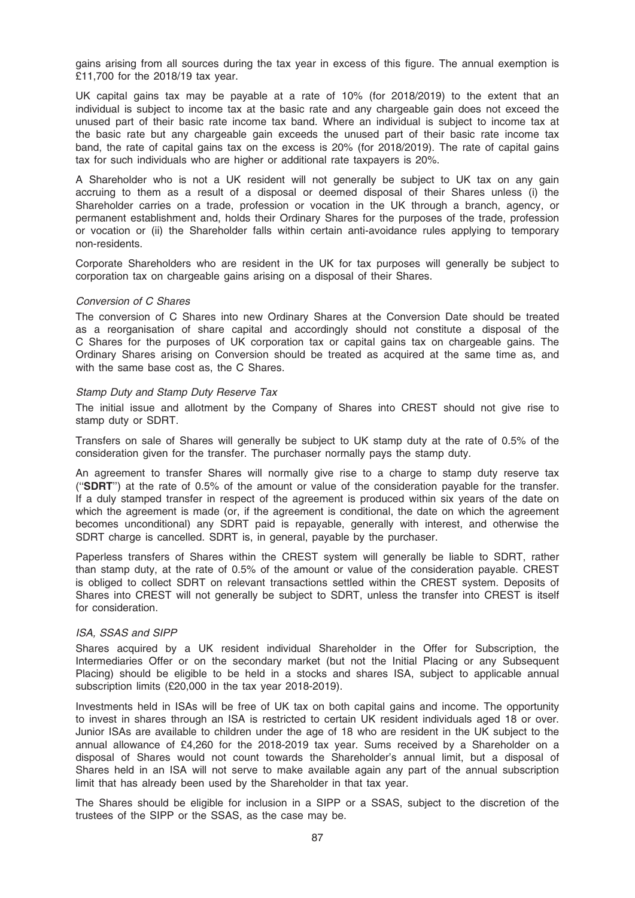gains arising from all sources during the tax year in excess of this figure. The annual exemption is £11,700 for the 2018/19 tax year.

UK capital gains tax may be payable at a rate of 10% (for 2018/2019) to the extent that an individual is subject to income tax at the basic rate and any chargeable gain does not exceed the unused part of their basic rate income tax band. Where an individual is subject to income tax at the basic rate but any chargeable gain exceeds the unused part of their basic rate income tax band, the rate of capital gains tax on the excess is 20% (for 2018/2019). The rate of capital gains tax for such individuals who are higher or additional rate taxpayers is 20%.

A Shareholder who is not a UK resident will not generally be subject to UK tax on any gain accruing to them as a result of a disposal or deemed disposal of their Shares unless (i) the Shareholder carries on a trade, profession or vocation in the UK through a branch, agency, or permanent establishment and, holds their Ordinary Shares for the purposes of the trade, profession or vocation or (ii) the Shareholder falls within certain anti-avoidance rules applying to temporary non-residents.

Corporate Shareholders who are resident in the UK for tax purposes will generally be subject to corporation tax on chargeable gains arising on a disposal of their Shares.

#### Conversion of C Shares

The conversion of C Shares into new Ordinary Shares at the Conversion Date should be treated as a reorganisation of share capital and accordingly should not constitute a disposal of the C Shares for the purposes of UK corporation tax or capital gains tax on chargeable gains. The Ordinary Shares arising on Conversion should be treated as acquired at the same time as, and with the same base cost as, the C Shares.

#### Stamp Duty and Stamp Duty Reserve Tax

The initial issue and allotment by the Company of Shares into CREST should not give rise to stamp duty or SDRT.

Transfers on sale of Shares will generally be subject to UK stamp duty at the rate of 0.5% of the consideration given for the transfer. The purchaser normally pays the stamp duty.

An agreement to transfer Shares will normally give rise to a charge to stamp duty reserve tax (''SDRT'') at the rate of 0.5% of the amount or value of the consideration payable for the transfer. If a duly stamped transfer in respect of the agreement is produced within six years of the date on which the agreement is made (or, if the agreement is conditional, the date on which the agreement becomes unconditional) any SDRT paid is repayable, generally with interest, and otherwise the SDRT charge is cancelled. SDRT is, in general, payable by the purchaser.

Paperless transfers of Shares within the CREST system will generally be liable to SDRT, rather than stamp duty, at the rate of 0.5% of the amount or value of the consideration payable. CREST is obliged to collect SDRT on relevant transactions settled within the CREST system. Deposits of Shares into CREST will not generally be subject to SDRT, unless the transfer into CREST is itself for consideration.

#### ISA, SSAS and SIPP

Shares acquired by a UK resident individual Shareholder in the Offer for Subscription, the Intermediaries Offer or on the secondary market (but not the Initial Placing or any Subsequent Placing) should be eligible to be held in a stocks and shares ISA, subject to applicable annual subscription limits (£20,000 in the tax year 2018-2019).

Investments held in ISAs will be free of UK tax on both capital gains and income. The opportunity to invest in shares through an ISA is restricted to certain UK resident individuals aged 18 or over. Junior ISAs are available to children under the age of 18 who are resident in the UK subject to the annual allowance of £4,260 for the 2018-2019 tax year. Sums received by a Shareholder on a disposal of Shares would not count towards the Shareholder's annual limit, but a disposal of Shares held in an ISA will not serve to make available again any part of the annual subscription limit that has already been used by the Shareholder in that tax year.

The Shares should be eligible for inclusion in a SIPP or a SSAS, subject to the discretion of the trustees of the SIPP or the SSAS, as the case may be.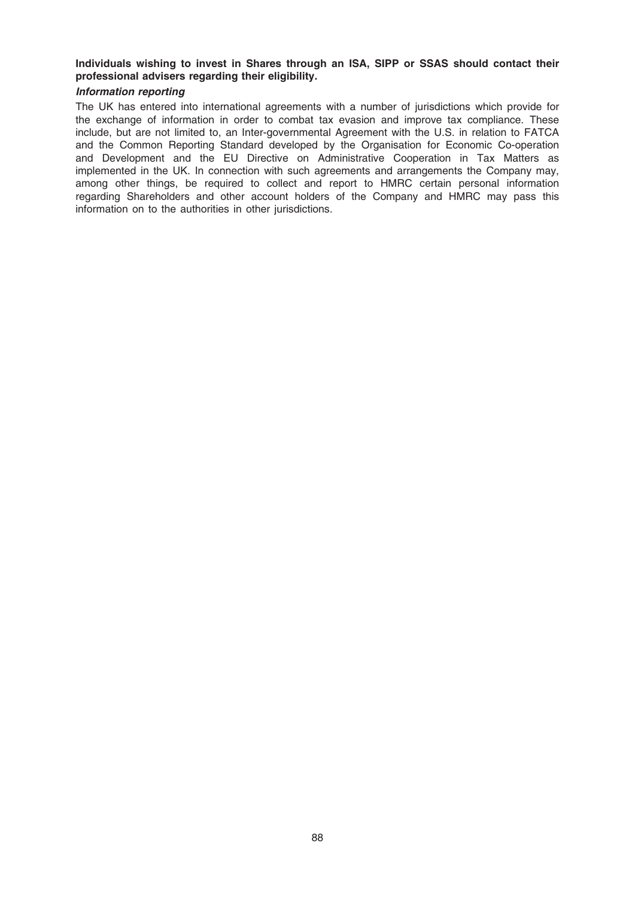## Individuals wishing to invest in Shares through an ISA, SIPP or SSAS should contact their professional advisers regarding their eligibility.

## Information reporting

The UK has entered into international agreements with a number of jurisdictions which provide for the exchange of information in order to combat tax evasion and improve tax compliance. These include, but are not limited to, an Inter-governmental Agreement with the U.S. in relation to FATCA and the Common Reporting Standard developed by the Organisation for Economic Co-operation and Development and the EU Directive on Administrative Cooperation in Tax Matters as implemented in the UK. In connection with such agreements and arrangements the Company may, among other things, be required to collect and report to HMRC certain personal information regarding Shareholders and other account holders of the Company and HMRC may pass this information on to the authorities in other jurisdictions.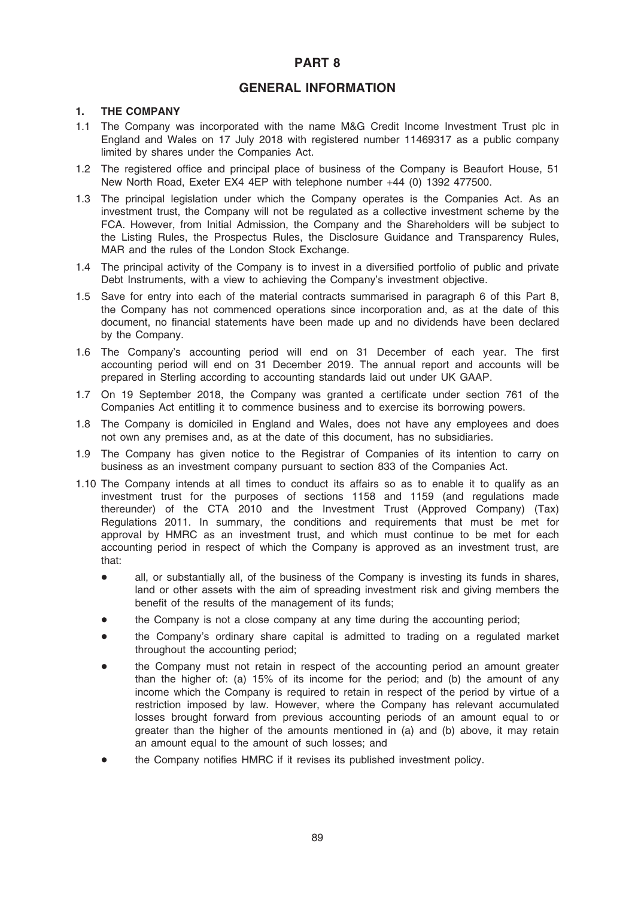## PART 8

## GENERAL INFORMATION

## 1. THE COMPANY

- 1.1 The Company was incorporated with the name M&G Credit Income Investment Trust plc in England and Wales on 17 July 2018 with registered number 11469317 as a public company limited by shares under the Companies Act.
- 1.2 The registered office and principal place of business of the Company is Beaufort House, 51 New North Road, Exeter EX4 4EP with telephone number +44 (0) 1392 477500.
- 1.3 The principal legislation under which the Company operates is the Companies Act. As an investment trust, the Company will not be regulated as a collective investment scheme by the FCA. However, from Initial Admission, the Company and the Shareholders will be subject to the Listing Rules, the Prospectus Rules, the Disclosure Guidance and Transparency Rules, MAR and the rules of the London Stock Exchange.
- 1.4 The principal activity of the Company is to invest in a diversified portfolio of public and private Debt Instruments, with a view to achieving the Company's investment objective.
- 1.5 Save for entry into each of the material contracts summarised in paragraph 6 of this Part 8, the Company has not commenced operations since incorporation and, as at the date of this document, no financial statements have been made up and no dividends have been declared by the Company.
- 1.6 The Company's accounting period will end on 31 December of each year. The first accounting period will end on 31 December 2019. The annual report and accounts will be prepared in Sterling according to accounting standards laid out under UK GAAP.
- 1.7 On 19 September 2018, the Company was granted a certificate under section 761 of the Companies Act entitling it to commence business and to exercise its borrowing powers.
- 1.8 The Company is domiciled in England and Wales, does not have any employees and does not own any premises and, as at the date of this document, has no subsidiaries.
- 1.9 The Company has given notice to the Registrar of Companies of its intention to carry on business as an investment company pursuant to section 833 of the Companies Act.
- 1.10 The Company intends at all times to conduct its affairs so as to enable it to qualify as an investment trust for the purposes of sections 1158 and 1159 (and regulations made thereunder) of the CTA 2010 and the Investment Trust (Approved Company) (Tax) Regulations 2011. In summary, the conditions and requirements that must be met for approval by HMRC as an investment trust, and which must continue to be met for each accounting period in respect of which the Company is approved as an investment trust, are that:
	- all, or substantially all, of the business of the Company is investing its funds in shares, land or other assets with the aim of spreading investment risk and giving members the benefit of the results of the management of its funds;
	- the Company is not a close company at any time during the accounting period;
	- the Company's ordinary share capital is admitted to trading on a regulated market throughout the accounting period;
	- the Company must not retain in respect of the accounting period an amount greater than the higher of: (a) 15% of its income for the period; and (b) the amount of any income which the Company is required to retain in respect of the period by virtue of a restriction imposed by law. However, where the Company has relevant accumulated losses brought forward from previous accounting periods of an amount equal to or greater than the higher of the amounts mentioned in (a) and (b) above, it may retain an amount equal to the amount of such losses; and
	- the Company notifies HMRC if it revises its published investment policy.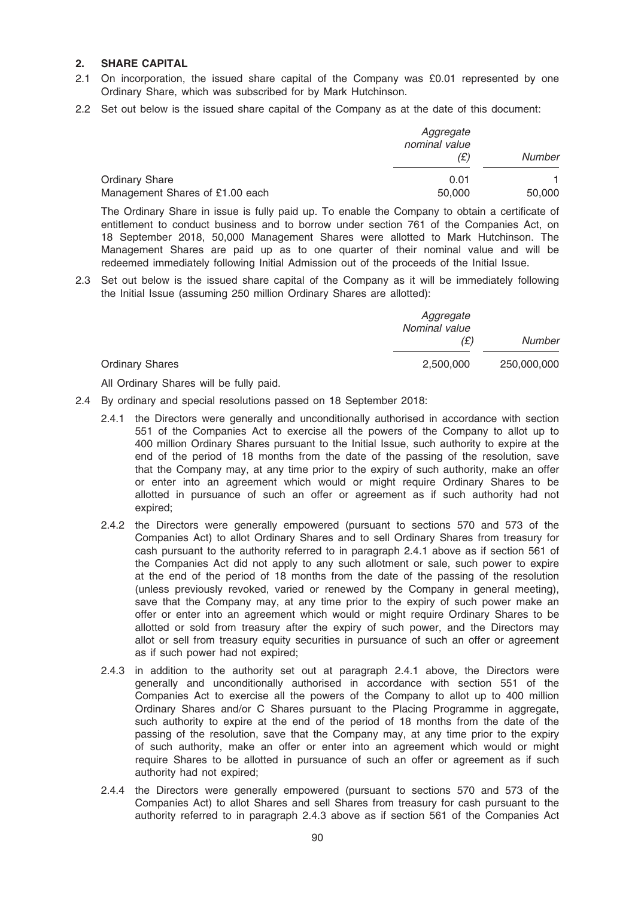### 2. SHARE CAPITAL

- 2.1 On incorporation, the issued share capital of the Company was £0.01 represented by one Ordinary Share, which was subscribed for by Mark Hutchinson.
- 2.2 Set out below is the issued share capital of the Company as at the date of this document:

|                                 | Aggregate<br>nominal value |               |  |
|---------------------------------|----------------------------|---------------|--|
|                                 | (£)                        | <b>Number</b> |  |
| <b>Ordinary Share</b>           | 0.01                       |               |  |
| Management Shares of £1.00 each | 50,000                     | 50,000        |  |

The Ordinary Share in issue is fully paid up. To enable the Company to obtain a certificate of entitlement to conduct business and to borrow under section 761 of the Companies Act, on 18 September 2018, 50,000 Management Shares were allotted to Mark Hutchinson. The Management Shares are paid up as to one quarter of their nominal value and will be redeemed immediately following Initial Admission out of the proceeds of the Initial Issue.

2.3 Set out below is the issued share capital of the Company as it will be immediately following the Initial Issue (assuming 250 million Ordinary Shares are allotted):

|                        | Aggregate<br>Nominal value<br>(£) |             |
|------------------------|-----------------------------------|-------------|
|                        |                                   | Number      |
| <b>Ordinary Shares</b> | 2,500,000                         | 250,000,000 |

All Ordinary Shares will be fully paid.

- 2.4 By ordinary and special resolutions passed on 18 September 2018:
	- 2.4.1 the Directors were generally and unconditionally authorised in accordance with section 551 of the Companies Act to exercise all the powers of the Company to allot up to 400 million Ordinary Shares pursuant to the Initial Issue, such authority to expire at the end of the period of 18 months from the date of the passing of the resolution, save that the Company may, at any time prior to the expiry of such authority, make an offer or enter into an agreement which would or might require Ordinary Shares to be allotted in pursuance of such an offer or agreement as if such authority had not expired;
	- 2.4.2 the Directors were generally empowered (pursuant to sections 570 and 573 of the Companies Act) to allot Ordinary Shares and to sell Ordinary Shares from treasury for cash pursuant to the authority referred to in paragraph 2.4.1 above as if section 561 of the Companies Act did not apply to any such allotment or sale, such power to expire at the end of the period of 18 months from the date of the passing of the resolution (unless previously revoked, varied or renewed by the Company in general meeting), save that the Company may, at any time prior to the expiry of such power make an offer or enter into an agreement which would or might require Ordinary Shares to be allotted or sold from treasury after the expiry of such power, and the Directors may allot or sell from treasury equity securities in pursuance of such an offer or agreement as if such power had not expired;
	- 2.4.3 in addition to the authority set out at paragraph 2.4.1 above, the Directors were generally and unconditionally authorised in accordance with section 551 of the Companies Act to exercise all the powers of the Company to allot up to 400 million Ordinary Shares and/or C Shares pursuant to the Placing Programme in aggregate, such authority to expire at the end of the period of 18 months from the date of the passing of the resolution, save that the Company may, at any time prior to the expiry of such authority, make an offer or enter into an agreement which would or might require Shares to be allotted in pursuance of such an offer or agreement as if such authority had not expired;
	- 2.4.4 the Directors were generally empowered (pursuant to sections 570 and 573 of the Companies Act) to allot Shares and sell Shares from treasury for cash pursuant to the authority referred to in paragraph 2.4.3 above as if section 561 of the Companies Act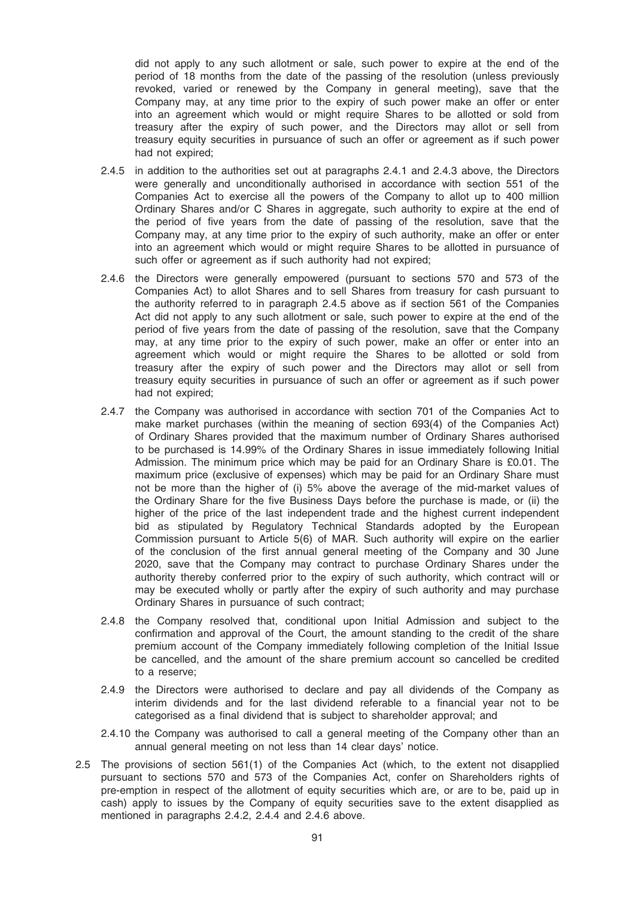did not apply to any such allotment or sale, such power to expire at the end of the period of 18 months from the date of the passing of the resolution (unless previously revoked, varied or renewed by the Company in general meeting), save that the Company may, at any time prior to the expiry of such power make an offer or enter into an agreement which would or might require Shares to be allotted or sold from treasury after the expiry of such power, and the Directors may allot or sell from treasury equity securities in pursuance of such an offer or agreement as if such power had not expired;

- 2.4.5 in addition to the authorities set out at paragraphs 2.4.1 and 2.4.3 above, the Directors were generally and unconditionally authorised in accordance with section 551 of the Companies Act to exercise all the powers of the Company to allot up to 400 million Ordinary Shares and/or C Shares in aggregate, such authority to expire at the end of the period of five years from the date of passing of the resolution, save that the Company may, at any time prior to the expiry of such authority, make an offer or enter into an agreement which would or might require Shares to be allotted in pursuance of such offer or agreement as if such authority had not expired;
- 2.4.6 the Directors were generally empowered (pursuant to sections 570 and 573 of the Companies Act) to allot Shares and to sell Shares from treasury for cash pursuant to the authority referred to in paragraph 2.4.5 above as if section 561 of the Companies Act did not apply to any such allotment or sale, such power to expire at the end of the period of five years from the date of passing of the resolution, save that the Company may, at any time prior to the expiry of such power, make an offer or enter into an agreement which would or might require the Shares to be allotted or sold from treasury after the expiry of such power and the Directors may allot or sell from treasury equity securities in pursuance of such an offer or agreement as if such power had not expired;
- 2.4.7 the Company was authorised in accordance with section 701 of the Companies Act to make market purchases (within the meaning of section 693(4) of the Companies Act) of Ordinary Shares provided that the maximum number of Ordinary Shares authorised to be purchased is 14.99% of the Ordinary Shares in issue immediately following Initial Admission. The minimum price which may be paid for an Ordinary Share is £0.01. The maximum price (exclusive of expenses) which may be paid for an Ordinary Share must not be more than the higher of (i) 5% above the average of the mid-market values of the Ordinary Share for the five Business Days before the purchase is made, or (ii) the higher of the price of the last independent trade and the highest current independent bid as stipulated by Regulatory Technical Standards adopted by the European Commission pursuant to Article 5(6) of MAR. Such authority will expire on the earlier of the conclusion of the first annual general meeting of the Company and 30 June 2020, save that the Company may contract to purchase Ordinary Shares under the authority thereby conferred prior to the expiry of such authority, which contract will or may be executed wholly or partly after the expiry of such authority and may purchase Ordinary Shares in pursuance of such contract;
- 2.4.8 the Company resolved that, conditional upon Initial Admission and subject to the confirmation and approval of the Court, the amount standing to the credit of the share premium account of the Company immediately following completion of the Initial Issue be cancelled, and the amount of the share premium account so cancelled be credited to a reserve;
- 2.4.9 the Directors were authorised to declare and pay all dividends of the Company as interim dividends and for the last dividend referable to a financial year not to be categorised as a final dividend that is subject to shareholder approval; and
- 2.4.10 the Company was authorised to call a general meeting of the Company other than an annual general meeting on not less than 14 clear days' notice.
- 2.5 The provisions of section 561(1) of the Companies Act (which, to the extent not disapplied pursuant to sections 570 and 573 of the Companies Act, confer on Shareholders rights of pre-emption in respect of the allotment of equity securities which are, or are to be, paid up in cash) apply to issues by the Company of equity securities save to the extent disapplied as mentioned in paragraphs 2.4.2, 2.4.4 and 2.4.6 above.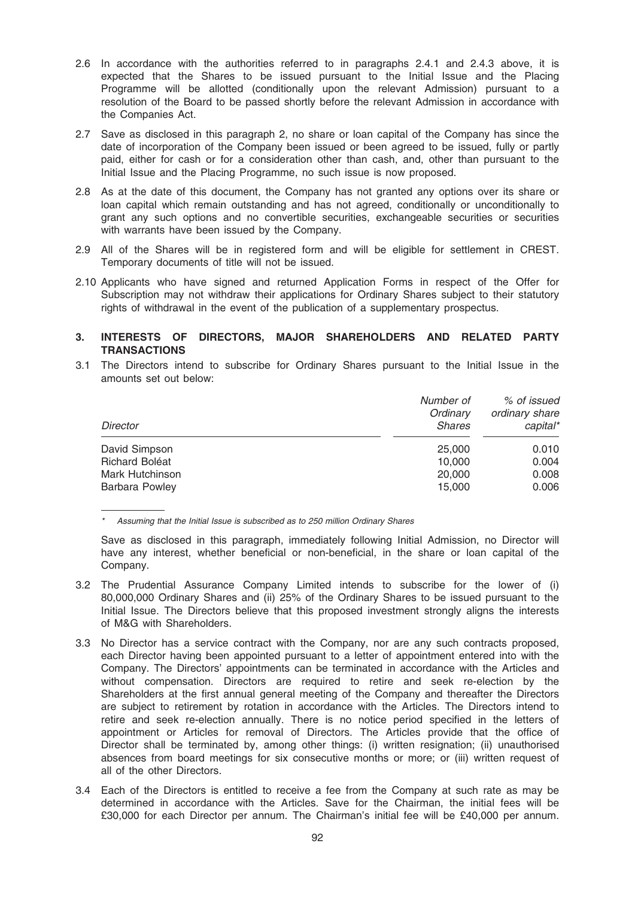- 2.6 In accordance with the authorities referred to in paragraphs 2.4.1 and 2.4.3 above, it is expected that the Shares to be issued pursuant to the Initial Issue and the Placing Programme will be allotted (conditionally upon the relevant Admission) pursuant to a resolution of the Board to be passed shortly before the relevant Admission in accordance with the Companies Act.
- 2.7 Save as disclosed in this paragraph 2, no share or loan capital of the Company has since the date of incorporation of the Company been issued or been agreed to be issued, fully or partly paid, either for cash or for a consideration other than cash, and, other than pursuant to the Initial Issue and the Placing Programme, no such issue is now proposed.
- 2.8 As at the date of this document, the Company has not granted any options over its share or loan capital which remain outstanding and has not agreed, conditionally or unconditionally to grant any such options and no convertible securities, exchangeable securities or securities with warrants have been issued by the Company.
- 2.9 All of the Shares will be in registered form and will be eligible for settlement in CREST. Temporary documents of title will not be issued.
- 2.10 Applicants who have signed and returned Application Forms in respect of the Offer for Subscription may not withdraw their applications for Ordinary Shares subject to their statutory rights of withdrawal in the event of the publication of a supplementary prospectus.

#### 3. INTERESTS OF DIRECTORS, MAJOR SHAREHOLDERS AND RELATED PARTY **TRANSACTIONS**

3.1 The Directors intend to subscribe for Ordinary Shares pursuant to the Initial Issue in the amounts set out below:

| Director        | Number of<br>Ordinary<br>Shares | % of issued<br>ordinary share<br>capital* |
|-----------------|---------------------------------|-------------------------------------------|
| David Simpson   | 25,000                          | 0.010                                     |
| Richard Boléat  | 10,000                          | 0.004                                     |
| Mark Hutchinson | 20,000                          | 0.008                                     |
| Barbara Powley  | 15,000                          | 0.006                                     |

\* Assuming that the Initial Issue is subscribed as to 250 million Ordinary Shares

Save as disclosed in this paragraph, immediately following Initial Admission, no Director will have any interest, whether beneficial or non-beneficial, in the share or loan capital of the Company.

- 3.2 The Prudential Assurance Company Limited intends to subscribe for the lower of (i) 80,000,000 Ordinary Shares and (ii) 25% of the Ordinary Shares to be issued pursuant to the Initial Issue. The Directors believe that this proposed investment strongly aligns the interests of M&G with Shareholders.
- 3.3 No Director has a service contract with the Company, nor are any such contracts proposed, each Director having been appointed pursuant to a letter of appointment entered into with the Company. The Directors' appointments can be terminated in accordance with the Articles and without compensation. Directors are required to retire and seek re-election by the Shareholders at the first annual general meeting of the Company and thereafter the Directors are subject to retirement by rotation in accordance with the Articles. The Directors intend to retire and seek re-election annually. There is no notice period specified in the letters of appointment or Articles for removal of Directors. The Articles provide that the office of Director shall be terminated by, among other things: (i) written resignation; (ii) unauthorised absences from board meetings for six consecutive months or more; or (iii) written request of all of the other Directors.
- 3.4 Each of the Directors is entitled to receive a fee from the Company at such rate as may be determined in accordance with the Articles. Save for the Chairman, the initial fees will be £30,000 for each Director per annum. The Chairman's initial fee will be £40,000 per annum.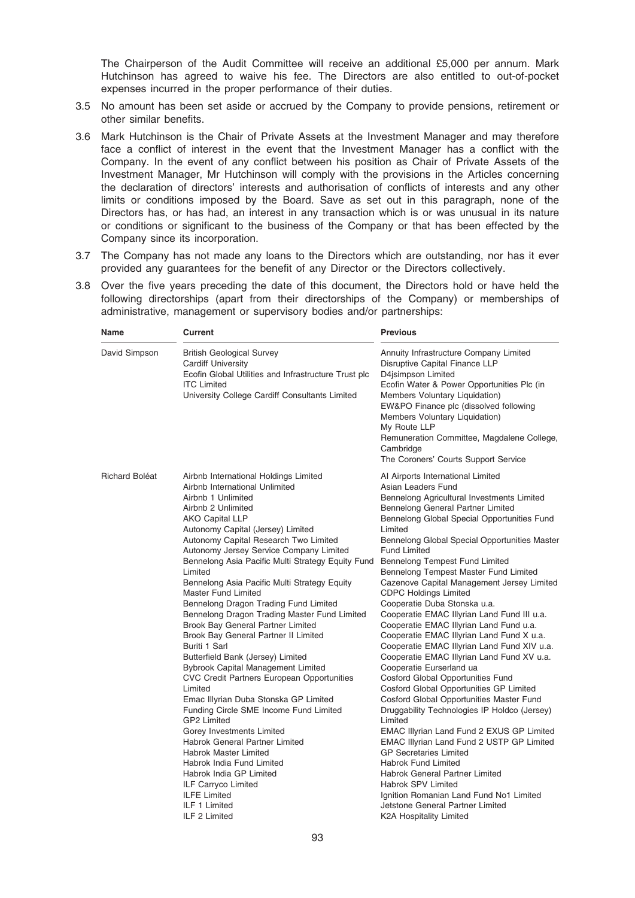The Chairperson of the Audit Committee will receive an additional £5,000 per annum. Mark Hutchinson has agreed to waive his fee. The Directors are also entitled to out-of-pocket expenses incurred in the proper performance of their duties.

- 3.5 No amount has been set aside or accrued by the Company to provide pensions, retirement or other similar benefits.
- 3.6 Mark Hutchinson is the Chair of Private Assets at the Investment Manager and may therefore face a conflict of interest in the event that the Investment Manager has a conflict with the Company. In the event of any conflict between his position as Chair of Private Assets of the Investment Manager, Mr Hutchinson will comply with the provisions in the Articles concerning the declaration of directors' interests and authorisation of conflicts of interests and any other limits or conditions imposed by the Board. Save as set out in this paragraph, none of the Directors has, or has had, an interest in any transaction which is or was unusual in its nature or conditions or significant to the business of the Company or that has been effected by the Company since its incorporation.
- 3.7 The Company has not made any loans to the Directors which are outstanding, nor has it ever provided any guarantees for the benefit of any Director or the Directors collectively.
- 3.8 Over the five years preceding the date of this document, the Directors hold or have held the following directorships (apart from their directorships of the Company) or memberships of administrative, management or supervisory bodies and/or partnerships:

| Name           | Current                                                                                                                                                                                                                                                                                                                                                                                                                                                                                                                                                                                                                                                                                                                                                                                                                                                                                                                                                                                                                                                                                                | <b>Previous</b>                                                                                                                                                                                                                                                                                                                                                                                                                                                                                                                                                                                                                                                                                                                                                                                                                                                                                                                                                                                                                                                                                                                                                                                                                                                                     |
|----------------|--------------------------------------------------------------------------------------------------------------------------------------------------------------------------------------------------------------------------------------------------------------------------------------------------------------------------------------------------------------------------------------------------------------------------------------------------------------------------------------------------------------------------------------------------------------------------------------------------------------------------------------------------------------------------------------------------------------------------------------------------------------------------------------------------------------------------------------------------------------------------------------------------------------------------------------------------------------------------------------------------------------------------------------------------------------------------------------------------------|-------------------------------------------------------------------------------------------------------------------------------------------------------------------------------------------------------------------------------------------------------------------------------------------------------------------------------------------------------------------------------------------------------------------------------------------------------------------------------------------------------------------------------------------------------------------------------------------------------------------------------------------------------------------------------------------------------------------------------------------------------------------------------------------------------------------------------------------------------------------------------------------------------------------------------------------------------------------------------------------------------------------------------------------------------------------------------------------------------------------------------------------------------------------------------------------------------------------------------------------------------------------------------------|
| David Simpson  | <b>British Geological Survey</b><br><b>Cardiff University</b><br>Ecofin Global Utilities and Infrastructure Trust plc<br><b>ITC Limited</b><br>University College Cardiff Consultants Limited                                                                                                                                                                                                                                                                                                                                                                                                                                                                                                                                                                                                                                                                                                                                                                                                                                                                                                          | Annuity Infrastructure Company Limited<br>Disruptive Capital Finance LLP<br>D4jsimpson Limited<br>Ecofin Water & Power Opportunities Plc (in<br>Members Voluntary Liquidation)<br>EW&PO Finance plc (dissolved following<br>Members Voluntary Liquidation)<br>My Route LLP<br>Remuneration Committee, Magdalene College,<br>Cambridge<br>The Coroners' Courts Support Service                                                                                                                                                                                                                                                                                                                                                                                                                                                                                                                                                                                                                                                                                                                                                                                                                                                                                                       |
| Richard Boléat | Airbnb International Holdings Limited<br>Airbnb International Unlimited<br>Airbnb 1 Unlimited<br>Airbnb 2 Unlimited<br><b>AKO Capital LLP</b><br>Autonomy Capital (Jersey) Limited<br>Autonomy Capital Research Two Limited<br>Autonomy Jersey Service Company Limited<br>Bennelong Asia Pacific Multi Strategy Equity Fund<br>Limited<br>Bennelong Asia Pacific Multi Strategy Equity<br><b>Master Fund Limited</b><br>Bennelong Dragon Trading Fund Limited<br>Bennelong Dragon Trading Master Fund Limited<br>Brook Bay General Partner Limited<br>Brook Bay General Partner II Limited<br>Buriti 1 Sarl<br>Butterfield Bank (Jersey) Limited<br>Bybrook Capital Management Limited<br><b>CVC Credit Partners European Opportunities</b><br>Limited<br>Emac Illyrian Duba Stonska GP Limited<br>Funding Circle SME Income Fund Limited<br>GP2 Limited<br>Gorey Investments Limited<br>Habrok General Partner Limited<br><b>Habrok Master Limited</b><br>Habrok India Fund Limited<br>Habrok India GP Limited<br><b>ILF Carryco Limited</b><br><b>ILFE Limited</b><br>ILF 1 Limited<br>ILF 2 Limited | Al Airports International Limited<br>Asian Leaders Fund<br>Bennelong Agricultural Investments Limited<br>Bennelong General Partner Limited<br>Bennelong Global Special Opportunities Fund<br>Limited<br>Bennelong Global Special Opportunities Master<br><b>Fund Limited</b><br>Bennelong Tempest Fund Limited<br>Bennelong Tempest Master Fund Limited<br>Cazenove Capital Management Jersey Limited<br><b>CDPC Holdings Limited</b><br>Cooperatie Duba Stonska u.a.<br>Cooperatie EMAC Illyrian Land Fund III u.a.<br>Cooperatie EMAC Illyrian Land Fund u.a.<br>Cooperatie EMAC Illyrian Land Fund X u.a.<br>Cooperatie EMAC Illyrian Land Fund XIV u.a.<br>Cooperatie EMAC Illyrian Land Fund XV u.a.<br>Cooperatie Eurserland ua<br><b>Cosford Global Opportunities Fund</b><br>Cosford Global Opportunities GP Limited<br>Cosford Global Opportunities Master Fund<br>Druggability Technologies IP Holdco (Jersey)<br>Limited<br>EMAC Illyrian Land Fund 2 EXUS GP Limited<br><b>EMAC Illyrian Land Fund 2 USTP GP Limited</b><br><b>GP Secretaries Limited</b><br><b>Habrok Fund Limited</b><br><b>Habrok General Partner Limited</b><br><b>Habrok SPV Limited</b><br>Ignition Romanian Land Fund No1 Limited<br>Jetstone General Partner Limited<br>K2A Hospitality Limited |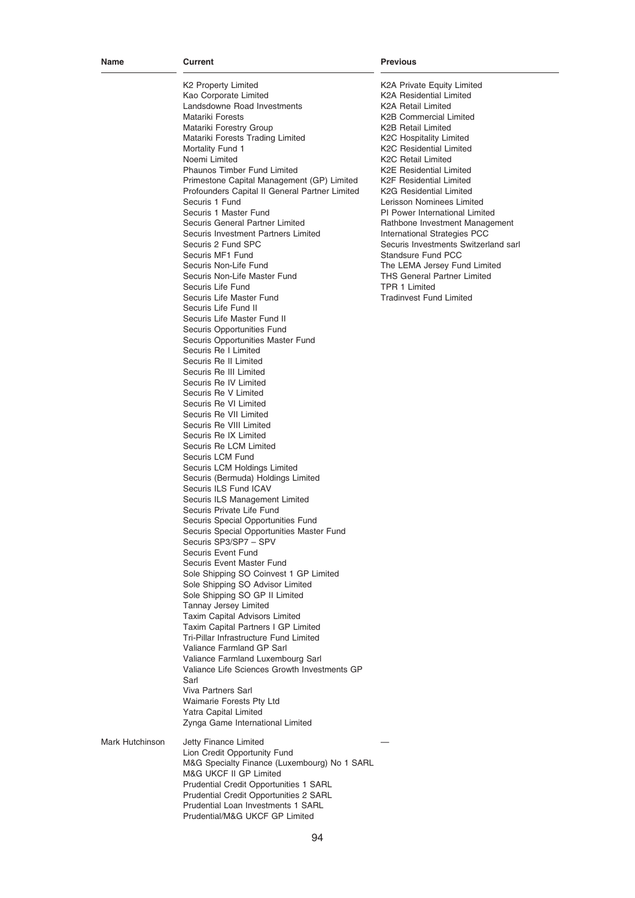K2 Property Limited Kao Corporate Limited Landsdowne Road Investments Matariki Forests Matariki Forestry Group Matariki Forests Trading Limited Mortality Fund 1 Noemi Limited Phaunos Timber Fund Limited Primestone Capital Management (GP) Limited Profounders Capital II General Partner Limited Securis 1 Fund Securis 1 Master Fund Securis General Partner Limited Securis Investment Partners Limited Securis 2 Fund SPC Securis MF1 Fund Securis Non-Life Fund Securis Non-Life Master Fund Securis Life Fund Securis Life Master Fund Securis Life Fund II Securis Life Master Fund II Securis Opportunities Fund Securis Opportunities Master Fund Securis Re I Limited Securis Re II Limited Securis Re III Limited Securis Re IV Limited Securis Re V Limited Securis Re VI Limited Securis Re VII Limited Securis Re VIII Limited Securis Re IX Limited Securis Re LCM Limited Securis LCM Fund Securis LCM Holdings Limited Securis (Bermuda) Holdings Limited Securis ILS Fund ICAV Securis ILS Management Limited Securis Private Life Fund Securis Special Opportunities Fund Securis Special Opportunities Master Fund Securis SP3/SP7 – SPV Securis Event Fund Securis Event Master Fund Sole Shipping SO Coinvest 1 GP Limited Sole Shipping SO Advisor Limited Sole Shipping SO GP II Limited Tannay Jersey Limited Taxim Capital Advisors Limited Taxim Capital Partners I GP Limited Tri-Pillar Infrastructure Fund Limited Valiance Farmland GP Sarl Valiance Farmland Luxembourg Sarl Valiance Life Sciences Growth Investments GP Sarl Viva Partners Sarl Waimarie Forests Pty Ltd Yatra Capital Limited Zynga Game International Limited Mark Hutchinson Jetty Finance Limited Lion Credit Opportunity Fund

#### Name **Current Current Previous**

K2A Private Equity Limited K2A Residential Limited K2A Retail Limited K2B Commercial Limited K2B Retail Limited K2C Hospitality Limited K2C Residential Limited K2C Retail Limited K2E Residential Limited K2F Residential Limited K2G Residential Limited Lerisson Nominees Limited PI Power International Limited Rathbone Investment Management International Strategies PCC Securis Investments Switzerland sarl Standsure Fund PCC The LEMA Jersey Fund Limited THS General Partner Limited TPR 1 Limited Tradinvest Fund Limited

—

M&G Specialty Finance (Luxembourg) No 1 SARL

Prudential Credit Opportunities 1 SARL Prudential Credit Opportunities 2 SARL Prudential Loan Investments 1 SARL Prudential/M&G UKCF GP Limited

M&G UKCF II GP Limited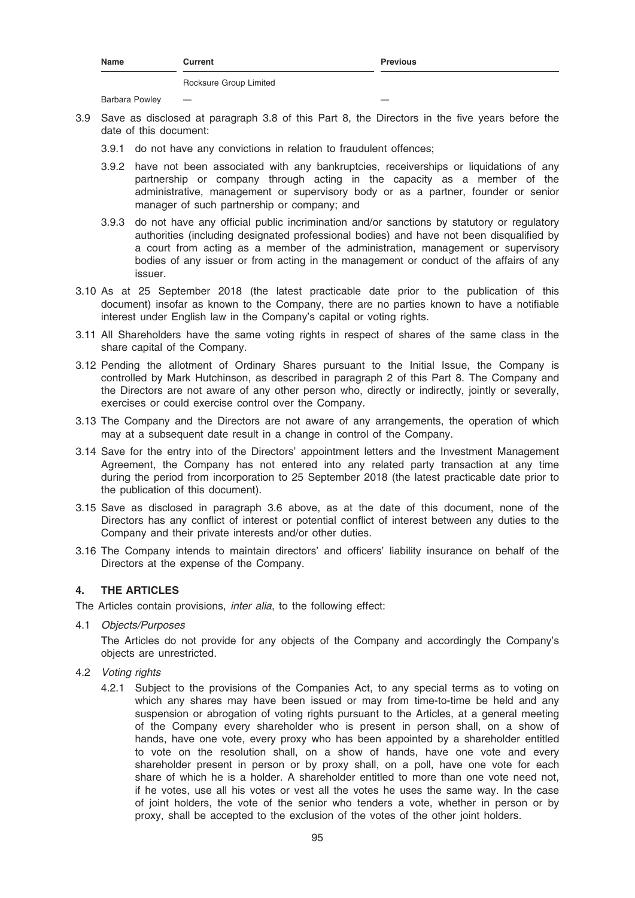| <b>Name</b> | Current                | <b>Previous</b> |
|-------------|------------------------|-----------------|
|             | Rocksure Group Limited |                 |

Barbara Powley

- 3.9 Save as disclosed at paragraph 3.8 of this Part 8, the Directors in the five years before the date of this document:
	- 3.9.1 do not have any convictions in relation to fraudulent offences;
	- 3.9.2 have not been associated with any bankruptcies, receiverships or liquidations of any partnership or company through acting in the capacity as a member of the administrative, management or supervisory body or as a partner, founder or senior manager of such partnership or company; and
	- 3.9.3 do not have any official public incrimination and/or sanctions by statutory or regulatory authorities (including designated professional bodies) and have not been disqualified by a court from acting as a member of the administration, management or supervisory bodies of any issuer or from acting in the management or conduct of the affairs of any issuer.
- 3.10 As at 25 September 2018 (the latest practicable date prior to the publication of this document) insofar as known to the Company, there are no parties known to have a notifiable interest under English law in the Company's capital or voting rights.
- 3.11 All Shareholders have the same voting rights in respect of shares of the same class in the share capital of the Company.
- 3.12 Pending the allotment of Ordinary Shares pursuant to the Initial Issue, the Company is controlled by Mark Hutchinson, as described in paragraph 2 of this Part 8. The Company and the Directors are not aware of any other person who, directly or indirectly, jointly or severally, exercises or could exercise control over the Company.
- 3.13 The Company and the Directors are not aware of any arrangements, the operation of which may at a subsequent date result in a change in control of the Company.
- 3.14 Save for the entry into of the Directors' appointment letters and the Investment Management Agreement, the Company has not entered into any related party transaction at any time during the period from incorporation to 25 September 2018 (the latest practicable date prior to the publication of this document).
- 3.15 Save as disclosed in paragraph 3.6 above, as at the date of this document, none of the Directors has any conflict of interest or potential conflict of interest between any duties to the Company and their private interests and/or other duties.
- 3.16 The Company intends to maintain directors' and officers' liability insurance on behalf of the Directors at the expense of the Company.

#### 4. THE ARTICLES

The Articles contain provisions, inter alia, to the following effect:

4.1 Objects/Purposes

The Articles do not provide for any objects of the Company and accordingly the Company's objects are unrestricted.

- 4.2 Voting rights
	- 4.2.1 Subject to the provisions of the Companies Act, to any special terms as to voting on which any shares may have been issued or may from time-to-time be held and any suspension or abrogation of voting rights pursuant to the Articles, at a general meeting of the Company every shareholder who is present in person shall, on a show of hands, have one vote, every proxy who has been appointed by a shareholder entitled to vote on the resolution shall, on a show of hands, have one vote and every shareholder present in person or by proxy shall, on a poll, have one vote for each share of which he is a holder. A shareholder entitled to more than one vote need not, if he votes, use all his votes or vest all the votes he uses the same way. In the case of joint holders, the vote of the senior who tenders a vote, whether in person or by proxy, shall be accepted to the exclusion of the votes of the other joint holders.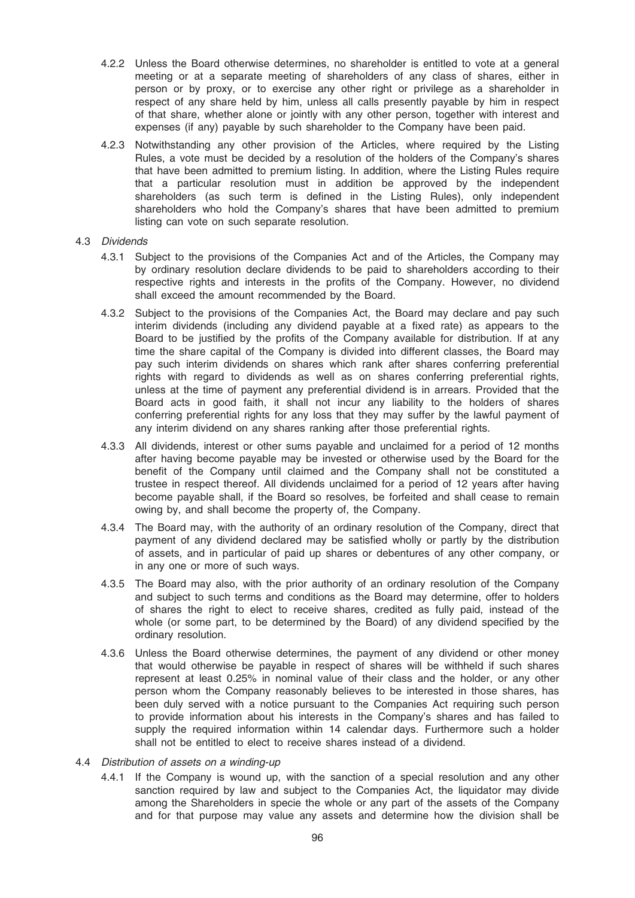- 4.2.2 Unless the Board otherwise determines, no shareholder is entitled to vote at a general meeting or at a separate meeting of shareholders of any class of shares, either in person or by proxy, or to exercise any other right or privilege as a shareholder in respect of any share held by him, unless all calls presently payable by him in respect of that share, whether alone or jointly with any other person, together with interest and expenses (if any) payable by such shareholder to the Company have been paid.
- 4.2.3 Notwithstanding any other provision of the Articles, where required by the Listing Rules, a vote must be decided by a resolution of the holders of the Company's shares that have been admitted to premium listing. In addition, where the Listing Rules require that a particular resolution must in addition be approved by the independent shareholders (as such term is defined in the Listing Rules), only independent shareholders who hold the Company's shares that have been admitted to premium listing can vote on such separate resolution.
- 4.3 Dividends
	- 4.3.1 Subject to the provisions of the Companies Act and of the Articles, the Company may by ordinary resolution declare dividends to be paid to shareholders according to their respective rights and interests in the profits of the Company. However, no dividend shall exceed the amount recommended by the Board.
	- 4.3.2 Subject to the provisions of the Companies Act, the Board may declare and pay such interim dividends (including any dividend payable at a fixed rate) as appears to the Board to be justified by the profits of the Company available for distribution. If at any time the share capital of the Company is divided into different classes, the Board may pay such interim dividends on shares which rank after shares conferring preferential rights with regard to dividends as well as on shares conferring preferential rights, unless at the time of payment any preferential dividend is in arrears. Provided that the Board acts in good faith, it shall not incur any liability to the holders of shares conferring preferential rights for any loss that they may suffer by the lawful payment of any interim dividend on any shares ranking after those preferential rights.
	- 4.3.3 All dividends, interest or other sums payable and unclaimed for a period of 12 months after having become payable may be invested or otherwise used by the Board for the benefit of the Company until claimed and the Company shall not be constituted a trustee in respect thereof. All dividends unclaimed for a period of 12 years after having become payable shall, if the Board so resolves, be forfeited and shall cease to remain owing by, and shall become the property of, the Company.
	- 4.3.4 The Board may, with the authority of an ordinary resolution of the Company, direct that payment of any dividend declared may be satisfied wholly or partly by the distribution of assets, and in particular of paid up shares or debentures of any other company, or in any one or more of such ways.
	- 4.3.5 The Board may also, with the prior authority of an ordinary resolution of the Company and subject to such terms and conditions as the Board may determine, offer to holders of shares the right to elect to receive shares, credited as fully paid, instead of the whole (or some part, to be determined by the Board) of any dividend specified by the ordinary resolution.
	- 4.3.6 Unless the Board otherwise determines, the payment of any dividend or other money that would otherwise be payable in respect of shares will be withheld if such shares represent at least 0.25% in nominal value of their class and the holder, or any other person whom the Company reasonably believes to be interested in those shares, has been duly served with a notice pursuant to the Companies Act requiring such person to provide information about his interests in the Company's shares and has failed to supply the required information within 14 calendar days. Furthermore such a holder shall not be entitled to elect to receive shares instead of a dividend.
- 4.4 Distribution of assets on a winding-up
	- 4.4.1 If the Company is wound up, with the sanction of a special resolution and any other sanction required by law and subject to the Companies Act, the liquidator may divide among the Shareholders in specie the whole or any part of the assets of the Company and for that purpose may value any assets and determine how the division shall be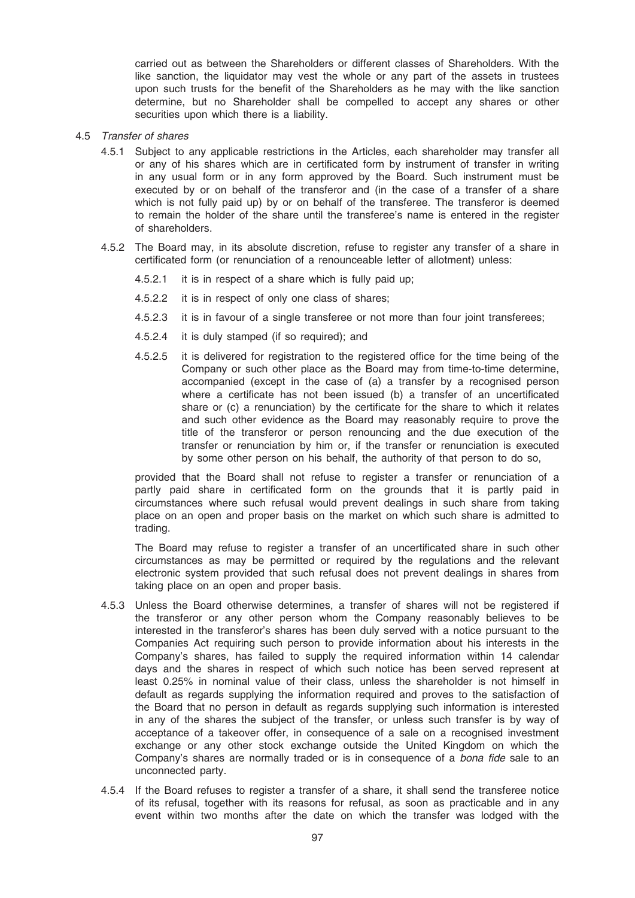carried out as between the Shareholders or different classes of Shareholders. With the like sanction, the liquidator may vest the whole or any part of the assets in trustees upon such trusts for the benefit of the Shareholders as he may with the like sanction determine, but no Shareholder shall be compelled to accept any shares or other securities upon which there is a liability.

#### 4.5 Transfer of shares

- 4.5.1 Subject to any applicable restrictions in the Articles, each shareholder may transfer all or any of his shares which are in certificated form by instrument of transfer in writing in any usual form or in any form approved by the Board. Such instrument must be executed by or on behalf of the transferor and (in the case of a transfer of a share which is not fully paid up) by or on behalf of the transferee. The transferor is deemed to remain the holder of the share until the transferee's name is entered in the register of shareholders.
- 4.5.2 The Board may, in its absolute discretion, refuse to register any transfer of a share in certificated form (or renunciation of a renounceable letter of allotment) unless:
	- 4.5.2.1 it is in respect of a share which is fully paid up;
	- 4.5.2.2 it is in respect of only one class of shares;
	- 4.5.2.3 it is in favour of a single transferee or not more than four joint transferees;
	- 4.5.2.4 it is duly stamped (if so required); and
	- 4.5.2.5 it is delivered for registration to the registered office for the time being of the Company or such other place as the Board may from time-to-time determine, accompanied (except in the case of (a) a transfer by a recognised person where a certificate has not been issued (b) a transfer of an uncertificated share or (c) a renunciation) by the certificate for the share to which it relates and such other evidence as the Board may reasonably require to prove the title of the transferor or person renouncing and the due execution of the transfer or renunciation by him or, if the transfer or renunciation is executed by some other person on his behalf, the authority of that person to do so,

provided that the Board shall not refuse to register a transfer or renunciation of a partly paid share in certificated form on the grounds that it is partly paid in circumstances where such refusal would prevent dealings in such share from taking place on an open and proper basis on the market on which such share is admitted to trading.

The Board may refuse to register a transfer of an uncertificated share in such other circumstances as may be permitted or required by the regulations and the relevant electronic system provided that such refusal does not prevent dealings in shares from taking place on an open and proper basis.

- 4.5.3 Unless the Board otherwise determines, a transfer of shares will not be registered if the transferor or any other person whom the Company reasonably believes to be interested in the transferor's shares has been duly served with a notice pursuant to the Companies Act requiring such person to provide information about his interests in the Company's shares, has failed to supply the required information within 14 calendar days and the shares in respect of which such notice has been served represent at least 0.25% in nominal value of their class, unless the shareholder is not himself in default as regards supplying the information required and proves to the satisfaction of the Board that no person in default as regards supplying such information is interested in any of the shares the subject of the transfer, or unless such transfer is by way of acceptance of a takeover offer, in consequence of a sale on a recognised investment exchange or any other stock exchange outside the United Kingdom on which the Company's shares are normally traded or is in consequence of a bona fide sale to an unconnected party.
- 4.5.4 If the Board refuses to register a transfer of a share, it shall send the transferee notice of its refusal, together with its reasons for refusal, as soon as practicable and in any event within two months after the date on which the transfer was lodged with the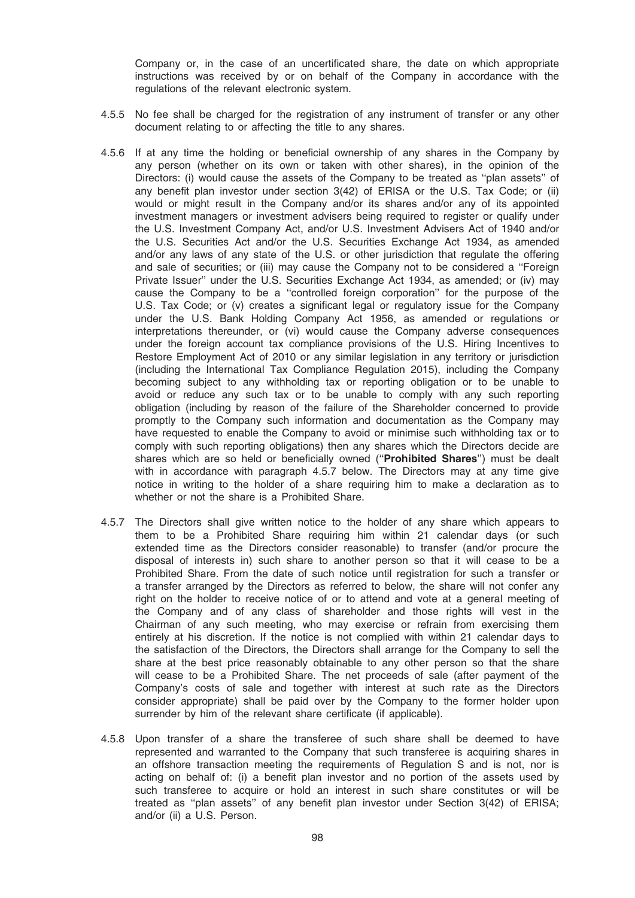Company or, in the case of an uncertificated share, the date on which appropriate instructions was received by or on behalf of the Company in accordance with the regulations of the relevant electronic system.

- 4.5.5 No fee shall be charged for the registration of any instrument of transfer or any other document relating to or affecting the title to any shares.
- 4.5.6 If at any time the holding or beneficial ownership of any shares in the Company by any person (whether on its own or taken with other shares), in the opinion of the Directors: (i) would cause the assets of the Company to be treated as ''plan assets'' of any benefit plan investor under section 3(42) of ERISA or the U.S. Tax Code; or (ii) would or might result in the Company and/or its shares and/or any of its appointed investment managers or investment advisers being required to register or qualify under the U.S. Investment Company Act, and/or U.S. Investment Advisers Act of 1940 and/or the U.S. Securities Act and/or the U.S. Securities Exchange Act 1934, as amended and/or any laws of any state of the U.S. or other jurisdiction that regulate the offering and sale of securities; or (iii) may cause the Company not to be considered a ''Foreign Private Issuer'' under the U.S. Securities Exchange Act 1934, as amended; or (iv) may cause the Company to be a ''controlled foreign corporation'' for the purpose of the U.S. Tax Code; or (v) creates a significant legal or regulatory issue for the Company under the U.S. Bank Holding Company Act 1956, as amended or regulations or interpretations thereunder, or (vi) would cause the Company adverse consequences under the foreign account tax compliance provisions of the U.S. Hiring Incentives to Restore Employment Act of 2010 or any similar legislation in any territory or jurisdiction (including the International Tax Compliance Regulation 2015), including the Company becoming subject to any withholding tax or reporting obligation or to be unable to avoid or reduce any such tax or to be unable to comply with any such reporting obligation (including by reason of the failure of the Shareholder concerned to provide promptly to the Company such information and documentation as the Company may have requested to enable the Company to avoid or minimise such withholding tax or to comply with such reporting obligations) then any shares which the Directors decide are shares which are so held or beneficially owned ("Prohibited Shares") must be dealt with in accordance with paragraph 4.5.7 below. The Directors may at any time give notice in writing to the holder of a share requiring him to make a declaration as to whether or not the share is a Prohibited Share.
- 4.5.7 The Directors shall give written notice to the holder of any share which appears to them to be a Prohibited Share requiring him within 21 calendar days (or such extended time as the Directors consider reasonable) to transfer (and/or procure the disposal of interests in) such share to another person so that it will cease to be a Prohibited Share. From the date of such notice until registration for such a transfer or a transfer arranged by the Directors as referred to below, the share will not confer any right on the holder to receive notice of or to attend and vote at a general meeting of the Company and of any class of shareholder and those rights will vest in the Chairman of any such meeting, who may exercise or refrain from exercising them entirely at his discretion. If the notice is not complied with within 21 calendar days to the satisfaction of the Directors, the Directors shall arrange for the Company to sell the share at the best price reasonably obtainable to any other person so that the share will cease to be a Prohibited Share. The net proceeds of sale (after payment of the Company's costs of sale and together with interest at such rate as the Directors consider appropriate) shall be paid over by the Company to the former holder upon surrender by him of the relevant share certificate (if applicable).
- 4.5.8 Upon transfer of a share the transferee of such share shall be deemed to have represented and warranted to the Company that such transferee is acquiring shares in an offshore transaction meeting the requirements of Regulation S and is not, nor is acting on behalf of: (i) a benefit plan investor and no portion of the assets used by such transferee to acquire or hold an interest in such share constitutes or will be treated as ''plan assets'' of any benefit plan investor under Section 3(42) of ERISA; and/or (ii) a U.S. Person.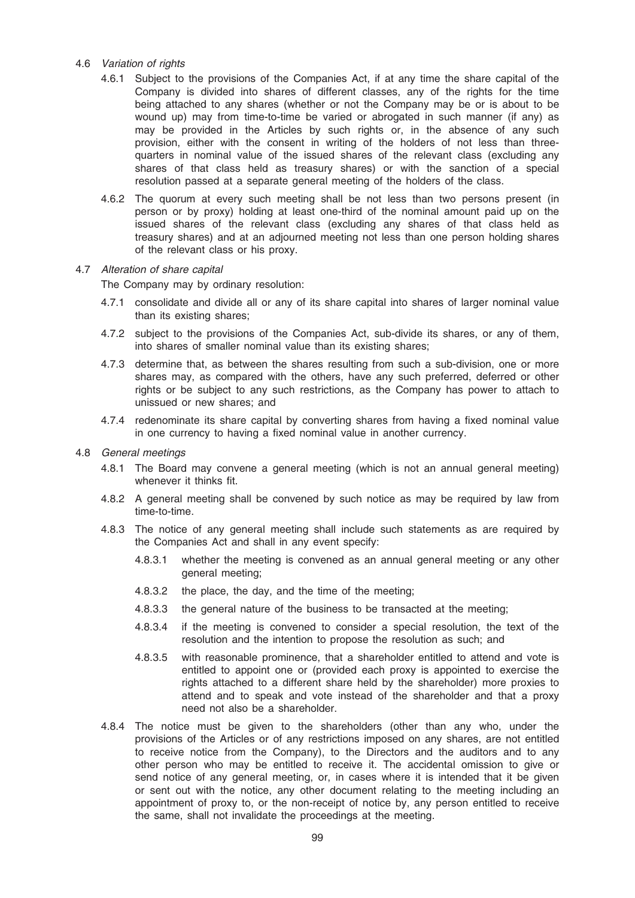#### 4.6 Variation of rights

- 4.6.1 Subject to the provisions of the Companies Act, if at any time the share capital of the Company is divided into shares of different classes, any of the rights for the time being attached to any shares (whether or not the Company may be or is about to be wound up) may from time-to-time be varied or abrogated in such manner (if any) as may be provided in the Articles by such rights or, in the absence of any such provision, either with the consent in writing of the holders of not less than threequarters in nominal value of the issued shares of the relevant class (excluding any shares of that class held as treasury shares) or with the sanction of a special resolution passed at a separate general meeting of the holders of the class.
- 4.6.2 The quorum at every such meeting shall be not less than two persons present (in person or by proxy) holding at least one-third of the nominal amount paid up on the issued shares of the relevant class (excluding any shares of that class held as treasury shares) and at an adjourned meeting not less than one person holding shares of the relevant class or his proxy.

#### 4.7 Alteration of share capital

The Company may by ordinary resolution:

- 4.7.1 consolidate and divide all or any of its share capital into shares of larger nominal value than its existing shares;
- 4.7.2 subject to the provisions of the Companies Act, sub-divide its shares, or any of them, into shares of smaller nominal value than its existing shares;
- 4.7.3 determine that, as between the shares resulting from such a sub-division, one or more shares may, as compared with the others, have any such preferred, deferred or other rights or be subject to any such restrictions, as the Company has power to attach to unissued or new shares; and
- 4.7.4 redenominate its share capital by converting shares from having a fixed nominal value in one currency to having a fixed nominal value in another currency.
- 4.8 General meetings
	- 4.8.1 The Board may convene a general meeting (which is not an annual general meeting) whenever it thinks fit.
	- 4.8.2 A general meeting shall be convened by such notice as may be required by law from time-to-time.
	- 4.8.3 The notice of any general meeting shall include such statements as are required by the Companies Act and shall in any event specify:
		- 4.8.3.1 whether the meeting is convened as an annual general meeting or any other general meeting;
		- 4.8.3.2 the place, the day, and the time of the meeting;
		- 4.8.3.3 the general nature of the business to be transacted at the meeting;
		- 4.8.3.4 if the meeting is convened to consider a special resolution, the text of the resolution and the intention to propose the resolution as such; and
		- 4.8.3.5 with reasonable prominence, that a shareholder entitled to attend and vote is entitled to appoint one or (provided each proxy is appointed to exercise the rights attached to a different share held by the shareholder) more proxies to attend and to speak and vote instead of the shareholder and that a proxy need not also be a shareholder.
	- 4.8.4 The notice must be given to the shareholders (other than any who, under the provisions of the Articles or of any restrictions imposed on any shares, are not entitled to receive notice from the Company), to the Directors and the auditors and to any other person who may be entitled to receive it. The accidental omission to give or send notice of any general meeting, or, in cases where it is intended that it be given or sent out with the notice, any other document relating to the meeting including an appointment of proxy to, or the non-receipt of notice by, any person entitled to receive the same, shall not invalidate the proceedings at the meeting.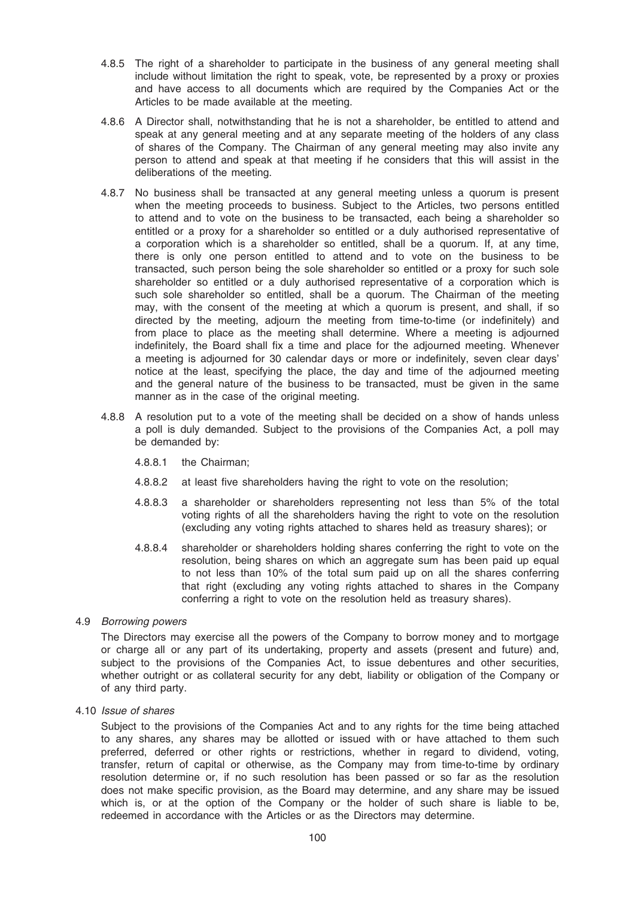- 4.8.5 The right of a shareholder to participate in the business of any general meeting shall include without limitation the right to speak, vote, be represented by a proxy or proxies and have access to all documents which are required by the Companies Act or the Articles to be made available at the meeting.
- 4.8.6 A Director shall, notwithstanding that he is not a shareholder, be entitled to attend and speak at any general meeting and at any separate meeting of the holders of any class of shares of the Company. The Chairman of any general meeting may also invite any person to attend and speak at that meeting if he considers that this will assist in the deliberations of the meeting.
- 4.8.7 No business shall be transacted at any general meeting unless a quorum is present when the meeting proceeds to business. Subject to the Articles, two persons entitled to attend and to vote on the business to be transacted, each being a shareholder so entitled or a proxy for a shareholder so entitled or a duly authorised representative of a corporation which is a shareholder so entitled, shall be a quorum. If, at any time, there is only one person entitled to attend and to vote on the business to be transacted, such person being the sole shareholder so entitled or a proxy for such sole shareholder so entitled or a duly authorised representative of a corporation which is such sole shareholder so entitled, shall be a quorum. The Chairman of the meeting may, with the consent of the meeting at which a quorum is present, and shall, if so directed by the meeting, adjourn the meeting from time-to-time (or indefinitely) and from place to place as the meeting shall determine. Where a meeting is adjourned indefinitely, the Board shall fix a time and place for the adjourned meeting. Whenever a meeting is adjourned for 30 calendar days or more or indefinitely, seven clear days' notice at the least, specifying the place, the day and time of the adjourned meeting and the general nature of the business to be transacted, must be given in the same manner as in the case of the original meeting.
- 4.8.8 A resolution put to a vote of the meeting shall be decided on a show of hands unless a poll is duly demanded. Subject to the provisions of the Companies Act, a poll may be demanded by:
	- 4.8.8.1 the Chairman;
	- 4.8.8.2 at least five shareholders having the right to vote on the resolution;
	- 4.8.8.3 a shareholder or shareholders representing not less than 5% of the total voting rights of all the shareholders having the right to vote on the resolution (excluding any voting rights attached to shares held as treasury shares); or
	- 4.8.8.4 shareholder or shareholders holding shares conferring the right to vote on the resolution, being shares on which an aggregate sum has been paid up equal to not less than 10% of the total sum paid up on all the shares conferring that right (excluding any voting rights attached to shares in the Company conferring a right to vote on the resolution held as treasury shares).
- 4.9 Borrowing powers

The Directors may exercise all the powers of the Company to borrow money and to mortgage or charge all or any part of its undertaking, property and assets (present and future) and, subject to the provisions of the Companies Act, to issue debentures and other securities, whether outright or as collateral security for any debt, liability or obligation of the Company or of any third party.

4.10 Issue of shares

Subject to the provisions of the Companies Act and to any rights for the time being attached to any shares, any shares may be allotted or issued with or have attached to them such preferred, deferred or other rights or restrictions, whether in regard to dividend, voting, transfer, return of capital or otherwise, as the Company may from time-to-time by ordinary resolution determine or, if no such resolution has been passed or so far as the resolution does not make specific provision, as the Board may determine, and any share may be issued which is, or at the option of the Company or the holder of such share is liable to be, redeemed in accordance with the Articles or as the Directors may determine.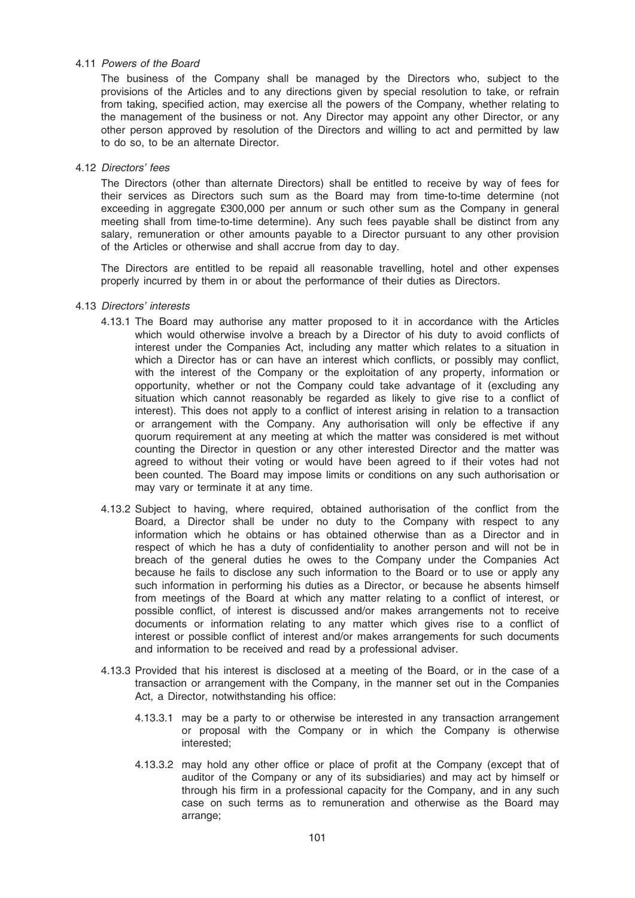#### 4.11 Powers of the Board

The business of the Company shall be managed by the Directors who, subject to the provisions of the Articles and to any directions given by special resolution to take, or refrain from taking, specified action, may exercise all the powers of the Company, whether relating to the management of the business or not. Any Director may appoint any other Director, or any other person approved by resolution of the Directors and willing to act and permitted by law to do so, to be an alternate Director.

#### 4.12 Directors' fees

The Directors (other than alternate Directors) shall be entitled to receive by way of fees for their services as Directors such sum as the Board may from time-to-time determine (not exceeding in aggregate £300,000 per annum or such other sum as the Company in general meeting shall from time-to-time determine). Any such fees payable shall be distinct from any salary, remuneration or other amounts payable to a Director pursuant to any other provision of the Articles or otherwise and shall accrue from day to day.

The Directors are entitled to be repaid all reasonable travelling, hotel and other expenses properly incurred by them in or about the performance of their duties as Directors.

#### 4.13 Directors' interests

- 4.13.1 The Board may authorise any matter proposed to it in accordance with the Articles which would otherwise involve a breach by a Director of his duty to avoid conflicts of interest under the Companies Act, including any matter which relates to a situation in which a Director has or can have an interest which conflicts, or possibly may conflict, with the interest of the Company or the exploitation of any property, information or opportunity, whether or not the Company could take advantage of it (excluding any situation which cannot reasonably be regarded as likely to give rise to a conflict of interest). This does not apply to a conflict of interest arising in relation to a transaction or arrangement with the Company. Any authorisation will only be effective if any quorum requirement at any meeting at which the matter was considered is met without counting the Director in question or any other interested Director and the matter was agreed to without their voting or would have been agreed to if their votes had not been counted. The Board may impose limits or conditions on any such authorisation or may vary or terminate it at any time.
- 4.13.2 Subject to having, where required, obtained authorisation of the conflict from the Board, a Director shall be under no duty to the Company with respect to any information which he obtains or has obtained otherwise than as a Director and in respect of which he has a duty of confidentiality to another person and will not be in breach of the general duties he owes to the Company under the Companies Act because he fails to disclose any such information to the Board or to use or apply any such information in performing his duties as a Director, or because he absents himself from meetings of the Board at which any matter relating to a conflict of interest, or possible conflict, of interest is discussed and/or makes arrangements not to receive documents or information relating to any matter which gives rise to a conflict of interest or possible conflict of interest and/or makes arrangements for such documents and information to be received and read by a professional adviser.
- 4.13.3 Provided that his interest is disclosed at a meeting of the Board, or in the case of a transaction or arrangement with the Company, in the manner set out in the Companies Act, a Director, notwithstanding his office:
	- 4.13.3.1 may be a party to or otherwise be interested in any transaction arrangement or proposal with the Company or in which the Company is otherwise interested;
	- 4.13.3.2 may hold any other office or place of profit at the Company (except that of auditor of the Company or any of its subsidiaries) and may act by himself or through his firm in a professional capacity for the Company, and in any such case on such terms as to remuneration and otherwise as the Board may arrange;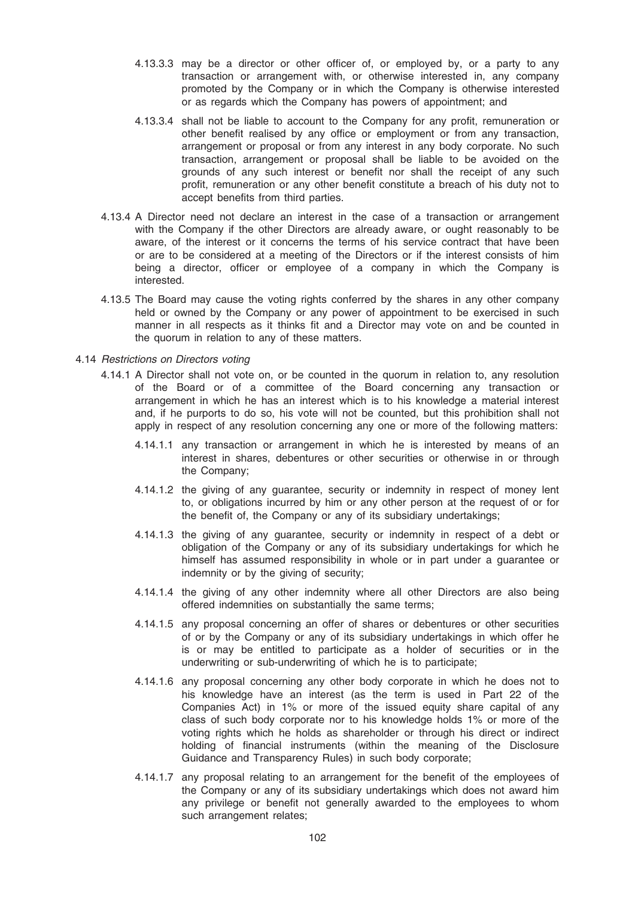- 4.13.3.3 may be a director or other officer of, or employed by, or a party to any transaction or arrangement with, or otherwise interested in, any company promoted by the Company or in which the Company is otherwise interested or as regards which the Company has powers of appointment; and
- 4.13.3.4 shall not be liable to account to the Company for any profit, remuneration or other benefit realised by any office or employment or from any transaction, arrangement or proposal or from any interest in any body corporate. No such transaction, arrangement or proposal shall be liable to be avoided on the grounds of any such interest or benefit nor shall the receipt of any such profit, remuneration or any other benefit constitute a breach of his duty not to accept benefits from third parties.
- 4.13.4 A Director need not declare an interest in the case of a transaction or arrangement with the Company if the other Directors are already aware, or ought reasonably to be aware, of the interest or it concerns the terms of his service contract that have been or are to be considered at a meeting of the Directors or if the interest consists of him being a director, officer or employee of a company in which the Company is interested.
- 4.13.5 The Board may cause the voting rights conferred by the shares in any other company held or owned by the Company or any power of appointment to be exercised in such manner in all respects as it thinks fit and a Director may vote on and be counted in the quorum in relation to any of these matters.

#### 4.14 Restrictions on Directors voting

- 4.14.1 A Director shall not vote on, or be counted in the quorum in relation to, any resolution of the Board or of a committee of the Board concerning any transaction or arrangement in which he has an interest which is to his knowledge a material interest and, if he purports to do so, his vote will not be counted, but this prohibition shall not apply in respect of any resolution concerning any one or more of the following matters:
	- 4.14.1.1 any transaction or arrangement in which he is interested by means of an interest in shares, debentures or other securities or otherwise in or through the Company;
	- 4.14.1.2 the giving of any guarantee, security or indemnity in respect of money lent to, or obligations incurred by him or any other person at the request of or for the benefit of, the Company or any of its subsidiary undertakings;
	- 4.14.1.3 the giving of any guarantee, security or indemnity in respect of a debt or obligation of the Company or any of its subsidiary undertakings for which he himself has assumed responsibility in whole or in part under a guarantee or indemnity or by the giving of security;
	- 4.14.1.4 the giving of any other indemnity where all other Directors are also being offered indemnities on substantially the same terms;
	- 4.14.1.5 any proposal concerning an offer of shares or debentures or other securities of or by the Company or any of its subsidiary undertakings in which offer he is or may be entitled to participate as a holder of securities or in the underwriting or sub-underwriting of which he is to participate;
	- 4.14.1.6 any proposal concerning any other body corporate in which he does not to his knowledge have an interest (as the term is used in Part 22 of the Companies Act) in 1% or more of the issued equity share capital of any class of such body corporate nor to his knowledge holds 1% or more of the voting rights which he holds as shareholder or through his direct or indirect holding of financial instruments (within the meaning of the Disclosure Guidance and Transparency Rules) in such body corporate;
	- 4.14.1.7 any proposal relating to an arrangement for the benefit of the employees of the Company or any of its subsidiary undertakings which does not award him any privilege or benefit not generally awarded to the employees to whom such arrangement relates;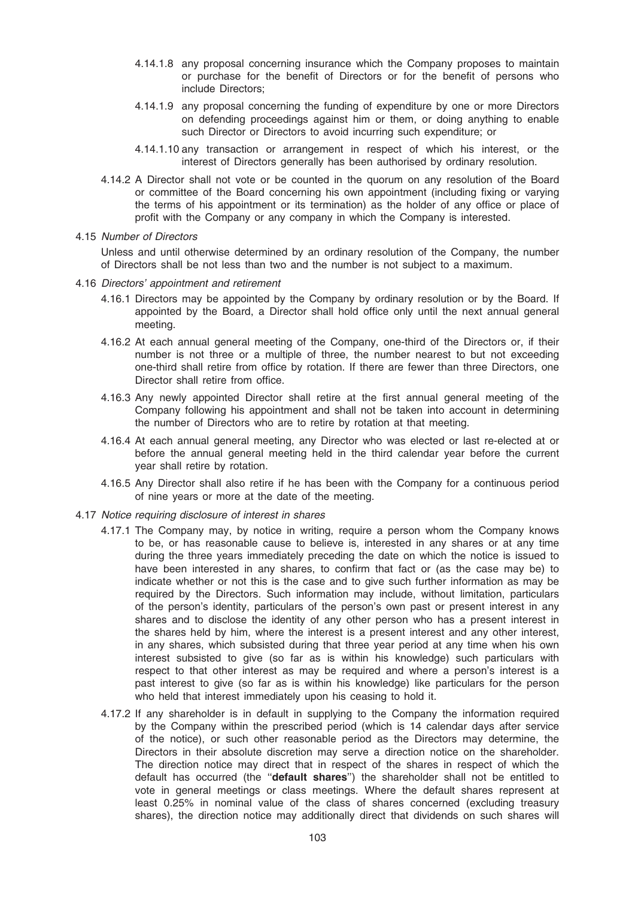- 4.14.1.8 any proposal concerning insurance which the Company proposes to maintain or purchase for the benefit of Directors or for the benefit of persons who include Directors;
- 4.14.1.9 any proposal concerning the funding of expenditure by one or more Directors on defending proceedings against him or them, or doing anything to enable such Director or Directors to avoid incurring such expenditure; or
- 4.14.1.10 any transaction or arrangement in respect of which his interest, or the interest of Directors generally has been authorised by ordinary resolution.
- 4.14.2 A Director shall not vote or be counted in the quorum on any resolution of the Board or committee of the Board concerning his own appointment (including fixing or varying the terms of his appointment or its termination) as the holder of any office or place of profit with the Company or any company in which the Company is interested.
- 4.15 Number of Directors

Unless and until otherwise determined by an ordinary resolution of the Company, the number of Directors shall be not less than two and the number is not subject to a maximum.

- 4.16 Directors' appointment and retirement
	- 4.16.1 Directors may be appointed by the Company by ordinary resolution or by the Board. If appointed by the Board, a Director shall hold office only until the next annual general meeting.
	- 4.16.2 At each annual general meeting of the Company, one-third of the Directors or, if their number is not three or a multiple of three, the number nearest to but not exceeding one-third shall retire from office by rotation. If there are fewer than three Directors, one Director shall retire from office.
	- 4.16.3 Any newly appointed Director shall retire at the first annual general meeting of the Company following his appointment and shall not be taken into account in determining the number of Directors who are to retire by rotation at that meeting.
	- 4.16.4 At each annual general meeting, any Director who was elected or last re-elected at or before the annual general meeting held in the third calendar year before the current year shall retire by rotation.
	- 4.16.5 Any Director shall also retire if he has been with the Company for a continuous period of nine years or more at the date of the meeting.
- 4.17 Notice requiring disclosure of interest in shares
	- 4.17.1 The Company may, by notice in writing, require a person whom the Company knows to be, or has reasonable cause to believe is, interested in any shares or at any time during the three years immediately preceding the date on which the notice is issued to have been interested in any shares, to confirm that fact or (as the case may be) to indicate whether or not this is the case and to give such further information as may be required by the Directors. Such information may include, without limitation, particulars of the person's identity, particulars of the person's own past or present interest in any shares and to disclose the identity of any other person who has a present interest in the shares held by him, where the interest is a present interest and any other interest, in any shares, which subsisted during that three year period at any time when his own interest subsisted to give (so far as is within his knowledge) such particulars with respect to that other interest as may be required and where a person's interest is a past interest to give (so far as is within his knowledge) like particulars for the person who held that interest immediately upon his ceasing to hold it.
	- 4.17.2 If any shareholder is in default in supplying to the Company the information required by the Company within the prescribed period (which is 14 calendar days after service of the notice), or such other reasonable period as the Directors may determine, the Directors in their absolute discretion may serve a direction notice on the shareholder. The direction notice may direct that in respect of the shares in respect of which the default has occurred (the "default shares") the shareholder shall not be entitled to vote in general meetings or class meetings. Where the default shares represent at least 0.25% in nominal value of the class of shares concerned (excluding treasury shares), the direction notice may additionally direct that dividends on such shares will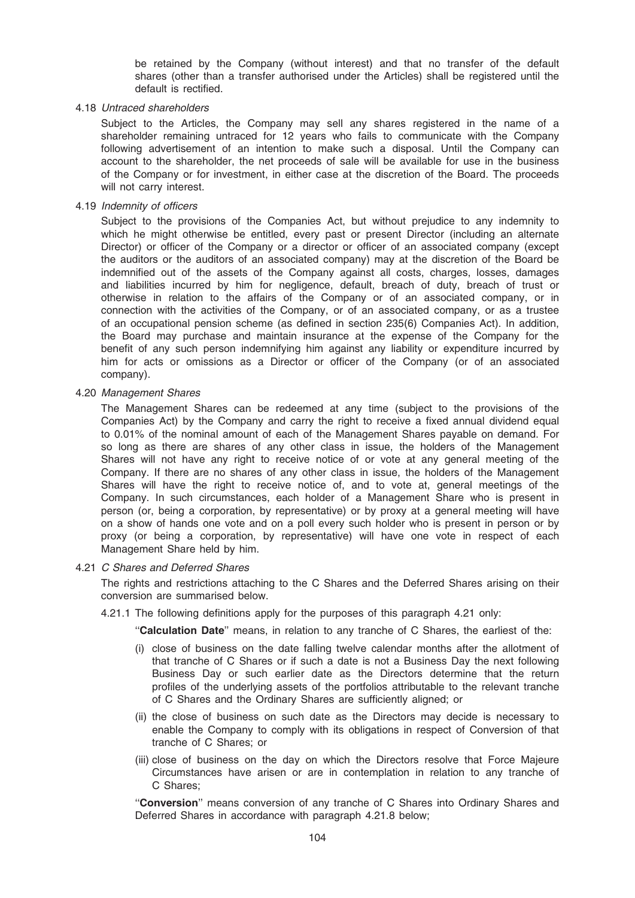be retained by the Company (without interest) and that no transfer of the default shares (other than a transfer authorised under the Articles) shall be registered until the default is rectified.

#### 4.18 Untraced shareholders

Subject to the Articles, the Company may sell any shares registered in the name of a shareholder remaining untraced for 12 years who fails to communicate with the Company following advertisement of an intention to make such a disposal. Until the Company can account to the shareholder, the net proceeds of sale will be available for use in the business of the Company or for investment, in either case at the discretion of the Board. The proceeds will not carry interest.

4.19 Indemnity of officers

Subject to the provisions of the Companies Act, but without prejudice to any indemnity to which he might otherwise be entitled, every past or present Director (including an alternate Director) or officer of the Company or a director or officer of an associated company (except the auditors or the auditors of an associated company) may at the discretion of the Board be indemnified out of the assets of the Company against all costs, charges, losses, damages and liabilities incurred by him for negligence, default, breach of duty, breach of trust or otherwise in relation to the affairs of the Company or of an associated company, or in connection with the activities of the Company, or of an associated company, or as a trustee of an occupational pension scheme (as defined in section 235(6) Companies Act). In addition, the Board may purchase and maintain insurance at the expense of the Company for the benefit of any such person indemnifying him against any liability or expenditure incurred by him for acts or omissions as a Director or officer of the Company (or of an associated company).

#### 4.20 Management Shares

The Management Shares can be redeemed at any time (subject to the provisions of the Companies Act) by the Company and carry the right to receive a fixed annual dividend equal to 0.01% of the nominal amount of each of the Management Shares payable on demand. For so long as there are shares of any other class in issue, the holders of the Management Shares will not have any right to receive notice of or vote at any general meeting of the Company. If there are no shares of any other class in issue, the holders of the Management Shares will have the right to receive notice of, and to vote at, general meetings of the Company. In such circumstances, each holder of a Management Share who is present in person (or, being a corporation, by representative) or by proxy at a general meeting will have on a show of hands one vote and on a poll every such holder who is present in person or by proxy (or being a corporation, by representative) will have one vote in respect of each Management Share held by him.

#### 4.21 C Shares and Deferred Shares

The rights and restrictions attaching to the C Shares and the Deferred Shares arising on their conversion are summarised below.

4.21.1 The following definitions apply for the purposes of this paragraph 4.21 only:

''Calculation Date'' means, in relation to any tranche of C Shares, the earliest of the:

- (i) close of business on the date falling twelve calendar months after the allotment of that tranche of C Shares or if such a date is not a Business Day the next following Business Day or such earlier date as the Directors determine that the return profiles of the underlying assets of the portfolios attributable to the relevant tranche of C Shares and the Ordinary Shares are sufficiently aligned; or
- (ii) the close of business on such date as the Directors may decide is necessary to enable the Company to comply with its obligations in respect of Conversion of that tranche of C Shares; or
- (iii) close of business on the day on which the Directors resolve that Force Majeure Circumstances have arisen or are in contemplation in relation to any tranche of C Shares;

''Conversion'' means conversion of any tranche of C Shares into Ordinary Shares and Deferred Shares in accordance with paragraph 4.21.8 below;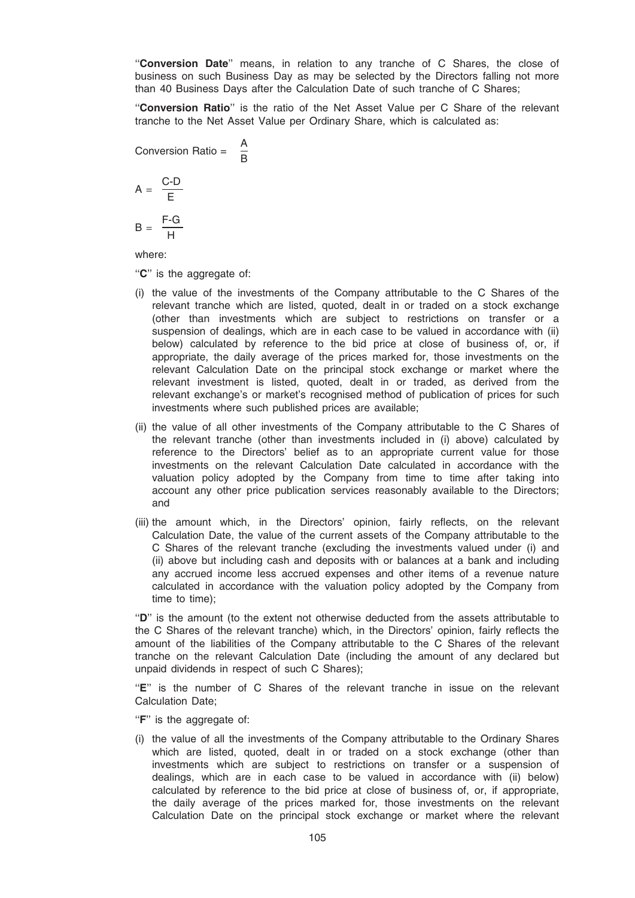''Conversion Date'' means, in relation to any tranche of C Shares, the close of business on such Business Day as may be selected by the Directors falling not more than 40 Business Days after the Calculation Date of such tranche of C Shares;

"Conversion Ratio" is the ratio of the Net Asset Value per C Share of the relevant tranche to the Net Asset Value per Ordinary Share, which is calculated as:

$$
Consersion Ratio = \frac{A}{B}
$$

$$
A = \frac{C - D}{E}
$$

$$
B = \frac{F - G}{H}
$$

where:

"C" is the aggregate of:

- (i) the value of the investments of the Company attributable to the C Shares of the relevant tranche which are listed, quoted, dealt in or traded on a stock exchange (other than investments which are subject to restrictions on transfer or a suspension of dealings, which are in each case to be valued in accordance with (ii) below) calculated by reference to the bid price at close of business of, or, if appropriate, the daily average of the prices marked for, those investments on the relevant Calculation Date on the principal stock exchange or market where the relevant investment is listed, quoted, dealt in or traded, as derived from the relevant exchange's or market's recognised method of publication of prices for such investments where such published prices are available;
- (ii) the value of all other investments of the Company attributable to the C Shares of the relevant tranche (other than investments included in (i) above) calculated by reference to the Directors' belief as to an appropriate current value for those investments on the relevant Calculation Date calculated in accordance with the valuation policy adopted by the Company from time to time after taking into account any other price publication services reasonably available to the Directors; and
- (iii) the amount which, in the Directors' opinion, fairly reflects, on the relevant Calculation Date, the value of the current assets of the Company attributable to the C Shares of the relevant tranche (excluding the investments valued under (i) and (ii) above but including cash and deposits with or balances at a bank and including any accrued income less accrued expenses and other items of a revenue nature calculated in accordance with the valuation policy adopted by the Company from time to time);

''D'' is the amount (to the extent not otherwise deducted from the assets attributable to the C Shares of the relevant tranche) which, in the Directors' opinion, fairly reflects the amount of the liabilities of the Company attributable to the C Shares of the relevant tranche on the relevant Calculation Date (including the amount of any declared but unpaid dividends in respect of such C Shares);

''E'' is the number of C Shares of the relevant tranche in issue on the relevant Calculation Date;

"F" is the aggregate of:

(i) the value of all the investments of the Company attributable to the Ordinary Shares which are listed, quoted, dealt in or traded on a stock exchange (other than investments which are subject to restrictions on transfer or a suspension of dealings, which are in each case to be valued in accordance with (ii) below) calculated by reference to the bid price at close of business of, or, if appropriate, the daily average of the prices marked for, those investments on the relevant Calculation Date on the principal stock exchange or market where the relevant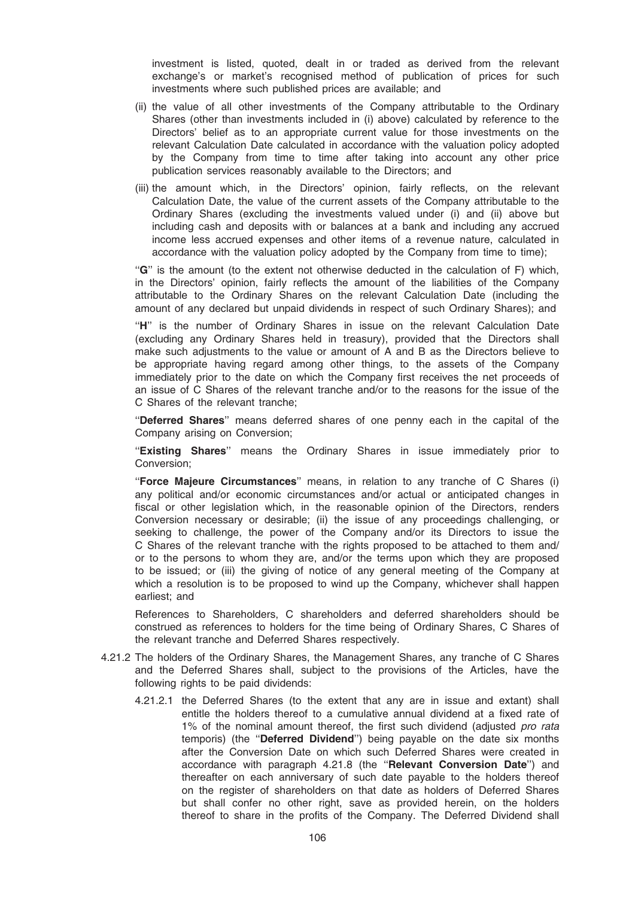investment is listed, quoted, dealt in or traded as derived from the relevant exchange's or market's recognised method of publication of prices for such investments where such published prices are available; and

- (ii) the value of all other investments of the Company attributable to the Ordinary Shares (other than investments included in (i) above) calculated by reference to the Directors' belief as to an appropriate current value for those investments on the relevant Calculation Date calculated in accordance with the valuation policy adopted by the Company from time to time after taking into account any other price publication services reasonably available to the Directors; and
- (iii) the amount which, in the Directors' opinion, fairly reflects, on the relevant Calculation Date, the value of the current assets of the Company attributable to the Ordinary Shares (excluding the investments valued under (i) and (ii) above but including cash and deposits with or balances at a bank and including any accrued income less accrued expenses and other items of a revenue nature, calculated in accordance with the valuation policy adopted by the Company from time to time);

''G'' is the amount (to the extent not otherwise deducted in the calculation of F) which, in the Directors' opinion, fairly reflects the amount of the liabilities of the Company attributable to the Ordinary Shares on the relevant Calculation Date (including the amount of any declared but unpaid dividends in respect of such Ordinary Shares); and

''H'' is the number of Ordinary Shares in issue on the relevant Calculation Date (excluding any Ordinary Shares held in treasury), provided that the Directors shall make such adjustments to the value or amount of A and B as the Directors believe to be appropriate having regard among other things, to the assets of the Company immediately prior to the date on which the Company first receives the net proceeds of an issue of C Shares of the relevant tranche and/or to the reasons for the issue of the C Shares of the relevant tranche;

''Deferred Shares'' means deferred shares of one penny each in the capital of the Company arising on Conversion;

"Existing Shares" means the Ordinary Shares in issue immediately prior to Conversion;

''Force Majeure Circumstances'' means, in relation to any tranche of C Shares (i) any political and/or economic circumstances and/or actual or anticipated changes in fiscal or other legislation which, in the reasonable opinion of the Directors, renders Conversion necessary or desirable; (ii) the issue of any proceedings challenging, or seeking to challenge, the power of the Company and/or its Directors to issue the C Shares of the relevant tranche with the rights proposed to be attached to them and/ or to the persons to whom they are, and/or the terms upon which they are proposed to be issued; or (iii) the giving of notice of any general meeting of the Company at which a resolution is to be proposed to wind up the Company, whichever shall happen earliest; and

References to Shareholders, C shareholders and deferred shareholders should be construed as references to holders for the time being of Ordinary Shares, C Shares of the relevant tranche and Deferred Shares respectively.

- 4.21.2 The holders of the Ordinary Shares, the Management Shares, any tranche of C Shares and the Deferred Shares shall, subject to the provisions of the Articles, have the following rights to be paid dividends:
	- 4.21.2.1 the Deferred Shares (to the extent that any are in issue and extant) shall entitle the holders thereof to a cumulative annual dividend at a fixed rate of 1% of the nominal amount thereof, the first such dividend (adjusted pro rata temporis) (the "Deferred Dividend") being payable on the date six months after the Conversion Date on which such Deferred Shares were created in accordance with paragraph 4.21.8 (the "Relevant Conversion Date") and thereafter on each anniversary of such date payable to the holders thereof on the register of shareholders on that date as holders of Deferred Shares but shall confer no other right, save as provided herein, on the holders thereof to share in the profits of the Company. The Deferred Dividend shall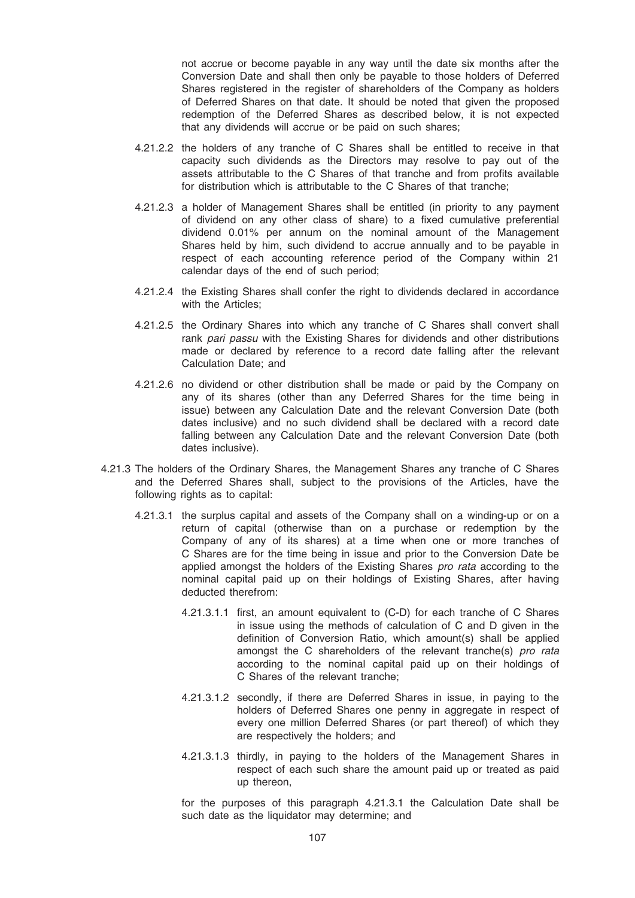not accrue or become payable in any way until the date six months after the Conversion Date and shall then only be payable to those holders of Deferred Shares registered in the register of shareholders of the Company as holders of Deferred Shares on that date. It should be noted that given the proposed redemption of the Deferred Shares as described below, it is not expected that any dividends will accrue or be paid on such shares;

- 4.21.2.2 the holders of any tranche of C Shares shall be entitled to receive in that capacity such dividends as the Directors may resolve to pay out of the assets attributable to the C Shares of that tranche and from profits available for distribution which is attributable to the C Shares of that tranche;
- 4.21.2.3 a holder of Management Shares shall be entitled (in priority to any payment of dividend on any other class of share) to a fixed cumulative preferential dividend 0.01% per annum on the nominal amount of the Management Shares held by him, such dividend to accrue annually and to be payable in respect of each accounting reference period of the Company within 21 calendar days of the end of such period;
- 4.21.2.4 the Existing Shares shall confer the right to dividends declared in accordance with the Articles;
- 4.21.2.5 the Ordinary Shares into which any tranche of C Shares shall convert shall rank pari passu with the Existing Shares for dividends and other distributions made or declared by reference to a record date falling after the relevant Calculation Date; and
- 4.21.2.6 no dividend or other distribution shall be made or paid by the Company on any of its shares (other than any Deferred Shares for the time being in issue) between any Calculation Date and the relevant Conversion Date (both dates inclusive) and no such dividend shall be declared with a record date falling between any Calculation Date and the relevant Conversion Date (both dates inclusive).
- 4.21.3 The holders of the Ordinary Shares, the Management Shares any tranche of C Shares and the Deferred Shares shall, subject to the provisions of the Articles, have the following rights as to capital:
	- 4.21.3.1 the surplus capital and assets of the Company shall on a winding-up or on a return of capital (otherwise than on a purchase or redemption by the Company of any of its shares) at a time when one or more tranches of C Shares are for the time being in issue and prior to the Conversion Date be applied amongst the holders of the Existing Shares pro rata according to the nominal capital paid up on their holdings of Existing Shares, after having deducted therefrom:
		- 4.21.3.1.1 first, an amount equivalent to (C-D) for each tranche of C Shares in issue using the methods of calculation of C and D given in the definition of Conversion Ratio, which amount(s) shall be applied amongst the C shareholders of the relevant tranche(s) pro rata according to the nominal capital paid up on their holdings of C Shares of the relevant tranche;
		- 4.21.3.1.2 secondly, if there are Deferred Shares in issue, in paying to the holders of Deferred Shares one penny in aggregate in respect of every one million Deferred Shares (or part thereof) of which they are respectively the holders; and
		- 4.21.3.1.3 thirdly, in paying to the holders of the Management Shares in respect of each such share the amount paid up or treated as paid up thereon,

for the purposes of this paragraph 4.21.3.1 the Calculation Date shall be such date as the liquidator may determine; and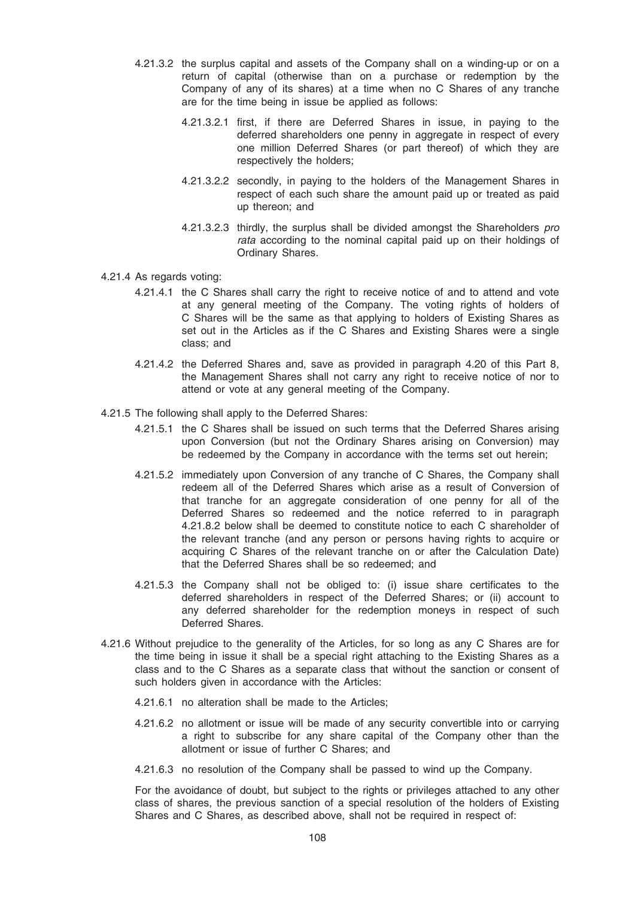- 4.21.3.2 the surplus capital and assets of the Company shall on a winding-up or on a return of capital (otherwise than on a purchase or redemption by the Company of any of its shares) at a time when no C Shares of any tranche are for the time being in issue be applied as follows:
	- 4.21.3.2.1 first, if there are Deferred Shares in issue, in paying to the deferred shareholders one penny in aggregate in respect of every one million Deferred Shares (or part thereof) of which they are respectively the holders;
	- 4.21.3.2.2 secondly, in paying to the holders of the Management Shares in respect of each such share the amount paid up or treated as paid up thereon; and
	- 4.21.3.2.3 thirdly, the surplus shall be divided amongst the Shareholders pro rata according to the nominal capital paid up on their holdings of Ordinary Shares.
- 4.21.4 As regards voting:
	- 4.21.4.1 the C Shares shall carry the right to receive notice of and to attend and vote at any general meeting of the Company. The voting rights of holders of C Shares will be the same as that applying to holders of Existing Shares as set out in the Articles as if the C Shares and Existing Shares were a single class; and
	- 4.21.4.2 the Deferred Shares and, save as provided in paragraph 4.20 of this Part 8, the Management Shares shall not carry any right to receive notice of nor to attend or vote at any general meeting of the Company.
- 4.21.5 The following shall apply to the Deferred Shares:
	- 4.21.5.1 the C Shares shall be issued on such terms that the Deferred Shares arising upon Conversion (but not the Ordinary Shares arising on Conversion) may be redeemed by the Company in accordance with the terms set out herein;
	- 4.21.5.2 immediately upon Conversion of any tranche of C Shares, the Company shall redeem all of the Deferred Shares which arise as a result of Conversion of that tranche for an aggregate consideration of one penny for all of the Deferred Shares so redeemed and the notice referred to in paragraph 4.21.8.2 below shall be deemed to constitute notice to each C shareholder of the relevant tranche (and any person or persons having rights to acquire or acquiring C Shares of the relevant tranche on or after the Calculation Date) that the Deferred Shares shall be so redeemed; and
	- 4.21.5.3 the Company shall not be obliged to: (i) issue share certificates to the deferred shareholders in respect of the Deferred Shares; or (ii) account to any deferred shareholder for the redemption moneys in respect of such Deferred Shares.
- 4.21.6 Without prejudice to the generality of the Articles, for so long as any C Shares are for the time being in issue it shall be a special right attaching to the Existing Shares as a class and to the C Shares as a separate class that without the sanction or consent of such holders given in accordance with the Articles:
	- 4.21.6.1 no alteration shall be made to the Articles;
	- 4.21.6.2 no allotment or issue will be made of any security convertible into or carrying a right to subscribe for any share capital of the Company other than the allotment or issue of further C Shares; and
	- 4.21.6.3 no resolution of the Company shall be passed to wind up the Company.

For the avoidance of doubt, but subject to the rights or privileges attached to any other class of shares, the previous sanction of a special resolution of the holders of Existing Shares and C Shares, as described above, shall not be required in respect of: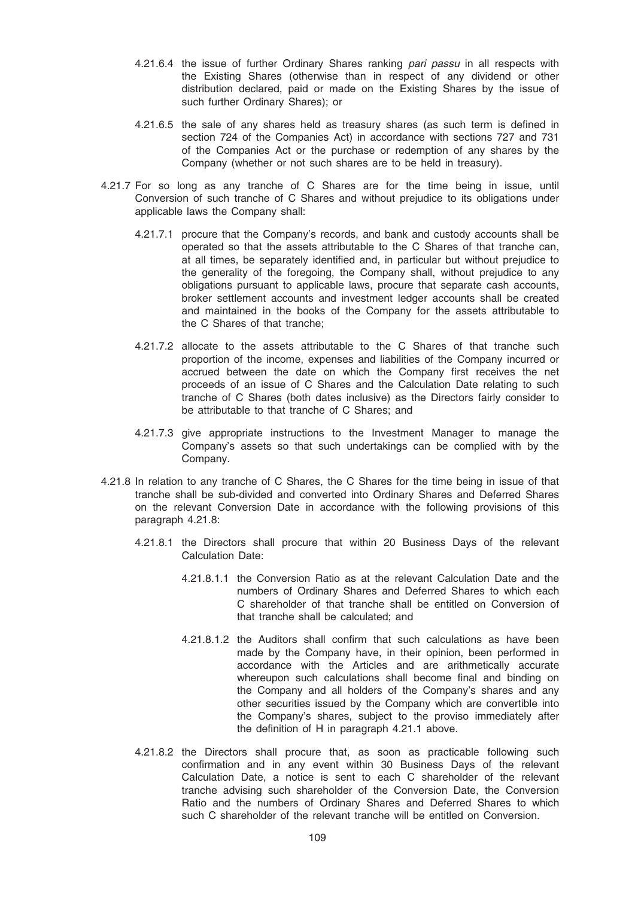- 4.21.6.4 the issue of further Ordinary Shares ranking pari passu in all respects with the Existing Shares (otherwise than in respect of any dividend or other distribution declared, paid or made on the Existing Shares by the issue of such further Ordinary Shares); or
- 4.21.6.5 the sale of any shares held as treasury shares (as such term is defined in section 724 of the Companies Act) in accordance with sections 727 and 731 of the Companies Act or the purchase or redemption of any shares by the Company (whether or not such shares are to be held in treasury).
- 4.21.7 For so long as any tranche of C Shares are for the time being in issue, until Conversion of such tranche of C Shares and without prejudice to its obligations under applicable laws the Company shall:
	- 4.21.7.1 procure that the Company's records, and bank and custody accounts shall be operated so that the assets attributable to the C Shares of that tranche can, at all times, be separately identified and, in particular but without prejudice to the generality of the foregoing, the Company shall, without prejudice to any obligations pursuant to applicable laws, procure that separate cash accounts, broker settlement accounts and investment ledger accounts shall be created and maintained in the books of the Company for the assets attributable to the C Shares of that tranche;
	- 4.21.7.2 allocate to the assets attributable to the C Shares of that tranche such proportion of the income, expenses and liabilities of the Company incurred or accrued between the date on which the Company first receives the net proceeds of an issue of C Shares and the Calculation Date relating to such tranche of C Shares (both dates inclusive) as the Directors fairly consider to be attributable to that tranche of C Shares; and
	- 4.21.7.3 give appropriate instructions to the Investment Manager to manage the Company's assets so that such undertakings can be complied with by the Company.
- 4.21.8 In relation to any tranche of C Shares, the C Shares for the time being in issue of that tranche shall be sub-divided and converted into Ordinary Shares and Deferred Shares on the relevant Conversion Date in accordance with the following provisions of this paragraph 4.21.8:
	- 4.21.8.1 the Directors shall procure that within 20 Business Days of the relevant Calculation Date:
		- 4.21.8.1.1 the Conversion Ratio as at the relevant Calculation Date and the numbers of Ordinary Shares and Deferred Shares to which each C shareholder of that tranche shall be entitled on Conversion of that tranche shall be calculated; and
		- 4.21.8.1.2 the Auditors shall confirm that such calculations as have been made by the Company have, in their opinion, been performed in accordance with the Articles and are arithmetically accurate whereupon such calculations shall become final and binding on the Company and all holders of the Company's shares and any other securities issued by the Company which are convertible into the Company's shares, subject to the proviso immediately after the definition of H in paragraph 4.21.1 above.
	- 4.21.8.2 the Directors shall procure that, as soon as practicable following such confirmation and in any event within 30 Business Days of the relevant Calculation Date, a notice is sent to each C shareholder of the relevant tranche advising such shareholder of the Conversion Date, the Conversion Ratio and the numbers of Ordinary Shares and Deferred Shares to which such C shareholder of the relevant tranche will be entitled on Conversion.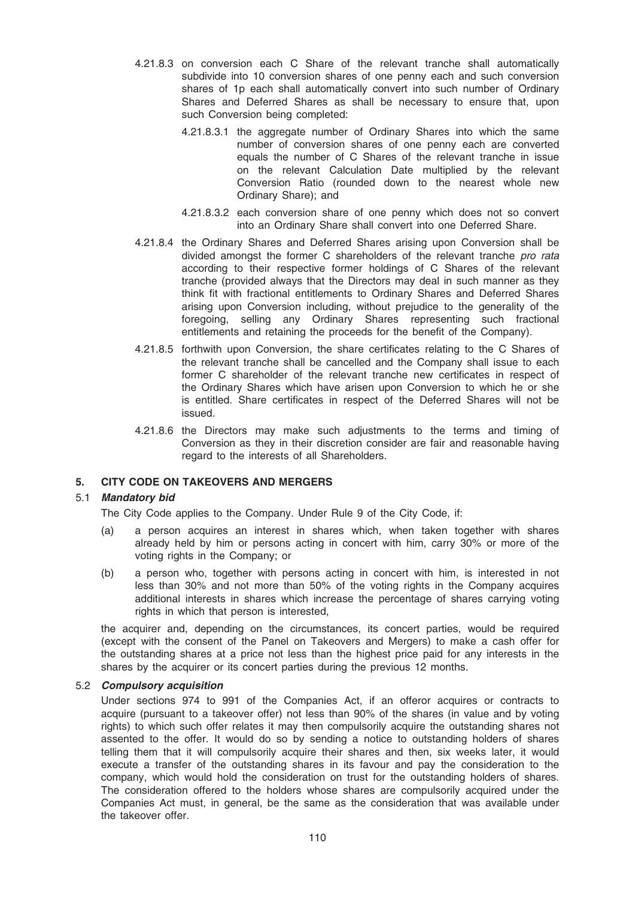- 4.21.8.3 on conversion each C Share of the relevant tranche shall automatically subdivide into 10 conversion shares of one penny each and such conversion shares of 1p each shall automatically convert into such number of Ordinary Shares and Deferred Shares as shall be necessary to ensure that, upon such Conversion being completed:
	- 4.21.8.3.1 the aggregate number of Ordinary Shares into which the same number of conversion shares of one penny each are converted equals the number of C Shares of the relevant tranche in issue on the relevant Calculation Date multiplied by the relevant Conversion Ratio (rounded down to the nearest whole new Ordinary Share); and
	- 4.21.8.3.2 each conversion share of one penny which does not so convert into an Ordinary Share shall convert into one Deferred Share.
- 4.21.8.4 the Ordinary Shares and Deferred Shares arising upon Conversion shall be divided amongst the former C shareholders of the relevant tranche pro rata according to their respective former holdings of C Shares of the relevant tranche (provided always that the Directors may deal in such manner as they think fit with fractional entitlements to Ordinary Shares and Deferred Shares arising upon Conversion including, without prejudice to the generality of the foregoing, selling any Ordinary Shares representing such fractional entitlements and retaining the proceeds for the benefit of the Company).
- 4.21.8.5 forthwith upon Conversion, the share certificates relating to the C Shares of the relevant tranche shall be cancelled and the Company shall issue to each former C shareholder of the relevant tranche new certificates in respect of the Ordinary Shares which have arisen upon Conversion to which he or she is entitled. Share certificates in respect of the Deferred Shares will not be issued.
- 4.21.8.6 the Directors may make such adjustments to the terms and timing of Conversion as they in their discretion consider are fair and reasonable having regard to the interests of all Shareholders.

### 5. CITY CODE ON TAKEOVERS AND MERGERS

### 5.1 Mandatory bid

The City Code applies to the Company. Under Rule 9 of the City Code, if:

- (a) a person acquires an interest in shares which, when taken together with shares already held by him or persons acting in concert with him, carry 30% or more of the voting rights in the Company; or
- (b) a person who, together with persons acting in concert with him, is interested in not less than 30% and not more than 50% of the voting rights in the Company acquires additional interests in shares which increase the percentage of shares carrying voting rights in which that person is interested,

the acquirer and, depending on the circumstances, its concert parties, would be required (except with the consent of the Panel on Takeovers and Mergers) to make a cash offer for the outstanding shares at a price not less than the highest price paid for any interests in the shares by the acquirer or its concert parties during the previous 12 months.

### 5.2 Compulsory acquisition

Under sections 974 to 991 of the Companies Act, if an offeror acquires or contracts to acquire (pursuant to a takeover offer) not less than 90% of the shares (in value and by voting rights) to which such offer relates it may then compulsorily acquire the outstanding shares not assented to the offer. It would do so by sending a notice to outstanding holders of shares telling them that it will compulsorily acquire their shares and then, six weeks later, it would execute a transfer of the outstanding shares in its favour and pay the consideration to the company, which would hold the consideration on trust for the outstanding holders of shares. The consideration offered to the holders whose shares are compulsorily acquired under the Companies Act must, in general, be the same as the consideration that was available under the takeover offer.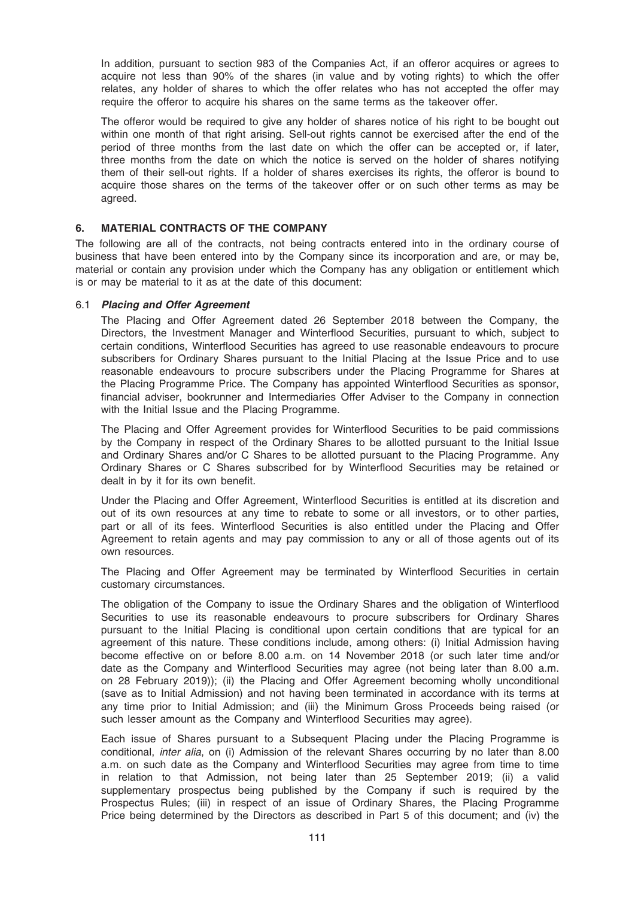In addition, pursuant to section 983 of the Companies Act, if an offeror acquires or agrees to acquire not less than 90% of the shares (in value and by voting rights) to which the offer relates, any holder of shares to which the offer relates who has not accepted the offer may require the offeror to acquire his shares on the same terms as the takeover offer.

The offeror would be required to give any holder of shares notice of his right to be bought out within one month of that right arising. Sell-out rights cannot be exercised after the end of the period of three months from the last date on which the offer can be accepted or, if later, three months from the date on which the notice is served on the holder of shares notifying them of their sell-out rights. If a holder of shares exercises its rights, the offeror is bound to acquire those shares on the terms of the takeover offer or on such other terms as may be agreed.

### 6. MATERIAL CONTRACTS OF THE COMPANY

The following are all of the contracts, not being contracts entered into in the ordinary course of business that have been entered into by the Company since its incorporation and are, or may be, material or contain any provision under which the Company has any obligation or entitlement which is or may be material to it as at the date of this document:

### 6.1 Placing and Offer Agreement

The Placing and Offer Agreement dated 26 September 2018 between the Company, the Directors, the Investment Manager and Winterflood Securities, pursuant to which, subject to certain conditions, Winterflood Securities has agreed to use reasonable endeavours to procure subscribers for Ordinary Shares pursuant to the Initial Placing at the Issue Price and to use reasonable endeavours to procure subscribers under the Placing Programme for Shares at the Placing Programme Price. The Company has appointed Winterflood Securities as sponsor, financial adviser, bookrunner and Intermediaries Offer Adviser to the Company in connection with the Initial Issue and the Placing Programme.

The Placing and Offer Agreement provides for Winterflood Securities to be paid commissions by the Company in respect of the Ordinary Shares to be allotted pursuant to the Initial Issue and Ordinary Shares and/or C Shares to be allotted pursuant to the Placing Programme. Any Ordinary Shares or C Shares subscribed for by Winterflood Securities may be retained or dealt in by it for its own benefit.

Under the Placing and Offer Agreement, Winterflood Securities is entitled at its discretion and out of its own resources at any time to rebate to some or all investors, or to other parties, part or all of its fees. Winterflood Securities is also entitled under the Placing and Offer Agreement to retain agents and may pay commission to any or all of those agents out of its own resources.

The Placing and Offer Agreement may be terminated by Winterflood Securities in certain customary circumstances.

The obligation of the Company to issue the Ordinary Shares and the obligation of Winterflood Securities to use its reasonable endeavours to procure subscribers for Ordinary Shares pursuant to the Initial Placing is conditional upon certain conditions that are typical for an agreement of this nature. These conditions include, among others: (i) Initial Admission having become effective on or before 8.00 a.m. on 14 November 2018 (or such later time and/or date as the Company and Winterflood Securities may agree (not being later than 8.00 a.m. on 28 February 2019)); (ii) the Placing and Offer Agreement becoming wholly unconditional (save as to Initial Admission) and not having been terminated in accordance with its terms at any time prior to Initial Admission; and (iii) the Minimum Gross Proceeds being raised (or such lesser amount as the Company and Winterflood Securities may agree).

Each issue of Shares pursuant to a Subsequent Placing under the Placing Programme is conditional, inter alia, on (i) Admission of the relevant Shares occurring by no later than 8.00 a.m. on such date as the Company and Winterflood Securities may agree from time to time in relation to that Admission, not being later than 25 September 2019; (ii) a valid supplementary prospectus being published by the Company if such is required by the Prospectus Rules; (iii) in respect of an issue of Ordinary Shares, the Placing Programme Price being determined by the Directors as described in Part 5 of this document; and (iv) the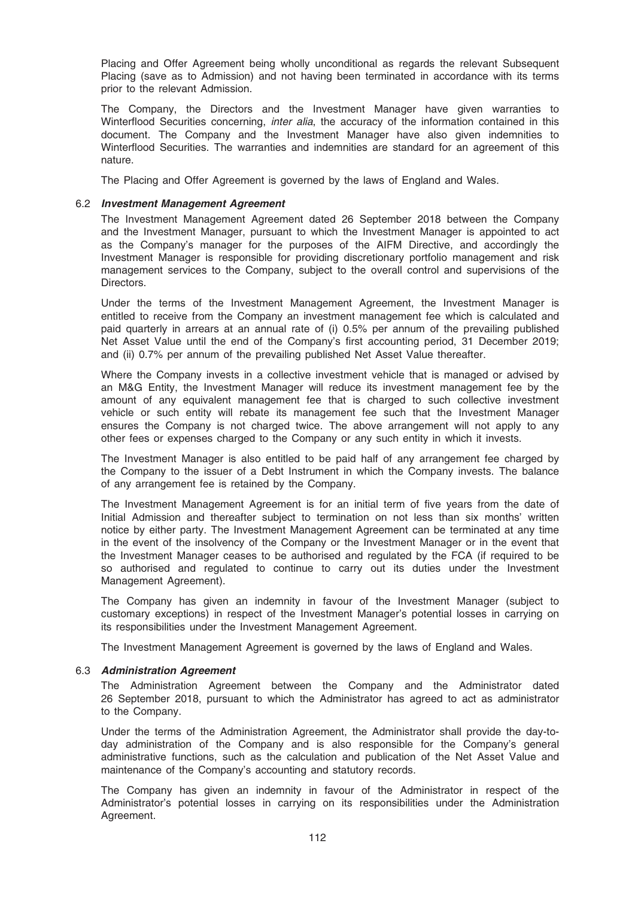Placing and Offer Agreement being wholly unconditional as regards the relevant Subsequent Placing (save as to Admission) and not having been terminated in accordance with its terms prior to the relevant Admission.

The Company, the Directors and the Investment Manager have given warranties to Winterflood Securities concerning, *inter alia*, the accuracy of the information contained in this document. The Company and the Investment Manager have also given indemnities to Winterflood Securities. The warranties and indemnities are standard for an agreement of this nature.

The Placing and Offer Agreement is governed by the laws of England and Wales.

### 6.2 Investment Management Agreement

The Investment Management Agreement dated 26 September 2018 between the Company and the Investment Manager, pursuant to which the Investment Manager is appointed to act as the Company's manager for the purposes of the AIFM Directive, and accordingly the Investment Manager is responsible for providing discretionary portfolio management and risk management services to the Company, subject to the overall control and supervisions of the Directors.

Under the terms of the Investment Management Agreement, the Investment Manager is entitled to receive from the Company an investment management fee which is calculated and paid quarterly in arrears at an annual rate of (i) 0.5% per annum of the prevailing published Net Asset Value until the end of the Company's first accounting period, 31 December 2019; and (ii) 0.7% per annum of the prevailing published Net Asset Value thereafter.

Where the Company invests in a collective investment vehicle that is managed or advised by an M&G Entity, the Investment Manager will reduce its investment management fee by the amount of any equivalent management fee that is charged to such collective investment vehicle or such entity will rebate its management fee such that the Investment Manager ensures the Company is not charged twice. The above arrangement will not apply to any other fees or expenses charged to the Company or any such entity in which it invests.

The Investment Manager is also entitled to be paid half of any arrangement fee charged by the Company to the issuer of a Debt Instrument in which the Company invests. The balance of any arrangement fee is retained by the Company.

The Investment Management Agreement is for an initial term of five years from the date of Initial Admission and thereafter subject to termination on not less than six months' written notice by either party. The Investment Management Agreement can be terminated at any time in the event of the insolvency of the Company or the Investment Manager or in the event that the Investment Manager ceases to be authorised and regulated by the FCA (if required to be so authorised and regulated to continue to carry out its duties under the Investment Management Agreement).

The Company has given an indemnity in favour of the Investment Manager (subject to customary exceptions) in respect of the Investment Manager's potential losses in carrying on its responsibilities under the Investment Management Agreement.

The Investment Management Agreement is governed by the laws of England and Wales.

### 6.3 Administration Agreement

The Administration Agreement between the Company and the Administrator dated 26 September 2018, pursuant to which the Administrator has agreed to act as administrator to the Company.

Under the terms of the Administration Agreement, the Administrator shall provide the day-today administration of the Company and is also responsible for the Company's general administrative functions, such as the calculation and publication of the Net Asset Value and maintenance of the Company's accounting and statutory records.

The Company has given an indemnity in favour of the Administrator in respect of the Administrator's potential losses in carrying on its responsibilities under the Administration Agreement.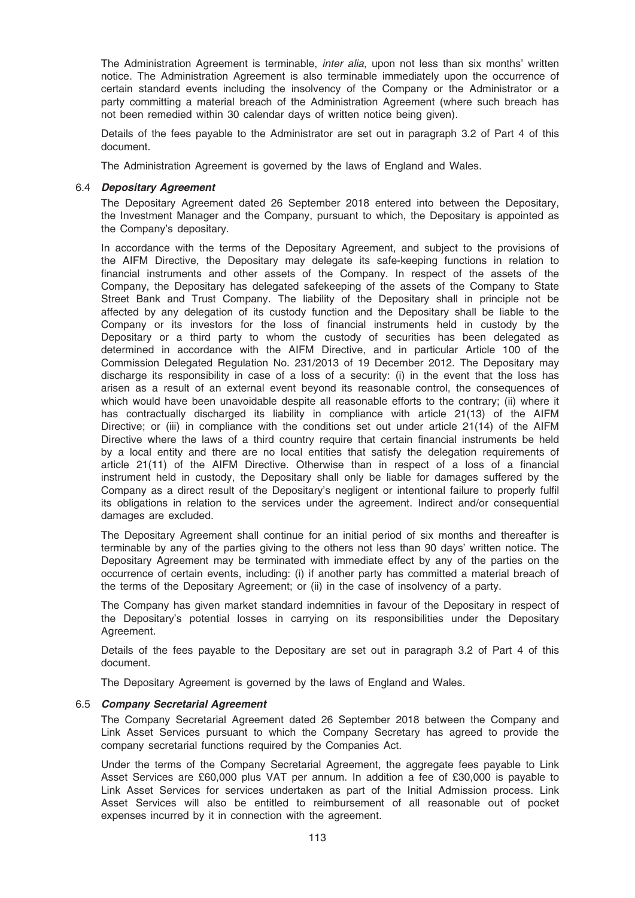The Administration Agreement is terminable, *inter alia*, upon not less than six months' written notice. The Administration Agreement is also terminable immediately upon the occurrence of certain standard events including the insolvency of the Company or the Administrator or a party committing a material breach of the Administration Agreement (where such breach has not been remedied within 30 calendar days of written notice being given).

Details of the fees payable to the Administrator are set out in paragraph 3.2 of Part 4 of this document.

The Administration Agreement is governed by the laws of England and Wales.

### 6.4 Depositary Agreement

The Depositary Agreement dated 26 September 2018 entered into between the Depositary, the Investment Manager and the Company, pursuant to which, the Depositary is appointed as the Company's depositary.

In accordance with the terms of the Depositary Agreement, and subject to the provisions of the AIFM Directive, the Depositary may delegate its safe-keeping functions in relation to financial instruments and other assets of the Company. In respect of the assets of the Company, the Depositary has delegated safekeeping of the assets of the Company to State Street Bank and Trust Company. The liability of the Depositary shall in principle not be affected by any delegation of its custody function and the Depositary shall be liable to the Company or its investors for the loss of financial instruments held in custody by the Depositary or a third party to whom the custody of securities has been delegated as determined in accordance with the AIFM Directive, and in particular Article 100 of the Commission Delegated Regulation No. 231/2013 of 19 December 2012. The Depositary may discharge its responsibility in case of a loss of a security: (i) in the event that the loss has arisen as a result of an external event beyond its reasonable control, the consequences of which would have been unavoidable despite all reasonable efforts to the contrary; (ii) where it has contractually discharged its liability in compliance with article 21(13) of the AIFM Directive; or (iii) in compliance with the conditions set out under article 21(14) of the AIFM Directive where the laws of a third country require that certain financial instruments be held by a local entity and there are no local entities that satisfy the delegation requirements of article 21(11) of the AIFM Directive. Otherwise than in respect of a loss of a financial instrument held in custody, the Depositary shall only be liable for damages suffered by the Company as a direct result of the Depositary's negligent or intentional failure to properly fulfil its obligations in relation to the services under the agreement. Indirect and/or consequential damages are excluded.

The Depositary Agreement shall continue for an initial period of six months and thereafter is terminable by any of the parties giving to the others not less than 90 days' written notice. The Depositary Agreement may be terminated with immediate effect by any of the parties on the occurrence of certain events, including: (i) if another party has committed a material breach of the terms of the Depositary Agreement; or (ii) in the case of insolvency of a party.

The Company has given market standard indemnities in favour of the Depositary in respect of the Depositary's potential losses in carrying on its responsibilities under the Depositary Agreement.

Details of the fees payable to the Depositary are set out in paragraph 3.2 of Part 4 of this document.

The Depositary Agreement is governed by the laws of England and Wales.

### 6.5 Company Secretarial Agreement

The Company Secretarial Agreement dated 26 September 2018 between the Company and Link Asset Services pursuant to which the Company Secretary has agreed to provide the company secretarial functions required by the Companies Act.

Under the terms of the Company Secretarial Agreement, the aggregate fees payable to Link Asset Services are £60,000 plus VAT per annum. In addition a fee of £30,000 is payable to Link Asset Services for services undertaken as part of the Initial Admission process. Link Asset Services will also be entitled to reimbursement of all reasonable out of pocket expenses incurred by it in connection with the agreement.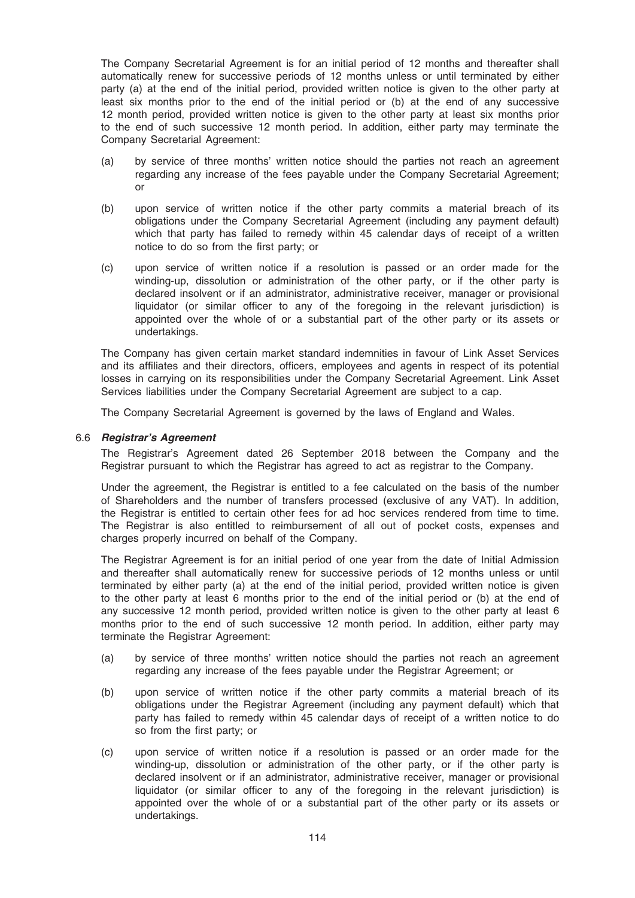The Company Secretarial Agreement is for an initial period of 12 months and thereafter shall automatically renew for successive periods of 12 months unless or until terminated by either party (a) at the end of the initial period, provided written notice is given to the other party at least six months prior to the end of the initial period or (b) at the end of any successive 12 month period, provided written notice is given to the other party at least six months prior to the end of such successive 12 month period. In addition, either party may terminate the Company Secretarial Agreement:

- (a) by service of three months' written notice should the parties not reach an agreement regarding any increase of the fees payable under the Company Secretarial Agreement; or
- (b) upon service of written notice if the other party commits a material breach of its obligations under the Company Secretarial Agreement (including any payment default) which that party has failed to remedy within 45 calendar days of receipt of a written notice to do so from the first party; or
- (c) upon service of written notice if a resolution is passed or an order made for the winding-up, dissolution or administration of the other party, or if the other party is declared insolvent or if an administrator, administrative receiver, manager or provisional liquidator (or similar officer to any of the foregoing in the relevant jurisdiction) is appointed over the whole of or a substantial part of the other party or its assets or undertakings.

The Company has given certain market standard indemnities in favour of Link Asset Services and its affiliates and their directors, officers, employees and agents in respect of its potential losses in carrying on its responsibilities under the Company Secretarial Agreement. Link Asset Services liabilities under the Company Secretarial Agreement are subject to a cap.

The Company Secretarial Agreement is governed by the laws of England and Wales.

### 6.6 Registrar's Agreement

The Registrar's Agreement dated 26 September 2018 between the Company and the Registrar pursuant to which the Registrar has agreed to act as registrar to the Company.

Under the agreement, the Registrar is entitled to a fee calculated on the basis of the number of Shareholders and the number of transfers processed (exclusive of any VAT). In addition, the Registrar is entitled to certain other fees for ad hoc services rendered from time to time. The Registrar is also entitled to reimbursement of all out of pocket costs, expenses and charges properly incurred on behalf of the Company.

The Registrar Agreement is for an initial period of one year from the date of Initial Admission and thereafter shall automatically renew for successive periods of 12 months unless or until terminated by either party (a) at the end of the initial period, provided written notice is given to the other party at least 6 months prior to the end of the initial period or (b) at the end of any successive 12 month period, provided written notice is given to the other party at least 6 months prior to the end of such successive 12 month period. In addition, either party may terminate the Registrar Agreement:

- (a) by service of three months' written notice should the parties not reach an agreement regarding any increase of the fees payable under the Registrar Agreement; or
- (b) upon service of written notice if the other party commits a material breach of its obligations under the Registrar Agreement (including any payment default) which that party has failed to remedy within 45 calendar days of receipt of a written notice to do so from the first party; or
- (c) upon service of written notice if a resolution is passed or an order made for the winding-up, dissolution or administration of the other party, or if the other party is declared insolvent or if an administrator, administrative receiver, manager or provisional liquidator (or similar officer to any of the foregoing in the relevant jurisdiction) is appointed over the whole of or a substantial part of the other party or its assets or undertakings.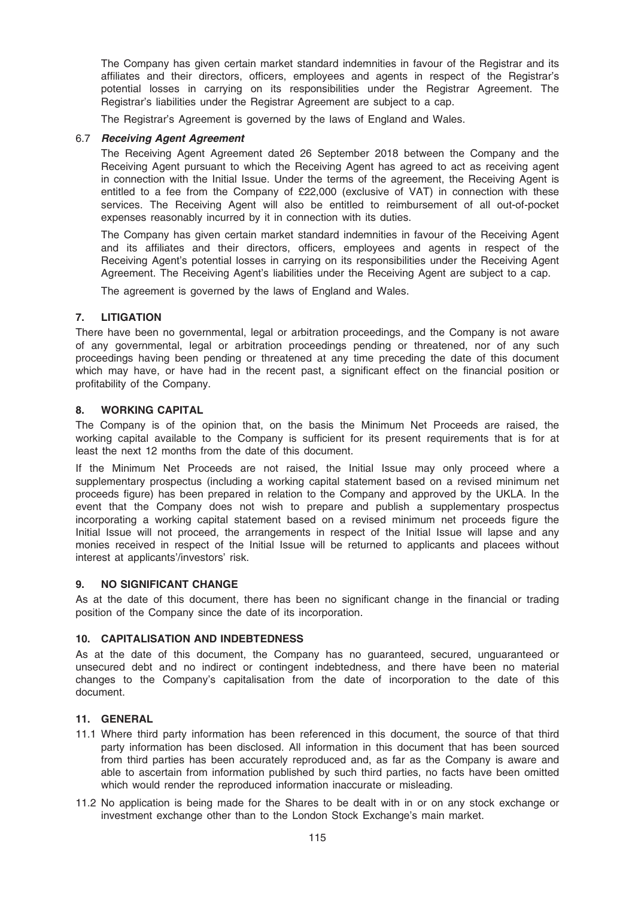The Company has given certain market standard indemnities in favour of the Registrar and its affiliates and their directors, officers, employees and agents in respect of the Registrar's potential losses in carrying on its responsibilities under the Registrar Agreement. The Registrar's liabilities under the Registrar Agreement are subject to a cap.

The Registrar's Agreement is governed by the laws of England and Wales.

### 6.7 Receiving Agent Agreement

The Receiving Agent Agreement dated 26 September 2018 between the Company and the Receiving Agent pursuant to which the Receiving Agent has agreed to act as receiving agent in connection with the Initial Issue. Under the terms of the agreement, the Receiving Agent is entitled to a fee from the Company of £22,000 (exclusive of VAT) in connection with these services. The Receiving Agent will also be entitled to reimbursement of all out-of-pocket expenses reasonably incurred by it in connection with its duties.

The Company has given certain market standard indemnities in favour of the Receiving Agent and its affiliates and their directors, officers, employees and agents in respect of the Receiving Agent's potential losses in carrying on its responsibilities under the Receiving Agent Agreement. The Receiving Agent's liabilities under the Receiving Agent are subject to a cap.

The agreement is governed by the laws of England and Wales.

### 7. LITIGATION

There have been no governmental, legal or arbitration proceedings, and the Company is not aware of any governmental, legal or arbitration proceedings pending or threatened, nor of any such proceedings having been pending or threatened at any time preceding the date of this document which may have, or have had in the recent past, a significant effect on the financial position or profitability of the Company.

### 8. WORKING CAPITAL

The Company is of the opinion that, on the basis the Minimum Net Proceeds are raised, the working capital available to the Company is sufficient for its present requirements that is for at least the next 12 months from the date of this document.

If the Minimum Net Proceeds are not raised, the Initial Issue may only proceed where a supplementary prospectus (including a working capital statement based on a revised minimum net proceeds figure) has been prepared in relation to the Company and approved by the UKLA. In the event that the Company does not wish to prepare and publish a supplementary prospectus incorporating a working capital statement based on a revised minimum net proceeds figure the Initial Issue will not proceed, the arrangements in respect of the Initial Issue will lapse and any monies received in respect of the Initial Issue will be returned to applicants and placees without interest at applicants'/investors' risk.

### 9. NO SIGNIFICANT CHANGE

As at the date of this document, there has been no significant change in the financial or trading position of the Company since the date of its incorporation.

# 10. CAPITALISATION AND INDEBTEDNESS

As at the date of this document, the Company has no guaranteed, secured, unguaranteed or unsecured debt and no indirect or contingent indebtedness, and there have been no material changes to the Company's capitalisation from the date of incorporation to the date of this document.

### 11. GENERAL

- 11.1 Where third party information has been referenced in this document, the source of that third party information has been disclosed. All information in this document that has been sourced from third parties has been accurately reproduced and, as far as the Company is aware and able to ascertain from information published by such third parties, no facts have been omitted which would render the reproduced information inaccurate or misleading.
- 11.2 No application is being made for the Shares to be dealt with in or on any stock exchange or investment exchange other than to the London Stock Exchange's main market.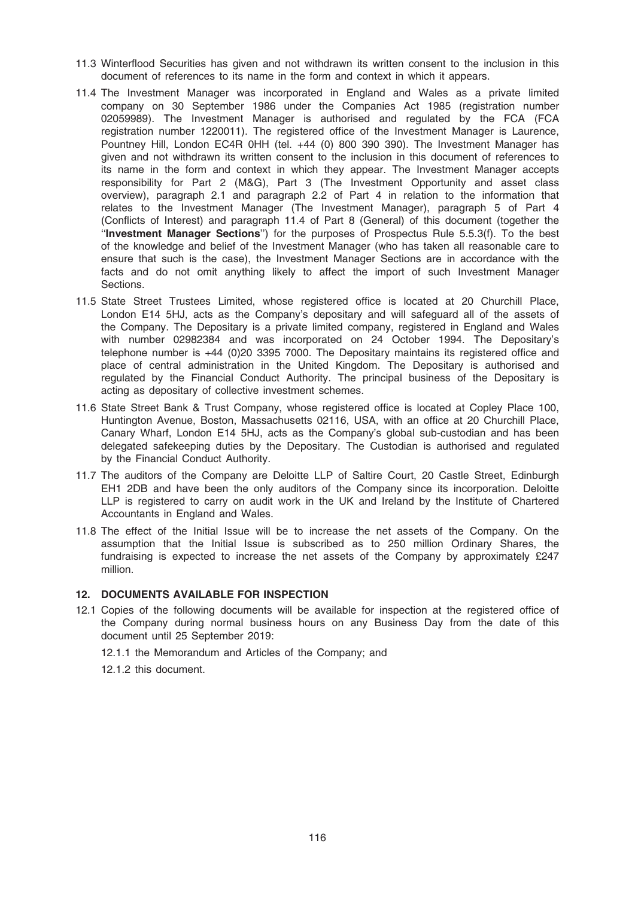- 11.3 Winterflood Securities has given and not withdrawn its written consent to the inclusion in this document of references to its name in the form and context in which it appears.
- 11.4 The Investment Manager was incorporated in England and Wales as a private limited company on 30 September 1986 under the Companies Act 1985 (registration number 02059989). The Investment Manager is authorised and regulated by the FCA (FCA registration number 1220011). The registered office of the Investment Manager is Laurence, Pountney Hill, London EC4R 0HH (tel. +44 (0) 800 390 390). The Investment Manager has given and not withdrawn its written consent to the inclusion in this document of references to its name in the form and context in which they appear. The Investment Manager accepts responsibility for Part 2 (M&G), Part 3 (The Investment Opportunity and asset class overview), paragraph 2.1 and paragraph 2.2 of Part 4 in relation to the information that relates to the Investment Manager (The Investment Manager), paragraph 5 of Part 4 (Conflicts of Interest) and paragraph 11.4 of Part 8 (General) of this document (together the ''Investment Manager Sections'') for the purposes of Prospectus Rule 5.5.3(f). To the best of the knowledge and belief of the Investment Manager (who has taken all reasonable care to ensure that such is the case), the Investment Manager Sections are in accordance with the facts and do not omit anything likely to affect the import of such Investment Manager Sections.
- 11.5 State Street Trustees Limited, whose registered office is located at 20 Churchill Place, London E14 5HJ, acts as the Company's depositary and will safeguard all of the assets of the Company. The Depositary is a private limited company, registered in England and Wales with number 02982384 and was incorporated on 24 October 1994. The Depositary's telephone number is +44 (0)20 3395 7000. The Depositary maintains its registered office and place of central administration in the United Kingdom. The Depositary is authorised and regulated by the Financial Conduct Authority. The principal business of the Depositary is acting as depositary of collective investment schemes.
- 11.6 State Street Bank & Trust Company, whose registered office is located at Copley Place 100, Huntington Avenue, Boston, Massachusetts 02116, USA, with an office at 20 Churchill Place, Canary Wharf, London E14 5HJ, acts as the Company's global sub-custodian and has been delegated safekeeping duties by the Depositary. The Custodian is authorised and regulated by the Financial Conduct Authority.
- 11.7 The auditors of the Company are Deloitte LLP of Saltire Court, 20 Castle Street, Edinburgh EH1 2DB and have been the only auditors of the Company since its incorporation. Deloitte LLP is registered to carry on audit work in the UK and Ireland by the Institute of Chartered Accountants in England and Wales.
- 11.8 The effect of the Initial Issue will be to increase the net assets of the Company. On the assumption that the Initial Issue is subscribed as to 250 million Ordinary Shares, the fundraising is expected to increase the net assets of the Company by approximately £247 million.

# 12. DOCUMENTS AVAILABLE FOR INSPECTION

12.1 Copies of the following documents will be available for inspection at the registered office of the Company during normal business hours on any Business Day from the date of this document until 25 September 2019:

12.1.1 the Memorandum and Articles of the Company; and

12.1.2 this document.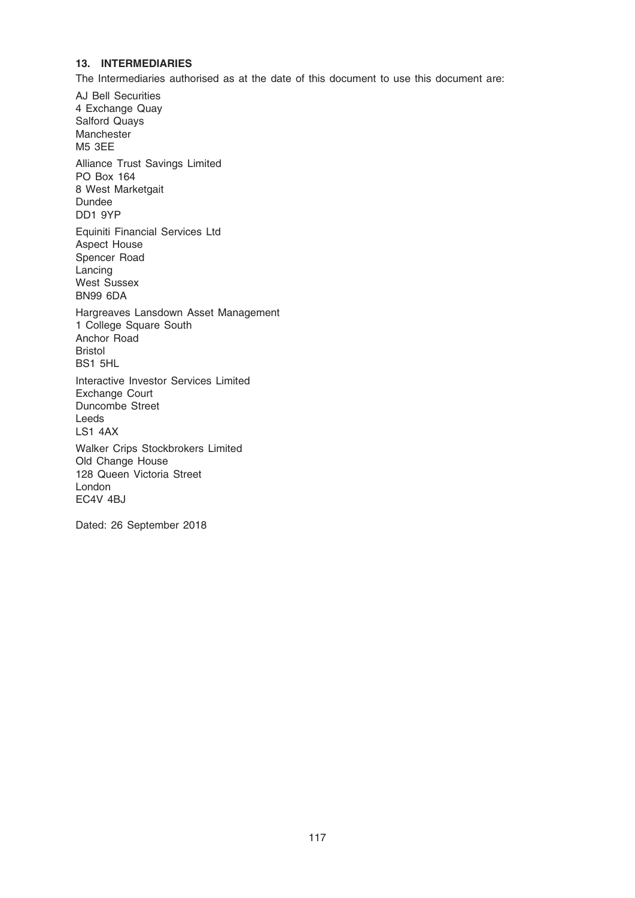### 13. INTERMEDIARIES

The Intermediaries authorised as at the date of this document to use this document are:

AJ Bell Securities 4 Exchange Quay Salford Quays Manchester M5 3EE Alliance Trust Savings Limited PO Box 164 8 West Marketgait Dundee DD1 9YP Equiniti Financial Services Ltd Aspect House Spencer Road Lancing West Sussex BN99 6DA Hargreaves Lansdown Asset Management 1 College Square South Anchor Road Bristol BS1 5HL Interactive Investor Services Limited Exchange Court Duncombe Street Leeds LS1 4AX Walker Crips Stockbrokers Limited Old Change House 128 Queen Victoria Street London EC4V 4BJ Dated: 26 September 2018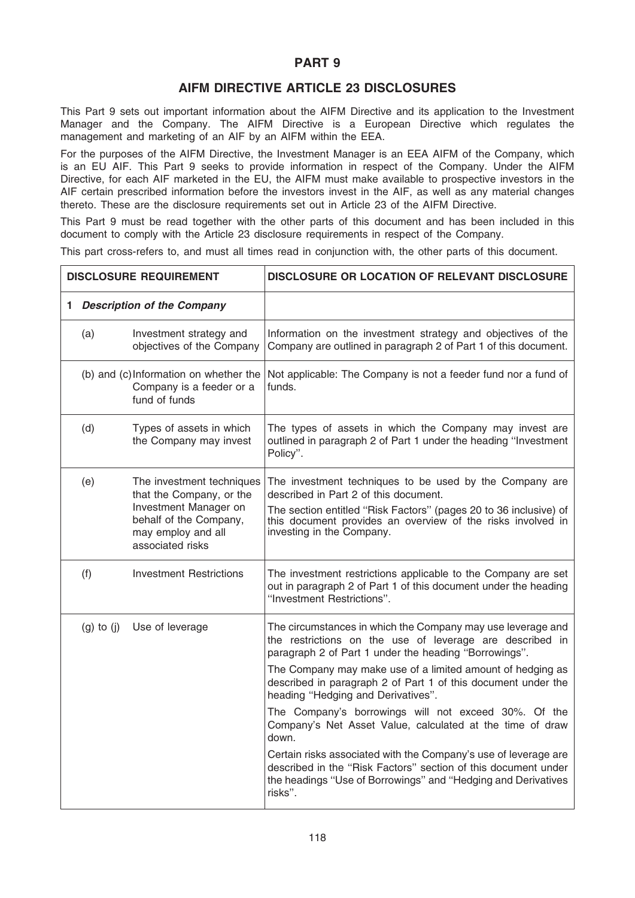# PART<sub>9</sub>

# AIFM DIRECTIVE ARTICLE 23 DISCLOSURES

This Part 9 sets out important information about the AIFM Directive and its application to the Investment Manager and the Company. The AIFM Directive is a European Directive which regulates the management and marketing of an AIF by an AIFM within the EEA.

For the purposes of the AIFM Directive, the Investment Manager is an EEA AIFM of the Company, which is an EU AIF. This Part 9 seeks to provide information in respect of the Company. Under the AIFM Directive, for each AIF marketed in the EU, the AIFM must make available to prospective investors in the AIF certain prescribed information before the investors invest in the AIF, as well as any material changes thereto. These are the disclosure requirements set out in Article 23 of the AIFM Directive.

This Part 9 must be read together with the other parts of this document and has been included in this document to comply with the Article 23 disclosure requirements in respect of the Company.

This part cross-refers to, and must all times read in conjunction with, the other parts of this document.

| <b>DISCLOSURE REQUIREMENT</b> |                |                                                                                                                                                    | <b>DISCLOSURE OR LOCATION OF RELEVANT DISCLOSURE</b>                                                                                                                                                                                                                                                                                                                                                                                                                                                                                                                                                                                                                                                 |
|-------------------------------|----------------|----------------------------------------------------------------------------------------------------------------------------------------------------|------------------------------------------------------------------------------------------------------------------------------------------------------------------------------------------------------------------------------------------------------------------------------------------------------------------------------------------------------------------------------------------------------------------------------------------------------------------------------------------------------------------------------------------------------------------------------------------------------------------------------------------------------------------------------------------------------|
|                               |                | 1 Description of the Company                                                                                                                       |                                                                                                                                                                                                                                                                                                                                                                                                                                                                                                                                                                                                                                                                                                      |
|                               | (a)            | Investment strategy and<br>objectives of the Company                                                                                               | Information on the investment strategy and objectives of the<br>Company are outlined in paragraph 2 of Part 1 of this document.                                                                                                                                                                                                                                                                                                                                                                                                                                                                                                                                                                      |
|                               |                | (b) and (c) Information on whether the<br>Company is a feeder or a<br>fund of funds                                                                | Not applicable: The Company is not a feeder fund nor a fund of<br>funds.                                                                                                                                                                                                                                                                                                                                                                                                                                                                                                                                                                                                                             |
|                               | (d)            | Types of assets in which<br>the Company may invest                                                                                                 | The types of assets in which the Company may invest are<br>outlined in paragraph 2 of Part 1 under the heading "Investment<br>Policy".                                                                                                                                                                                                                                                                                                                                                                                                                                                                                                                                                               |
|                               | (e)            | The investment techniques<br>that the Company, or the<br>Investment Manager on<br>behalf of the Company,<br>may employ and all<br>associated risks | The investment techniques to be used by the Company are<br>described in Part 2 of this document.<br>The section entitled "Risk Factors" (pages 20 to 36 inclusive) of<br>this document provides an overview of the risks involved in<br>investing in the Company.                                                                                                                                                                                                                                                                                                                                                                                                                                    |
|                               | (f)            | <b>Investment Restrictions</b>                                                                                                                     | The investment restrictions applicable to the Company are set<br>out in paragraph 2 of Part 1 of this document under the heading<br>"Investment Restrictions".                                                                                                                                                                                                                                                                                                                                                                                                                                                                                                                                       |
|                               | $(g)$ to $(j)$ | Use of leverage                                                                                                                                    | The circumstances in which the Company may use leverage and<br>the restrictions on the use of leverage are described in<br>paragraph 2 of Part 1 under the heading "Borrowings".<br>The Company may make use of a limited amount of hedging as<br>described in paragraph 2 of Part 1 of this document under the<br>heading "Hedging and Derivatives".<br>The Company's borrowings will not exceed 30%. Of the<br>Company's Net Asset Value, calculated at the time of draw<br>down.<br>Certain risks associated with the Company's use of leverage are<br>described in the "Risk Factors" section of this document under<br>the headings "Use of Borrowings" and "Hedging and Derivatives<br>risks". |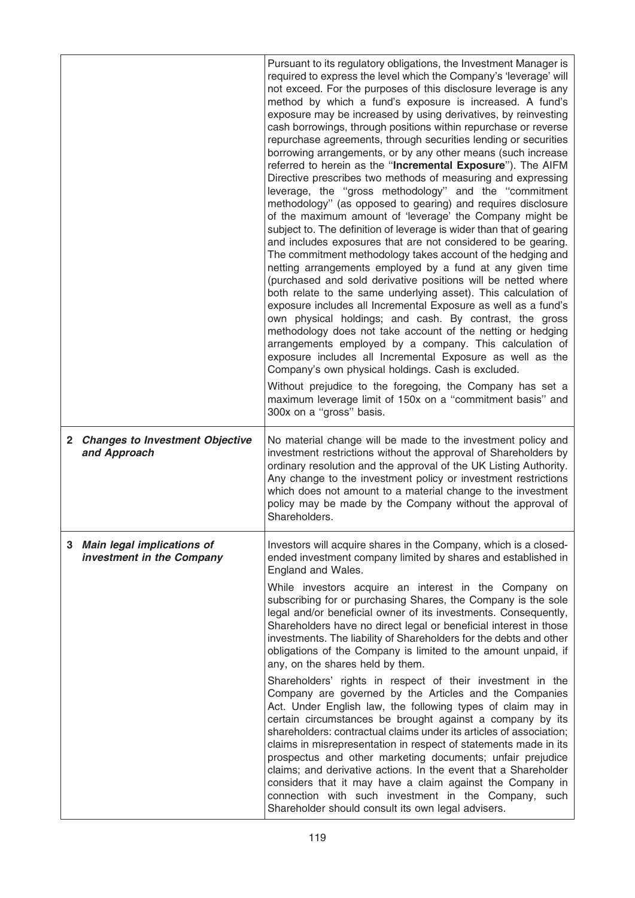|                                                           | Pursuant to its regulatory obligations, the Investment Manager is<br>required to express the level which the Company's 'leverage' will<br>not exceed. For the purposes of this disclosure leverage is any<br>method by which a fund's exposure is increased. A fund's<br>exposure may be increased by using derivatives, by reinvesting<br>cash borrowings, through positions within repurchase or reverse<br>repurchase agreements, through securities lending or securities<br>borrowing arrangements, or by any other means (such increase<br>referred to herein as the "Incremental Exposure"). The AIFM<br>Directive prescribes two methods of measuring and expressing<br>leverage, the "gross methodology" and the "commitment<br>methodology" (as opposed to gearing) and requires disclosure<br>of the maximum amount of 'leverage' the Company might be<br>subject to. The definition of leverage is wider than that of gearing<br>and includes exposures that are not considered to be gearing.<br>The commitment methodology takes account of the hedging and<br>netting arrangements employed by a fund at any given time<br>(purchased and sold derivative positions will be netted where<br>both relate to the same underlying asset). This calculation of<br>exposure includes all Incremental Exposure as well as a fund's<br>own physical holdings; and cash. By contrast, the gross<br>methodology does not take account of the netting or hedging<br>arrangements employed by a company. This calculation of<br>exposure includes all Incremental Exposure as well as the<br>Company's own physical holdings. Cash is excluded.<br>Without prejudice to the foregoing, the Company has set a<br>maximum leverage limit of 150x on a "commitment basis" and<br>300x on a "gross" basis. |
|-----------------------------------------------------------|------------------------------------------------------------------------------------------------------------------------------------------------------------------------------------------------------------------------------------------------------------------------------------------------------------------------------------------------------------------------------------------------------------------------------------------------------------------------------------------------------------------------------------------------------------------------------------------------------------------------------------------------------------------------------------------------------------------------------------------------------------------------------------------------------------------------------------------------------------------------------------------------------------------------------------------------------------------------------------------------------------------------------------------------------------------------------------------------------------------------------------------------------------------------------------------------------------------------------------------------------------------------------------------------------------------------------------------------------------------------------------------------------------------------------------------------------------------------------------------------------------------------------------------------------------------------------------------------------------------------------------------------------------------------------------------------------------------------------------------------------------------------------------------------------------|
| 2 Changes to Investment Objective<br>and Approach         | No material change will be made to the investment policy and<br>investment restrictions without the approval of Shareholders by<br>ordinary resolution and the approval of the UK Listing Authority.<br>Any change to the investment policy or investment restrictions<br>which does not amount to a material change to the investment<br>policy may be made by the Company without the approval of<br>Shareholders.                                                                                                                                                                                                                                                                                                                                                                                                                                                                                                                                                                                                                                                                                                                                                                                                                                                                                                                                                                                                                                                                                                                                                                                                                                                                                                                                                                                       |
| 3 Main legal implications of<br>investment in the Company | Investors will acquire shares in the Company, which is a closed-<br>ended investment company limited by shares and established in<br>England and Wales.<br>While investors acquire an interest in the Company on<br>subscribing for or purchasing Shares, the Company is the sole<br>legal and/or beneficial owner of its investments. Consequently,<br>Shareholders have no direct legal or beneficial interest in those<br>investments. The liability of Shareholders for the debts and other<br>obligations of the Company is limited to the amount unpaid, if<br>any, on the shares held by them.<br>Shareholders' rights in respect of their investment in the<br>Company are governed by the Articles and the Companies<br>Act. Under English law, the following types of claim may in<br>certain circumstances be brought against a company by its<br>shareholders: contractual claims under its articles of association;<br>claims in misrepresentation in respect of statements made in its<br>prospectus and other marketing documents; unfair prejudice<br>claims; and derivative actions. In the event that a Shareholder<br>considers that it may have a claim against the Company in<br>connection with such investment in the Company, such<br>Shareholder should consult its own legal advisers.                                                                                                                                                                                                                                                                                                                                                                                                                                                                                           |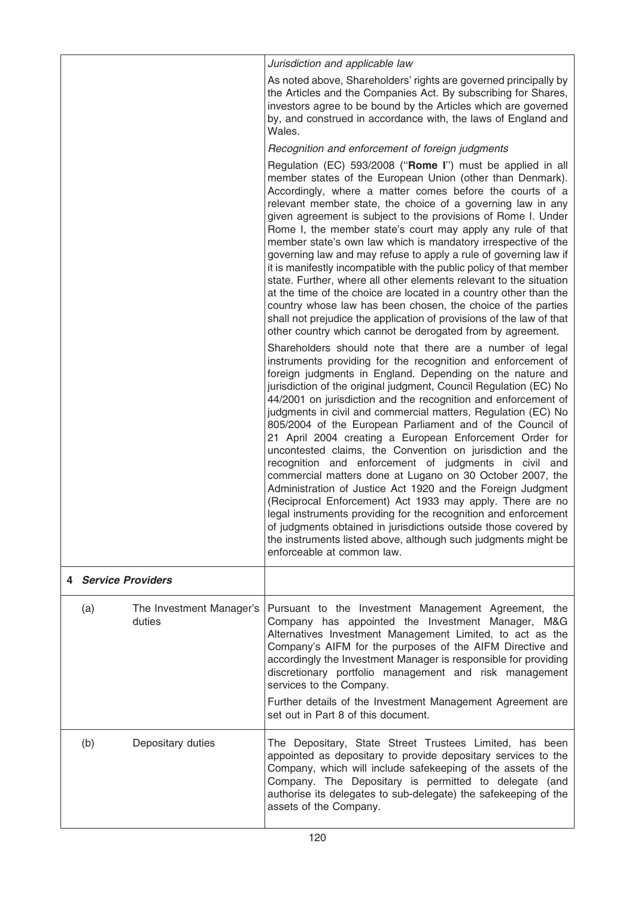|                     |                                    | Jurisdiction and applicable law                                                                                                                                                                                                                                                                                                                                                                                                                                                                                                                                                                                                                                                                                                                                                                                                                                                                                                                                                                                                                                              |
|---------------------|------------------------------------|------------------------------------------------------------------------------------------------------------------------------------------------------------------------------------------------------------------------------------------------------------------------------------------------------------------------------------------------------------------------------------------------------------------------------------------------------------------------------------------------------------------------------------------------------------------------------------------------------------------------------------------------------------------------------------------------------------------------------------------------------------------------------------------------------------------------------------------------------------------------------------------------------------------------------------------------------------------------------------------------------------------------------------------------------------------------------|
|                     |                                    | As noted above, Shareholders' rights are governed principally by<br>the Articles and the Companies Act. By subscribing for Shares,<br>investors agree to be bound by the Articles which are governed<br>by, and construed in accordance with, the laws of England and<br>Wales.                                                                                                                                                                                                                                                                                                                                                                                                                                                                                                                                                                                                                                                                                                                                                                                              |
|                     |                                    | Recognition and enforcement of foreign judgments                                                                                                                                                                                                                                                                                                                                                                                                                                                                                                                                                                                                                                                                                                                                                                                                                                                                                                                                                                                                                             |
|                     |                                    | Regulation (EC) 593/2008 ("Rome I") must be applied in all<br>member states of the European Union (other than Denmark).<br>Accordingly, where a matter comes before the courts of a<br>relevant member state, the choice of a governing law in any<br>given agreement is subject to the provisions of Rome I. Under<br>Rome I, the member state's court may apply any rule of that<br>member state's own law which is mandatory irrespective of the<br>governing law and may refuse to apply a rule of governing law if<br>it is manifestly incompatible with the public policy of that member<br>state. Further, where all other elements relevant to the situation<br>at the time of the choice are located in a country other than the<br>country whose law has been chosen, the choice of the parties<br>shall not prejudice the application of provisions of the law of that<br>other country which cannot be derogated from by agreement.                                                                                                                              |
|                     |                                    | Shareholders should note that there are a number of legal<br>instruments providing for the recognition and enforcement of<br>foreign judgments in England. Depending on the nature and<br>jurisdiction of the original judgment, Council Regulation (EC) No<br>44/2001 on jurisdiction and the recognition and enforcement of<br>judgments in civil and commercial matters, Regulation (EC) No<br>805/2004 of the European Parliament and of the Council of<br>21 April 2004 creating a European Enforcement Order for<br>uncontested claims, the Convention on jurisdiction and the<br>recognition and enforcement of judgments in civil and<br>commercial matters done at Lugano on 30 October 2007, the<br>Administration of Justice Act 1920 and the Foreign Judgment<br>(Reciprocal Enforcement) Act 1933 may apply. There are no<br>legal instruments providing for the recognition and enforcement<br>of judgments obtained in jurisdictions outside those covered by<br>the instruments listed above, although such judgments might be<br>enforceable at common law. |
| 4 Service Providers |                                    |                                                                                                                                                                                                                                                                                                                                                                                                                                                                                                                                                                                                                                                                                                                                                                                                                                                                                                                                                                                                                                                                              |
| (a)                 | The Investment Manager's<br>duties | Pursuant to the Investment Management Agreement, the<br>Company has appointed the Investment Manager, M&G<br>Alternatives Investment Management Limited, to act as the<br>Company's AIFM for the purposes of the AIFM Directive and<br>accordingly the Investment Manager is responsible for providing<br>discretionary portfolio management and risk management<br>services to the Company.<br>Further details of the Investment Management Agreement are                                                                                                                                                                                                                                                                                                                                                                                                                                                                                                                                                                                                                   |
|                     |                                    | set out in Part 8 of this document.                                                                                                                                                                                                                                                                                                                                                                                                                                                                                                                                                                                                                                                                                                                                                                                                                                                                                                                                                                                                                                          |
| (b)                 | Depositary duties                  | The Depositary, State Street Trustees Limited, has been<br>appointed as depositary to provide depositary services to the<br>Company, which will include safekeeping of the assets of the<br>Company. The Depositary is permitted to delegate (and<br>authorise its delegates to sub-delegate) the safekeeping of the<br>assets of the Company.                                                                                                                                                                                                                                                                                                                                                                                                                                                                                                                                                                                                                                                                                                                               |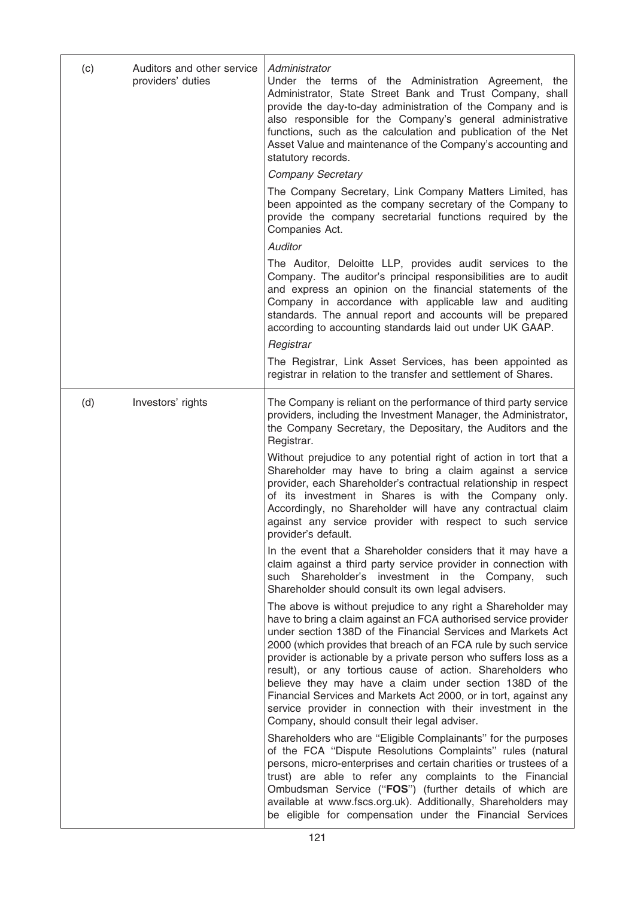| (c) | Auditors and other service<br>providers' duties | Administrator<br>Under the terms of the Administration Agreement, the<br>Administrator, State Street Bank and Trust Company, shall<br>provide the day-to-day administration of the Company and is<br>also responsible for the Company's general administrative<br>functions, such as the calculation and publication of the Net<br>Asset Value and maintenance of the Company's accounting and<br>statutory records.<br><b>Company Secretary</b><br>The Company Secretary, Link Company Matters Limited, has<br>been appointed as the company secretary of the Company to<br>provide the company secretarial functions required by the<br>Companies Act.<br>Auditor<br>The Auditor, Deloitte LLP, provides audit services to the<br>Company. The auditor's principal responsibilities are to audit<br>and express an opinion on the financial statements of the<br>Company in accordance with applicable law and auditing<br>standards. The annual report and accounts will be prepared<br>according to accounting standards laid out under UK GAAP.<br>Registrar<br>The Registrar, Link Asset Services, has been appointed as<br>registrar in relation to the transfer and settlement of Shares. |
|-----|-------------------------------------------------|---------------------------------------------------------------------------------------------------------------------------------------------------------------------------------------------------------------------------------------------------------------------------------------------------------------------------------------------------------------------------------------------------------------------------------------------------------------------------------------------------------------------------------------------------------------------------------------------------------------------------------------------------------------------------------------------------------------------------------------------------------------------------------------------------------------------------------------------------------------------------------------------------------------------------------------------------------------------------------------------------------------------------------------------------------------------------------------------------------------------------------------------------------------------------------------------------|
| (d) | Investors' rights                               | The Company is reliant on the performance of third party service<br>providers, including the Investment Manager, the Administrator,<br>the Company Secretary, the Depositary, the Auditors and the<br>Registrar.<br>Without prejudice to any potential right of action in tort that a<br>Shareholder may have to bring a claim against a service<br>provider, each Shareholder's contractual relationship in respect<br>of its investment in Shares is with the Company only.<br>Accordingly, no Shareholder will have any contractual claim<br>against any service provider with respect to such service<br>provider's default.<br>In the event that a Shareholder considers that it may have a<br>claim against a third party service provider in connection with<br>such Shareholder's investment in the Company,<br>such<br>Shareholder should consult its own legal advisers.                                                                                                                                                                                                                                                                                                                |
|     |                                                 | The above is without prejudice to any right a Shareholder may<br>have to bring a claim against an FCA authorised service provider<br>under section 138D of the Financial Services and Markets Act<br>2000 (which provides that breach of an FCA rule by such service<br>provider is actionable by a private person who suffers loss as a<br>result), or any tortious cause of action. Shareholders who<br>believe they may have a claim under section 138D of the<br>Financial Services and Markets Act 2000, or in tort, against any<br>service provider in connection with their investment in the<br>Company, should consult their legal adviser.<br>Shareholders who are "Eligible Complainants" for the purposes<br>of the FCA "Dispute Resolutions Complaints" rules (natural<br>persons, micro-enterprises and certain charities or trustees of a<br>trust) are able to refer any complaints to the Financial<br>Ombudsman Service ("FOS") (further details of which are<br>available at www.fscs.org.uk). Additionally, Shareholders may<br>be eligible for compensation under the Financial Services                                                                                     |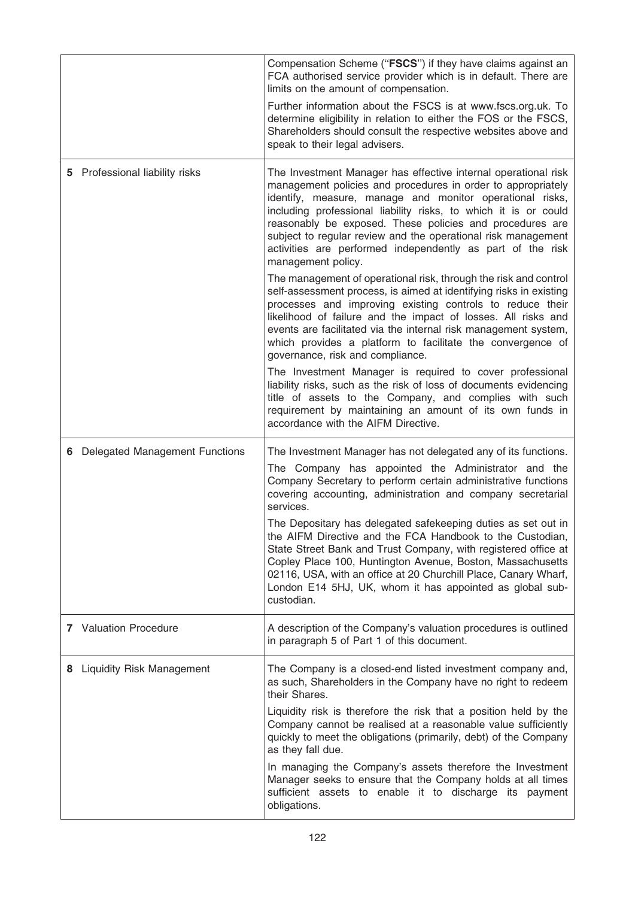|   |                                  | Compensation Scheme ("FSCS") if they have claims against an<br>FCA authorised service provider which is in default. There are<br>limits on the amount of compensation.                                                                                                                                                                                                                                                                                                         |
|---|----------------------------------|--------------------------------------------------------------------------------------------------------------------------------------------------------------------------------------------------------------------------------------------------------------------------------------------------------------------------------------------------------------------------------------------------------------------------------------------------------------------------------|
|   |                                  | Further information about the FSCS is at www.fscs.org.uk. To<br>determine eligibility in relation to either the FOS or the FSCS,<br>Shareholders should consult the respective websites above and<br>speak to their legal advisers.                                                                                                                                                                                                                                            |
|   | 5 Professional liability risks   | The Investment Manager has effective internal operational risk<br>management policies and procedures in order to appropriately<br>identify, measure, manage and monitor operational risks,<br>including professional liability risks, to which it is or could<br>reasonably be exposed. These policies and procedures are<br>subject to regular review and the operational risk management<br>activities are performed independently as part of the risk<br>management policy. |
|   |                                  | The management of operational risk, through the risk and control<br>self-assessment process, is aimed at identifying risks in existing<br>processes and improving existing controls to reduce their<br>likelihood of failure and the impact of losses. All risks and<br>events are facilitated via the internal risk management system,<br>which provides a platform to facilitate the convergence of<br>governance, risk and compliance.                                      |
|   |                                  | The Investment Manager is required to cover professional<br>liability risks, such as the risk of loss of documents evidencing<br>title of assets to the Company, and complies with such<br>requirement by maintaining an amount of its own funds in<br>accordance with the AIFM Directive.                                                                                                                                                                                     |
|   | 6 Delegated Management Functions | The Investment Manager has not delegated any of its functions.                                                                                                                                                                                                                                                                                                                                                                                                                 |
|   |                                  | The Company has appointed the Administrator and the<br>Company Secretary to perform certain administrative functions<br>covering accounting, administration and company secretarial<br>services.                                                                                                                                                                                                                                                                               |
|   |                                  | The Depositary has delegated safekeeping duties as set out in<br>the AIFM Directive and the FCA Handbook to the Custodian,<br>State Street Bank and Trust Company, with registered office at<br>Copley Place 100, Huntington Avenue, Boston, Massachusetts<br>02116, USA, with an office at 20 Churchill Place, Canary Wharf,<br>London E14 5HJ, UK, whom it has appointed as global sub-<br>custodian.                                                                        |
|   | 7 Valuation Procedure            | A description of the Company's valuation procedures is outlined<br>in paragraph 5 of Part 1 of this document.                                                                                                                                                                                                                                                                                                                                                                  |
| 8 | <b>Liquidity Risk Management</b> | The Company is a closed-end listed investment company and,<br>as such, Shareholders in the Company have no right to redeem<br>their Shares.                                                                                                                                                                                                                                                                                                                                    |
|   |                                  | Liquidity risk is therefore the risk that a position held by the<br>Company cannot be realised at a reasonable value sufficiently<br>quickly to meet the obligations (primarily, debt) of the Company<br>as they fall due.                                                                                                                                                                                                                                                     |
|   |                                  | In managing the Company's assets therefore the Investment<br>Manager seeks to ensure that the Company holds at all times<br>sufficient assets to enable it to discharge its payment<br>obligations.                                                                                                                                                                                                                                                                            |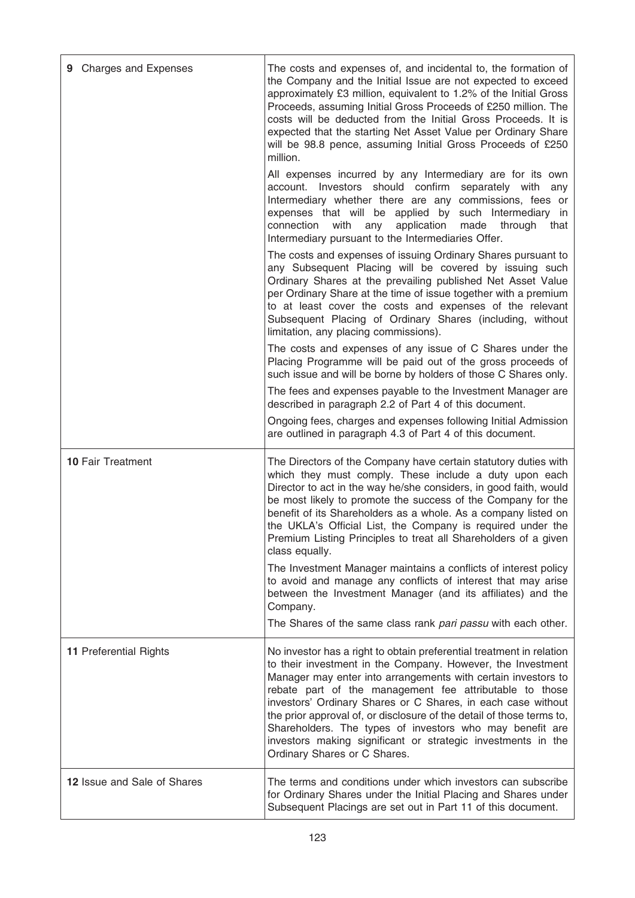| 9 Charges and Expenses             | The costs and expenses of, and incidental to, the formation of<br>the Company and the Initial Issue are not expected to exceed<br>approximately £3 million, equivalent to 1.2% of the Initial Gross<br>Proceeds, assuming Initial Gross Proceeds of £250 million. The<br>costs will be deducted from the Initial Gross Proceeds. It is<br>expected that the starting Net Asset Value per Ordinary Share<br>will be 98.8 pence, assuming Initial Gross Proceeds of £250<br>million.                                                                                   |
|------------------------------------|----------------------------------------------------------------------------------------------------------------------------------------------------------------------------------------------------------------------------------------------------------------------------------------------------------------------------------------------------------------------------------------------------------------------------------------------------------------------------------------------------------------------------------------------------------------------|
|                                    | All expenses incurred by any Intermediary are for its own<br>account. Investors should confirm separately with<br>any<br>Intermediary whether there are any commissions, fees or<br>expenses that will be applied by such Intermediary in<br>application<br>connection<br>with<br>any<br>made<br>through<br>that<br>Intermediary pursuant to the Intermediaries Offer.                                                                                                                                                                                               |
|                                    | The costs and expenses of issuing Ordinary Shares pursuant to<br>any Subsequent Placing will be covered by issuing such<br>Ordinary Shares at the prevailing published Net Asset Value<br>per Ordinary Share at the time of issue together with a premium<br>to at least cover the costs and expenses of the relevant<br>Subsequent Placing of Ordinary Shares (including, without<br>limitation, any placing commissions).                                                                                                                                          |
|                                    | The costs and expenses of any issue of C Shares under the<br>Placing Programme will be paid out of the gross proceeds of<br>such issue and will be borne by holders of those C Shares only.                                                                                                                                                                                                                                                                                                                                                                          |
|                                    | The fees and expenses payable to the Investment Manager are<br>described in paragraph 2.2 of Part 4 of this document.                                                                                                                                                                                                                                                                                                                                                                                                                                                |
|                                    | Ongoing fees, charges and expenses following Initial Admission<br>are outlined in paragraph 4.3 of Part 4 of this document.                                                                                                                                                                                                                                                                                                                                                                                                                                          |
| <b>10 Fair Treatment</b>           | The Directors of the Company have certain statutory duties with<br>which they must comply. These include a duty upon each<br>Director to act in the way he/she considers, in good faith, would<br>be most likely to promote the success of the Company for the<br>benefit of its Shareholders as a whole. As a company listed on<br>the UKLA's Official List, the Company is required under the<br>Premium Listing Principles to treat all Shareholders of a given<br>class equally.                                                                                 |
|                                    | The Investment Manager maintains a conflicts of interest policy<br>to avoid and manage any conflicts of interest that may arise<br>between the Investment Manager (and its affiliates) and the<br>Company.                                                                                                                                                                                                                                                                                                                                                           |
|                                    | The Shares of the same class rank pari passu with each other.                                                                                                                                                                                                                                                                                                                                                                                                                                                                                                        |
| 11 Preferential Rights             | No investor has a right to obtain preferential treatment in relation<br>to their investment in the Company. However, the Investment<br>Manager may enter into arrangements with certain investors to<br>rebate part of the management fee attributable to those<br>investors' Ordinary Shares or C Shares, in each case without<br>the prior approval of, or disclosure of the detail of those terms to,<br>Shareholders. The types of investors who may benefit are<br>investors making significant or strategic investments in the<br>Ordinary Shares or C Shares. |
| <b>12 Issue and Sale of Shares</b> | The terms and conditions under which investors can subscribe<br>for Ordinary Shares under the Initial Placing and Shares under<br>Subsequent Placings are set out in Part 11 of this document.                                                                                                                                                                                                                                                                                                                                                                       |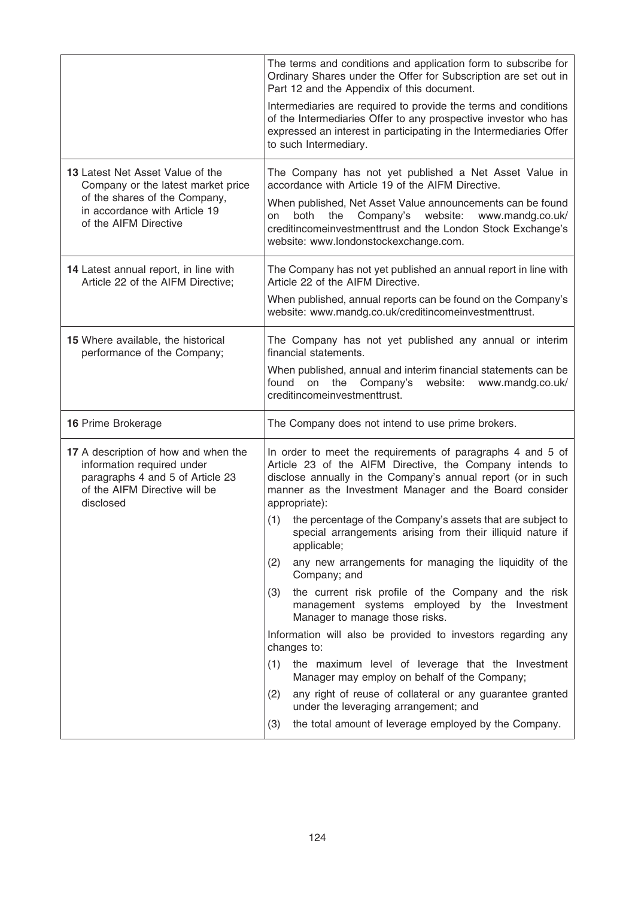|                                                                                                                                                                   | The terms and conditions and application form to subscribe for<br>Ordinary Shares under the Offer for Subscription are set out in<br>Part 12 and the Appendix of this document.<br>Intermediaries are required to provide the terms and conditions<br>of the Intermediaries Offer to any prospective investor who has<br>expressed an interest in participating in the Intermediaries Offer<br>to such Intermediary. |
|-------------------------------------------------------------------------------------------------------------------------------------------------------------------|----------------------------------------------------------------------------------------------------------------------------------------------------------------------------------------------------------------------------------------------------------------------------------------------------------------------------------------------------------------------------------------------------------------------|
| 13 Latest Net Asset Value of the<br>Company or the latest market price<br>of the shares of the Company,<br>in accordance with Article 19<br>of the AIFM Directive | The Company has not yet published a Net Asset Value in<br>accordance with Article 19 of the AIFM Directive.<br>When published, Net Asset Value announcements can be found<br>the Company's website:<br>www.mandg.co.uk/<br>on<br>both<br>creditincomeinvestmenttrust and the London Stock Exchange's<br>website: www.londonstockexchange.com.                                                                        |
| 14 Latest annual report, in line with<br>Article 22 of the AIFM Directive;                                                                                        | The Company has not yet published an annual report in line with<br>Article 22 of the AIFM Directive.<br>When published, annual reports can be found on the Company's<br>website: www.mandg.co.uk/creditincomeinvestmenttrust.                                                                                                                                                                                        |
| 15 Where available, the historical<br>performance of the Company;                                                                                                 | The Company has not yet published any annual or interim<br>financial statements.<br>When published, annual and interim financial statements can be<br>found on the Company's website: www.mandg.co.uk/<br>creditincomeinvestmenttrust.                                                                                                                                                                               |
| 16 Prime Brokerage                                                                                                                                                | The Company does not intend to use prime brokers.                                                                                                                                                                                                                                                                                                                                                                    |
| 17 A description of how and when the<br>information required under<br>paragraphs 4 and 5 of Article 23<br>of the AIFM Directive will be<br>disclosed              | In order to meet the requirements of paragraphs 4 and 5 of<br>Article 23 of the AIFM Directive, the Company intends to<br>disclose annually in the Company's annual report (or in such<br>manner as the Investment Manager and the Board consider<br>appropriate):                                                                                                                                                   |
|                                                                                                                                                                   |                                                                                                                                                                                                                                                                                                                                                                                                                      |
|                                                                                                                                                                   | (1)<br>the percentage of the Company's assets that are subject to<br>special arrangements arising from their illiquid nature if<br>applicable;                                                                                                                                                                                                                                                                       |
|                                                                                                                                                                   | any new arrangements for managing the liquidity of the<br>(2)<br>Company; and                                                                                                                                                                                                                                                                                                                                        |
|                                                                                                                                                                   | the current risk profile of the Company and the risk<br>(3)<br>management systems employed by the Investment<br>Manager to manage those risks.                                                                                                                                                                                                                                                                       |
|                                                                                                                                                                   | Information will also be provided to investors regarding any<br>changes to:                                                                                                                                                                                                                                                                                                                                          |
|                                                                                                                                                                   | the maximum level of leverage that the Investment<br>(1)<br>Manager may employ on behalf of the Company;                                                                                                                                                                                                                                                                                                             |
|                                                                                                                                                                   | (2)<br>any right of reuse of collateral or any guarantee granted<br>under the leveraging arrangement; and                                                                                                                                                                                                                                                                                                            |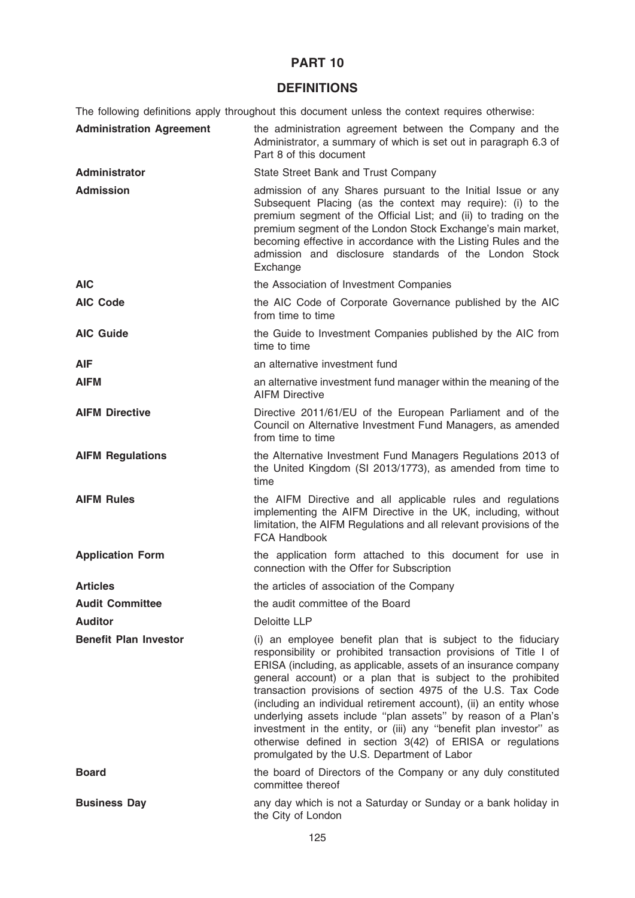# PART 10

# **DEFINITIONS**

The following definitions apply throughout this document unless the context requires otherwise:

| <b>Administration Agreement</b> | the administration agreement between the Company and the<br>Administrator, a summary of which is set out in paragraph 6.3 of<br>Part 8 of this document                                                                                                                                                                                                                                                                                                                                                                                                                                                                                                       |
|---------------------------------|---------------------------------------------------------------------------------------------------------------------------------------------------------------------------------------------------------------------------------------------------------------------------------------------------------------------------------------------------------------------------------------------------------------------------------------------------------------------------------------------------------------------------------------------------------------------------------------------------------------------------------------------------------------|
| <b>Administrator</b>            | State Street Bank and Trust Company                                                                                                                                                                                                                                                                                                                                                                                                                                                                                                                                                                                                                           |
| <b>Admission</b>                | admission of any Shares pursuant to the Initial Issue or any<br>Subsequent Placing (as the context may require): (i) to the<br>premium segment of the Official List; and (ii) to trading on the<br>premium segment of the London Stock Exchange's main market,<br>becoming effective in accordance with the Listing Rules and the<br>admission and disclosure standards of the London Stock<br>Exchange                                                                                                                                                                                                                                                       |
| <b>AIC</b>                      | the Association of Investment Companies                                                                                                                                                                                                                                                                                                                                                                                                                                                                                                                                                                                                                       |
| <b>AIC Code</b>                 | the AIC Code of Corporate Governance published by the AIC<br>from time to time                                                                                                                                                                                                                                                                                                                                                                                                                                                                                                                                                                                |
| <b>AIC Guide</b>                | the Guide to Investment Companies published by the AIC from<br>time to time                                                                                                                                                                                                                                                                                                                                                                                                                                                                                                                                                                                   |
| AIF                             | an alternative investment fund                                                                                                                                                                                                                                                                                                                                                                                                                                                                                                                                                                                                                                |
| <b>AIFM</b>                     | an alternative investment fund manager within the meaning of the<br><b>AIFM Directive</b>                                                                                                                                                                                                                                                                                                                                                                                                                                                                                                                                                                     |
| <b>AIFM Directive</b>           | Directive 2011/61/EU of the European Parliament and of the<br>Council on Alternative Investment Fund Managers, as amended<br>from time to time                                                                                                                                                                                                                                                                                                                                                                                                                                                                                                                |
| <b>AIFM Regulations</b>         | the Alternative Investment Fund Managers Regulations 2013 of<br>the United Kingdom (SI 2013/1773), as amended from time to<br>time                                                                                                                                                                                                                                                                                                                                                                                                                                                                                                                            |
| <b>AIFM Rules</b>               | the AIFM Directive and all applicable rules and regulations<br>implementing the AIFM Directive in the UK, including, without<br>limitation, the AIFM Regulations and all relevant provisions of the<br><b>FCA Handbook</b>                                                                                                                                                                                                                                                                                                                                                                                                                                    |
| <b>Application Form</b>         | the application form attached to this document for use in<br>connection with the Offer for Subscription                                                                                                                                                                                                                                                                                                                                                                                                                                                                                                                                                       |
| <b>Articles</b>                 | the articles of association of the Company                                                                                                                                                                                                                                                                                                                                                                                                                                                                                                                                                                                                                    |
| <b>Audit Committee</b>          | the audit committee of the Board                                                                                                                                                                                                                                                                                                                                                                                                                                                                                                                                                                                                                              |
| <b>Auditor</b>                  | Deloitte LLP                                                                                                                                                                                                                                                                                                                                                                                                                                                                                                                                                                                                                                                  |
| <b>Benefit Plan Investor</b>    | (i) an employee benefit plan that is subject to the fiduciary<br>responsibility or prohibited transaction provisions of Title I of<br>ERISA (including, as applicable, assets of an insurance company<br>general account) or a plan that is subject to the prohibited<br>transaction provisions of section 4975 of the U.S. Tax Code<br>(including an individual retirement account), (ii) an entity whose<br>underlying assets include "plan assets" by reason of a Plan's<br>investment in the entity, or (iii) any "benefit plan investor" as<br>otherwise defined in section 3(42) of ERISA or regulations<br>promulgated by the U.S. Department of Labor |
| <b>Board</b>                    | the board of Directors of the Company or any duly constituted<br>committee thereof                                                                                                                                                                                                                                                                                                                                                                                                                                                                                                                                                                            |
| <b>Business Day</b>             | any day which is not a Saturday or Sunday or a bank holiday in<br>the City of London                                                                                                                                                                                                                                                                                                                                                                                                                                                                                                                                                                          |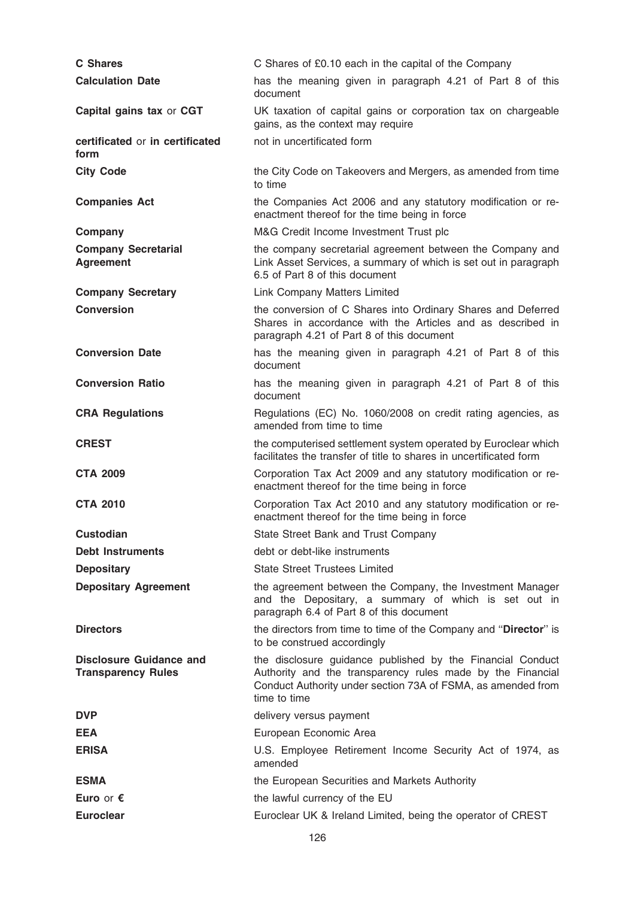| <b>C</b> Shares                                             | C Shares of £0.10 each in the capital of the Company                                                                                                                                                     |
|-------------------------------------------------------------|----------------------------------------------------------------------------------------------------------------------------------------------------------------------------------------------------------|
| <b>Calculation Date</b>                                     | has the meaning given in paragraph 4.21 of Part 8 of this<br>document                                                                                                                                    |
| Capital gains tax or CGT                                    | UK taxation of capital gains or corporation tax on chargeable<br>gains, as the context may require                                                                                                       |
| certificated or in certificated<br>form                     | not in uncertificated form                                                                                                                                                                               |
| <b>City Code</b>                                            | the City Code on Takeovers and Mergers, as amended from time<br>to time                                                                                                                                  |
| <b>Companies Act</b>                                        | the Companies Act 2006 and any statutory modification or re-<br>enactment thereof for the time being in force                                                                                            |
| Company                                                     | M&G Credit Income Investment Trust plc                                                                                                                                                                   |
| <b>Company Secretarial</b><br><b>Agreement</b>              | the company secretarial agreement between the Company and<br>Link Asset Services, a summary of which is set out in paragraph<br>6.5 of Part 8 of this document                                           |
| <b>Company Secretary</b>                                    | Link Company Matters Limited                                                                                                                                                                             |
| <b>Conversion</b>                                           | the conversion of C Shares into Ordinary Shares and Deferred<br>Shares in accordance with the Articles and as described in<br>paragraph 4.21 of Part 8 of this document                                  |
| <b>Conversion Date</b>                                      | has the meaning given in paragraph 4.21 of Part 8 of this<br>document                                                                                                                                    |
| <b>Conversion Ratio</b>                                     | has the meaning given in paragraph 4.21 of Part 8 of this<br>document                                                                                                                                    |
| <b>CRA Regulations</b>                                      | Regulations (EC) No. 1060/2008 on credit rating agencies, as<br>amended from time to time                                                                                                                |
| <b>CREST</b>                                                | the computerised settlement system operated by Euroclear which<br>facilitates the transfer of title to shares in uncertificated form                                                                     |
| <b>CTA 2009</b>                                             | Corporation Tax Act 2009 and any statutory modification or re-<br>enactment thereof for the time being in force                                                                                          |
| <b>CTA 2010</b>                                             | Corporation Tax Act 2010 and any statutory modification or re-<br>enactment thereof for the time being in force                                                                                          |
| <b>Custodian</b>                                            | State Street Bank and Trust Company                                                                                                                                                                      |
| <b>Debt Instruments</b>                                     | debt or debt-like instruments                                                                                                                                                                            |
| <b>Depositary</b>                                           | <b>State Street Trustees Limited</b>                                                                                                                                                                     |
| <b>Depositary Agreement</b>                                 | the agreement between the Company, the Investment Manager<br>and the Depositary, a summary of which is set out in<br>paragraph 6.4 of Part 8 of this document                                            |
| <b>Directors</b>                                            | the directors from time to time of the Company and "Director" is<br>to be construed accordingly                                                                                                          |
| <b>Disclosure Guidance and</b><br><b>Transparency Rules</b> | the disclosure guidance published by the Financial Conduct<br>Authority and the transparency rules made by the Financial<br>Conduct Authority under section 73A of FSMA, as amended from<br>time to time |
| <b>DVP</b>                                                  | delivery versus payment                                                                                                                                                                                  |
| EEA                                                         | European Economic Area                                                                                                                                                                                   |
| <b>ERISA</b>                                                | U.S. Employee Retirement Income Security Act of 1974, as<br>amended                                                                                                                                      |
| <b>ESMA</b>                                                 | the European Securities and Markets Authority                                                                                                                                                            |
| <b>Euro</b> or $\epsilon$                                   | the lawful currency of the EU                                                                                                                                                                            |
| <b>Euroclear</b>                                            | Euroclear UK & Ireland Limited, being the operator of CREST                                                                                                                                              |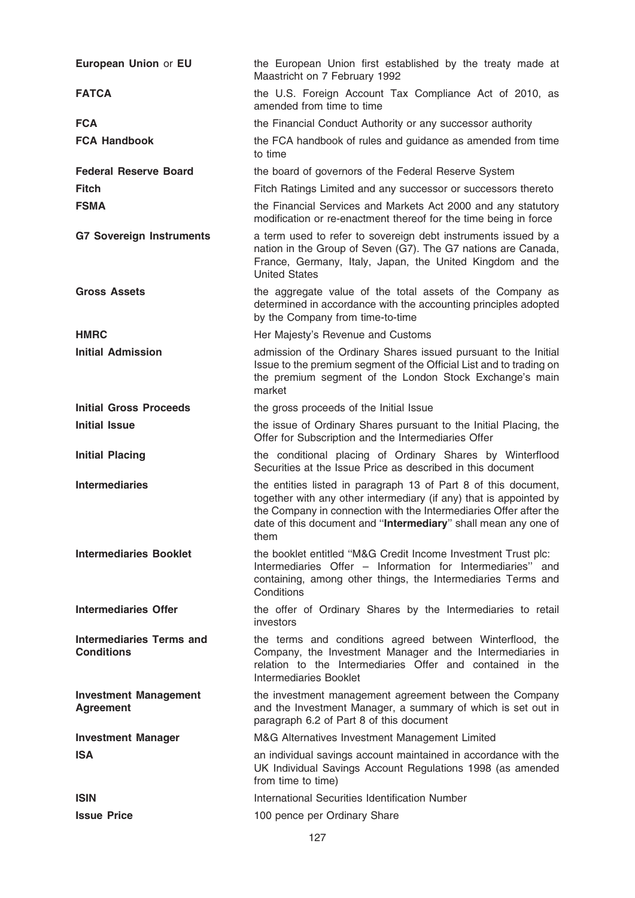| European Union or EU                                 | the European Union first established by the treaty made at<br>Maastricht on 7 February 1992                                                                                                                                                                                          |
|------------------------------------------------------|--------------------------------------------------------------------------------------------------------------------------------------------------------------------------------------------------------------------------------------------------------------------------------------|
| <b>FATCA</b>                                         | the U.S. Foreign Account Tax Compliance Act of 2010, as<br>amended from time to time                                                                                                                                                                                                 |
| <b>FCA</b>                                           | the Financial Conduct Authority or any successor authority                                                                                                                                                                                                                           |
| <b>FCA Handbook</b>                                  | the FCA handbook of rules and guidance as amended from time<br>to time                                                                                                                                                                                                               |
| <b>Federal Reserve Board</b>                         | the board of governors of the Federal Reserve System                                                                                                                                                                                                                                 |
| <b>Fitch</b>                                         | Fitch Ratings Limited and any successor or successors thereto                                                                                                                                                                                                                        |
| <b>FSMA</b>                                          | the Financial Services and Markets Act 2000 and any statutory<br>modification or re-enactment thereof for the time being in force                                                                                                                                                    |
| <b>G7 Sovereign Instruments</b>                      | a term used to refer to sovereign debt instruments issued by a<br>nation in the Group of Seven (G7). The G7 nations are Canada,<br>France, Germany, Italy, Japan, the United Kingdom and the<br><b>United States</b>                                                                 |
| <b>Gross Assets</b>                                  | the aggregate value of the total assets of the Company as<br>determined in accordance with the accounting principles adopted<br>by the Company from time-to-time                                                                                                                     |
| <b>HMRC</b>                                          | Her Majesty's Revenue and Customs                                                                                                                                                                                                                                                    |
| <b>Initial Admission</b>                             | admission of the Ordinary Shares issued pursuant to the Initial<br>Issue to the premium segment of the Official List and to trading on<br>the premium segment of the London Stock Exchange's main<br>market                                                                          |
| <b>Initial Gross Proceeds</b>                        | the gross proceeds of the Initial Issue                                                                                                                                                                                                                                              |
| <b>Initial Issue</b>                                 | the issue of Ordinary Shares pursuant to the Initial Placing, the<br>Offer for Subscription and the Intermediaries Offer                                                                                                                                                             |
| <b>Initial Placing</b>                               | the conditional placing of Ordinary Shares by Winterflood<br>Securities at the Issue Price as described in this document                                                                                                                                                             |
| <b>Intermediaries</b>                                | the entities listed in paragraph 13 of Part 8 of this document,<br>together with any other intermediary (if any) that is appointed by<br>the Company in connection with the Intermediaries Offer after the<br>date of this document and "Intermediary" shall mean any one of<br>them |
| <b>Intermediaries Booklet</b>                        | the booklet entitled "M&G Credit Income Investment Trust plc:<br>Intermediaries Offer - Information for Intermediaries" and<br>containing, among other things, the Intermediaries Terms and<br>Conditions                                                                            |
| <b>Intermediaries Offer</b>                          | the offer of Ordinary Shares by the Intermediaries to retail<br>investors                                                                                                                                                                                                            |
| <b>Intermediaries Terms and</b><br><b>Conditions</b> | the terms and conditions agreed between Winterflood, the<br>Company, the Investment Manager and the Intermediaries in<br>relation to the Intermediaries Offer and contained in the<br>Intermediaries Booklet                                                                         |
| <b>Investment Management</b><br><b>Agreement</b>     | the investment management agreement between the Company<br>and the Investment Manager, a summary of which is set out in<br>paragraph 6.2 of Part 8 of this document                                                                                                                  |
| <b>Investment Manager</b>                            | M&G Alternatives Investment Management Limited                                                                                                                                                                                                                                       |
| <b>ISA</b>                                           | an individual savings account maintained in accordance with the<br>UK Individual Savings Account Regulations 1998 (as amended<br>from time to time)                                                                                                                                  |
| <b>ISIN</b>                                          | International Securities Identification Number                                                                                                                                                                                                                                       |
| <b>Issue Price</b>                                   | 100 pence per Ordinary Share                                                                                                                                                                                                                                                         |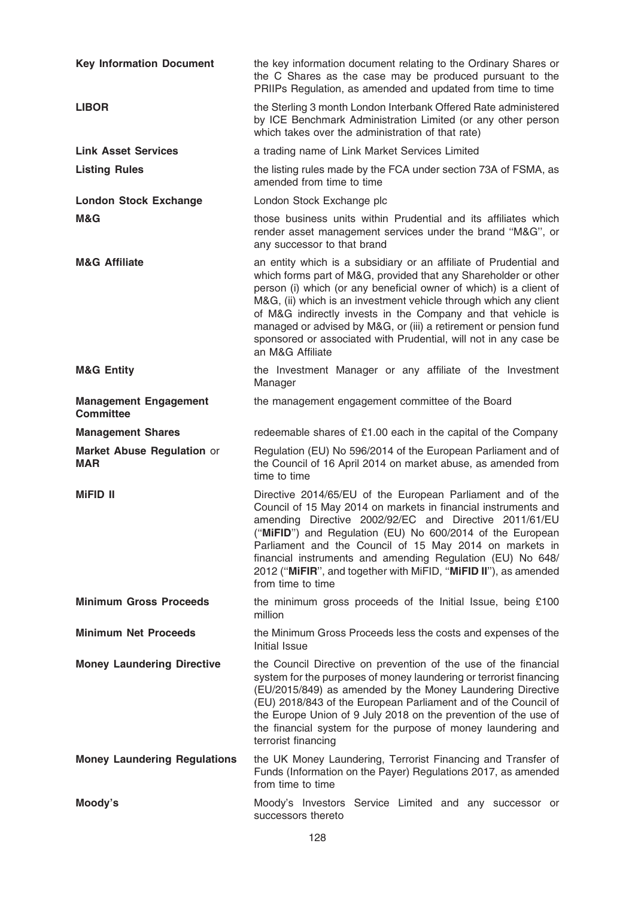| <b>Key Information Document</b>                  | the key information document relating to the Ordinary Shares or<br>the C Shares as the case may be produced pursuant to the<br>PRIIPs Regulation, as amended and updated from time to time                                                                                                                                                                                                                                                                                                                  |
|--------------------------------------------------|-------------------------------------------------------------------------------------------------------------------------------------------------------------------------------------------------------------------------------------------------------------------------------------------------------------------------------------------------------------------------------------------------------------------------------------------------------------------------------------------------------------|
| <b>LIBOR</b>                                     | the Sterling 3 month London Interbank Offered Rate administered<br>by ICE Benchmark Administration Limited (or any other person<br>which takes over the administration of that rate)                                                                                                                                                                                                                                                                                                                        |
| <b>Link Asset Services</b>                       | a trading name of Link Market Services Limited                                                                                                                                                                                                                                                                                                                                                                                                                                                              |
| <b>Listing Rules</b>                             | the listing rules made by the FCA under section 73A of FSMA, as<br>amended from time to time                                                                                                                                                                                                                                                                                                                                                                                                                |
| <b>London Stock Exchange</b>                     | London Stock Exchange plc                                                                                                                                                                                                                                                                                                                                                                                                                                                                                   |
| M&G                                              | those business units within Prudential and its affiliates which<br>render asset management services under the brand "M&G", or<br>any successor to that brand                                                                                                                                                                                                                                                                                                                                                |
| <b>M&amp;G Affiliate</b>                         | an entity which is a subsidiary or an affiliate of Prudential and<br>which forms part of M&G, provided that any Shareholder or other<br>person (i) which (or any beneficial owner of which) is a client of<br>M&G, (ii) which is an investment vehicle through which any client<br>of M&G indirectly invests in the Company and that vehicle is<br>managed or advised by M&G, or (iii) a retirement or pension fund<br>sponsored or associated with Prudential, will not in any case be<br>an M&G Affiliate |
| <b>M&amp;G Entity</b>                            | the Investment Manager or any affiliate of the Investment<br>Manager                                                                                                                                                                                                                                                                                                                                                                                                                                        |
| <b>Management Engagement</b><br><b>Committee</b> | the management engagement committee of the Board                                                                                                                                                                                                                                                                                                                                                                                                                                                            |
| <b>Management Shares</b>                         | redeemable shares of £1.00 each in the capital of the Company                                                                                                                                                                                                                                                                                                                                                                                                                                               |
| Market Abuse Regulation or<br><b>MAR</b>         | Regulation (EU) No 596/2014 of the European Parliament and of<br>the Council of 16 April 2014 on market abuse, as amended from<br>time to time                                                                                                                                                                                                                                                                                                                                                              |
| MiFID II                                         | Directive 2014/65/EU of the European Parliament and of the<br>Council of 15 May 2014 on markets in financial instruments and<br>amending Directive 2002/92/EC and Directive 2011/61/EU<br>("MiFID") and Regulation (EU) No 600/2014 of the European<br>Parliament and the Council of 15 May 2014 on markets in<br>financial instruments and amending Regulation (EU) No 648/<br>2012 ("MiFIR", and together with MiFID, "MiFID II"), as amended<br>from time to time                                        |
| <b>Minimum Gross Proceeds</b>                    | the minimum gross proceeds of the Initial Issue, being £100<br>million                                                                                                                                                                                                                                                                                                                                                                                                                                      |
| <b>Minimum Net Proceeds</b>                      | the Minimum Gross Proceeds less the costs and expenses of the<br>Initial Issue                                                                                                                                                                                                                                                                                                                                                                                                                              |
| <b>Money Laundering Directive</b>                | the Council Directive on prevention of the use of the financial<br>system for the purposes of money laundering or terrorist financing<br>(EU/2015/849) as amended by the Money Laundering Directive<br>(EU) 2018/843 of the European Parliament and of the Council of<br>the Europe Union of 9 July 2018 on the prevention of the use of<br>the financial system for the purpose of money laundering and<br>terrorist financing                                                                             |
| <b>Money Laundering Regulations</b>              | the UK Money Laundering, Terrorist Financing and Transfer of<br>Funds (Information on the Payer) Regulations 2017, as amended<br>from time to time                                                                                                                                                                                                                                                                                                                                                          |
| Moody's                                          | Moody's Investors Service Limited and any successor or<br>successors thereto                                                                                                                                                                                                                                                                                                                                                                                                                                |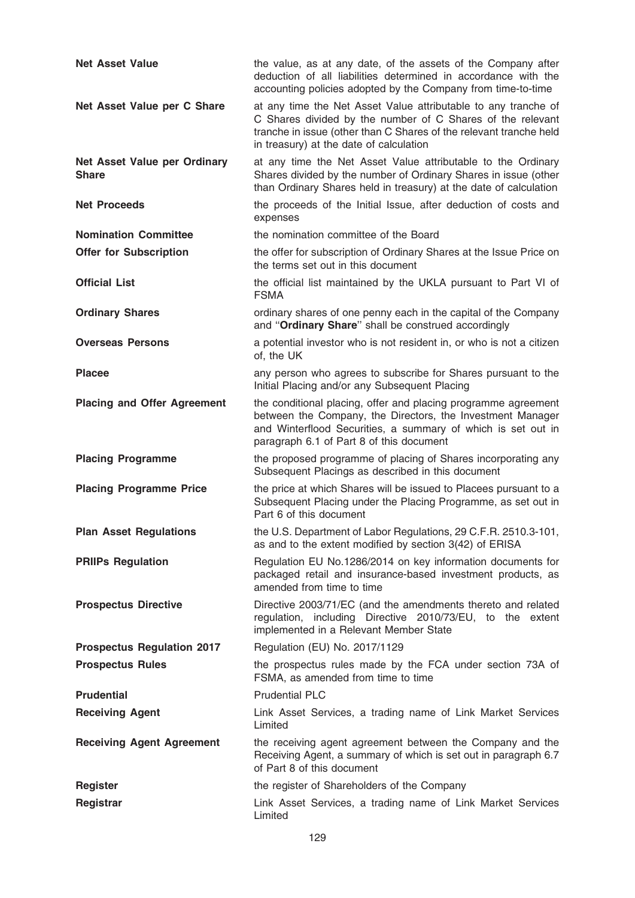| <b>Net Asset Value</b>                | the value, as at any date, of the assets of the Company after<br>deduction of all liabilities determined in accordance with the<br>accounting policies adopted by the Company from time-to-time                                               |
|---------------------------------------|-----------------------------------------------------------------------------------------------------------------------------------------------------------------------------------------------------------------------------------------------|
| Net Asset Value per C Share           | at any time the Net Asset Value attributable to any tranche of<br>C Shares divided by the number of C Shares of the relevant<br>tranche in issue (other than C Shares of the relevant tranche held<br>in treasury) at the date of calculation |
| Net Asset Value per Ordinary<br>Share | at any time the Net Asset Value attributable to the Ordinary<br>Shares divided by the number of Ordinary Shares in issue (other<br>than Ordinary Shares held in treasury) at the date of calculation                                          |
| <b>Net Proceeds</b>                   | the proceeds of the Initial Issue, after deduction of costs and<br>expenses                                                                                                                                                                   |
| <b>Nomination Committee</b>           | the nomination committee of the Board                                                                                                                                                                                                         |
| <b>Offer for Subscription</b>         | the offer for subscription of Ordinary Shares at the Issue Price on<br>the terms set out in this document                                                                                                                                     |
| <b>Official List</b>                  | the official list maintained by the UKLA pursuant to Part VI of<br><b>FSMA</b>                                                                                                                                                                |
| <b>Ordinary Shares</b>                | ordinary shares of one penny each in the capital of the Company<br>and "Ordinary Share" shall be construed accordingly                                                                                                                        |
| <b>Overseas Persons</b>               | a potential investor who is not resident in, or who is not a citizen<br>of, the UK                                                                                                                                                            |
| <b>Placee</b>                         | any person who agrees to subscribe for Shares pursuant to the<br>Initial Placing and/or any Subsequent Placing                                                                                                                                |
| <b>Placing and Offer Agreement</b>    | the conditional placing, offer and placing programme agreement<br>between the Company, the Directors, the Investment Manager<br>and Winterflood Securities, a summary of which is set out in<br>paragraph 6.1 of Part 8 of this document      |
| <b>Placing Programme</b>              | the proposed programme of placing of Shares incorporating any<br>Subsequent Placings as described in this document                                                                                                                            |
| <b>Placing Programme Price</b>        | the price at which Shares will be issued to Placees pursuant to a<br>Subsequent Placing under the Placing Programme, as set out in<br>Part 6 of this document                                                                                 |
| <b>Plan Asset Regulations</b>         | the U.S. Department of Labor Regulations, 29 C.F.R. 2510.3-101,<br>as and to the extent modified by section 3(42) of ERISA                                                                                                                    |
| <b>PRIIPs Regulation</b>              | Regulation EU No.1286/2014 on key information documents for<br>packaged retail and insurance-based investment products, as<br>amended from time to time                                                                                       |
| <b>Prospectus Directive</b>           | Directive 2003/71/EC (and the amendments thereto and related<br>regulation, including Directive 2010/73/EU, to the extent<br>implemented in a Relevant Member State                                                                           |
| <b>Prospectus Regulation 2017</b>     | Regulation (EU) No. 2017/1129                                                                                                                                                                                                                 |
| <b>Prospectus Rules</b>               | the prospectus rules made by the FCA under section 73A of<br>FSMA, as amended from time to time                                                                                                                                               |
| <b>Prudential</b>                     | <b>Prudential PLC</b>                                                                                                                                                                                                                         |
| <b>Receiving Agent</b>                | Link Asset Services, a trading name of Link Market Services<br>Limited                                                                                                                                                                        |
| <b>Receiving Agent Agreement</b>      | the receiving agent agreement between the Company and the<br>Receiving Agent, a summary of which is set out in paragraph 6.7<br>of Part 8 of this document                                                                                    |
| <b>Register</b>                       | the register of Shareholders of the Company                                                                                                                                                                                                   |
| Registrar                             | Link Asset Services, a trading name of Link Market Services<br>Limited                                                                                                                                                                        |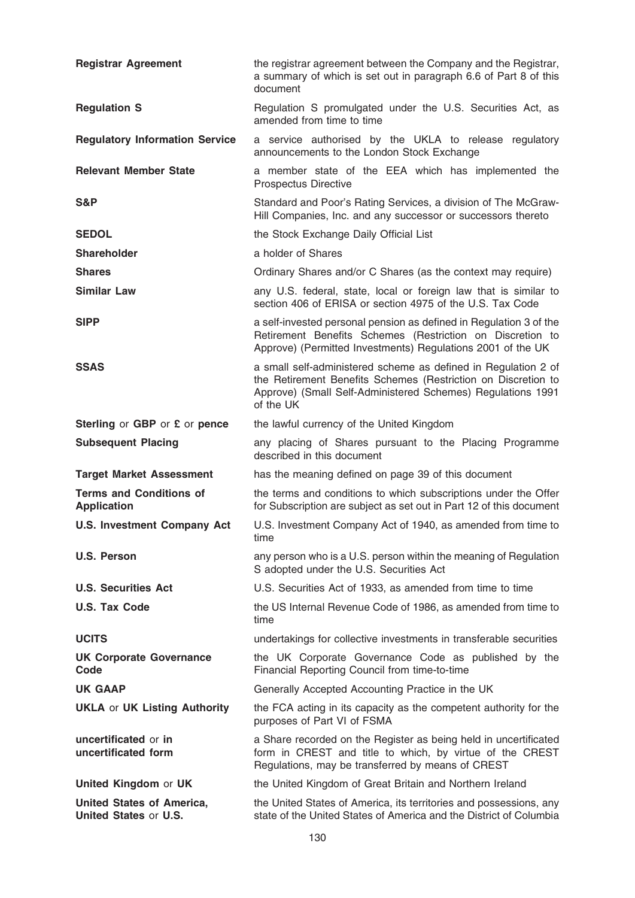| <b>Registrar Agreement</b>                                       | the registrar agreement between the Company and the Registrar,<br>a summary of which is set out in paragraph 6.6 of Part 8 of this<br>document                                                              |
|------------------------------------------------------------------|-------------------------------------------------------------------------------------------------------------------------------------------------------------------------------------------------------------|
| <b>Regulation S</b>                                              | Regulation S promulgated under the U.S. Securities Act, as<br>amended from time to time                                                                                                                     |
| <b>Regulatory Information Service</b>                            | a service authorised by the UKLA to release regulatory<br>announcements to the London Stock Exchange                                                                                                        |
| <b>Relevant Member State</b>                                     | a member state of the EEA which has implemented the<br><b>Prospectus Directive</b>                                                                                                                          |
| S&P                                                              | Standard and Poor's Rating Services, a division of The McGraw-<br>Hill Companies, Inc. and any successor or successors thereto                                                                              |
| <b>SEDOL</b>                                                     | the Stock Exchange Daily Official List                                                                                                                                                                      |
| <b>Shareholder</b>                                               | a holder of Shares                                                                                                                                                                                          |
| <b>Shares</b>                                                    | Ordinary Shares and/or C Shares (as the context may require)                                                                                                                                                |
| <b>Similar Law</b>                                               | any U.S. federal, state, local or foreign law that is similar to<br>section 406 of ERISA or section 4975 of the U.S. Tax Code                                                                               |
| <b>SIPP</b>                                                      | a self-invested personal pension as defined in Regulation 3 of the<br>Retirement Benefits Schemes (Restriction on Discretion to<br>Approve) (Permitted Investments) Regulations 2001 of the UK              |
| <b>SSAS</b>                                                      | a small self-administered scheme as defined in Regulation 2 of<br>the Retirement Benefits Schemes (Restriction on Discretion to<br>Approve) (Small Self-Administered Schemes) Regulations 1991<br>of the UK |
| Sterling or GBP or £ or pence                                    | the lawful currency of the United Kingdom                                                                                                                                                                   |
| <b>Subsequent Placing</b>                                        | any placing of Shares pursuant to the Placing Programme<br>described in this document                                                                                                                       |
| <b>Target Market Assessment</b>                                  | has the meaning defined on page 39 of this document                                                                                                                                                         |
| <b>Terms and Conditions of</b><br><b>Application</b>             | the terms and conditions to which subscriptions under the Offer<br>for Subscription are subject as set out in Part 12 of this document                                                                      |
| <b>U.S. Investment Company Act</b>                               | U.S. Investment Company Act of 1940, as amended from time to<br>time                                                                                                                                        |
| U.S. Person                                                      | any person who is a U.S. person within the meaning of Regulation<br>S adopted under the U.S. Securities Act                                                                                                 |
| <b>U.S. Securities Act</b>                                       | U.S. Securities Act of 1933, as amended from time to time                                                                                                                                                   |
| U.S. Tax Code                                                    | the US Internal Revenue Code of 1986, as amended from time to<br>time                                                                                                                                       |
| <b>UCITS</b>                                                     | undertakings for collective investments in transferable securities                                                                                                                                          |
| <b>UK Corporate Governance</b><br>Code                           | the UK Corporate Governance Code as published by the<br>Financial Reporting Council from time-to-time                                                                                                       |
| <b>UK GAAP</b>                                                   | Generally Accepted Accounting Practice in the UK                                                                                                                                                            |
| <b>UKLA or UK Listing Authority</b>                              | the FCA acting in its capacity as the competent authority for the<br>purposes of Part VI of FSMA                                                                                                            |
| uncertificated or in<br>uncertificated form                      | a Share recorded on the Register as being held in uncertificated<br>form in CREST and title to which, by virtue of the CREST<br>Regulations, may be transferred by means of CREST                           |
| United Kingdom or UK                                             | the United Kingdom of Great Britain and Northern Ireland                                                                                                                                                    |
| <b>United States of America,</b><br><b>United States or U.S.</b> | the United States of America, its territories and possessions, any<br>state of the United States of America and the District of Columbia                                                                    |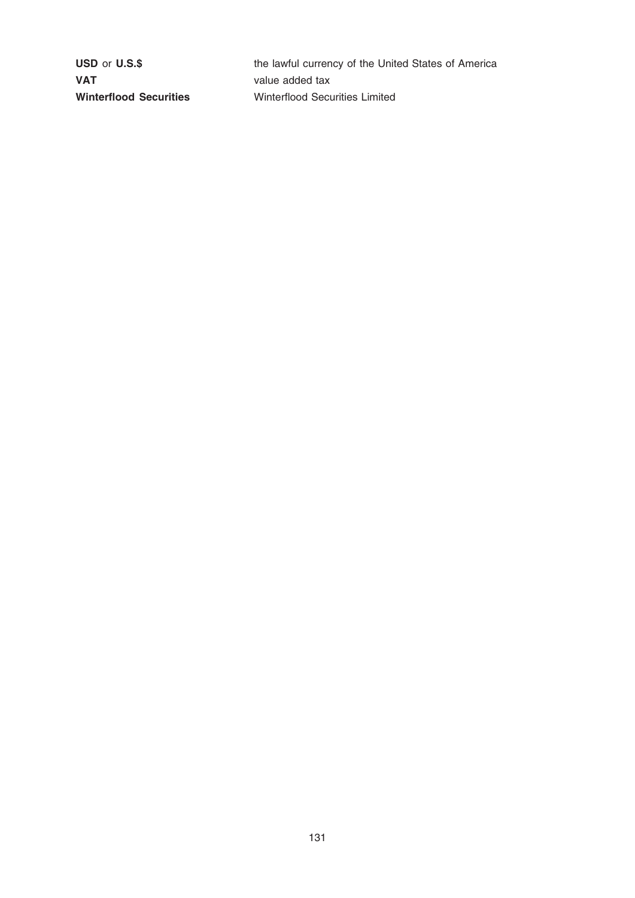**VAT** value added tax

USD or U.S.\$ the lawful currency of the United States of America Winterflood Securities Winterflood Securities Limited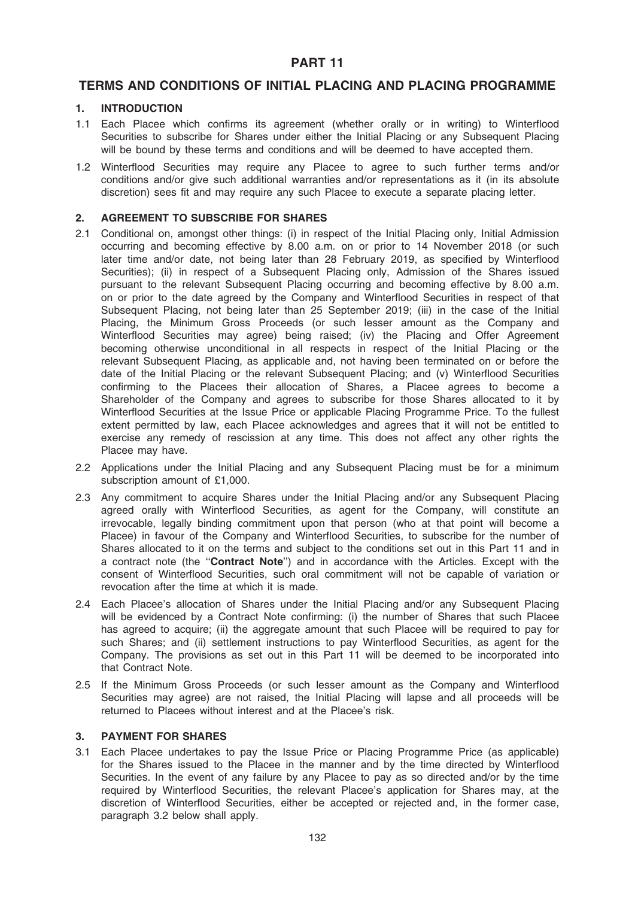# PART 11

# TERMS AND CONDITIONS OF INITIAL PLACING AND PLACING PROGRAMME

### 1. INTRODUCTION

- 1.1 Each Placee which confirms its agreement (whether orally or in writing) to Winterflood Securities to subscribe for Shares under either the Initial Placing or any Subsequent Placing will be bound by these terms and conditions and will be deemed to have accepted them.
- 1.2 Winterflood Securities may require any Placee to agree to such further terms and/or conditions and/or give such additional warranties and/or representations as it (in its absolute discretion) sees fit and may require any such Placee to execute a separate placing letter.

### 2. AGREEMENT TO SUBSCRIBE FOR SHARES

- 2.1 Conditional on, amongst other things: (i) in respect of the Initial Placing only, Initial Admission occurring and becoming effective by 8.00 a.m. on or prior to 14 November 2018 (or such later time and/or date, not being later than 28 February 2019, as specified by Winterflood Securities); (ii) in respect of a Subsequent Placing only, Admission of the Shares issued pursuant to the relevant Subsequent Placing occurring and becoming effective by 8.00 a.m. on or prior to the date agreed by the Company and Winterflood Securities in respect of that Subsequent Placing, not being later than 25 September 2019; (iii) in the case of the Initial Placing, the Minimum Gross Proceeds (or such lesser amount as the Company and Winterflood Securities may agree) being raised; (iv) the Placing and Offer Agreement becoming otherwise unconditional in all respects in respect of the Initial Placing or the relevant Subsequent Placing, as applicable and, not having been terminated on or before the date of the Initial Placing or the relevant Subsequent Placing; and (v) Winterflood Securities confirming to the Placees their allocation of Shares, a Placee agrees to become a Shareholder of the Company and agrees to subscribe for those Shares allocated to it by Winterflood Securities at the Issue Price or applicable Placing Programme Price. To the fullest extent permitted by law, each Placee acknowledges and agrees that it will not be entitled to exercise any remedy of rescission at any time. This does not affect any other rights the Placee may have.
- 2.2 Applications under the Initial Placing and any Subsequent Placing must be for a minimum subscription amount of £1,000.
- 2.3 Any commitment to acquire Shares under the Initial Placing and/or any Subsequent Placing agreed orally with Winterflood Securities, as agent for the Company, will constitute an irrevocable, legally binding commitment upon that person (who at that point will become a Placee) in favour of the Company and Winterflood Securities, to subscribe for the number of Shares allocated to it on the terms and subject to the conditions set out in this Part 11 and in a contract note (the "Contract Note") and in accordance with the Articles. Except with the consent of Winterflood Securities, such oral commitment will not be capable of variation or revocation after the time at which it is made.
- 2.4 Each Placee's allocation of Shares under the Initial Placing and/or any Subsequent Placing will be evidenced by a Contract Note confirming: (i) the number of Shares that such Placee has agreed to acquire; (ii) the aggregate amount that such Placee will be required to pay for such Shares; and (ii) settlement instructions to pay Winterflood Securities, as agent for the Company. The provisions as set out in this Part 11 will be deemed to be incorporated into that Contract Note.
- 2.5 If the Minimum Gross Proceeds (or such lesser amount as the Company and Winterflood Securities may agree) are not raised, the Initial Placing will lapse and all proceeds will be returned to Placees without interest and at the Placee's risk.

### 3. PAYMENT FOR SHARES

3.1 Each Placee undertakes to pay the Issue Price or Placing Programme Price (as applicable) for the Shares issued to the Placee in the manner and by the time directed by Winterflood Securities. In the event of any failure by any Placee to pay as so directed and/or by the time required by Winterflood Securities, the relevant Placee's application for Shares may, at the discretion of Winterflood Securities, either be accepted or rejected and, in the former case, paragraph 3.2 below shall apply.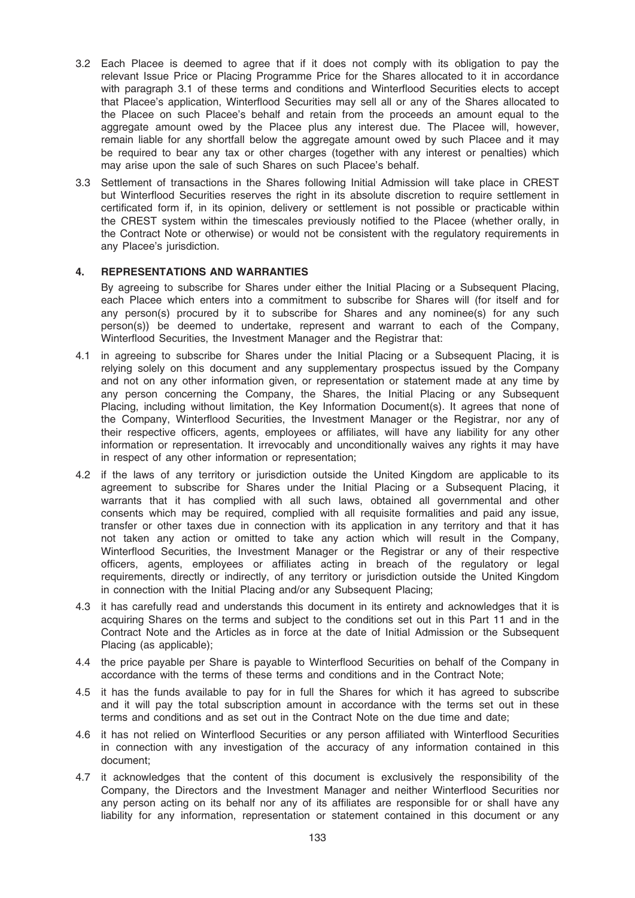- 3.2 Each Placee is deemed to agree that if it does not comply with its obligation to pay the relevant Issue Price or Placing Programme Price for the Shares allocated to it in accordance with paragraph 3.1 of these terms and conditions and Winterflood Securities elects to accept that Placee's application, Winterflood Securities may sell all or any of the Shares allocated to the Placee on such Placee's behalf and retain from the proceeds an amount equal to the aggregate amount owed by the Placee plus any interest due. The Placee will, however, remain liable for any shortfall below the aggregate amount owed by such Placee and it may be required to bear any tax or other charges (together with any interest or penalties) which may arise upon the sale of such Shares on such Placee's behalf.
- 3.3 Settlement of transactions in the Shares following Initial Admission will take place in CREST but Winterflood Securities reserves the right in its absolute discretion to require settlement in certificated form if, in its opinion, delivery or settlement is not possible or practicable within the CREST system within the timescales previously notified to the Placee (whether orally, in the Contract Note or otherwise) or would not be consistent with the regulatory requirements in any Placee's jurisdiction.

### 4. REPRESENTATIONS AND WARRANTIES

By agreeing to subscribe for Shares under either the Initial Placing or a Subsequent Placing, each Placee which enters into a commitment to subscribe for Shares will (for itself and for any person(s) procured by it to subscribe for Shares and any nominee(s) for any such person(s)) be deemed to undertake, represent and warrant to each of the Company, Winterflood Securities, the Investment Manager and the Registrar that:

- 4.1 in agreeing to subscribe for Shares under the Initial Placing or a Subsequent Placing, it is relying solely on this document and any supplementary prospectus issued by the Company and not on any other information given, or representation or statement made at any time by any person concerning the Company, the Shares, the Initial Placing or any Subsequent Placing, including without limitation, the Key Information Document(s). It agrees that none of the Company, Winterflood Securities, the Investment Manager or the Registrar, nor any of their respective officers, agents, employees or affiliates, will have any liability for any other information or representation. It irrevocably and unconditionally waives any rights it may have in respect of any other information or representation;
- 4.2 if the laws of any territory or jurisdiction outside the United Kingdom are applicable to its agreement to subscribe for Shares under the Initial Placing or a Subsequent Placing, it warrants that it has complied with all such laws, obtained all governmental and other consents which may be required, complied with all requisite formalities and paid any issue, transfer or other taxes due in connection with its application in any territory and that it has not taken any action or omitted to take any action which will result in the Company, Winterflood Securities, the Investment Manager or the Registrar or any of their respective officers, agents, employees or affiliates acting in breach of the regulatory or legal requirements, directly or indirectly, of any territory or jurisdiction outside the United Kingdom in connection with the Initial Placing and/or any Subsequent Placing;
- 4.3 it has carefully read and understands this document in its entirety and acknowledges that it is acquiring Shares on the terms and subject to the conditions set out in this Part 11 and in the Contract Note and the Articles as in force at the date of Initial Admission or the Subsequent Placing (as applicable);
- 4.4 the price payable per Share is payable to Winterflood Securities on behalf of the Company in accordance with the terms of these terms and conditions and in the Contract Note;
- 4.5 it has the funds available to pay for in full the Shares for which it has agreed to subscribe and it will pay the total subscription amount in accordance with the terms set out in these terms and conditions and as set out in the Contract Note on the due time and date;
- 4.6 it has not relied on Winterflood Securities or any person affiliated with Winterflood Securities in connection with any investigation of the accuracy of any information contained in this document;
- 4.7 it acknowledges that the content of this document is exclusively the responsibility of the Company, the Directors and the Investment Manager and neither Winterflood Securities nor any person acting on its behalf nor any of its affiliates are responsible for or shall have any liability for any information, representation or statement contained in this document or any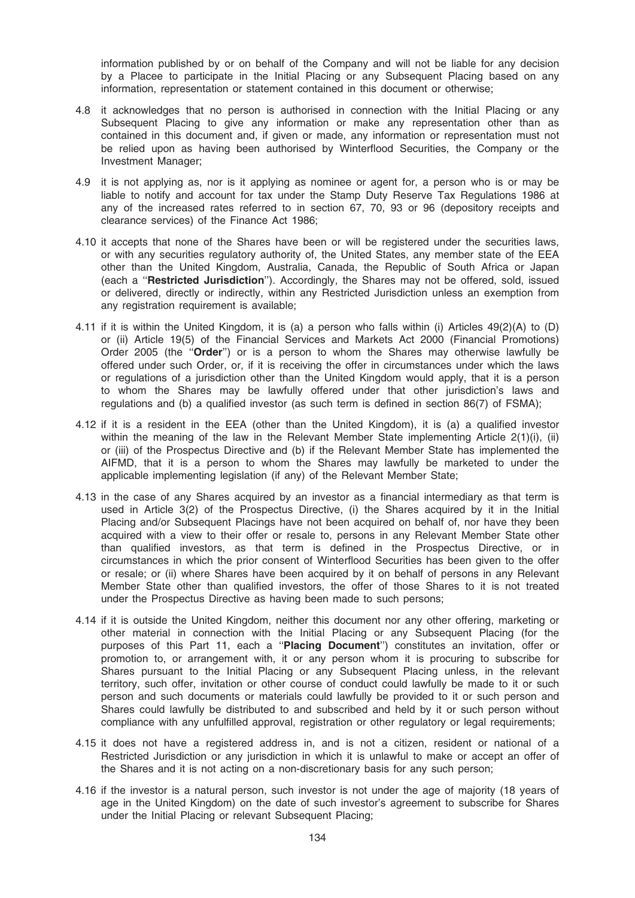information published by or on behalf of the Company and will not be liable for any decision by a Placee to participate in the Initial Placing or any Subsequent Placing based on any information, representation or statement contained in this document or otherwise;

- 4.8 it acknowledges that no person is authorised in connection with the Initial Placing or any Subsequent Placing to give any information or make any representation other than as contained in this document and, if given or made, any information or representation must not be relied upon as having been authorised by Winterflood Securities, the Company or the Investment Manager;
- 4.9 it is not applying as, nor is it applying as nominee or agent for, a person who is or may be liable to notify and account for tax under the Stamp Duty Reserve Tax Regulations 1986 at any of the increased rates referred to in section 67, 70, 93 or 96 (depository receipts and clearance services) of the Finance Act 1986;
- 4.10 it accepts that none of the Shares have been or will be registered under the securities laws, or with any securities regulatory authority of, the United States, any member state of the EEA other than the United Kingdom, Australia, Canada, the Republic of South Africa or Japan (each a ''Restricted Jurisdiction''). Accordingly, the Shares may not be offered, sold, issued or delivered, directly or indirectly, within any Restricted Jurisdiction unless an exemption from any registration requirement is available;
- 4.11 if it is within the United Kingdom, it is (a) a person who falls within (i) Articles 49(2)(A) to (D) or (ii) Article 19(5) of the Financial Services and Markets Act 2000 (Financial Promotions) Order 2005 (the ''Order'') or is a person to whom the Shares may otherwise lawfully be offered under such Order, or, if it is receiving the offer in circumstances under which the laws or regulations of a jurisdiction other than the United Kingdom would apply, that it is a person to whom the Shares may be lawfully offered under that other jurisdiction's laws and regulations and (b) a qualified investor (as such term is defined in section 86(7) of FSMA);
- 4.12 if it is a resident in the EEA (other than the United Kingdom), it is (a) a qualified investor within the meaning of the law in the Relevant Member State implementing Article 2(1)(i), (ii) or (iii) of the Prospectus Directive and (b) if the Relevant Member State has implemented the AIFMD, that it is a person to whom the Shares may lawfully be marketed to under the applicable implementing legislation (if any) of the Relevant Member State;
- 4.13 in the case of any Shares acquired by an investor as a financial intermediary as that term is used in Article 3(2) of the Prospectus Directive, (i) the Shares acquired by it in the Initial Placing and/or Subsequent Placings have not been acquired on behalf of, nor have they been acquired with a view to their offer or resale to, persons in any Relevant Member State other than qualified investors, as that term is defined in the Prospectus Directive, or in circumstances in which the prior consent of Winterflood Securities has been given to the offer or resale; or (ii) where Shares have been acquired by it on behalf of persons in any Relevant Member State other than qualified investors, the offer of those Shares to it is not treated under the Prospectus Directive as having been made to such persons;
- 4.14 if it is outside the United Kingdom, neither this document nor any other offering, marketing or other material in connection with the Initial Placing or any Subsequent Placing (for the purposes of this Part 11, each a "Placing Document") constitutes an invitation, offer or promotion to, or arrangement with, it or any person whom it is procuring to subscribe for Shares pursuant to the Initial Placing or any Subsequent Placing unless, in the relevant territory, such offer, invitation or other course of conduct could lawfully be made to it or such person and such documents or materials could lawfully be provided to it or such person and Shares could lawfully be distributed to and subscribed and held by it or such person without compliance with any unfulfilled approval, registration or other regulatory or legal requirements;
- 4.15 it does not have a registered address in, and is not a citizen, resident or national of a Restricted Jurisdiction or any jurisdiction in which it is unlawful to make or accept an offer of the Shares and it is not acting on a non-discretionary basis for any such person;
- 4.16 if the investor is a natural person, such investor is not under the age of majority (18 years of age in the United Kingdom) on the date of such investor's agreement to subscribe for Shares under the Initial Placing or relevant Subsequent Placing;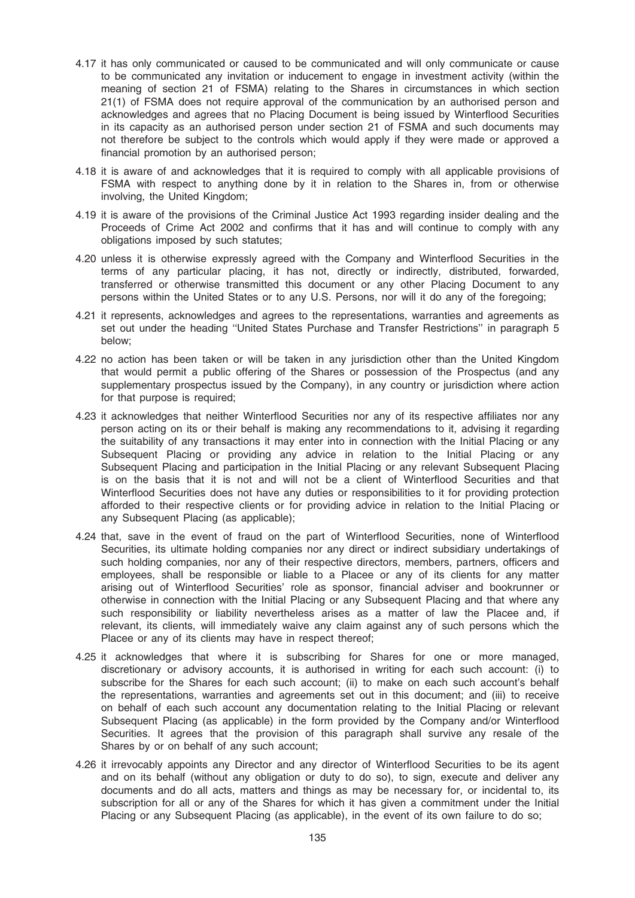- 4.17 it has only communicated or caused to be communicated and will only communicate or cause to be communicated any invitation or inducement to engage in investment activity (within the meaning of section 21 of FSMA) relating to the Shares in circumstances in which section 21(1) of FSMA does not require approval of the communication by an authorised person and acknowledges and agrees that no Placing Document is being issued by Winterflood Securities in its capacity as an authorised person under section 21 of FSMA and such documents may not therefore be subject to the controls which would apply if they were made or approved a financial promotion by an authorised person;
- 4.18 it is aware of and acknowledges that it is required to comply with all applicable provisions of FSMA with respect to anything done by it in relation to the Shares in, from or otherwise involving, the United Kingdom;
- 4.19 it is aware of the provisions of the Criminal Justice Act 1993 regarding insider dealing and the Proceeds of Crime Act 2002 and confirms that it has and will continue to comply with any obligations imposed by such statutes;
- 4.20 unless it is otherwise expressly agreed with the Company and Winterflood Securities in the terms of any particular placing, it has not, directly or indirectly, distributed, forwarded, transferred or otherwise transmitted this document or any other Placing Document to any persons within the United States or to any U.S. Persons, nor will it do any of the foregoing;
- 4.21 it represents, acknowledges and agrees to the representations, warranties and agreements as set out under the heading ''United States Purchase and Transfer Restrictions'' in paragraph 5 below;
- 4.22 no action has been taken or will be taken in any jurisdiction other than the United Kingdom that would permit a public offering of the Shares or possession of the Prospectus (and any supplementary prospectus issued by the Company), in any country or jurisdiction where action for that purpose is required;
- 4.23 it acknowledges that neither Winterflood Securities nor any of its respective affiliates nor any person acting on its or their behalf is making any recommendations to it, advising it regarding the suitability of any transactions it may enter into in connection with the Initial Placing or any Subsequent Placing or providing any advice in relation to the Initial Placing or any Subsequent Placing and participation in the Initial Placing or any relevant Subsequent Placing is on the basis that it is not and will not be a client of Winterflood Securities and that Winterflood Securities does not have any duties or responsibilities to it for providing protection afforded to their respective clients or for providing advice in relation to the Initial Placing or any Subsequent Placing (as applicable);
- 4.24 that, save in the event of fraud on the part of Winterflood Securities, none of Winterflood Securities, its ultimate holding companies nor any direct or indirect subsidiary undertakings of such holding companies, nor any of their respective directors, members, partners, officers and employees, shall be responsible or liable to a Placee or any of its clients for any matter arising out of Winterflood Securities' role as sponsor, financial adviser and bookrunner or otherwise in connection with the Initial Placing or any Subsequent Placing and that where any such responsibility or liability nevertheless arises as a matter of law the Placee and, if relevant, its clients, will immediately waive any claim against any of such persons which the Placee or any of its clients may have in respect thereof:
- 4.25 it acknowledges that where it is subscribing for Shares for one or more managed, discretionary or advisory accounts, it is authorised in writing for each such account: (i) to subscribe for the Shares for each such account; (ii) to make on each such account's behalf the representations, warranties and agreements set out in this document; and (iii) to receive on behalf of each such account any documentation relating to the Initial Placing or relevant Subsequent Placing (as applicable) in the form provided by the Company and/or Winterflood Securities. It agrees that the provision of this paragraph shall survive any resale of the Shares by or on behalf of any such account;
- 4.26 it irrevocably appoints any Director and any director of Winterflood Securities to be its agent and on its behalf (without any obligation or duty to do so), to sign, execute and deliver any documents and do all acts, matters and things as may be necessary for, or incidental to, its subscription for all or any of the Shares for which it has given a commitment under the Initial Placing or any Subsequent Placing (as applicable), in the event of its own failure to do so;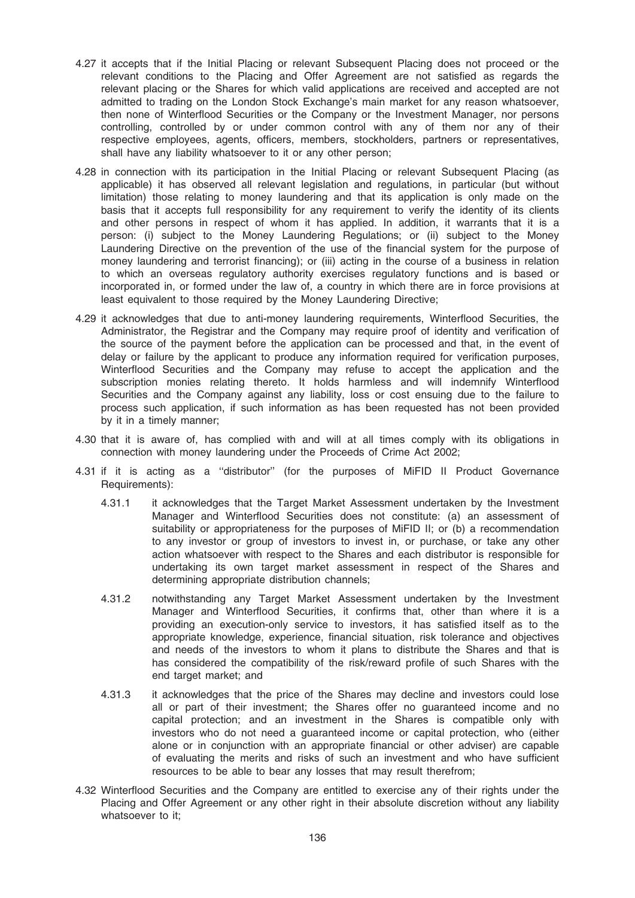- 4.27 it accepts that if the Initial Placing or relevant Subsequent Placing does not proceed or the relevant conditions to the Placing and Offer Agreement are not satisfied as regards the relevant placing or the Shares for which valid applications are received and accepted are not admitted to trading on the London Stock Exchange's main market for any reason whatsoever, then none of Winterflood Securities or the Company or the Investment Manager, nor persons controlling, controlled by or under common control with any of them nor any of their respective employees, agents, officers, members, stockholders, partners or representatives, shall have any liability whatsoever to it or any other person;
- 4.28 in connection with its participation in the Initial Placing or relevant Subsequent Placing (as applicable) it has observed all relevant legislation and regulations, in particular (but without limitation) those relating to money laundering and that its application is only made on the basis that it accepts full responsibility for any requirement to verify the identity of its clients and other persons in respect of whom it has applied. In addition, it warrants that it is a person: (i) subject to the Money Laundering Regulations; or (ii) subject to the Money Laundering Directive on the prevention of the use of the financial system for the purpose of money laundering and terrorist financing); or (iii) acting in the course of a business in relation to which an overseas regulatory authority exercises regulatory functions and is based or incorporated in, or formed under the law of, a country in which there are in force provisions at least equivalent to those required by the Money Laundering Directive;
- 4.29 it acknowledges that due to anti-money laundering requirements, Winterflood Securities, the Administrator, the Registrar and the Company may require proof of identity and verification of the source of the payment before the application can be processed and that, in the event of delay or failure by the applicant to produce any information required for verification purposes, Winterflood Securities and the Company may refuse to accept the application and the subscription monies relating thereto. It holds harmless and will indemnify Winterflood Securities and the Company against any liability, loss or cost ensuing due to the failure to process such application, if such information as has been requested has not been provided by it in a timely manner;
- 4.30 that it is aware of, has complied with and will at all times comply with its obligations in connection with money laundering under the Proceeds of Crime Act 2002;
- 4.31 if it is acting as a ''distributor'' (for the purposes of MiFID II Product Governance Requirements):
	- 4.31.1 it acknowledges that the Target Market Assessment undertaken by the Investment Manager and Winterflood Securities does not constitute: (a) an assessment of suitability or appropriateness for the purposes of MiFID II; or (b) a recommendation to any investor or group of investors to invest in, or purchase, or take any other action whatsoever with respect to the Shares and each distributor is responsible for undertaking its own target market assessment in respect of the Shares and determining appropriate distribution channels;
	- 4.31.2 notwithstanding any Target Market Assessment undertaken by the Investment Manager and Winterflood Securities, it confirms that, other than where it is a providing an execution-only service to investors, it has satisfied itself as to the appropriate knowledge, experience, financial situation, risk tolerance and objectives and needs of the investors to whom it plans to distribute the Shares and that is has considered the compatibility of the risk/reward profile of such Shares with the end target market; and
	- 4.31.3 it acknowledges that the price of the Shares may decline and investors could lose all or part of their investment; the Shares offer no guaranteed income and no capital protection; and an investment in the Shares is compatible only with investors who do not need a guaranteed income or capital protection, who (either alone or in conjunction with an appropriate financial or other adviser) are capable of evaluating the merits and risks of such an investment and who have sufficient resources to be able to bear any losses that may result therefrom;
- 4.32 Winterflood Securities and the Company are entitled to exercise any of their rights under the Placing and Offer Agreement or any other right in their absolute discretion without any liability whatsoever to it;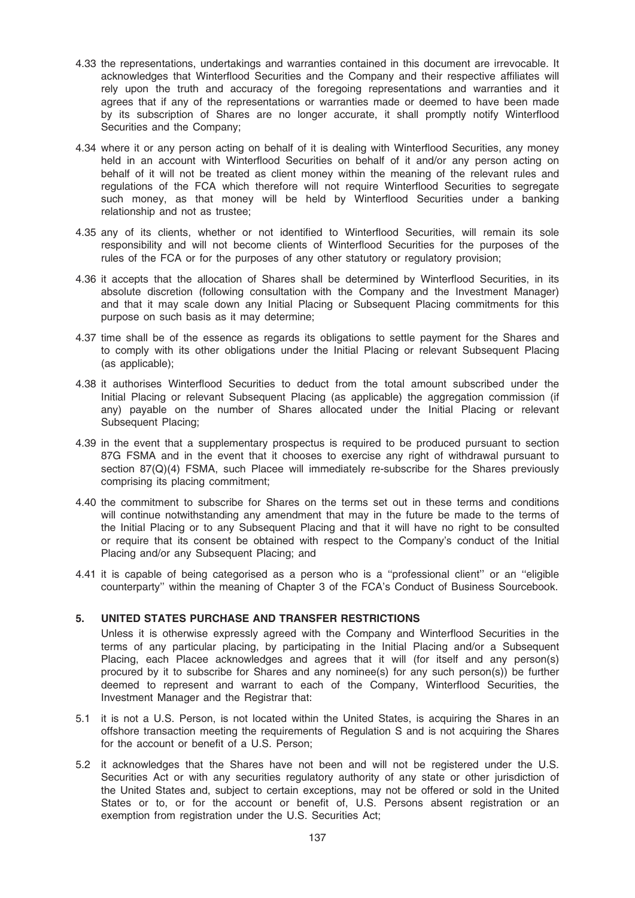- 4.33 the representations, undertakings and warranties contained in this document are irrevocable. It acknowledges that Winterflood Securities and the Company and their respective affiliates will rely upon the truth and accuracy of the foregoing representations and warranties and it agrees that if any of the representations or warranties made or deemed to have been made by its subscription of Shares are no longer accurate, it shall promptly notify Winterflood Securities and the Company;
- 4.34 where it or any person acting on behalf of it is dealing with Winterflood Securities, any money held in an account with Winterflood Securities on behalf of it and/or any person acting on behalf of it will not be treated as client money within the meaning of the relevant rules and regulations of the FCA which therefore will not require Winterflood Securities to segregate such money, as that money will be held by Winterflood Securities under a banking relationship and not as trustee;
- 4.35 any of its clients, whether or not identified to Winterflood Securities, will remain its sole responsibility and will not become clients of Winterflood Securities for the purposes of the rules of the FCA or for the purposes of any other statutory or regulatory provision;
- 4.36 it accepts that the allocation of Shares shall be determined by Winterflood Securities, in its absolute discretion (following consultation with the Company and the Investment Manager) and that it may scale down any Initial Placing or Subsequent Placing commitments for this purpose on such basis as it may determine;
- 4.37 time shall be of the essence as regards its obligations to settle payment for the Shares and to comply with its other obligations under the Initial Placing or relevant Subsequent Placing (as applicable);
- 4.38 it authorises Winterflood Securities to deduct from the total amount subscribed under the Initial Placing or relevant Subsequent Placing (as applicable) the aggregation commission (if any) payable on the number of Shares allocated under the Initial Placing or relevant Subsequent Placing;
- 4.39 in the event that a supplementary prospectus is required to be produced pursuant to section 87G FSMA and in the event that it chooses to exercise any right of withdrawal pursuant to section 87(Q)(4) FSMA, such Placee will immediately re-subscribe for the Shares previously comprising its placing commitment;
- 4.40 the commitment to subscribe for Shares on the terms set out in these terms and conditions will continue notwithstanding any amendment that may in the future be made to the terms of the Initial Placing or to any Subsequent Placing and that it will have no right to be consulted or require that its consent be obtained with respect to the Company's conduct of the Initial Placing and/or any Subsequent Placing; and
- 4.41 it is capable of being categorised as a person who is a ''professional client'' or an ''eligible counterparty'' within the meaning of Chapter 3 of the FCA's Conduct of Business Sourcebook.

### 5. UNITED STATES PURCHASE AND TRANSFER RESTRICTIONS

Unless it is otherwise expressly agreed with the Company and Winterflood Securities in the terms of any particular placing, by participating in the Initial Placing and/or a Subsequent Placing, each Placee acknowledges and agrees that it will (for itself and any person(s) procured by it to subscribe for Shares and any nominee(s) for any such person(s)) be further deemed to represent and warrant to each of the Company, Winterflood Securities, the Investment Manager and the Registrar that:

- 5.1 it is not a U.S. Person, is not located within the United States, is acquiring the Shares in an offshore transaction meeting the requirements of Regulation S and is not acquiring the Shares for the account or benefit of a U.S. Person;
- 5.2 it acknowledges that the Shares have not been and will not be registered under the U.S. Securities Act or with any securities regulatory authority of any state or other jurisdiction of the United States and, subject to certain exceptions, may not be offered or sold in the United States or to, or for the account or benefit of, U.S. Persons absent registration or an exemption from registration under the U.S. Securities Act;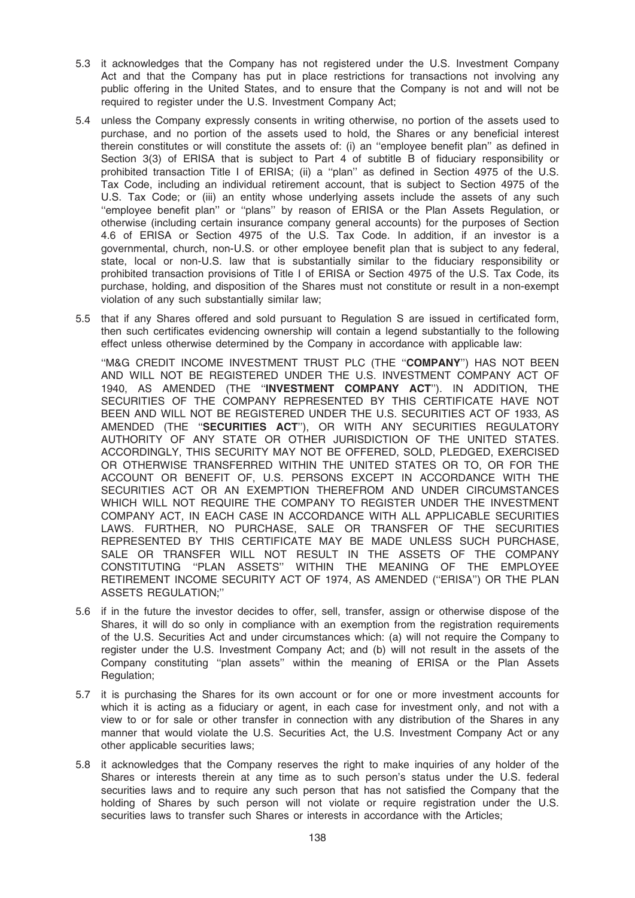- 5.3 it acknowledges that the Company has not registered under the U.S. Investment Company Act and that the Company has put in place restrictions for transactions not involving any public offering in the United States, and to ensure that the Company is not and will not be required to register under the U.S. Investment Company Act;
- 5.4 unless the Company expressly consents in writing otherwise, no portion of the assets used to purchase, and no portion of the assets used to hold, the Shares or any beneficial interest therein constitutes or will constitute the assets of: (i) an ''employee benefit plan'' as defined in Section 3(3) of ERISA that is subject to Part 4 of subtitle B of fiduciary responsibility or prohibited transaction Title I of ERISA; (ii) a "plan" as defined in Section 4975 of the U.S. Tax Code, including an individual retirement account, that is subject to Section 4975 of the U.S. Tax Code; or (iii) an entity whose underlying assets include the assets of any such ''employee benefit plan'' or ''plans'' by reason of ERISA or the Plan Assets Regulation, or otherwise (including certain insurance company general accounts) for the purposes of Section 4.6 of ERISA or Section 4975 of the U.S. Tax Code. In addition, if an investor is a governmental, church, non-U.S. or other employee benefit plan that is subject to any federal, state, local or non-U.S. law that is substantially similar to the fiduciary responsibility or prohibited transaction provisions of Title I of ERISA or Section 4975 of the U.S. Tax Code, its purchase, holding, and disposition of the Shares must not constitute or result in a non-exempt violation of any such substantially similar law;
- 5.5 that if any Shares offered and sold pursuant to Regulation S are issued in certificated form, then such certificates evidencing ownership will contain a legend substantially to the following effect unless otherwise determined by the Company in accordance with applicable law:

"M&G CREDIT INCOME INVESTMENT TRUST PLC (THE "COMPANY") HAS NOT BEEN AND WILL NOT BE REGISTERED UNDER THE U.S. INVESTMENT COMPANY ACT OF 1940, AS AMENDED (THE ''INVESTMENT COMPANY ACT''). IN ADDITION, THE SECURITIES OF THE COMPANY REPRESENTED BY THIS CERTIFICATE HAVE NOT BEEN AND WILL NOT BE REGISTERED UNDER THE U.S. SECURITIES ACT OF 1933, AS AMENDED (THE ''SECURITIES ACT''), OR WITH ANY SECURITIES REGULATORY AUTHORITY OF ANY STATE OR OTHER JURISDICTION OF THE UNITED STATES. ACCORDINGLY, THIS SECURITY MAY NOT BE OFFERED, SOLD, PLEDGED, EXERCISED OR OTHERWISE TRANSFERRED WITHIN THE UNITED STATES OR TO, OR FOR THE ACCOUNT OR BENEFIT OF, U.S. PERSONS EXCEPT IN ACCORDANCE WITH THE SECURITIES ACT OR AN EXEMPTION THEREFROM AND UNDER CIRCUMSTANCES WHICH WILL NOT REQUIRE THE COMPANY TO REGISTER UNDER THE INVESTMENT COMPANY ACT, IN EACH CASE IN ACCORDANCE WITH ALL APPLICABLE SECURITIES LAWS. FURTHER, NO PURCHASE, SALE OR TRANSFER OF THE SECURITIES REPRESENTED BY THIS CERTIFICATE MAY BE MADE UNLESS SUCH PURCHASE, SALE OR TRANSFER WILL NOT RESULT IN THE ASSETS OF THE COMPANY CONSTITUTING ''PLAN ASSETS'' WITHIN THE MEANING OF THE EMPLOYEE RETIREMENT INCOME SECURITY ACT OF 1974, AS AMENDED (''ERISA'') OR THE PLAN ASSETS REGULATION;''

- 5.6 if in the future the investor decides to offer, sell, transfer, assign or otherwise dispose of the Shares, it will do so only in compliance with an exemption from the registration requirements of the U.S. Securities Act and under circumstances which: (a) will not require the Company to register under the U.S. Investment Company Act; and (b) will not result in the assets of the Company constituting ''plan assets'' within the meaning of ERISA or the Plan Assets Regulation:
- 5.7 it is purchasing the Shares for its own account or for one or more investment accounts for which it is acting as a fiduciary or agent, in each case for investment only, and not with a view to or for sale or other transfer in connection with any distribution of the Shares in any manner that would violate the U.S. Securities Act, the U.S. Investment Company Act or any other applicable securities laws;
- 5.8 it acknowledges that the Company reserves the right to make inquiries of any holder of the Shares or interests therein at any time as to such person's status under the U.S. federal securities laws and to require any such person that has not satisfied the Company that the holding of Shares by such person will not violate or require registration under the U.S. securities laws to transfer such Shares or interests in accordance with the Articles;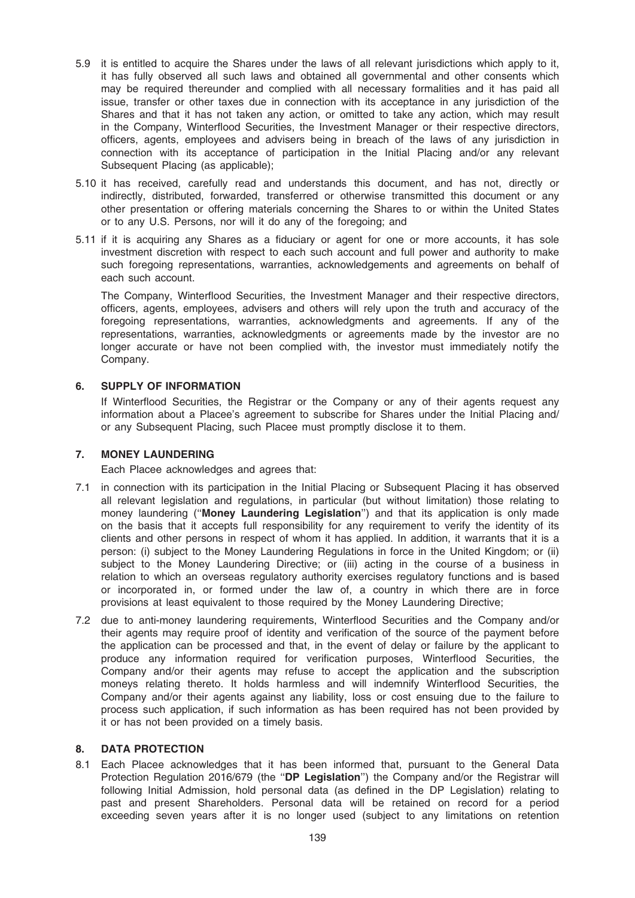- 5.9 it is entitled to acquire the Shares under the laws of all relevant jurisdictions which apply to it, it has fully observed all such laws and obtained all governmental and other consents which may be required thereunder and complied with all necessary formalities and it has paid all issue, transfer or other taxes due in connection with its acceptance in any jurisdiction of the Shares and that it has not taken any action, or omitted to take any action, which may result in the Company, Winterflood Securities, the Investment Manager or their respective directors, officers, agents, employees and advisers being in breach of the laws of any jurisdiction in connection with its acceptance of participation in the Initial Placing and/or any relevant Subsequent Placing (as applicable);
- 5.10 it has received, carefully read and understands this document, and has not, directly or indirectly, distributed, forwarded, transferred or otherwise transmitted this document or any other presentation or offering materials concerning the Shares to or within the United States or to any U.S. Persons, nor will it do any of the foregoing; and
- 5.11 if it is acquiring any Shares as a fiduciary or agent for one or more accounts, it has sole investment discretion with respect to each such account and full power and authority to make such foregoing representations, warranties, acknowledgements and agreements on behalf of each such account.

The Company, Winterflood Securities, the Investment Manager and their respective directors, officers, agents, employees, advisers and others will rely upon the truth and accuracy of the foregoing representations, warranties, acknowledgments and agreements. If any of the representations, warranties, acknowledgments or agreements made by the investor are no longer accurate or have not been complied with, the investor must immediately notify the Company.

### 6. SUPPLY OF INFORMATION

If Winterflood Securities, the Registrar or the Company or any of their agents request any information about a Placee's agreement to subscribe for Shares under the Initial Placing and/ or any Subsequent Placing, such Placee must promptly disclose it to them.

# 7. MONEY LAUNDERING

Each Placee acknowledges and agrees that:

- 7.1 in connection with its participation in the Initial Placing or Subsequent Placing it has observed all relevant legislation and regulations, in particular (but without limitation) those relating to money laundering ("Money Laundering Legislation") and that its application is only made on the basis that it accepts full responsibility for any requirement to verify the identity of its clients and other persons in respect of whom it has applied. In addition, it warrants that it is a person: (i) subject to the Money Laundering Regulations in force in the United Kingdom; or (ii) subject to the Money Laundering Directive; or (iii) acting in the course of a business in relation to which an overseas regulatory authority exercises regulatory functions and is based or incorporated in, or formed under the law of, a country in which there are in force provisions at least equivalent to those required by the Money Laundering Directive;
- 7.2 due to anti-money laundering requirements, Winterflood Securities and the Company and/or their agents may require proof of identity and verification of the source of the payment before the application can be processed and that, in the event of delay or failure by the applicant to produce any information required for verification purposes, Winterflood Securities, the Company and/or their agents may refuse to accept the application and the subscription moneys relating thereto. It holds harmless and will indemnify Winterflood Securities, the Company and/or their agents against any liability, loss or cost ensuing due to the failure to process such application, if such information as has been required has not been provided by it or has not been provided on a timely basis.

### 8. DATA PROTECTION

8.1 Each Placee acknowledges that it has been informed that, pursuant to the General Data Protection Regulation 2016/679 (the "DP Legislation") the Company and/or the Registrar will following Initial Admission, hold personal data (as defined in the DP Legislation) relating to past and present Shareholders. Personal data will be retained on record for a period exceeding seven years after it is no longer used (subject to any limitations on retention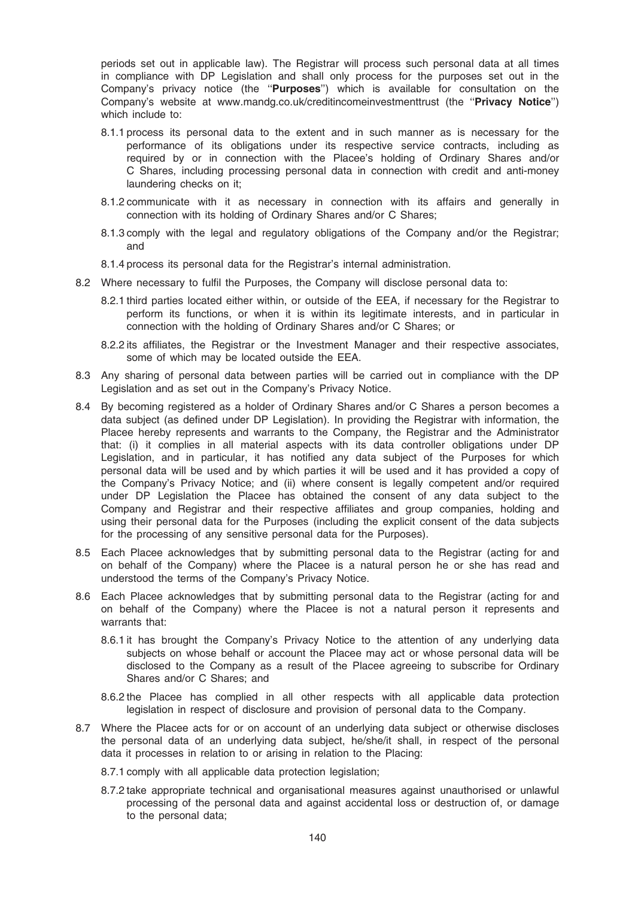periods set out in applicable law). The Registrar will process such personal data at all times in compliance with DP Legislation and shall only process for the purposes set out in the Company's privacy notice (the ''Purposes'') which is available for consultation on the Company's website at www.mandg.co.uk/creditincomeinvestmenttrust (the "Privacy Notice") which include to:

- 8.1.1 process its personal data to the extent and in such manner as is necessary for the performance of its obligations under its respective service contracts, including as required by or in connection with the Placee's holding of Ordinary Shares and/or C Shares, including processing personal data in connection with credit and anti-money laundering checks on it;
- 8.1.2 communicate with it as necessary in connection with its affairs and generally in connection with its holding of Ordinary Shares and/or C Shares;
- 8.1.3 comply with the legal and regulatory obligations of the Company and/or the Registrar; and
- 8.1.4 process its personal data for the Registrar's internal administration.
- 8.2 Where necessary to fulfil the Purposes, the Company will disclose personal data to:
	- 8.2.1 third parties located either within, or outside of the EEA, if necessary for the Registrar to perform its functions, or when it is within its legitimate interests, and in particular in connection with the holding of Ordinary Shares and/or C Shares; or
	- 8.2.2 its affiliates, the Registrar or the Investment Manager and their respective associates, some of which may be located outside the EEA.
- 8.3 Any sharing of personal data between parties will be carried out in compliance with the DP Legislation and as set out in the Company's Privacy Notice.
- 8.4 By becoming registered as a holder of Ordinary Shares and/or C Shares a person becomes a data subject (as defined under DP Legislation). In providing the Registrar with information, the Placee hereby represents and warrants to the Company, the Registrar and the Administrator that: (i) it complies in all material aspects with its data controller obligations under DP Legislation, and in particular, it has notified any data subject of the Purposes for which personal data will be used and by which parties it will be used and it has provided a copy of the Company's Privacy Notice; and (ii) where consent is legally competent and/or required under DP Legislation the Placee has obtained the consent of any data subject to the Company and Registrar and their respective affiliates and group companies, holding and using their personal data for the Purposes (including the explicit consent of the data subjects for the processing of any sensitive personal data for the Purposes).
- 8.5 Each Placee acknowledges that by submitting personal data to the Registrar (acting for and on behalf of the Company) where the Placee is a natural person he or she has read and understood the terms of the Company's Privacy Notice.
- 8.6 Each Placee acknowledges that by submitting personal data to the Registrar (acting for and on behalf of the Company) where the Placee is not a natural person it represents and warrants that:
	- 8.6.1 it has brought the Company's Privacy Notice to the attention of any underlying data subjects on whose behalf or account the Placee may act or whose personal data will be disclosed to the Company as a result of the Placee agreeing to subscribe for Ordinary Shares and/or C Shares; and
	- 8.6.2 the Placee has complied in all other respects with all applicable data protection legislation in respect of disclosure and provision of personal data to the Company.
- 8.7 Where the Placee acts for or on account of an underlying data subject or otherwise discloses the personal data of an underlying data subject, he/she/it shall, in respect of the personal data it processes in relation to or arising in relation to the Placing:
	- 8.7.1 comply with all applicable data protection legislation;
	- 8.7.2 take appropriate technical and organisational measures against unauthorised or unlawful processing of the personal data and against accidental loss or destruction of, or damage to the personal data;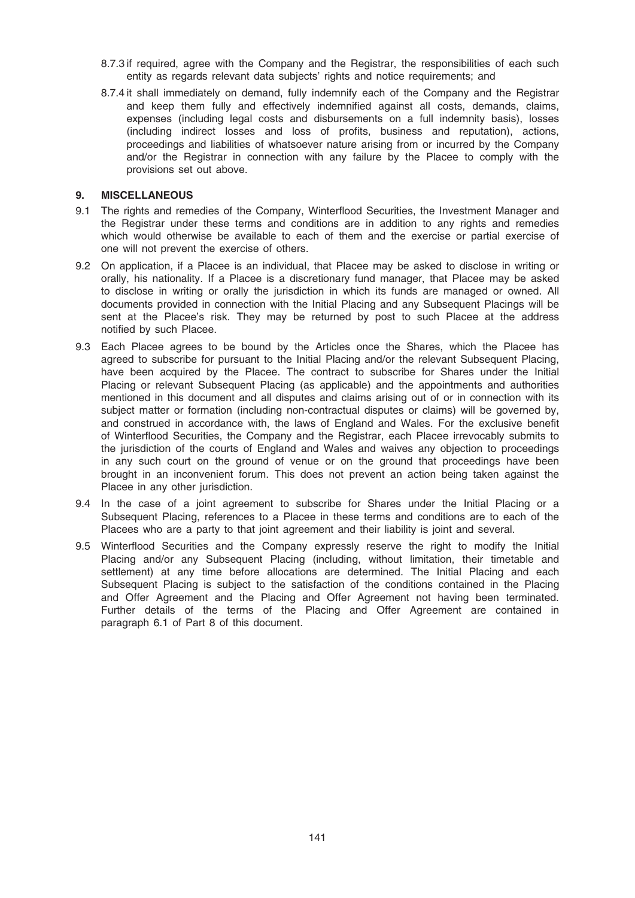- 8.7.3 if required, agree with the Company and the Registrar, the responsibilities of each such entity as regards relevant data subjects' rights and notice requirements; and
- 8.7.4 it shall immediately on demand, fully indemnify each of the Company and the Registrar and keep them fully and effectively indemnified against all costs, demands, claims, expenses (including legal costs and disbursements on a full indemnity basis), losses (including indirect losses and loss of profits, business and reputation), actions, proceedings and liabilities of whatsoever nature arising from or incurred by the Company and/or the Registrar in connection with any failure by the Placee to comply with the provisions set out above.

### 9. MISCELLANEOUS

- 9.1 The rights and remedies of the Company, Winterflood Securities, the Investment Manager and the Registrar under these terms and conditions are in addition to any rights and remedies which would otherwise be available to each of them and the exercise or partial exercise of one will not prevent the exercise of others.
- 9.2 On application, if a Placee is an individual, that Placee may be asked to disclose in writing or orally, his nationality. If a Placee is a discretionary fund manager, that Placee may be asked to disclose in writing or orally the jurisdiction in which its funds are managed or owned. All documents provided in connection with the Initial Placing and any Subsequent Placings will be sent at the Placee's risk. They may be returned by post to such Placee at the address notified by such Placee.
- 9.3 Each Placee agrees to be bound by the Articles once the Shares, which the Placee has agreed to subscribe for pursuant to the Initial Placing and/or the relevant Subsequent Placing, have been acquired by the Placee. The contract to subscribe for Shares under the Initial Placing or relevant Subsequent Placing (as applicable) and the appointments and authorities mentioned in this document and all disputes and claims arising out of or in connection with its subject matter or formation (including non-contractual disputes or claims) will be governed by, and construed in accordance with, the laws of England and Wales. For the exclusive benefit of Winterflood Securities, the Company and the Registrar, each Placee irrevocably submits to the jurisdiction of the courts of England and Wales and waives any objection to proceedings in any such court on the ground of venue or on the ground that proceedings have been brought in an inconvenient forum. This does not prevent an action being taken against the Placee in any other jurisdiction.
- 9.4 In the case of a joint agreement to subscribe for Shares under the Initial Placing or a Subsequent Placing, references to a Placee in these terms and conditions are to each of the Placees who are a party to that joint agreement and their liability is joint and several.
- 9.5 Winterflood Securities and the Company expressly reserve the right to modify the Initial Placing and/or any Subsequent Placing (including, without limitation, their timetable and settlement) at any time before allocations are determined. The Initial Placing and each Subsequent Placing is subject to the satisfaction of the conditions contained in the Placing and Offer Agreement and the Placing and Offer Agreement not having been terminated. Further details of the terms of the Placing and Offer Agreement are contained in paragraph 6.1 of Part 8 of this document.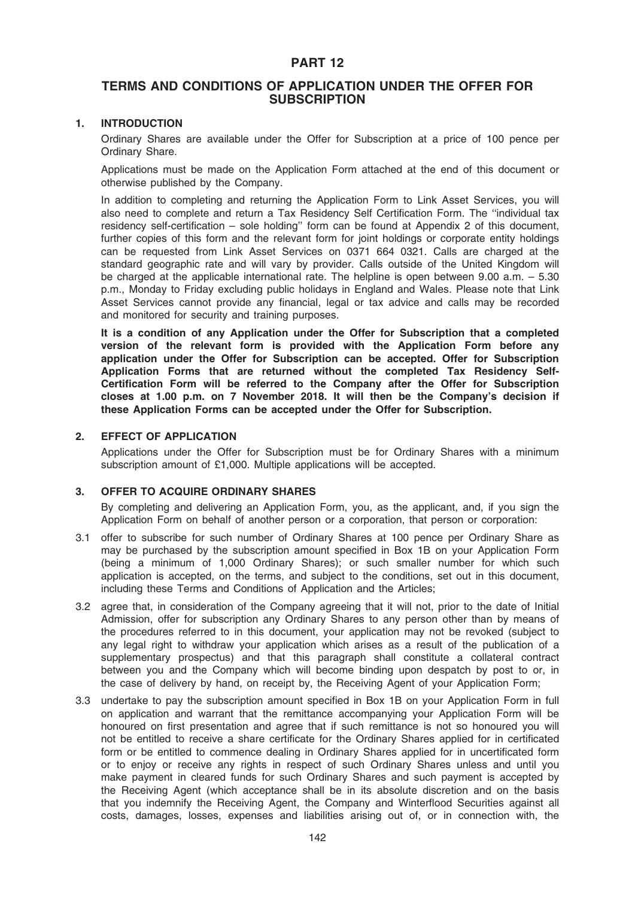# PART 12

# TERMS AND CONDITIONS OF APPLICATION UNDER THE OFFER FOR **SUBSCRIPTION**

### 1. INTRODUCTION

Ordinary Shares are available under the Offer for Subscription at a price of 100 pence per Ordinary Share.

Applications must be made on the Application Form attached at the end of this document or otherwise published by the Company.

In addition to completing and returning the Application Form to Link Asset Services, you will also need to complete and return a Tax Residency Self Certification Form. The ''individual tax residency self-certification – sole holding'' form can be found at Appendix 2 of this document, further copies of this form and the relevant form for joint holdings or corporate entity holdings can be requested from Link Asset Services on 0371 664 0321. Calls are charged at the standard geographic rate and will vary by provider. Calls outside of the United Kingdom will be charged at the applicable international rate. The helpline is open between  $9.00$  a.m.  $-5.30$ p.m., Monday to Friday excluding public holidays in England and Wales. Please note that Link Asset Services cannot provide any financial, legal or tax advice and calls may be recorded and monitored for security and training purposes.

It is a condition of any Application under the Offer for Subscription that a completed version of the relevant form is provided with the Application Form before any application under the Offer for Subscription can be accepted. Offer for Subscription Application Forms that are returned without the completed Tax Residency Self-Certification Form will be referred to the Company after the Offer for Subscription closes at 1.00 p.m. on 7 November 2018. It will then be the Company's decision if these Application Forms can be accepted under the Offer for Subscription.

#### 2. EFFECT OF APPLICATION

Applications under the Offer for Subscription must be for Ordinary Shares with a minimum subscription amount of £1,000. Multiple applications will be accepted.

### 3. OFFER TO ACQUIRE ORDINARY SHARES

By completing and delivering an Application Form, you, as the applicant, and, if you sign the Application Form on behalf of another person or a corporation, that person or corporation:

- 3.1 offer to subscribe for such number of Ordinary Shares at 100 pence per Ordinary Share as may be purchased by the subscription amount specified in Box 1B on your Application Form (being a minimum of 1,000 Ordinary Shares); or such smaller number for which such application is accepted, on the terms, and subject to the conditions, set out in this document, including these Terms and Conditions of Application and the Articles;
- 3.2 agree that, in consideration of the Company agreeing that it will not, prior to the date of Initial Admission, offer for subscription any Ordinary Shares to any person other than by means of the procedures referred to in this document, your application may not be revoked (subject to any legal right to withdraw your application which arises as a result of the publication of a supplementary prospectus) and that this paragraph shall constitute a collateral contract between you and the Company which will become binding upon despatch by post to or, in the case of delivery by hand, on receipt by, the Receiving Agent of your Application Form;
- 3.3 undertake to pay the subscription amount specified in Box 1B on your Application Form in full on application and warrant that the remittance accompanying your Application Form will be honoured on first presentation and agree that if such remittance is not so honoured you will not be entitled to receive a share certificate for the Ordinary Shares applied for in certificated form or be entitled to commence dealing in Ordinary Shares applied for in uncertificated form or to enjoy or receive any rights in respect of such Ordinary Shares unless and until you make payment in cleared funds for such Ordinary Shares and such payment is accepted by the Receiving Agent (which acceptance shall be in its absolute discretion and on the basis that you indemnify the Receiving Agent, the Company and Winterflood Securities against all costs, damages, losses, expenses and liabilities arising out of, or in connection with, the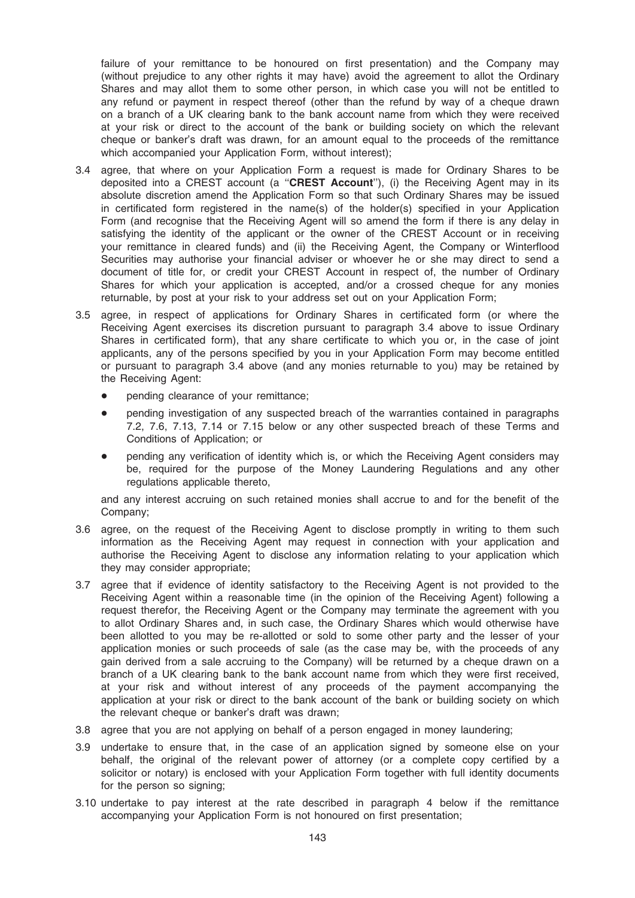failure of your remittance to be honoured on first presentation) and the Company may (without prejudice to any other rights it may have) avoid the agreement to allot the Ordinary Shares and may allot them to some other person, in which case you will not be entitled to any refund or payment in respect thereof (other than the refund by way of a cheque drawn on a branch of a UK clearing bank to the bank account name from which they were received at your risk or direct to the account of the bank or building society on which the relevant cheque or banker's draft was drawn, for an amount equal to the proceeds of the remittance which accompanied your Application Form, without interest);

- 3.4 agree, that where on your Application Form a request is made for Ordinary Shares to be deposited into a CREST account (a ''CREST Account''), (i) the Receiving Agent may in its absolute discretion amend the Application Form so that such Ordinary Shares may be issued in certificated form registered in the name(s) of the holder(s) specified in your Application Form (and recognise that the Receiving Agent will so amend the form if there is any delay in satisfying the identity of the applicant or the owner of the CREST Account or in receiving your remittance in cleared funds) and (ii) the Receiving Agent, the Company or Winterflood Securities may authorise your financial adviser or whoever he or she may direct to send a document of title for, or credit your CREST Account in respect of, the number of Ordinary Shares for which your application is accepted, and/or a crossed cheque for any monies returnable, by post at your risk to your address set out on your Application Form;
- 3.5 agree, in respect of applications for Ordinary Shares in certificated form (or where the Receiving Agent exercises its discretion pursuant to paragraph 3.4 above to issue Ordinary Shares in certificated form), that any share certificate to which you or, in the case of joint applicants, any of the persons specified by you in your Application Form may become entitled or pursuant to paragraph 3.4 above (and any monies returnable to you) may be retained by the Receiving Agent:
	- pending clearance of your remittance;
	- pending investigation of any suspected breach of the warranties contained in paragraphs 7.2, 7.6, 7.13, 7.14 or 7.15 below or any other suspected breach of these Terms and Conditions of Application; or
	- pending any verification of identity which is, or which the Receiving Agent considers may be, required for the purpose of the Money Laundering Regulations and any other regulations applicable thereto,

and any interest accruing on such retained monies shall accrue to and for the benefit of the Company;

- 3.6 agree, on the request of the Receiving Agent to disclose promptly in writing to them such information as the Receiving Agent may request in connection with your application and authorise the Receiving Agent to disclose any information relating to your application which they may consider appropriate;
- 3.7 agree that if evidence of identity satisfactory to the Receiving Agent is not provided to the Receiving Agent within a reasonable time (in the opinion of the Receiving Agent) following a request therefor, the Receiving Agent or the Company may terminate the agreement with you to allot Ordinary Shares and, in such case, the Ordinary Shares which would otherwise have been allotted to you may be re-allotted or sold to some other party and the lesser of your application monies or such proceeds of sale (as the case may be, with the proceeds of any gain derived from a sale accruing to the Company) will be returned by a cheque drawn on a branch of a UK clearing bank to the bank account name from which they were first received, at your risk and without interest of any proceeds of the payment accompanying the application at your risk or direct to the bank account of the bank or building society on which the relevant cheque or banker's draft was drawn;
- 3.8 agree that you are not applying on behalf of a person engaged in money laundering;
- 3.9 undertake to ensure that, in the case of an application signed by someone else on your behalf, the original of the relevant power of attorney (or a complete copy certified by a solicitor or notary) is enclosed with your Application Form together with full identity documents for the person so signing;
- 3.10 undertake to pay interest at the rate described in paragraph 4 below if the remittance accompanying your Application Form is not honoured on first presentation;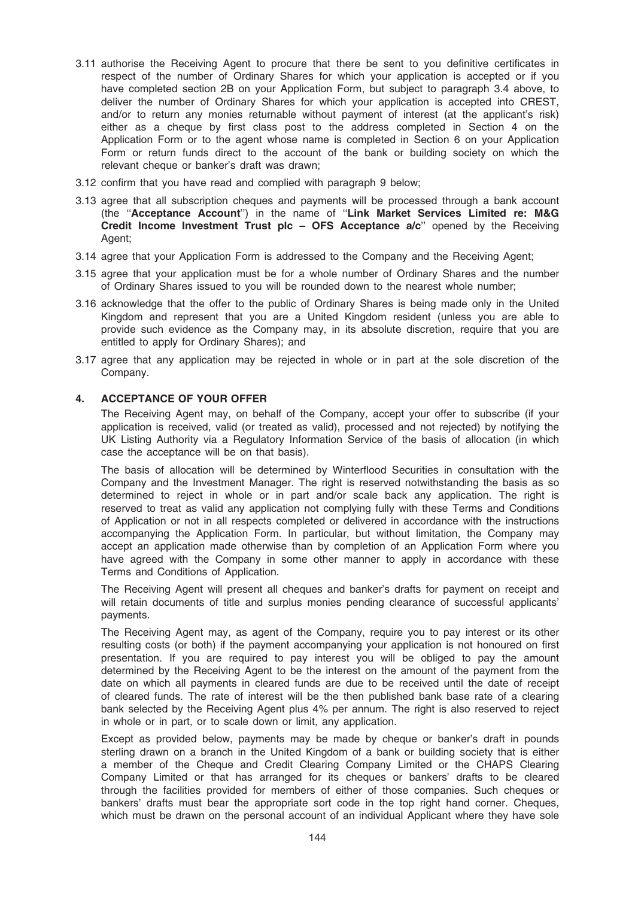- 3.11 authorise the Receiving Agent to procure that there be sent to you definitive certificates in respect of the number of Ordinary Shares for which your application is accepted or if you have completed section 2B on your Application Form, but subject to paragraph 3.4 above, to deliver the number of Ordinary Shares for which your application is accepted into CREST, and/or to return any monies returnable without payment of interest (at the applicant's risk) either as a cheque by first class post to the address completed in Section 4 on the Application Form or to the agent whose name is completed in Section 6 on your Application Form or return funds direct to the account of the bank or building society on which the relevant cheque or banker's draft was drawn;
- 3.12 confirm that you have read and complied with paragraph 9 below;
- 3.13 agree that all subscription cheques and payments will be processed through a bank account (the ''Acceptance Account'') in the name of ''Link Market Services Limited re: M&G Credit Income Investment Trust plc - OFS Acceptance a/c" opened by the Receiving Agent;
- 3.14 agree that your Application Form is addressed to the Company and the Receiving Agent;
- 3.15 agree that your application must be for a whole number of Ordinary Shares and the number of Ordinary Shares issued to you will be rounded down to the nearest whole number;
- 3.16 acknowledge that the offer to the public of Ordinary Shares is being made only in the United Kingdom and represent that you are a United Kingdom resident (unless you are able to provide such evidence as the Company may, in its absolute discretion, require that you are entitled to apply for Ordinary Shares); and
- 3.17 agree that any application may be rejected in whole or in part at the sole discretion of the Company.

### 4. ACCEPTANCE OF YOUR OFFER

The Receiving Agent may, on behalf of the Company, accept your offer to subscribe (if your application is received, valid (or treated as valid), processed and not rejected) by notifying the UK Listing Authority via a Regulatory Information Service of the basis of allocation (in which case the acceptance will be on that basis).

The basis of allocation will be determined by Winterflood Securities in consultation with the Company and the Investment Manager. The right is reserved notwithstanding the basis as so determined to reject in whole or in part and/or scale back any application. The right is reserved to treat as valid any application not complying fully with these Terms and Conditions of Application or not in all respects completed or delivered in accordance with the instructions accompanying the Application Form. In particular, but without limitation, the Company may accept an application made otherwise than by completion of an Application Form where you have agreed with the Company in some other manner to apply in accordance with these Terms and Conditions of Application.

The Receiving Agent will present all cheques and banker's drafts for payment on receipt and will retain documents of title and surplus monies pending clearance of successful applicants' payments.

The Receiving Agent may, as agent of the Company, require you to pay interest or its other resulting costs (or both) if the payment accompanying your application is not honoured on first presentation. If you are required to pay interest you will be obliged to pay the amount determined by the Receiving Agent to be the interest on the amount of the payment from the date on which all payments in cleared funds are due to be received until the date of receipt of cleared funds. The rate of interest will be the then published bank base rate of a clearing bank selected by the Receiving Agent plus 4% per annum. The right is also reserved to reject in whole or in part, or to scale down or limit, any application.

Except as provided below, payments may be made by cheque or banker's draft in pounds sterling drawn on a branch in the United Kingdom of a bank or building society that is either a member of the Cheque and Credit Clearing Company Limited or the CHAPS Clearing Company Limited or that has arranged for its cheques or bankers' drafts to be cleared through the facilities provided for members of either of those companies. Such cheques or bankers' drafts must bear the appropriate sort code in the top right hand corner. Cheques, which must be drawn on the personal account of an individual Applicant where they have sole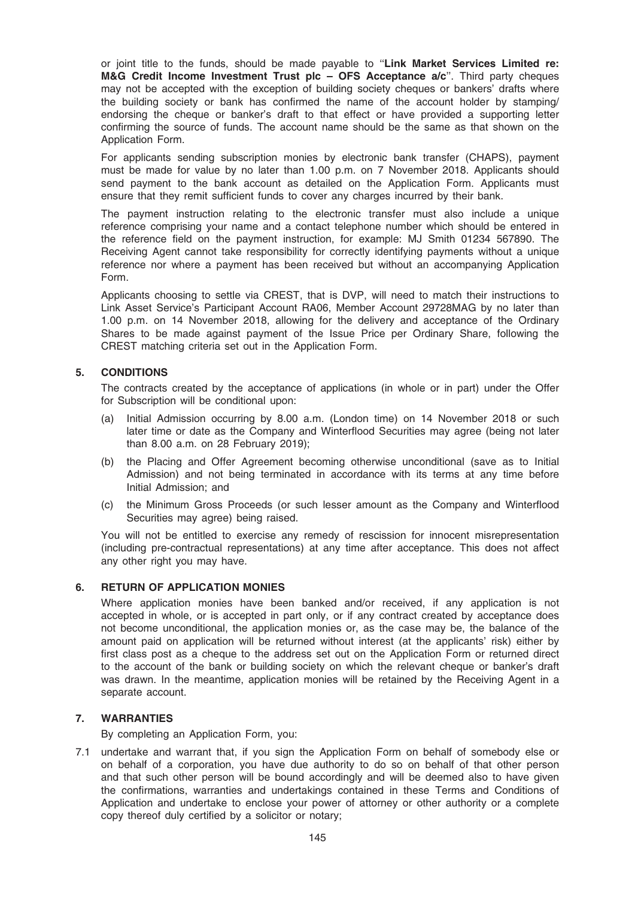or joint title to the funds, should be made payable to "Link Market Services Limited re: M&G Credit Income Investment Trust plc - OFS Acceptance a/c". Third party cheques may not be accepted with the exception of building society cheques or bankers' drafts where the building society or bank has confirmed the name of the account holder by stamping/ endorsing the cheque or banker's draft to that effect or have provided a supporting letter confirming the source of funds. The account name should be the same as that shown on the Application Form.

For applicants sending subscription monies by electronic bank transfer (CHAPS), payment must be made for value by no later than 1.00 p.m. on 7 November 2018. Applicants should send payment to the bank account as detailed on the Application Form. Applicants must ensure that they remit sufficient funds to cover any charges incurred by their bank.

The payment instruction relating to the electronic transfer must also include a unique reference comprising your name and a contact telephone number which should be entered in the reference field on the payment instruction, for example: MJ Smith 01234 567890. The Receiving Agent cannot take responsibility for correctly identifying payments without a unique reference nor where a payment has been received but without an accompanying Application Form.

Applicants choosing to settle via CREST, that is DVP, will need to match their instructions to Link Asset Service's Participant Account RA06, Member Account 29728MAG by no later than 1.00 p.m. on 14 November 2018, allowing for the delivery and acceptance of the Ordinary Shares to be made against payment of the Issue Price per Ordinary Share, following the CREST matching criteria set out in the Application Form.

## 5. CONDITIONS

The contracts created by the acceptance of applications (in whole or in part) under the Offer for Subscription will be conditional upon:

- (a) Initial Admission occurring by 8.00 a.m. (London time) on 14 November 2018 or such later time or date as the Company and Winterflood Securities may agree (being not later than 8.00 a.m. on 28 February 2019);
- (b) the Placing and Offer Agreement becoming otherwise unconditional (save as to Initial Admission) and not being terminated in accordance with its terms at any time before Initial Admission; and
- (c) the Minimum Gross Proceeds (or such lesser amount as the Company and Winterflood Securities may agree) being raised.

You will not be entitled to exercise any remedy of rescission for innocent misrepresentation (including pre-contractual representations) at any time after acceptance. This does not affect any other right you may have.

#### 6. RETURN OF APPLICATION MONIES

Where application monies have been banked and/or received, if any application is not accepted in whole, or is accepted in part only, or if any contract created by acceptance does not become unconditional, the application monies or, as the case may be, the balance of the amount paid on application will be returned without interest (at the applicants' risk) either by first class post as a cheque to the address set out on the Application Form or returned direct to the account of the bank or building society on which the relevant cheque or banker's draft was drawn. In the meantime, application monies will be retained by the Receiving Agent in a separate account.

## 7. WARRANTIES

By completing an Application Form, you:

7.1 undertake and warrant that, if you sign the Application Form on behalf of somebody else or on behalf of a corporation, you have due authority to do so on behalf of that other person and that such other person will be bound accordingly and will be deemed also to have given the confirmations, warranties and undertakings contained in these Terms and Conditions of Application and undertake to enclose your power of attorney or other authority or a complete copy thereof duly certified by a solicitor or notary;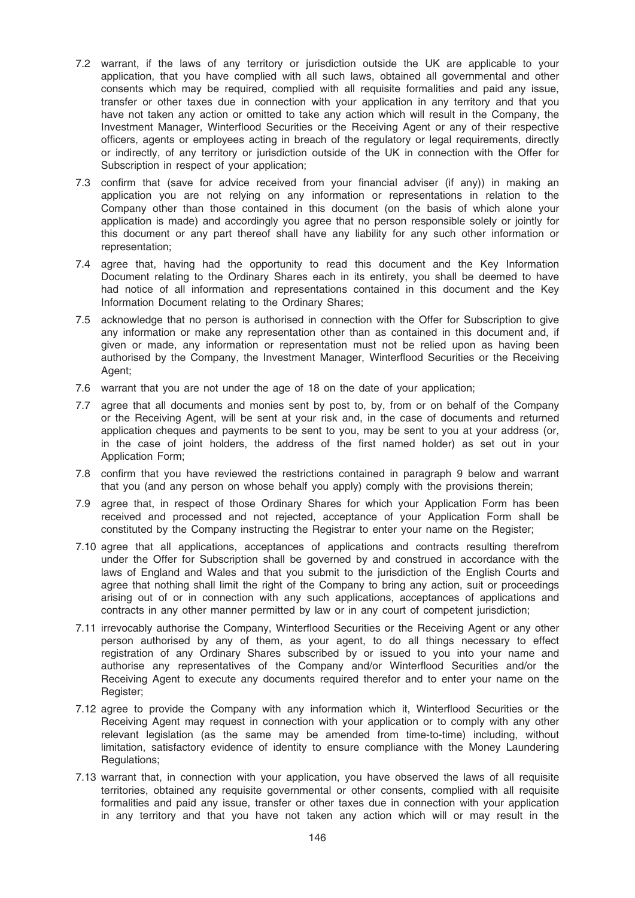- 7.2 warrant, if the laws of any territory or jurisdiction outside the UK are applicable to your application, that you have complied with all such laws, obtained all governmental and other consents which may be required, complied with all requisite formalities and paid any issue, transfer or other taxes due in connection with your application in any territory and that you have not taken any action or omitted to take any action which will result in the Company, the Investment Manager, Winterflood Securities or the Receiving Agent or any of their respective officers, agents or employees acting in breach of the regulatory or legal requirements, directly or indirectly, of any territory or jurisdiction outside of the UK in connection with the Offer for Subscription in respect of your application;
- 7.3 confirm that (save for advice received from your financial adviser (if any)) in making an application you are not relying on any information or representations in relation to the Company other than those contained in this document (on the basis of which alone your application is made) and accordingly you agree that no person responsible solely or jointly for this document or any part thereof shall have any liability for any such other information or representation;
- 7.4 agree that, having had the opportunity to read this document and the Key Information Document relating to the Ordinary Shares each in its entirety, you shall be deemed to have had notice of all information and representations contained in this document and the Key Information Document relating to the Ordinary Shares;
- 7.5 acknowledge that no person is authorised in connection with the Offer for Subscription to give any information or make any representation other than as contained in this document and, if given or made, any information or representation must not be relied upon as having been authorised by the Company, the Investment Manager, Winterflood Securities or the Receiving Agent:
- 7.6 warrant that you are not under the age of 18 on the date of your application;
- 7.7 agree that all documents and monies sent by post to, by, from or on behalf of the Company or the Receiving Agent, will be sent at your risk and, in the case of documents and returned application cheques and payments to be sent to you, may be sent to you at your address (or, in the case of joint holders, the address of the first named holder) as set out in your Application Form;
- 7.8 confirm that you have reviewed the restrictions contained in paragraph 9 below and warrant that you (and any person on whose behalf you apply) comply with the provisions therein;
- 7.9 agree that, in respect of those Ordinary Shares for which your Application Form has been received and processed and not rejected, acceptance of your Application Form shall be constituted by the Company instructing the Registrar to enter your name on the Register;
- 7.10 agree that all applications, acceptances of applications and contracts resulting therefrom under the Offer for Subscription shall be governed by and construed in accordance with the laws of England and Wales and that you submit to the jurisdiction of the English Courts and agree that nothing shall limit the right of the Company to bring any action, suit or proceedings arising out of or in connection with any such applications, acceptances of applications and contracts in any other manner permitted by law or in any court of competent jurisdiction;
- 7.11 irrevocably authorise the Company, Winterflood Securities or the Receiving Agent or any other person authorised by any of them, as your agent, to do all things necessary to effect registration of any Ordinary Shares subscribed by or issued to you into your name and authorise any representatives of the Company and/or Winterflood Securities and/or the Receiving Agent to execute any documents required therefor and to enter your name on the Register;
- 7.12 agree to provide the Company with any information which it, Winterflood Securities or the Receiving Agent may request in connection with your application or to comply with any other relevant legislation (as the same may be amended from time-to-time) including, without limitation, satisfactory evidence of identity to ensure compliance with the Money Laundering Regulations;
- 7.13 warrant that, in connection with your application, you have observed the laws of all requisite territories, obtained any requisite governmental or other consents, complied with all requisite formalities and paid any issue, transfer or other taxes due in connection with your application in any territory and that you have not taken any action which will or may result in the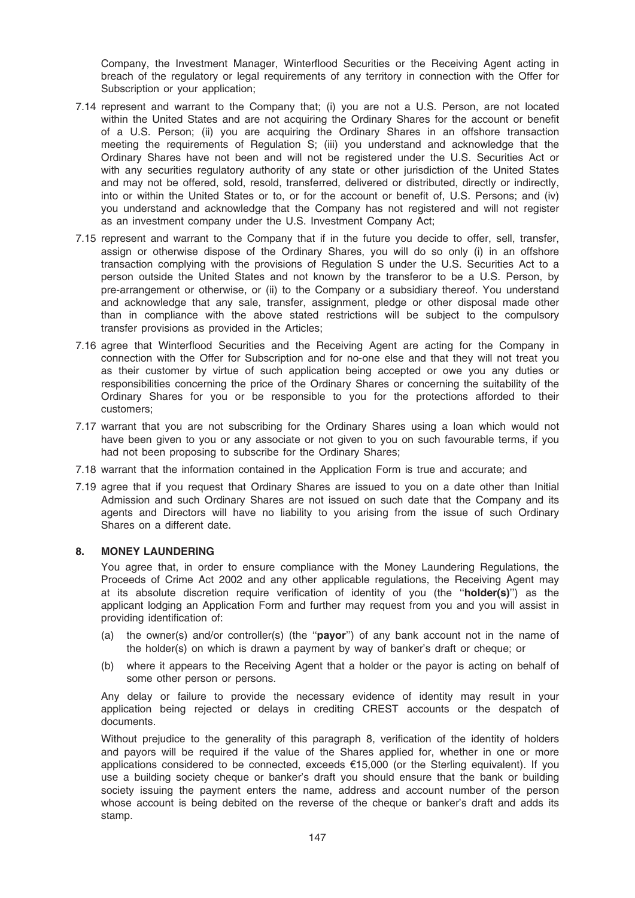Company, the Investment Manager, Winterflood Securities or the Receiving Agent acting in breach of the regulatory or legal requirements of any territory in connection with the Offer for Subscription or your application;

- 7.14 represent and warrant to the Company that; (i) you are not a U.S. Person, are not located within the United States and are not acquiring the Ordinary Shares for the account or benefit of a U.S. Person; (ii) you are acquiring the Ordinary Shares in an offshore transaction meeting the requirements of Regulation S; (iii) you understand and acknowledge that the Ordinary Shares have not been and will not be registered under the U.S. Securities Act or with any securities regulatory authority of any state or other jurisdiction of the United States and may not be offered, sold, resold, transferred, delivered or distributed, directly or indirectly, into or within the United States or to, or for the account or benefit of, U.S. Persons; and (iv) you understand and acknowledge that the Company has not registered and will not register as an investment company under the U.S. Investment Company Act;
- 7.15 represent and warrant to the Company that if in the future you decide to offer, sell, transfer, assign or otherwise dispose of the Ordinary Shares, you will do so only (i) in an offshore transaction complying with the provisions of Regulation S under the U.S. Securities Act to a person outside the United States and not known by the transferor to be a U.S. Person, by pre-arrangement or otherwise, or (ii) to the Company or a subsidiary thereof. You understand and acknowledge that any sale, transfer, assignment, pledge or other disposal made other than in compliance with the above stated restrictions will be subject to the compulsory transfer provisions as provided in the Articles;
- 7.16 agree that Winterflood Securities and the Receiving Agent are acting for the Company in connection with the Offer for Subscription and for no-one else and that they will not treat you as their customer by virtue of such application being accepted or owe you any duties or responsibilities concerning the price of the Ordinary Shares or concerning the suitability of the Ordinary Shares for you or be responsible to you for the protections afforded to their customers;
- 7.17 warrant that you are not subscribing for the Ordinary Shares using a loan which would not have been given to you or any associate or not given to you on such favourable terms, if you had not been proposing to subscribe for the Ordinary Shares;
- 7.18 warrant that the information contained in the Application Form is true and accurate; and
- 7.19 agree that if you request that Ordinary Shares are issued to you on a date other than Initial Admission and such Ordinary Shares are not issued on such date that the Company and its agents and Directors will have no liability to you arising from the issue of such Ordinary Shares on a different date.

#### 8. MONEY LAUNDERING

You agree that, in order to ensure compliance with the Money Laundering Regulations, the Proceeds of Crime Act 2002 and any other applicable regulations, the Receiving Agent may at its absolute discretion require verification of identity of you (the "holder(s)") as the applicant lodging an Application Form and further may request from you and you will assist in providing identification of:

- (a) the owner(s) and/or controller(s) (the "payor") of any bank account not in the name of the holder(s) on which is drawn a payment by way of banker's draft or cheque; or
- (b) where it appears to the Receiving Agent that a holder or the payor is acting on behalf of some other person or persons.

Any delay or failure to provide the necessary evidence of identity may result in your application being rejected or delays in crediting CREST accounts or the despatch of documents.

Without prejudice to the generality of this paragraph 8, verification of the identity of holders and payors will be required if the value of the Shares applied for, whether in one or more applications considered to be connected, exceeds  $£15,000$  (or the Sterling equivalent). If you use a building society cheque or banker's draft you should ensure that the bank or building society issuing the payment enters the name, address and account number of the person whose account is being debited on the reverse of the cheque or banker's draft and adds its stamp.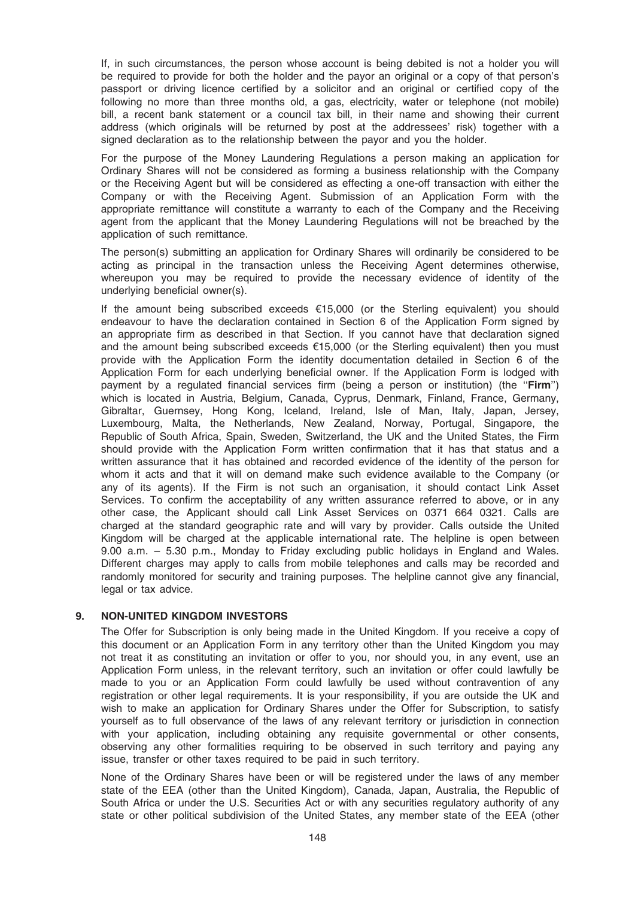If, in such circumstances, the person whose account is being debited is not a holder you will be required to provide for both the holder and the payor an original or a copy of that person's passport or driving licence certified by a solicitor and an original or certified copy of the following no more than three months old, a gas, electricity, water or telephone (not mobile) bill, a recent bank statement or a council tax bill, in their name and showing their current address (which originals will be returned by post at the addressees' risk) together with a signed declaration as to the relationship between the payor and you the holder.

For the purpose of the Money Laundering Regulations a person making an application for Ordinary Shares will not be considered as forming a business relationship with the Company or the Receiving Agent but will be considered as effecting a one-off transaction with either the Company or with the Receiving Agent. Submission of an Application Form with the appropriate remittance will constitute a warranty to each of the Company and the Receiving agent from the applicant that the Money Laundering Regulations will not be breached by the application of such remittance.

The person(s) submitting an application for Ordinary Shares will ordinarily be considered to be acting as principal in the transaction unless the Receiving Agent determines otherwise, whereupon you may be required to provide the necessary evidence of identity of the underlying beneficial owner(s).

If the amount being subscribed exceeds  $£15,000$  (or the Sterling equivalent) you should endeavour to have the declaration contained in Section 6 of the Application Form signed by an appropriate firm as described in that Section. If you cannot have that declaration signed and the amount being subscribed exceeds  $€15,000$  (or the Sterling equivalent) then you must provide with the Application Form the identity documentation detailed in Section 6 of the Application Form for each underlying beneficial owner. If the Application Form is lodged with payment by a regulated financial services firm (being a person or institution) (the "Firm") which is located in Austria, Belgium, Canada, Cyprus, Denmark, Finland, France, Germany, Gibraltar, Guernsey, Hong Kong, Iceland, Ireland, Isle of Man, Italy, Japan, Jersey, Luxembourg, Malta, the Netherlands, New Zealand, Norway, Portugal, Singapore, the Republic of South Africa, Spain, Sweden, Switzerland, the UK and the United States, the Firm should provide with the Application Form written confirmation that it has that status and a written assurance that it has obtained and recorded evidence of the identity of the person for whom it acts and that it will on demand make such evidence available to the Company (or any of its agents). If the Firm is not such an organisation, it should contact Link Asset Services. To confirm the acceptability of any written assurance referred to above, or in any other case, the Applicant should call Link Asset Services on 0371 664 0321. Calls are charged at the standard geographic rate and will vary by provider. Calls outside the United Kingdom will be charged at the applicable international rate. The helpline is open between 9.00 a.m. – 5.30 p.m., Monday to Friday excluding public holidays in England and Wales. Different charges may apply to calls from mobile telephones and calls may be recorded and randomly monitored for security and training purposes. The helpline cannot give any financial, legal or tax advice.

#### 9. NON-UNITED KINGDOM INVESTORS

The Offer for Subscription is only being made in the United Kingdom. If you receive a copy of this document or an Application Form in any territory other than the United Kingdom you may not treat it as constituting an invitation or offer to you, nor should you, in any event, use an Application Form unless, in the relevant territory, such an invitation or offer could lawfully be made to you or an Application Form could lawfully be used without contravention of any registration or other legal requirements. It is your responsibility, if you are outside the UK and wish to make an application for Ordinary Shares under the Offer for Subscription, to satisfy yourself as to full observance of the laws of any relevant territory or jurisdiction in connection with your application, including obtaining any requisite governmental or other consents, observing any other formalities requiring to be observed in such territory and paying any issue, transfer or other taxes required to be paid in such territory.

None of the Ordinary Shares have been or will be registered under the laws of any member state of the EEA (other than the United Kingdom), Canada, Japan, Australia, the Republic of South Africa or under the U.S. Securities Act or with any securities regulatory authority of any state or other political subdivision of the United States, any member state of the EEA (other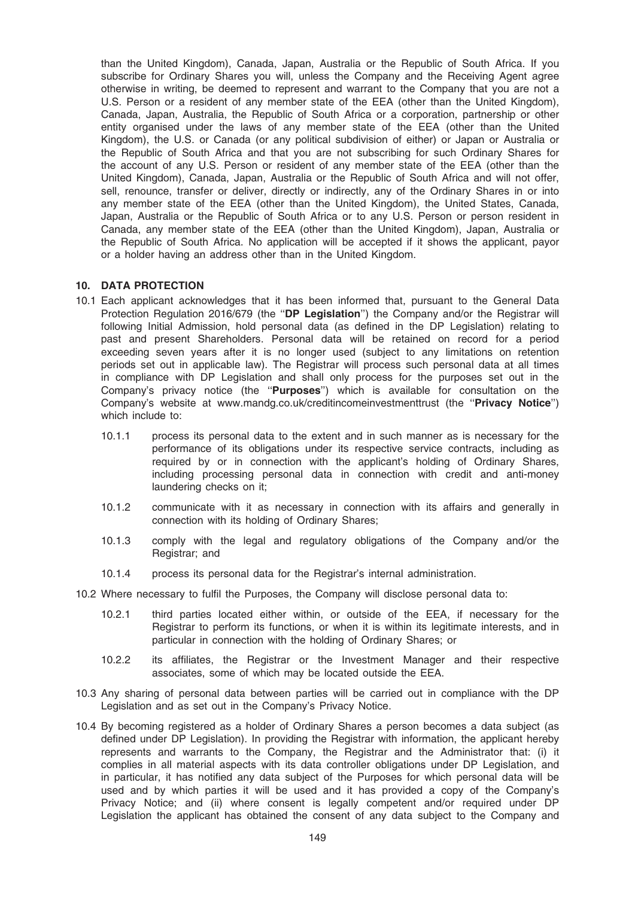than the United Kingdom), Canada, Japan, Australia or the Republic of South Africa. If you subscribe for Ordinary Shares you will, unless the Company and the Receiving Agent agree otherwise in writing, be deemed to represent and warrant to the Company that you are not a U.S. Person or a resident of any member state of the EEA (other than the United Kingdom), Canada, Japan, Australia, the Republic of South Africa or a corporation, partnership or other entity organised under the laws of any member state of the EEA (other than the United Kingdom), the U.S. or Canada (or any political subdivision of either) or Japan or Australia or the Republic of South Africa and that you are not subscribing for such Ordinary Shares for the account of any U.S. Person or resident of any member state of the EEA (other than the United Kingdom), Canada, Japan, Australia or the Republic of South Africa and will not offer, sell, renounce, transfer or deliver, directly or indirectly, any of the Ordinary Shares in or into any member state of the EEA (other than the United Kingdom), the United States, Canada, Japan, Australia or the Republic of South Africa or to any U.S. Person or person resident in Canada, any member state of the EEA (other than the United Kingdom), Japan, Australia or the Republic of South Africa. No application will be accepted if it shows the applicant, payor or a holder having an address other than in the United Kingdom.

## 10. DATA PROTECTION

- 10.1 Each applicant acknowledges that it has been informed that, pursuant to the General Data Protection Regulation 2016/679 (the "DP Legislation") the Company and/or the Registrar will following Initial Admission, hold personal data (as defined in the DP Legislation) relating to past and present Shareholders. Personal data will be retained on record for a period exceeding seven years after it is no longer used (subject to any limitations on retention periods set out in applicable law). The Registrar will process such personal data at all times in compliance with DP Legislation and shall only process for the purposes set out in the Company's privacy notice (the ''Purposes'') which is available for consultation on the Company's website at www.mandg.co.uk/creditincomeinvestmenttrust (the ''Privacy Notice'') which include to:
	- 10.1.1 process its personal data to the extent and in such manner as is necessary for the performance of its obligations under its respective service contracts, including as required by or in connection with the applicant's holding of Ordinary Shares, including processing personal data in connection with credit and anti-money laundering checks on it;
	- 10.1.2 communicate with it as necessary in connection with its affairs and generally in connection with its holding of Ordinary Shares;
	- 10.1.3 comply with the legal and regulatory obligations of the Company and/or the Registrar; and
	- 10.1.4 process its personal data for the Registrar's internal administration.

10.2 Where necessary to fulfil the Purposes, the Company will disclose personal data to:

- 10.2.1 third parties located either within, or outside of the EEA, if necessary for the Registrar to perform its functions, or when it is within its legitimate interests, and in particular in connection with the holding of Ordinary Shares; or
- 10.2.2 its affiliates, the Registrar or the Investment Manager and their respective associates, some of which may be located outside the EEA.
- 10.3 Any sharing of personal data between parties will be carried out in compliance with the DP Legislation and as set out in the Company's Privacy Notice.
- 10.4 By becoming registered as a holder of Ordinary Shares a person becomes a data subject (as defined under DP Legislation). In providing the Registrar with information, the applicant hereby represents and warrants to the Company, the Registrar and the Administrator that: (i) it complies in all material aspects with its data controller obligations under DP Legislation, and in particular, it has notified any data subject of the Purposes for which personal data will be used and by which parties it will be used and it has provided a copy of the Company's Privacy Notice; and (ii) where consent is legally competent and/or required under DP Legislation the applicant has obtained the consent of any data subject to the Company and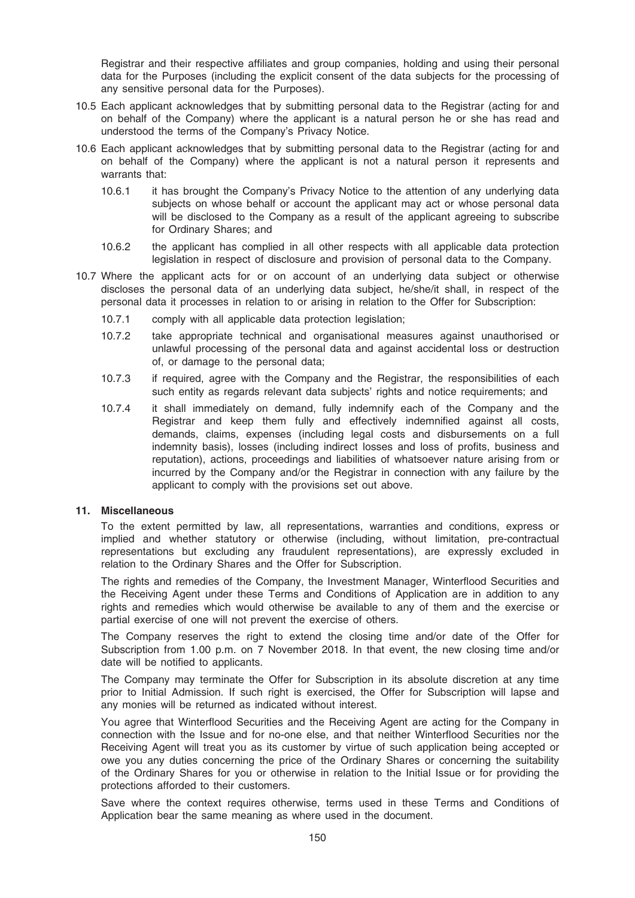Registrar and their respective affiliates and group companies, holding and using their personal data for the Purposes (including the explicit consent of the data subjects for the processing of any sensitive personal data for the Purposes).

- 10.5 Each applicant acknowledges that by submitting personal data to the Registrar (acting for and on behalf of the Company) where the applicant is a natural person he or she has read and understood the terms of the Company's Privacy Notice.
- 10.6 Each applicant acknowledges that by submitting personal data to the Registrar (acting for and on behalf of the Company) where the applicant is not a natural person it represents and warrants that:
	- 10.6.1 it has brought the Company's Privacy Notice to the attention of any underlying data subjects on whose behalf or account the applicant may act or whose personal data will be disclosed to the Company as a result of the applicant agreeing to subscribe for Ordinary Shares; and
	- 10.6.2 the applicant has complied in all other respects with all applicable data protection legislation in respect of disclosure and provision of personal data to the Company.
- 10.7 Where the applicant acts for or on account of an underlying data subject or otherwise discloses the personal data of an underlying data subject, he/she/it shall, in respect of the personal data it processes in relation to or arising in relation to the Offer for Subscription:
	- 10.7.1 comply with all applicable data protection legislation;
	- 10.7.2 take appropriate technical and organisational measures against unauthorised or unlawful processing of the personal data and against accidental loss or destruction of, or damage to the personal data;
	- 10.7.3 if required, agree with the Company and the Registrar, the responsibilities of each such entity as regards relevant data subjects' rights and notice requirements: and
	- 10.7.4 it shall immediately on demand, fully indemnify each of the Company and the Registrar and keep them fully and effectively indemnified against all costs, demands, claims, expenses (including legal costs and disbursements on a full indemnity basis), losses (including indirect losses and loss of profits, business and reputation), actions, proceedings and liabilities of whatsoever nature arising from or incurred by the Company and/or the Registrar in connection with any failure by the applicant to comply with the provisions set out above.

## 11. Miscellaneous

To the extent permitted by law, all representations, warranties and conditions, express or implied and whether statutory or otherwise (including, without limitation, pre-contractual representations but excluding any fraudulent representations), are expressly excluded in relation to the Ordinary Shares and the Offer for Subscription.

The rights and remedies of the Company, the Investment Manager, Winterflood Securities and the Receiving Agent under these Terms and Conditions of Application are in addition to any rights and remedies which would otherwise be available to any of them and the exercise or partial exercise of one will not prevent the exercise of others.

The Company reserves the right to extend the closing time and/or date of the Offer for Subscription from 1.00 p.m. on 7 November 2018. In that event, the new closing time and/or date will be notified to applicants.

The Company may terminate the Offer for Subscription in its absolute discretion at any time prior to Initial Admission. If such right is exercised, the Offer for Subscription will lapse and any monies will be returned as indicated without interest.

You agree that Winterflood Securities and the Receiving Agent are acting for the Company in connection with the Issue and for no-one else, and that neither Winterflood Securities nor the Receiving Agent will treat you as its customer by virtue of such application being accepted or owe you any duties concerning the price of the Ordinary Shares or concerning the suitability of the Ordinary Shares for you or otherwise in relation to the Initial Issue or for providing the protections afforded to their customers.

Save where the context requires otherwise, terms used in these Terms and Conditions of Application bear the same meaning as where used in the document.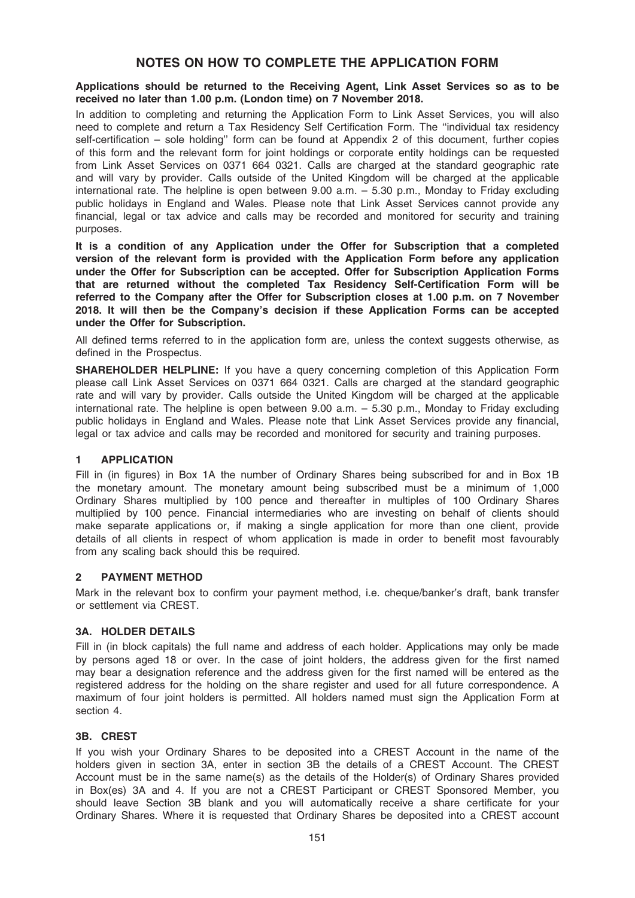# NOTES ON HOW TO COMPLETE THE APPLICATION FORM

#### Applications should be returned to the Receiving Agent, Link Asset Services so as to be received no later than 1.00 p.m. (London time) on 7 November 2018.

In addition to completing and returning the Application Form to Link Asset Services, you will also need to complete and return a Tax Residency Self Certification Form. The ''individual tax residency self-certification – sole holding'' form can be found at Appendix 2 of this document, further copies of this form and the relevant form for joint holdings or corporate entity holdings can be requested from Link Asset Services on 0371 664 0321. Calls are charged at the standard geographic rate and will vary by provider. Calls outside of the United Kingdom will be charged at the applicable international rate. The helpline is open between 9.00 a.m. – 5.30 p.m., Monday to Friday excluding public holidays in England and Wales. Please note that Link Asset Services cannot provide any financial, legal or tax advice and calls may be recorded and monitored for security and training purposes.

It is a condition of any Application under the Offer for Subscription that a completed version of the relevant form is provided with the Application Form before any application under the Offer for Subscription can be accepted. Offer for Subscription Application Forms that are returned without the completed Tax Residency Self-Certification Form will be referred to the Company after the Offer for Subscription closes at 1.00 p.m. on 7 November 2018. It will then be the Company's decision if these Application Forms can be accepted under the Offer for Subscription.

All defined terms referred to in the application form are, unless the context suggests otherwise, as defined in the Prospectus.

**SHAREHOLDER HELPLINE:** If you have a query concerning completion of this Application Form please call Link Asset Services on 0371 664 0321. Calls are charged at the standard geographic rate and will vary by provider. Calls outside the United Kingdom will be charged at the applicable international rate. The helpline is open between 9.00 a.m. – 5.30 p.m., Monday to Friday excluding public holidays in England and Wales. Please note that Link Asset Services provide any financial, legal or tax advice and calls may be recorded and monitored for security and training purposes.

# 1 APPLICATION

Fill in (in figures) in Box 1A the number of Ordinary Shares being subscribed for and in Box 1B the monetary amount. The monetary amount being subscribed must be a minimum of 1,000 Ordinary Shares multiplied by 100 pence and thereafter in multiples of 100 Ordinary Shares multiplied by 100 pence. Financial intermediaries who are investing on behalf of clients should make separate applications or, if making a single application for more than one client, provide details of all clients in respect of whom application is made in order to benefit most favourably from any scaling back should this be required.

#### 2 PAYMENT METHOD

Mark in the relevant box to confirm your payment method, i.e. cheque/banker's draft, bank transfer or settlement via CREST.

#### 3A. HOLDER DETAILS

Fill in (in block capitals) the full name and address of each holder. Applications may only be made by persons aged 18 or over. In the case of joint holders, the address given for the first named may bear a designation reference and the address given for the first named will be entered as the registered address for the holding on the share register and used for all future correspondence. A maximum of four joint holders is permitted. All holders named must sign the Application Form at section 4.

#### 3B. CREST

If you wish your Ordinary Shares to be deposited into a CREST Account in the name of the holders given in section 3A, enter in section 3B the details of a CREST Account. The CREST Account must be in the same name(s) as the details of the Holder(s) of Ordinary Shares provided in Box(es) 3A and 4. If you are not a CREST Participant or CREST Sponsored Member, you should leave Section 3B blank and you will automatically receive a share certificate for your Ordinary Shares. Where it is requested that Ordinary Shares be deposited into a CREST account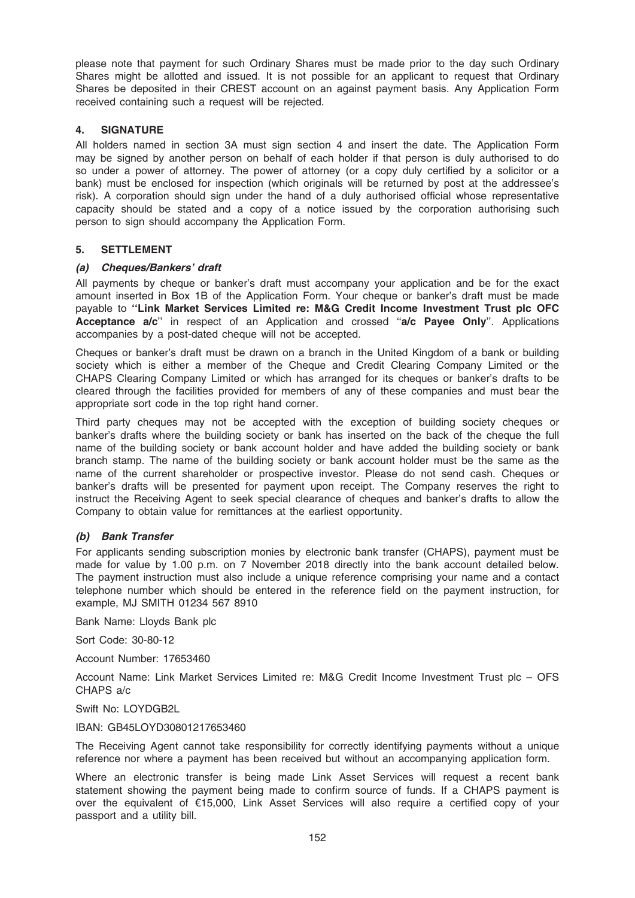please note that payment for such Ordinary Shares must be made prior to the day such Ordinary Shares might be allotted and issued. It is not possible for an applicant to request that Ordinary Shares be deposited in their CREST account on an against payment basis. Any Application Form received containing such a request will be rejected.

# 4. SIGNATURE

All holders named in section 3A must sign section 4 and insert the date. The Application Form may be signed by another person on behalf of each holder if that person is duly authorised to do so under a power of attorney. The power of attorney (or a copy duly certified by a solicitor or a bank) must be enclosed for inspection (which originals will be returned by post at the addressee's risk). A corporation should sign under the hand of a duly authorised official whose representative capacity should be stated and a copy of a notice issued by the corporation authorising such person to sign should accompany the Application Form.

# 5. SETTLEMENT

# (a) Cheques/Bankers' draft

All payments by cheque or banker's draft must accompany your application and be for the exact amount inserted in Box 1B of the Application Form. Your cheque or banker's draft must be made payable to ''Link Market Services Limited re: M&G Credit Income Investment Trust plc OFC Acceptance a/c" in respect of an Application and crossed "a/c Payee Only". Applications accompanies by a post-dated cheque will not be accepted.

Cheques or banker's draft must be drawn on a branch in the United Kingdom of a bank or building society which is either a member of the Cheque and Credit Clearing Company Limited or the CHAPS Clearing Company Limited or which has arranged for its cheques or banker's drafts to be cleared through the facilities provided for members of any of these companies and must bear the appropriate sort code in the top right hand corner.

Third party cheques may not be accepted with the exception of building society cheques or banker's drafts where the building society or bank has inserted on the back of the cheque the full name of the building society or bank account holder and have added the building society or bank branch stamp. The name of the building society or bank account holder must be the same as the name of the current shareholder or prospective investor. Please do not send cash. Cheques or banker's drafts will be presented for payment upon receipt. The Company reserves the right to instruct the Receiving Agent to seek special clearance of cheques and banker's drafts to allow the Company to obtain value for remittances at the earliest opportunity.

# (b) Bank Transfer

For applicants sending subscription monies by electronic bank transfer (CHAPS), payment must be made for value by 1.00 p.m. on 7 November 2018 directly into the bank account detailed below. The payment instruction must also include a unique reference comprising your name and a contact telephone number which should be entered in the reference field on the payment instruction, for example, MJ SMITH 01234 567 8910

Bank Name: Lloyds Bank plc

Sort Code: 30-80-12

Account Number: 17653460

Account Name: Link Market Services Limited re: M&G Credit Income Investment Trust plc – OFS CHAPS a/c

Swift No: LOYDGB2L

IBAN: GB45LOYD30801217653460

The Receiving Agent cannot take responsibility for correctly identifying payments without a unique reference nor where a payment has been received but without an accompanying application form.

Where an electronic transfer is being made Link Asset Services will request a recent bank statement showing the payment being made to confirm source of funds. If a CHAPS payment is over the equivalent of e15,000, Link Asset Services will also require a certified copy of your passport and a utility bill.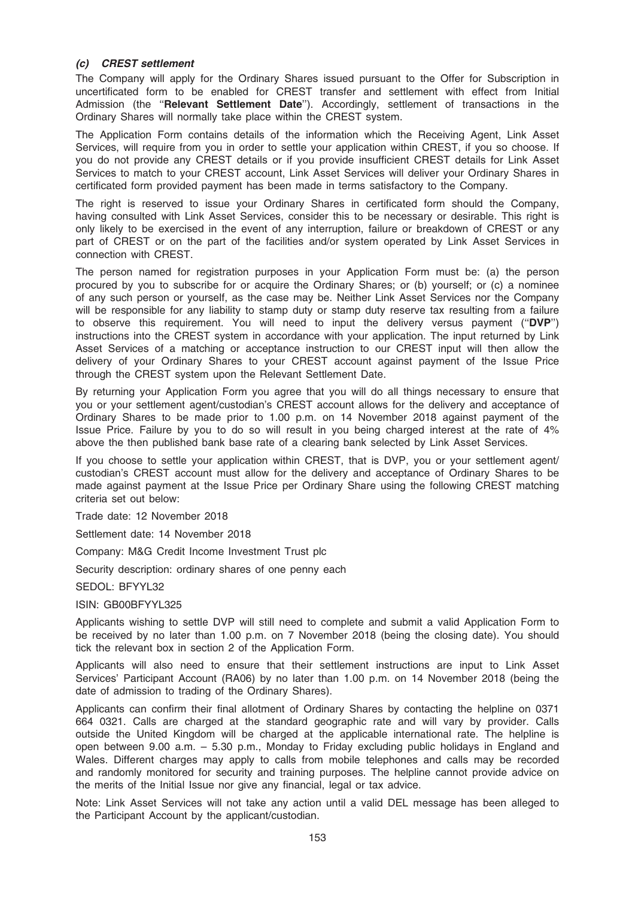## (c) CREST settlement

The Company will apply for the Ordinary Shares issued pursuant to the Offer for Subscription in uncertificated form to be enabled for CREST transfer and settlement with effect from Initial Admission (the "Relevant Settlement Date"). Accordingly, settlement of transactions in the Ordinary Shares will normally take place within the CREST system.

The Application Form contains details of the information which the Receiving Agent, Link Asset Services, will require from you in order to settle your application within CREST, if you so choose. If you do not provide any CREST details or if you provide insufficient CREST details for Link Asset Services to match to your CREST account, Link Asset Services will deliver your Ordinary Shares in certificated form provided payment has been made in terms satisfactory to the Company.

The right is reserved to issue your Ordinary Shares in certificated form should the Company, having consulted with Link Asset Services, consider this to be necessary or desirable. This right is only likely to be exercised in the event of any interruption, failure or breakdown of CREST or any part of CREST or on the part of the facilities and/or system operated by Link Asset Services in connection with CREST.

The person named for registration purposes in your Application Form must be: (a) the person procured by you to subscribe for or acquire the Ordinary Shares; or (b) yourself; or (c) a nominee of any such person or yourself, as the case may be. Neither Link Asset Services nor the Company will be responsible for any liability to stamp duty or stamp duty reserve tax resulting from a failure to observe this requirement. You will need to input the delivery versus payment ("DVP") instructions into the CREST system in accordance with your application. The input returned by Link Asset Services of a matching or acceptance instruction to our CREST input will then allow the delivery of your Ordinary Shares to your CREST account against payment of the Issue Price through the CREST system upon the Relevant Settlement Date.

By returning your Application Form you agree that you will do all things necessary to ensure that you or your settlement agent/custodian's CREST account allows for the delivery and acceptance of Ordinary Shares to be made prior to 1.00 p.m. on 14 November 2018 against payment of the Issue Price. Failure by you to do so will result in you being charged interest at the rate of 4% above the then published bank base rate of a clearing bank selected by Link Asset Services.

If you choose to settle your application within CREST, that is DVP, you or your settlement agent/ custodian's CREST account must allow for the delivery and acceptance of Ordinary Shares to be made against payment at the Issue Price per Ordinary Share using the following CREST matching criteria set out below:

Trade date: 12 November 2018

Settlement date: 14 November 2018

Company: M&G Credit Income Investment Trust plc

Security description: ordinary shares of one penny each

SEDOL: BFYYL32

ISIN: GB00BFYYL325

Applicants wishing to settle DVP will still need to complete and submit a valid Application Form to be received by no later than 1.00 p.m. on 7 November 2018 (being the closing date). You should tick the relevant box in section 2 of the Application Form.

Applicants will also need to ensure that their settlement instructions are input to Link Asset Services' Participant Account (RA06) by no later than 1.00 p.m. on 14 November 2018 (being the date of admission to trading of the Ordinary Shares).

Applicants can confirm their final allotment of Ordinary Shares by contacting the helpline on 0371 664 0321. Calls are charged at the standard geographic rate and will vary by provider. Calls outside the United Kingdom will be charged at the applicable international rate. The helpline is open between 9.00 a.m. – 5.30 p.m., Monday to Friday excluding public holidays in England and Wales. Different charges may apply to calls from mobile telephones and calls may be recorded and randomly monitored for security and training purposes. The helpline cannot provide advice on the merits of the Initial Issue nor give any financial, legal or tax advice.

Note: Link Asset Services will not take any action until a valid DEL message has been alleged to the Participant Account by the applicant/custodian.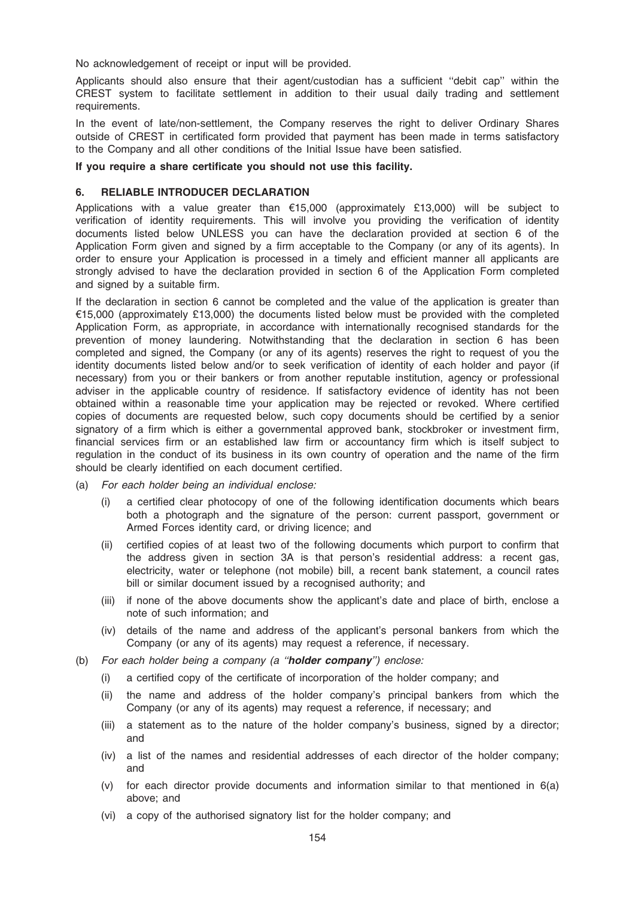No acknowledgement of receipt or input will be provided.

Applicants should also ensure that their agent/custodian has a sufficient ''debit cap'' within the CREST system to facilitate settlement in addition to their usual daily trading and settlement requirements.

In the event of late/non-settlement, the Company reserves the right to deliver Ordinary Shares outside of CREST in certificated form provided that payment has been made in terms satisfactory to the Company and all other conditions of the Initial Issue have been satisfied.

#### If you require a share certificate you should not use this facility.

# 6. RELIABLE INTRODUCER DECLARATION

Applications with a value greater than  $£15,000$  (approximately £13,000) will be subject to verification of identity requirements. This will involve you providing the verification of identity documents listed below UNLESS you can have the declaration provided at section 6 of the Application Form given and signed by a firm acceptable to the Company (or any of its agents). In order to ensure your Application is processed in a timely and efficient manner all applicants are strongly advised to have the declaration provided in section 6 of the Application Form completed and signed by a suitable firm.

If the declaration in section 6 cannot be completed and the value of the application is greater than  $€15,000$  (approximately £13,000) the documents listed below must be provided with the completed Application Form, as appropriate, in accordance with internationally recognised standards for the prevention of money laundering. Notwithstanding that the declaration in section 6 has been completed and signed, the Company (or any of its agents) reserves the right to request of you the identity documents listed below and/or to seek verification of identity of each holder and payor (if necessary) from you or their bankers or from another reputable institution, agency or professional adviser in the applicable country of residence. If satisfactory evidence of identity has not been obtained within a reasonable time your application may be rejected or revoked. Where certified copies of documents are requested below, such copy documents should be certified by a senior signatory of a firm which is either a governmental approved bank, stockbroker or investment firm, financial services firm or an established law firm or accountancy firm which is itself subject to regulation in the conduct of its business in its own country of operation and the name of the firm should be clearly identified on each document certified.

- (a) For each holder being an individual enclose:
	- (i) a certified clear photocopy of one of the following identification documents which bears both a photograph and the signature of the person: current passport, government or Armed Forces identity card, or driving licence; and
	- (ii) certified copies of at least two of the following documents which purport to confirm that the address given in section 3A is that person's residential address: a recent gas, electricity, water or telephone (not mobile) bill, a recent bank statement, a council rates bill or similar document issued by a recognised authority; and
	- (iii) if none of the above documents show the applicant's date and place of birth, enclose a note of such information; and
	- (iv) details of the name and address of the applicant's personal bankers from which the Company (or any of its agents) may request a reference, if necessary.
- (b) For each holder being a company (a "**holder company**") enclose:
	- (i) a certified copy of the certificate of incorporation of the holder company; and
	- (ii) the name and address of the holder company's principal bankers from which the Company (or any of its agents) may request a reference, if necessary; and
	- (iii) a statement as to the nature of the holder company's business, signed by a director; and
	- (iv) a list of the names and residential addresses of each director of the holder company; and
	- (v) for each director provide documents and information similar to that mentioned in 6(a) above; and
	- (vi) a copy of the authorised signatory list for the holder company; and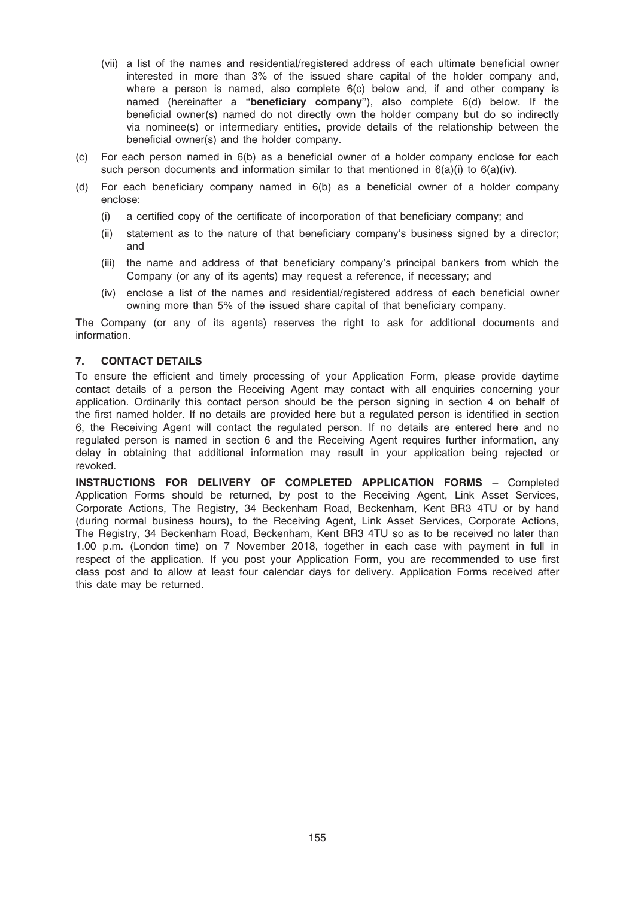- (vii) a list of the names and residential/registered address of each ultimate beneficial owner interested in more than 3% of the issued share capital of the holder company and, where a person is named, also complete 6(c) below and, if and other company is named (hereinafter a "beneficiary company"), also complete 6(d) below. If the beneficial owner(s) named do not directly own the holder company but do so indirectly via nominee(s) or intermediary entities, provide details of the relationship between the beneficial owner(s) and the holder company.
- (c) For each person named in 6(b) as a beneficial owner of a holder company enclose for each such person documents and information similar to that mentioned in  $6(a)(i)$  to  $6(a)(iv)$ .
- (d) For each beneficiary company named in 6(b) as a beneficial owner of a holder company enclose:
	- (i) a certified copy of the certificate of incorporation of that beneficiary company; and
	- (ii) statement as to the nature of that beneficiary company's business signed by a director; and
	- (iii) the name and address of that beneficiary company's principal bankers from which the Company (or any of its agents) may request a reference, if necessary; and
	- (iv) enclose a list of the names and residential/registered address of each beneficial owner owning more than 5% of the issued share capital of that beneficiary company.

The Company (or any of its agents) reserves the right to ask for additional documents and information.

# 7. CONTACT DETAILS

To ensure the efficient and timely processing of your Application Form, please provide daytime contact details of a person the Receiving Agent may contact with all enquiries concerning your application. Ordinarily this contact person should be the person signing in section 4 on behalf of the first named holder. If no details are provided here but a regulated person is identified in section 6, the Receiving Agent will contact the regulated person. If no details are entered here and no regulated person is named in section 6 and the Receiving Agent requires further information, any delay in obtaining that additional information may result in your application being rejected or revoked.

INSTRUCTIONS FOR DELIVERY OF COMPLETED APPLICATION FORMS – Completed Application Forms should be returned, by post to the Receiving Agent, Link Asset Services, Corporate Actions, The Registry, 34 Beckenham Road, Beckenham, Kent BR3 4TU or by hand (during normal business hours), to the Receiving Agent, Link Asset Services, Corporate Actions, The Registry, 34 Beckenham Road, Beckenham, Kent BR3 4TU so as to be received no later than 1.00 p.m. (London time) on 7 November 2018, together in each case with payment in full in respect of the application. If you post your Application Form, you are recommended to use first class post and to allow at least four calendar days for delivery. Application Forms received after this date may be returned.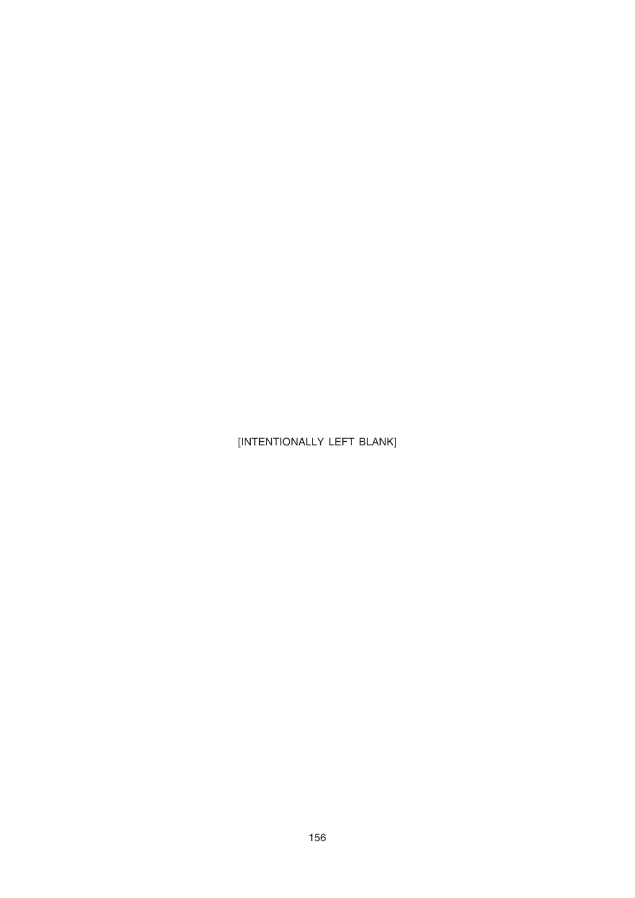[INTENTIONALLY LEFT BLANK]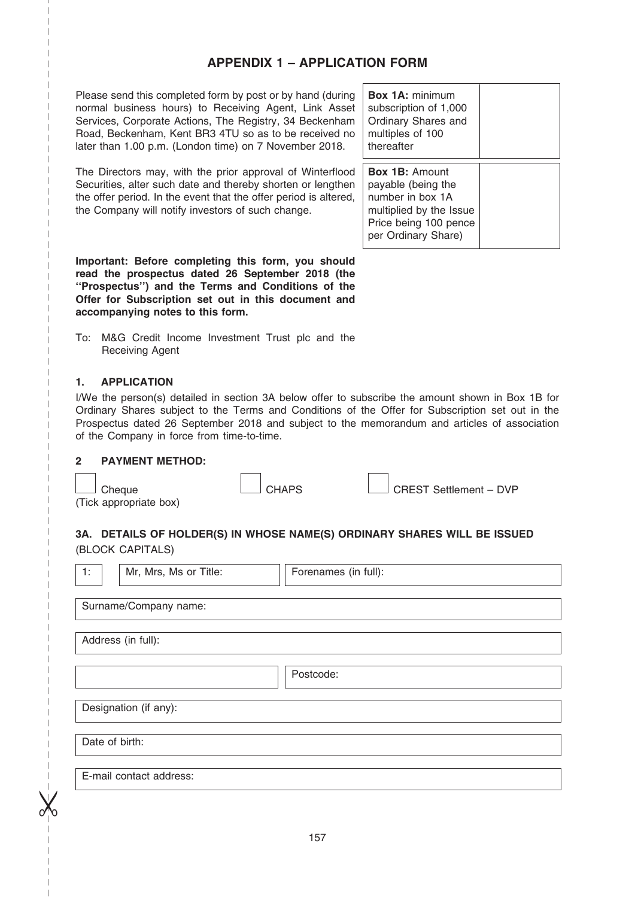# APPENDIX 1 – APPLICATION FORM

Please send this completed form by post or by hand (during normal business hours) to Receiving Agent, Link Asset Services, Corporate Actions, The Registry, 34 Beckenham Road, Beckenham, Kent BR3 4TU so as to be received no later than 1.00 p.m. (London time) on 7 November 2018.

The Directors may, with the prior approval of Winterflood Securities, alter such date and thereby shorten or lengthen the offer period. In the event that the offer period is altered, the Company will notify investors of such change.

Box 1A: minimum subscription of 1,000 Ordinary Shares and multiples of 100 thereafter Box 1B: Amount payable (being the number in box 1A multiplied by the Issue Price being 100 pence per Ordinary Share)

Important: Before completing this form, you should read the prospectus dated 26 September 2018 (the ''Prospectus'') and the Terms and Conditions of the Offer for Subscription set out in this document and accompanying notes to this form.

To: M&G Credit Income Investment Trust plc and the Receiving Agent

# 1. APPLICATION

–––––––––––––––––––––––––– ––––––––––––––––––––––––––––– –––––––––––––––––––––––––––––

 $\chi$ 

–

I/We the person(s) detailed in section 3A below offer to subscribe the amount shown in Box 1B for Ordinary Shares subject to the Terms and Conditions of the Offer for Subscription set out in the Prospectus dated 26 September 2018 and subject to the memorandum and articles of association of the Company in force from time-to-time.

# 2 PAYMENT METHOD:

| $\Box$ Cheque          | $\Box$ CHAPS | CREST Settlement - DVP |
|------------------------|--------------|------------------------|
| (Tick appropriate box) |              |                        |

# 3A. DETAILS OF HOLDER(S) IN WHOSE NAME(S) ORDINARY SHARES WILL BE ISSUED (BLOCK CAPITALS)

| 1:             | Mr, Mrs, Ms or Title:   | Forenames (in full): |
|----------------|-------------------------|----------------------|
|                | Surname/Company name:   |                      |
|                | Address (in full):      |                      |
|                |                         | Postcode:            |
|                | Designation (if any):   |                      |
| Date of birth: |                         |                      |
|                | E-mail contact address: |                      |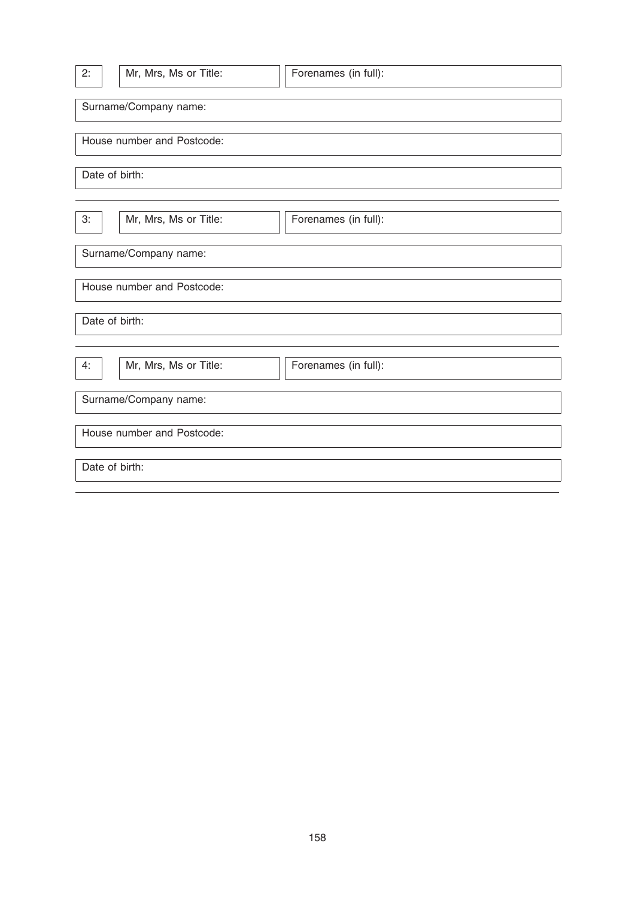| 2:<br>Mr, Mrs, Ms or Title:<br>Forenames (in full): |
|-----------------------------------------------------|
| Surname/Company name:                               |
| House number and Postcode:                          |
| Date of birth:                                      |
|                                                     |
| 3:<br>Mr, Mrs, Ms or Title:<br>Forenames (in full): |
| Surname/Company name:                               |
| House number and Postcode:                          |
| Date of birth:                                      |
|                                                     |
| Mr, Mrs, Ms or Title:<br>Forenames (in full):<br>4: |
| Surname/Company name:                               |
| House number and Postcode:                          |
| Date of birth:                                      |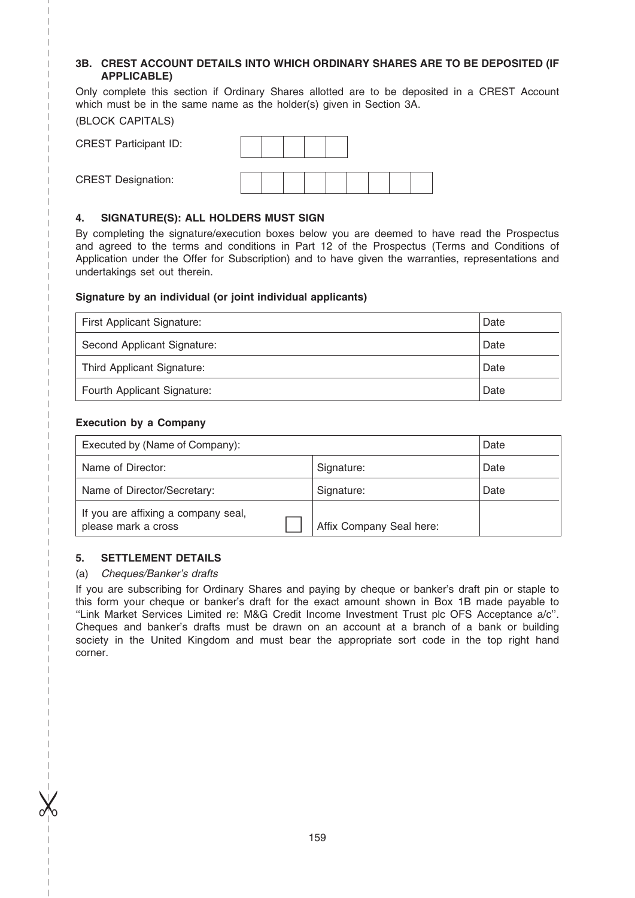# 3B. CREST ACCOUNT DETAILS INTO WHICH ORDINARY SHARES ARE TO BE DEPOSITED (IF APPLICABLE)

Only complete this section if Ordinary Shares allotted are to be deposited in a CREST Account which must be in the same name as the holder(s) given in Section 3A.

(BLOCK CAPITALS) CREST Participant ID:

CREST Designation:

# 4. SIGNATURE(S): ALL HOLDERS MUST SIGN

By completing the signature/execution boxes below you are deemed to have read the Prospectus and agreed to the terms and conditions in Part 12 of the Prospectus (Terms and Conditions of Application under the Offer for Subscription) and to have given the warranties, representations and undertakings set out therein.

#### Signature by an individual (or joint individual applicants)

| <b>First Applicant Signature:</b> | Date |
|-----------------------------------|------|
| Second Applicant Signature:       | Date |
| Third Applicant Signature:        | Date |
| Fourth Applicant Signature:       | Date |

## Execution by a Company

–––––––––––––––––––––––––– ––––––––––––––––––––––––––––– –––––––––––––––––––––––––––––

 $\chi$ 

–

| Executed by (Name of Company):                             |                          | Date |
|------------------------------------------------------------|--------------------------|------|
| Name of Director:                                          | Signature:               | Date |
| Name of Director/Secretary:                                | Signature:               | Date |
| If you are affixing a company seal,<br>please mark a cross | Affix Company Seal here: |      |

# 5. SETTLEMENT DETAILS

#### (a) Cheques/Banker's drafts

If you are subscribing for Ordinary Shares and paying by cheque or banker's draft pin or staple to this form your cheque or banker's draft for the exact amount shown in Box 1B made payable to ''Link Market Services Limited re: M&G Credit Income Investment Trust plc OFS Acceptance a/c''. Cheques and banker's drafts must be drawn on an account at a branch of a bank or building society in the United Kingdom and must bear the appropriate sort code in the top right hand corner.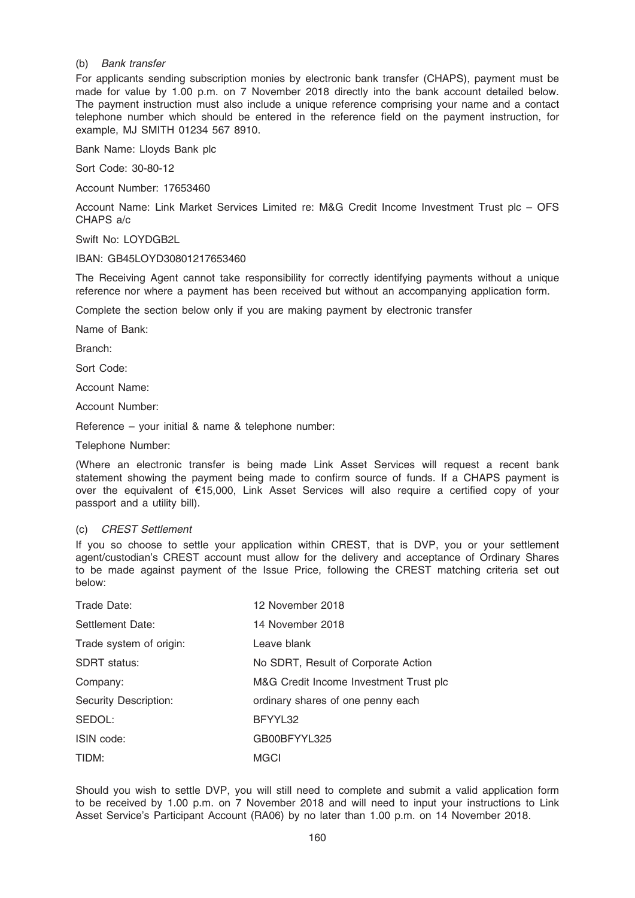#### (b) Bank transfer

For applicants sending subscription monies by electronic bank transfer (CHAPS), payment must be made for value by 1.00 p.m. on 7 November 2018 directly into the bank account detailed below. The payment instruction must also include a unique reference comprising your name and a contact telephone number which should be entered in the reference field on the payment instruction, for example, MJ SMITH 01234 567 8910.

Bank Name: Lloyds Bank plc

Sort Code: 30-80-12

Account Number: 17653460

Account Name: Link Market Services Limited re: M&G Credit Income Investment Trust plc – OFS CHAPS a/c

Swift No: LOYDGB2L

#### IBAN: GB45LOYD30801217653460

The Receiving Agent cannot take responsibility for correctly identifying payments without a unique reference nor where a payment has been received but without an accompanying application form.

Complete the section below only if you are making payment by electronic transfer

Name of Bank:

Branch:

Sort Code:

Account Name:

Account Number:

Reference – your initial & name & telephone number:

Telephone Number:

(Where an electronic transfer is being made Link Asset Services will request a recent bank statement showing the payment being made to confirm source of funds. If a CHAPS payment is over the equivalent of e15,000, Link Asset Services will also require a certified copy of your passport and a utility bill).

#### (c) CREST Settlement

If you so choose to settle your application within CREST, that is DVP, you or your settlement agent/custodian's CREST account must allow for the delivery and acceptance of Ordinary Shares to be made against payment of the Issue Price, following the CREST matching criteria set out below:

| Trade Date:                  | 12 November 2018                       |
|------------------------------|----------------------------------------|
| Settlement Date:             | 14 November 2018                       |
| Trade system of origin:      | Leave blank                            |
| <b>SDRT</b> status:          | No SDRT, Result of Corporate Action    |
| Company:                     | M&G Credit Income Investment Trust plc |
| <b>Security Description:</b> | ordinary shares of one penny each      |
| SEDOL:                       | BFYYL32                                |
| ISIN code:                   | GB00BFYYL325                           |
| TIDM:                        | <b>MGCI</b>                            |

Should you wish to settle DVP, you will still need to complete and submit a valid application form to be received by 1.00 p.m. on 7 November 2018 and will need to input your instructions to Link Asset Service's Participant Account (RA06) by no later than 1.00 p.m. on 14 November 2018.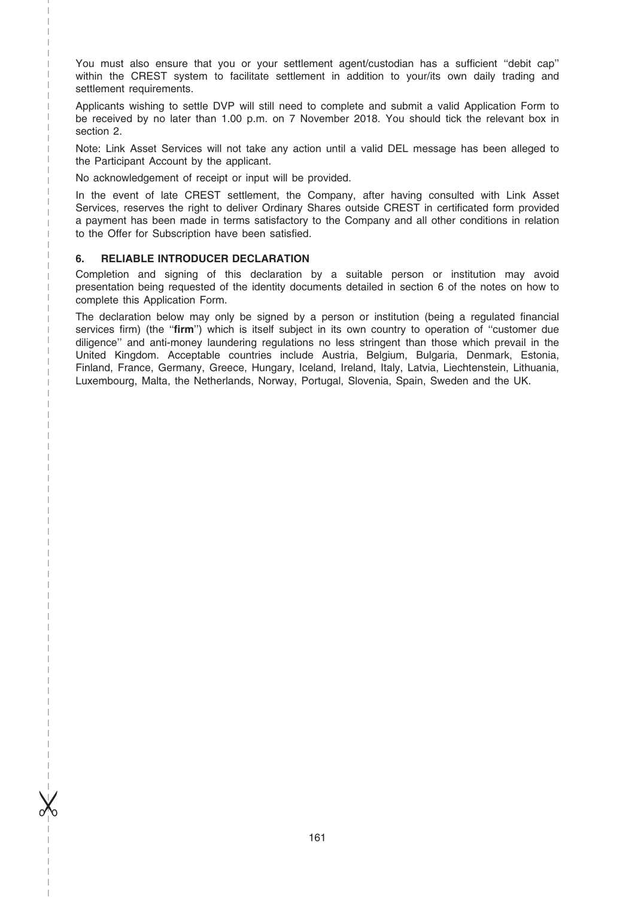You must also ensure that you or your settlement agent/custodian has a sufficient ''debit cap'' within the CREST system to facilitate settlement in addition to your/its own daily trading and settlement requirements.

Applicants wishing to settle DVP will still need to complete and submit a valid Application Form to be received by no later than 1.00 p.m. on 7 November 2018. You should tick the relevant box in section 2.

Note: Link Asset Services will not take any action until a valid DEL message has been alleged to the Participant Account by the applicant.

No acknowledgement of receipt or input will be provided.

In the event of late CREST settlement, the Company, after having consulted with Link Asset Services, reserves the right to deliver Ordinary Shares outside CREST in certificated form provided a payment has been made in terms satisfactory to the Company and all other conditions in relation to the Offer for Subscription have been satisfied.

# 6. RELIABLE INTRODUCER DECLARATION

–––––––––––––––––––––––––– ––––––––––––––––––––––––––––– –––––––––––––––––––––––––––––

 $\chi$ 

–

Completion and signing of this declaration by a suitable person or institution may avoid presentation being requested of the identity documents detailed in section 6 of the notes on how to complete this Application Form.

The declaration below may only be signed by a person or institution (being a regulated financial services firm) (the "firm") which is itself subject in its own country to operation of "customer due diligence'' and anti-money laundering regulations no less stringent than those which prevail in the United Kingdom. Acceptable countries include Austria, Belgium, Bulgaria, Denmark, Estonia, Finland, France, Germany, Greece, Hungary, Iceland, Ireland, Italy, Latvia, Liechtenstein, Lithuania, Luxembourg, Malta, the Netherlands, Norway, Portugal, Slovenia, Spain, Sweden and the UK.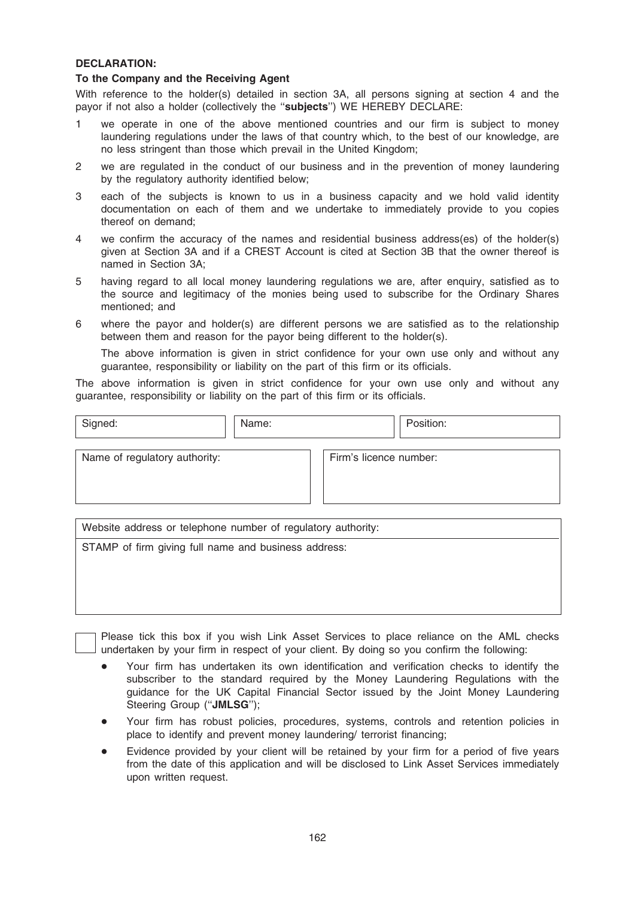# DECLARATION:

## To the Company and the Receiving Agent

With reference to the holder(s) detailed in section 3A, all persons signing at section 4 and the payor if not also a holder (collectively the "subjects") WE HEREBY DECLARE:

- 1 we operate in one of the above mentioned countries and our firm is subject to money laundering regulations under the laws of that country which, to the best of our knowledge, are no less stringent than those which prevail in the United Kingdom;
- 2 we are regulated in the conduct of our business and in the prevention of money laundering by the regulatory authority identified below;
- 3 each of the subjects is known to us in a business capacity and we hold valid identity documentation on each of them and we undertake to immediately provide to you copies thereof on demand;
- 4 we confirm the accuracy of the names and residential business address(es) of the holder(s) given at Section 3A and if a CREST Account is cited at Section 3B that the owner thereof is named in Section 3A;
- 5 having regard to all local money laundering regulations we are, after enquiry, satisfied as to the source and legitimacy of the monies being used to subscribe for the Ordinary Shares mentioned; and
- 6 where the payor and holder(s) are different persons we are satisfied as to the relationship between them and reason for the payor being different to the holder(s).

The above information is given in strict confidence for your own use only and without any guarantee, responsibility or liability on the part of this firm or its officials.

The above information is given in strict confidence for your own use only and without any guarantee, responsibility or liability on the part of this firm or its officials.

| Signed:                                                      | Name: |                        | Position: |
|--------------------------------------------------------------|-------|------------------------|-----------|
| Name of regulatory authority:                                |       | Firm's licence number: |           |
| Website address or telephone number of regulatory authority: |       |                        |           |
| STAMP of firm giving full name and business address:         |       |                        |           |

Please tick this box if you wish Link Asset Services to place reliance on the AML checks undertaken by your firm in respect of your client. By doing so you confirm the following:

- Your firm has undertaken its own identification and verification checks to identify the subscriber to the standard required by the Money Laundering Regulations with the guidance for the UK Capital Financial Sector issued by the Joint Money Laundering Steering Group ("JMLSG");
- Your firm has robust policies, procedures, systems, controls and retention policies in place to identify and prevent money laundering/ terrorist financing;
- Evidence provided by your client will be retained by your firm for a period of five years from the date of this application and will be disclosed to Link Asset Services immediately upon written request.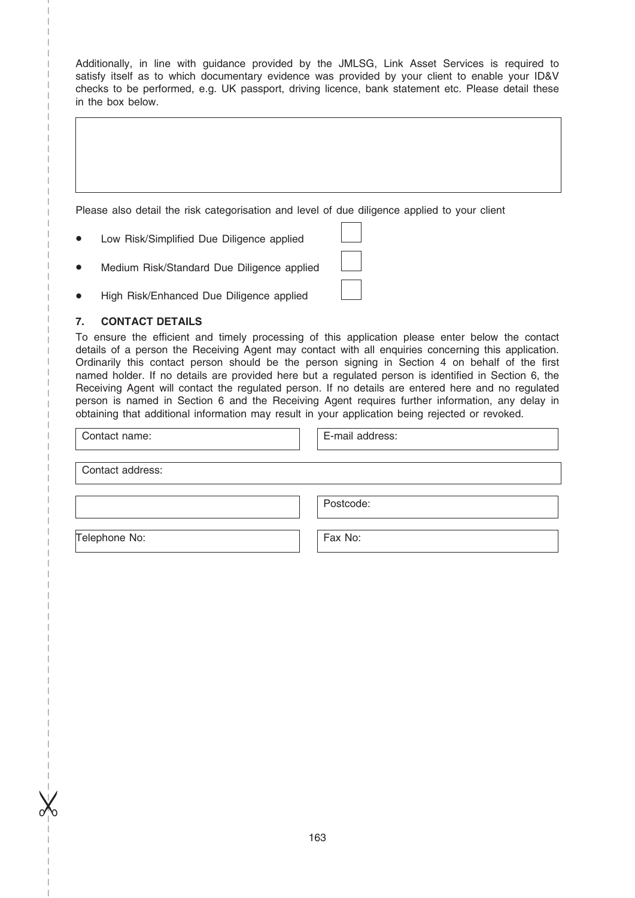Additionally, in line with guidance provided by the JMLSG, Link Asset Services is required to satisfy itself as to which documentary evidence was provided by your client to enable your ID&V checks to be performed, e.g. UK passport, driving licence, bank statement etc. Please detail these in the box below.

Please also detail the risk categorisation and level of due diligence applied to your client

- Low Risk/Simplified Due Diligence applied
- Medium Risk/Standard Due Diligence applied
- High Risk/Enhanced Due Diligence applied

# 7. CONTACT DETAILS

–––––––––––––––––––––––––– ––––––––––––––––––––––––––––– –––––––––––––––––––––––––––––

 $\chi$ 

–

To ensure the efficient and timely processing of this application please enter below the contact details of a person the Receiving Agent may contact with all enquiries concerning this application. Ordinarily this contact person should be the person signing in Section 4 on behalf of the first named holder. If no details are provided here but a regulated person is identified in Section 6, the Receiving Agent will contact the regulated person. If no details are entered here and no regulated person is named in Section 6 and the Receiving Agent requires further information, any delay in obtaining that additional information may result in your application being rejected or revoked.

| Contact name:    | E-mail address: |
|------------------|-----------------|
| Contact address: |                 |
|                  | Postcode:       |
| Telephone No:    | Fax No:         |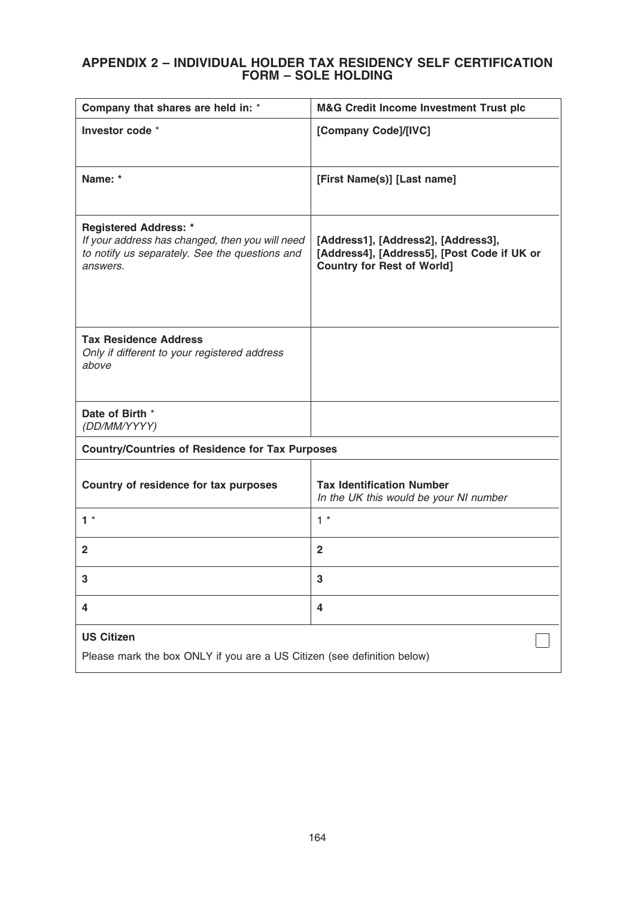# APPENDIX 2 – INDIVIDUAL HOLDER TAX RESIDENCY SELF CERTIFICATION FORM – SOLE HOLDING

| Company that shares are held in: *                                                                                                            | <b>M&amp;G Credit Income Investment Trust plc</b>                                                                       |
|-----------------------------------------------------------------------------------------------------------------------------------------------|-------------------------------------------------------------------------------------------------------------------------|
| Investor code *                                                                                                                               | [Company Code]/[IVC]                                                                                                    |
| Name: *                                                                                                                                       | [First Name(s)] [Last name]                                                                                             |
| <b>Registered Address: *</b><br>If your address has changed, then you will need<br>to notify us separately. See the questions and<br>answers. | [Address1], [Address2], [Address3],<br>[Address4], [Address5], [Post Code if UK or<br><b>Country for Rest of World]</b> |
| <b>Tax Residence Address</b><br>Only if different to your registered address<br>above                                                         |                                                                                                                         |
| Date of Birth *<br>(DD/MM/YYYY)                                                                                                               |                                                                                                                         |
| <b>Country/Countries of Residence for Tax Purposes</b>                                                                                        |                                                                                                                         |
| Country of residence for tax purposes                                                                                                         | <b>Tax Identification Number</b><br>In the UK this would be your NI number                                              |
| $1 *$                                                                                                                                         | $1 *$                                                                                                                   |
| $\mathbf{2}$                                                                                                                                  | $\overline{2}$                                                                                                          |
| 3                                                                                                                                             | 3                                                                                                                       |
| 4                                                                                                                                             | 4                                                                                                                       |
| <b>US Citizen</b><br>Please mark the box ONLY if you are a US Citizen (see definition below)                                                  |                                                                                                                         |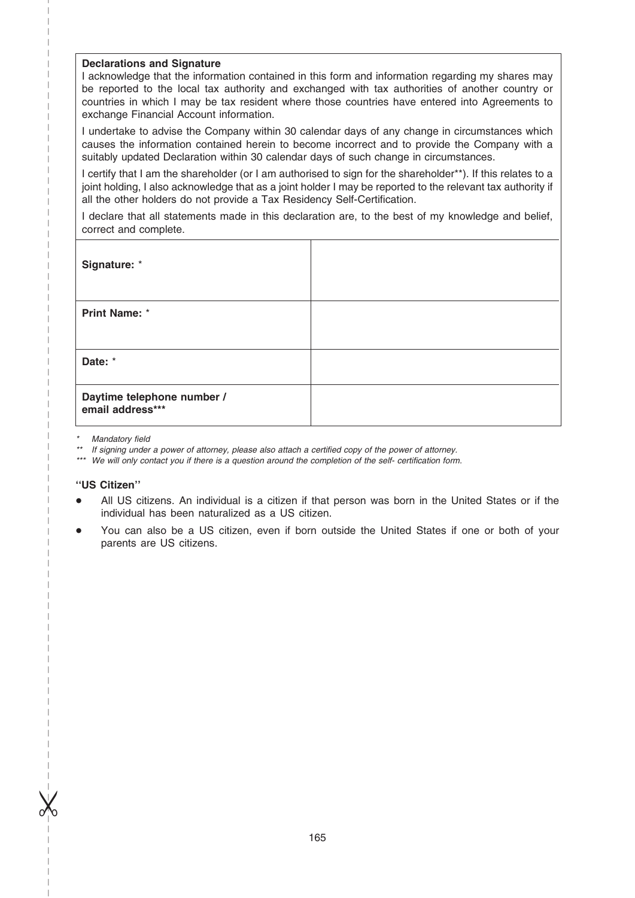## Declarations and Signature

I acknowledge that the information contained in this form and information regarding my shares may be reported to the local tax authority and exchanged with tax authorities of another country or countries in which I may be tax resident where those countries have entered into Agreements to exchange Financial Account information.

I undertake to advise the Company within 30 calendar days of any change in circumstances which causes the information contained herein to become incorrect and to provide the Company with a suitably updated Declaration within 30 calendar days of such change in circumstances.

I certify that I am the shareholder (or I am authorised to sign for the shareholder\*\*). If this relates to a joint holding, I also acknowledge that as a joint holder I may be reported to the relevant tax authority if all the other holders do not provide a Tax Residency Self-Certification.

I declare that all statements made in this declaration are, to the best of my knowledge and belief, correct and complete.

| Signature: *                                   |  |
|------------------------------------------------|--|
| <b>Print Name:</b> *                           |  |
| Date: *                                        |  |
| Daytime telephone number /<br>email address*** |  |

\* Mandatory field

\*\* If signing under a power of attorney, please also attach a certified copy of the power of attorney.

\*\*\* We will only contact you if there is a question around the completion of the self- certification form.

# ''US Citizen''

–––––––––––––––––––––––––– ––––––––––––––––––––––––––––– –––––––––––––––––––––––––––––

 $\chi$ 

–

- All US citizens. An individual is a citizen if that person was born in the United States or if the individual has been naturalized as a US citizen.
- You can also be a US citizen, even if born outside the United States if one or both of your parents are US citizens.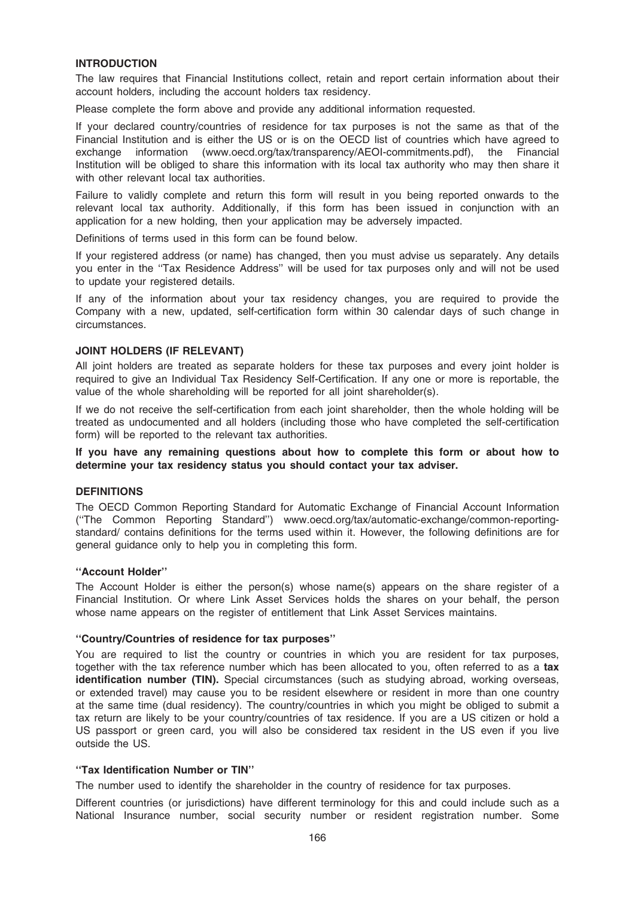#### INTRODUCTION

The law requires that Financial Institutions collect, retain and report certain information about their account holders, including the account holders tax residency.

Please complete the form above and provide any additional information requested.

If your declared country/countries of residence for tax purposes is not the same as that of the Financial Institution and is either the US or is on the OECD list of countries which have agreed to exchange information (www.oecd.org/tax/transparency/AEOI-commitments.pdf), the Financial Institution will be obliged to share this information with its local tax authority who may then share it with other relevant local tax authorities.

Failure to validly complete and return this form will result in you being reported onwards to the relevant local tax authority. Additionally, if this form has been issued in conjunction with an application for a new holding, then your application may be adversely impacted.

Definitions of terms used in this form can be found below.

If your registered address (or name) has changed, then you must advise us separately. Any details you enter in the "Tax Residence Address" will be used for tax purposes only and will not be used to update your registered details.

If any of the information about your tax residency changes, you are required to provide the Company with a new, updated, self-certification form within 30 calendar days of such change in circumstances.

#### JOINT HOLDERS (IF RELEVANT)

All joint holders are treated as separate holders for these tax purposes and every joint holder is required to give an Individual Tax Residency Self-Certification. If any one or more is reportable, the value of the whole shareholding will be reported for all joint shareholder(s).

If we do not receive the self-certification from each joint shareholder, then the whole holding will be treated as undocumented and all holders (including those who have completed the self-certification form) will be reported to the relevant tax authorities.

#### If you have any remaining questions about how to complete this form or about how to determine your tax residency status you should contact your tax adviser.

#### **DEFINITIONS**

The OECD Common Reporting Standard for Automatic Exchange of Financial Account Information (''The Common Reporting Standard'') www.oecd.org/tax/automatic-exchange/common-reportingstandard/ contains definitions for the terms used within it. However, the following definitions are for general guidance only to help you in completing this form.

#### ''Account Holder''

The Account Holder is either the person(s) whose name(s) appears on the share register of a Financial Institution. Or where Link Asset Services holds the shares on your behalf, the person whose name appears on the register of entitlement that Link Asset Services maintains.

#### ''Country/Countries of residence for tax purposes''

You are required to list the country or countries in which you are resident for tax purposes, together with the tax reference number which has been allocated to you, often referred to as a tax identification number (TIN). Special circumstances (such as studying abroad, working overseas, or extended travel) may cause you to be resident elsewhere or resident in more than one country at the same time (dual residency). The country/countries in which you might be obliged to submit a tax return are likely to be your country/countries of tax residence. If you are a US citizen or hold a US passport or green card, you will also be considered tax resident in the US even if you live outside the US.

#### ''Tax Identification Number or TIN''

The number used to identify the shareholder in the country of residence for tax purposes.

Different countries (or jurisdictions) have different terminology for this and could include such as a National Insurance number, social security number or resident registration number. Some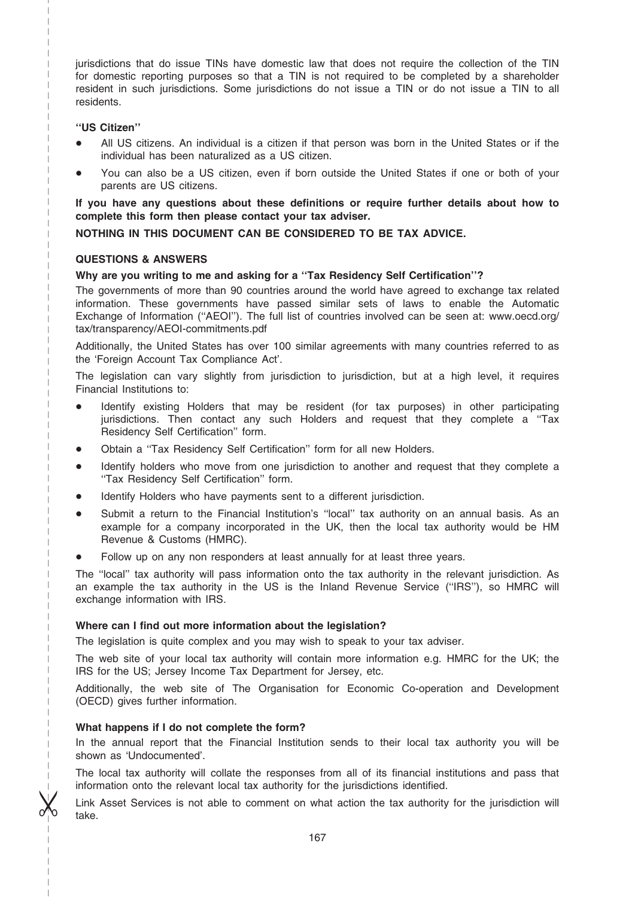jurisdictions that do issue TINs have domestic law that does not require the collection of the TIN for domestic reporting purposes so that a TIN is not required to be completed by a shareholder resident in such jurisdictions. Some jurisdictions do not issue a TIN or do not issue a TIN to all residents.

#### ''US Citizen''

–

–––––––––––––––––––––––––– ––––––––––––––––––––––––––––– –––––––––––––––––––––––––––––

 $\chi$ 

- All US citizens. An individual is a citizen if that person was born in the United States or if the individual has been naturalized as a US citizen.
- You can also be a US citizen, even if born outside the United States if one or both of your parents are US citizens.

If you have any questions about these definitions or require further details about how to complete this form then please contact your tax adviser.

NOTHING IN THIS DOCUMENT CAN BE CONSIDERED TO BE TAX ADVICE.

#### QUESTIONS & ANSWERS

## Why are you writing to me and asking for a ''Tax Residency Self Certification''?

The governments of more than 90 countries around the world have agreed to exchange tax related information. These governments have passed similar sets of laws to enable the Automatic Exchange of Information ("AEOI"). The full list of countries involved can be seen at: www.oecd.org/ tax/transparency/AEOI-commitments.pdf

Additionally, the United States has over 100 similar agreements with many countries referred to as the 'Foreign Account Tax Compliance Act'.

The legislation can vary slightly from jurisdiction to jurisdiction, but at a high level, it requires Financial Institutions to:

- Identify existing Holders that may be resident (for tax purposes) in other participating jurisdictions. Then contact any such Holders and request that they complete a ''Tax Residency Self Certification'' form.
- Obtain a "Tax Residency Self Certification" form for all new Holders.
- Identify holders who move from one jurisdiction to another and request that they complete a ''Tax Residency Self Certification'' form.
- Identify Holders who have payments sent to a different jurisdiction.
- \* Submit a return to the Financial Institution's ''local'' tax authority on an annual basis. As an example for a company incorporated in the UK, then the local tax authority would be HM Revenue & Customs (HMRC).
- Follow up on any non responders at least annually for at least three years.

The "local" tax authority will pass information onto the tax authority in the relevant jurisdiction. As an example the tax authority in the US is the Inland Revenue Service (''IRS''), so HMRC will exchange information with IRS.

#### Where can I find out more information about the legislation?

The legislation is quite complex and you may wish to speak to your tax adviser.

The web site of your local tax authority will contain more information e.g. HMRC for the UK; the IRS for the US; Jersey Income Tax Department for Jersey, etc.

Additionally, the web site of The Organisation for Economic Co-operation and Development (OECD) gives further information.

#### What happens if I do not complete the form?

In the annual report that the Financial Institution sends to their local tax authority you will be shown as 'Undocumented'.

The local tax authority will collate the responses from all of its financial institutions and pass that information onto the relevant local tax authority for the jurisdictions identified.

Link Asset Services is not able to comment on what action the tax authority for the jurisdiction will take.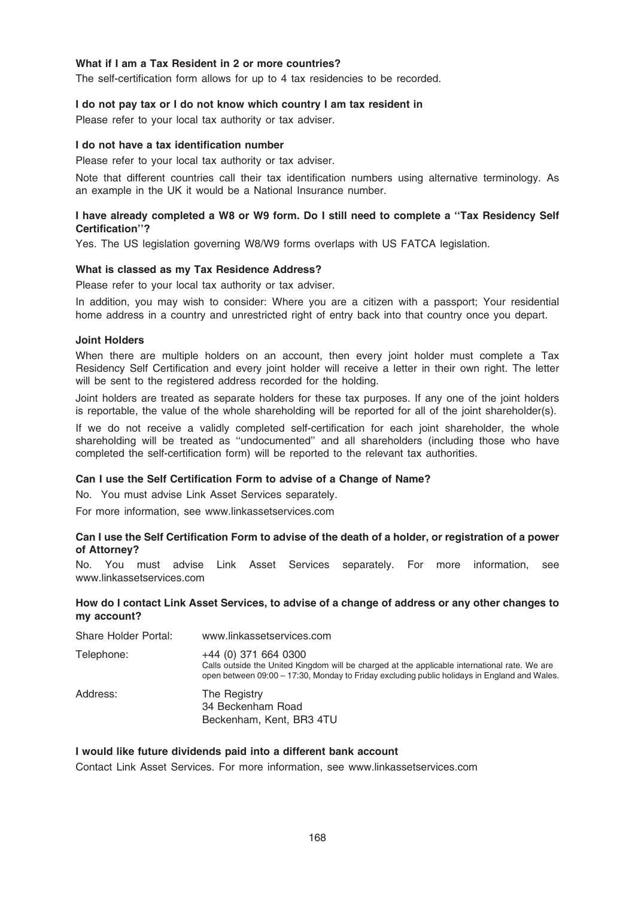## What if I am a Tax Resident in 2 or more countries?

The self-certification form allows for up to 4 tax residencies to be recorded.

## I do not pay tax or I do not know which country I am tax resident in

Please refer to your local tax authority or tax adviser.

#### I do not have a tax identification number

Please refer to your local tax authority or tax adviser.

Note that different countries call their tax identification numbers using alternative terminology. As an example in the UK it would be a National Insurance number.

# I have already completed a W8 or W9 form. Do I still need to complete a ''Tax Residency Self Certification''?

Yes. The US legislation governing W8/W9 forms overlaps with US FATCA legislation.

## What is classed as my Tax Residence Address?

Please refer to your local tax authority or tax adviser.

In addition, you may wish to consider: Where you are a citizen with a passport; Your residential home address in a country and unrestricted right of entry back into that country once you depart.

## Joint Holders

When there are multiple holders on an account, then every joint holder must complete a Tax Residency Self Certification and every joint holder will receive a letter in their own right. The letter will be sent to the registered address recorded for the holding.

Joint holders are treated as separate holders for these tax purposes. If any one of the joint holders is reportable, the value of the whole shareholding will be reported for all of the joint shareholder(s).

If we do not receive a validly completed self-certification for each joint shareholder, the whole shareholding will be treated as ''undocumented'' and all shareholders (including those who have completed the self-certification form) will be reported to the relevant tax authorities.

# Can I use the Self Certification Form to advise of a Change of Name?

No. You must advise Link Asset Services separately.

For more information, see www.linkassetservices.com

## Can I use the Self Certification Form to advise of the death of a holder, or registration of a power of Attorney?

No. You must advise Link Asset Services separately. For more information, see www.linkassetservices.com

#### How do I contact Link Asset Services, to advise of a change of address or any other changes to my account?

| Share Holder Portal: | www.linkassetservices.com                                                                                                                                                                                                |
|----------------------|--------------------------------------------------------------------------------------------------------------------------------------------------------------------------------------------------------------------------|
| Telephone:           | +44 (0) 371 664 0300<br>Calls outside the United Kingdom will be charged at the applicable international rate. We are<br>open between $09:00 - 17:30$ , Monday to Friday excluding public holidays in England and Wales. |
| Address:             | The Registry<br>34 Beckenham Road<br>Beckenham, Kent, BR3 4TU                                                                                                                                                            |

#### I would like future dividends paid into a different bank account

Contact Link Asset Services. For more information, see www.linkassetservices.com